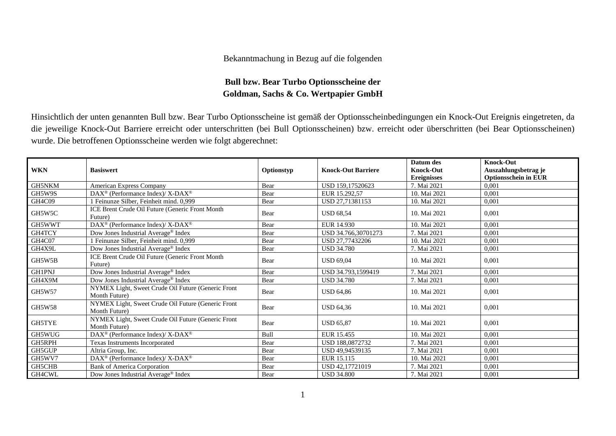## Bekanntmachung in Bezug auf die folgenden

## **Bull bzw. Bear Turbo Optionsscheine der Goldman, Sachs & Co. Wertpapier GmbH**

Hinsichtlich der unten genannten Bull bzw. Bear Turbo Optionsscheine ist gemäß der Optionsscheinbedingungen ein Knock-Out Ereignis eingetreten, da die jeweilige Knock-Out Barriere erreicht oder unterschritten (bei Bull Optionsscheinen) bzw. erreicht oder überschritten (bei Bear Optionsscheinen) wurde. Die betroffenen Optionsscheine werden wie folgt abgerechnet:

| <b>WKN</b>    | <b>Basiswert</b>                                                    | Optionstyp  | <b>Knock-Out Barriere</b> | Datum des<br><b>Knock-Out</b> | <b>Knock-Out</b><br>Auszahlungsbetrag je |
|---------------|---------------------------------------------------------------------|-------------|---------------------------|-------------------------------|------------------------------------------|
|               |                                                                     |             |                           | <b>Ereignisses</b>            | <b>Optionsschein in EUR</b>              |
| GH5NKM        | American Express Company                                            | Bear        | USD 159,17520623          | 7. Mai 2021                   | 0.001                                    |
| GH5W9S        | DAX <sup>®</sup> (Performance Index)/ X-DAX <sup>®</sup>            | Bear        | EUR 15.292.57             | 10. Mai 2021                  | 0,001                                    |
| GH4C09        | Feinunze Silber, Feinheit mind. 0,999                               | Bear        | USD 27,71381153           | 10. Mai 2021                  | 0,001                                    |
| GH5W5C        | ICE Brent Crude Oil Future (Generic Front Month<br>Future)          | Bear        | <b>USD 68.54</b>          | 10. Mai 2021                  | 0.001                                    |
| GH5WWT        | DAX <sup>®</sup> (Performance Index)/ X-DAX <sup>®</sup>            | Bear        | EUR 14.930                | 10. Mai 2021                  | 0,001                                    |
| GH4TCY        | Dow Jones Industrial Average <sup>®</sup> Index                     | Bear        | USD 34.766,30701273       | 7. Mai 2021                   | 0.001                                    |
| GH4C07        | Feinunze Silber, Feinheit mind. 0,999                               | Bear        | USD 27,77432206           | 10. Mai 2021                  | 0,001                                    |
| GH4X9L        | Dow Jones Industrial Average <sup>®</sup> Index                     | Bear        | <b>USD 34.780</b>         | 7. Mai 2021                   | 0,001                                    |
| GH5W5B        | ICE Brent Crude Oil Future (Generic Front Month<br>Future)          | Bear        | <b>USD 69,04</b>          | 10. Mai 2021                  | 0.001                                    |
| <b>GH1PNJ</b> | Dow Jones Industrial Average® Index                                 | Bear        | USD 34.793,1599419        | 7. Mai 2021                   | 0.001                                    |
| GH4X9M        | Dow Jones Industrial Average <sup>®</sup> Index                     | Bear        | <b>USD 34.780</b>         | 7. Mai 2021                   | 0.001                                    |
| GH5W57        | NYMEX Light, Sweet Crude Oil Future (Generic Front<br>Month Future) | Bear        | <b>USD 64,86</b>          | 10. Mai 2021                  | 0,001                                    |
| <b>GH5W58</b> | NYMEX Light, Sweet Crude Oil Future (Generic Front<br>Month Future) | Bear        | <b>USD 64,36</b>          | 10. Mai 2021                  | 0.001                                    |
| <b>GH5TYE</b> | NYMEX Light, Sweet Crude Oil Future (Generic Front<br>Month Future) | Bear        | <b>USD 65,87</b>          | 10. Mai 2021                  | 0.001                                    |
| GH5WUG        | DAX <sup>®</sup> (Performance Index)/ X-DAX <sup>®</sup>            | <b>Bull</b> | EUR 15.455                | 10. Mai 2021                  | 0,001                                    |
| GH5RPH        | Texas Instruments Incorporated                                      | Bear        | USD 188,0872732           | 7. Mai 2021                   | 0,001                                    |
| GH5GUP        | Altria Group, Inc.                                                  | Bear        | USD 49,94539135           | 7. Mai 2021                   | 0,001                                    |
| GH5WV7        | DAX <sup>®</sup> (Performance Index)/ X-DAX <sup>®</sup>            | Bear        | EUR 15.115                | 10. Mai 2021                  | 0,001                                    |
| <b>GH5CHB</b> | <b>Bank of America Corporation</b>                                  | Bear        | USD 42,17721019           | 7. Mai 2021                   | 0.001                                    |
| GH4CWL        | Dow Jones Industrial Average <sup>®</sup> Index                     | Bear        | <b>USD 34.800</b>         | 7. Mai 2021                   | 0,001                                    |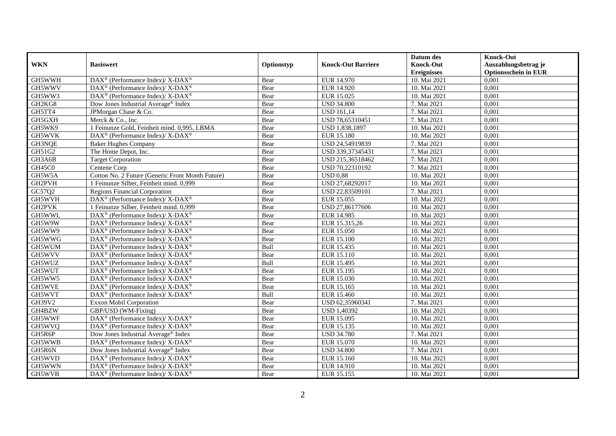|            |                                                                    |            |                           | Datum des          | <b>Knock-Out</b>            |
|------------|--------------------------------------------------------------------|------------|---------------------------|--------------------|-----------------------------|
| <b>WKN</b> | <b>Basiswert</b>                                                   | Optionstyp | <b>Knock-Out Barriere</b> | <b>Knock-Out</b>   | Auszahlungsbetrag je        |
|            |                                                                    |            |                           | <b>Ereignisses</b> | <b>Optionsschein in EUR</b> |
| GH5WWH     | DAX <sup>®</sup> (Performance Index)/ X-DAX <sup>®</sup>           | Bear       | EUR 14.970                | 10. Mai 2021       | 0,001                       |
| GH5WWV     | $DAX^{\circledast}$ (Performance Index)/ X-DAX <sup>®</sup>        | Bear       | EUR 14.920                | 10. Mai 2021       | 0,001                       |
| GH5WW3     | $DAX^{\circledast}$ (Performance Index)/ X-DAX <sup>®</sup>        | Bear       | EUR 15.025                | 10. Mai 2021       | 0,001                       |
| GH2KG8     | Dow Jones Industrial Average <sup>®</sup> Index                    | Bear       | <b>USD 34.800</b>         | 7. Mai 2021        | 0,001                       |
| GH5TT4     | JPMorgan Chase & Co.                                               | Bear       | <b>USD 161,14</b>         | 7. Mai 2021        | 0,001                       |
| GH5GXH     | Merck & Co., Inc.                                                  | Bear       | USD 78,65310451           | 7. Mai 2021        | 0,001                       |
| GH5WK9     | 1 Feinunze Gold, Feinheit mind. 0,995, LBMA                        | Bear       | USD 1.838,1897            | 10. Mai 2021       | 0,001                       |
| GH5WVK     | DAX <sup>®</sup> (Performance Index)/ X-DAX <sup>®</sup>           | Bear       | EUR 15.180                | 10. Mai 2021       | 0,001                       |
| GH3NQE     | <b>Baker Hughes Company</b>                                        | Bear       | USD 24,54919839           | 7. Mai 2021        | 0,001                       |
| GH51G2     | The Home Depot, Inc.                                               | Bear       | USD 339,37345431          | 7. Mai 2021        | 0,001                       |
| GH3A6B     | <b>Target Corporation</b>                                          | Bear       | USD 215,36518462          | 7. Mai 2021        | 0,001                       |
| GH45C0     | Centene Corp                                                       | Bear       | USD 70,22310192           | 7. Mai 2021        | 0,001                       |
| GH5W5A     | Cotton No. 2 Future (Generic Front Month Future)                   | Bear       | <b>USD 0.88</b>           | 10. Mai 2021       | 0,001                       |
| GH2PVH     | 1 Feinunze Silber, Feinheit mind. 0,999                            | Bear       | USD 27,68292017           | 10. Mai 2021       | 0,001                       |
| GC57Q2     | <b>Regions Financial Corporation</b>                               | Bear       | USD 22,83509101           | 7. Mai 2021        | 0,001                       |
| GH5WVH     | DAX <sup>®</sup> (Performance Index)/ X-DAX <sup>®</sup>           | Bear       | EUR 15.055                | 10. Mai 2021       | 0,001                       |
| GH2PVK     | 1 Feinunze Silber, Feinheit mind. 0,999                            | Bear       | USD 27,86177606           | 10. Mai 2021       | 0,001                       |
| GH5WWL     | $DAX^{\circledcirc}$ (Performance Index)/ X-DAX <sup>®</sup>       | Bear       | EUR 14.985                | 10. Mai 2021       | 0,001                       |
| GH5W9W     | DAX <sup>®</sup> (Performance Index)/ X-DAX <sup>®</sup>           | Bear       | EUR 15.315,26             | 10. Mai 2021       | 0,001                       |
| GH5WW9     | DAX <sup>®</sup> (Performance Index)/ X-DAX <sup>®</sup>           | Bear       | <b>EUR 15.050</b>         | 10. Mai 2021       | 0,001                       |
| GH5WWG     | DAX <sup>®</sup> (Performance Index)/ X-DAX <sup>®</sup>           | Bear       | <b>EUR 15.100</b>         | 10. Mai 2021       | 0,001                       |
| GH5WUM     | $DAX^{\circledast}$ (Performance Index)/ X-DAX <sup>®</sup>        | Bull       | EUR 15.435                | 10. Mai 2021       | 0,001                       |
| GH5WVV     | DAX <sup>®</sup> (Performance Index)/ X-DAX <sup>®</sup>           | Bear       | EUR 15.110                | 10. Mai 2021       | 0,001                       |
| GH5WUZ     | DAX <sup>®</sup> (Performance Index)/ X-DAX <sup>®</sup>           | Bull       | EUR 15.495                | 10. Mai 2021       | 0,001                       |
| GH5WUT     | $DAX^{\circledcirc}$ (Performance Index)/ X-DAX <sup>®</sup>       | Bear       | EUR 15.195                | 10. Mai 2021       | 0,001                       |
| GH5WW5     | $DAX^{\circledast}$ (Performance Index)/ X-DAX <sup>®</sup>        | Bear       | EUR 15.030                | 10. Mai 2021       | 0,001                       |
| GH5WVE     | DAX <sup>®</sup> (Performance Index)/ X-DAX <sup>®</sup>           | Bear       | EUR 15.165                | 10. Mai 2021       | 0,001                       |
| GH5WVT     | $DAX^{\circledast}$ (Performance Index)/ X-DAX <sup>®</sup>        | Bull       | EUR 15.460                | 10. Mai 2021       | 0,001                       |
| GH39V2     | Exxon Mobil Corporation                                            | Bear       | USD 62,35960341           | 7. Mai 2021        | 0,001                       |
| GH4BZW     | GBP/USD (WM-Fixing)                                                | Bear       | <b>USD 1,40392</b>        | 10. Mai 2021       | 0,001                       |
| GH5WWF     | DAX <sup>®</sup> (Performance Index)/ X-DAX <sup>®</sup>           | Bear       | EUR 15.095                | 10. Mai 2021       | 0,001                       |
| GH5WVQ     | $DAX^{\circledcirc}$ (Performance Index)/ X-DAX <sup>®</sup>       | Bear       | EUR 15.135                | 10. Mai 2021       | 0,001                       |
| GH5R6P     | Dow Jones Industrial Average® Index                                | Bear       | <b>USD 34.780</b>         | 7. Mai 2021        | 0,001                       |
| GH5WWB     | DAX <sup>®</sup> (Performance Index)/ X-DAX <sup>®</sup>           | Bear       | EUR 15.070                | 10. Mai 2021       | 0,001                       |
| GH5R6N     | Dow Jones Industrial Average® Index                                | Bear       | <b>USD 34.800</b>         | 7. Mai 2021        | 0,001                       |
| GH5WVD     | $\text{DAX}^{\circledast}$ (Performance Index)/ X-DAX <sup>®</sup> | Bear       | EUR 15.160                | 10. Mai 2021       | 0,001                       |
| GH5WWN     | DAX <sup>®</sup> (Performance Index)/ X-DAX <sup>®</sup>           | Bear       | EUR 14.910                | 10. Mai 2021       | 0,001                       |
| GH5WVB     | $DAX^{\circledast}$ (Performance Index)/ X-DAX <sup>®</sup>        | Bear       | EUR 15.155                | 10. Mai 2021       | 0,001                       |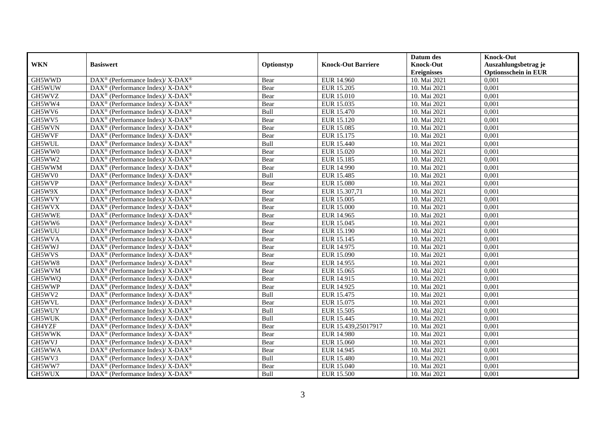|            |                                                                  |             |                           | Datum des          | <b>Knock-Out</b>            |
|------------|------------------------------------------------------------------|-------------|---------------------------|--------------------|-----------------------------|
| <b>WKN</b> | <b>Basiswert</b>                                                 | Optionstyp  | <b>Knock-Out Barriere</b> | <b>Knock-Out</b>   | Auszahlungsbetrag je        |
|            |                                                                  |             |                           | <b>Ereignisses</b> | <b>Optionsschein in EUR</b> |
| GH5WWD     | DAX <sup>®</sup> (Performance Index)/ X-DAX <sup>®</sup>         | Bear        | EUR 14.960                | 10. Mai 2021       | 0,001                       |
| GH5WUW     | $DAX^{\circledast}$ (Performance Index)/ X-DAX <sup>®</sup>      | Bear        | EUR 15.205                | 10. Mai 2021       | 0,001                       |
| GH5WVZ     | $DAX^{\circledcirc}$ (Performance Index)/ X-DAX <sup>®</sup>     | Bear        | EUR 15.010                | 10. Mai 2021       | 0,001                       |
| GH5WW4     | DAX <sup>®</sup> (Performance Index)/ X-DAX <sup>®</sup>         | Bear        | EUR 15.035                | 10. Mai 2021       | 0,001                       |
| GH5WV6     | $DAX^{\circledast}$ (Performance Index)/ X-DAX <sup>®</sup>      | Bull        | EUR 15.470                | 10. Mai 2021       | 0,001                       |
| GH5WV5     | DAX <sup>®</sup> (Performance Index)/ X-DAX <sup>®</sup>         | Bear        | EUR 15.120                | 10. Mai 2021       | 0,001                       |
| GH5WVN     | $DAX^{\circledast}$ (Performance Index)/ X-DAX <sup>®</sup>      | Bear        | EUR 15.085                | 10. Mai 2021       | 0,001                       |
| GH5WVF     | DAX <sup>®</sup> (Performance Index)/ X-DAX <sup>®</sup>         | Bear        | EUR 15.175                | 10. Mai 2021       | 0,001                       |
| GH5WUL     | $DAX^{\circledast}$ (Performance Index)/ X-DAX <sup>®</sup>      | Bull        | EUR 15.440                | 10. Mai 2021       | 0,001                       |
| GH5WW0     | $DAX^{\circledast}$ (Performance Index)/ X-DAX <sup>®</sup>      | Bear        | EUR 15.020                | 10. Mai 2021       | 0,001                       |
| GH5WW2     | DAX <sup>®</sup> (Performance Index)/ X-DAX <sup>®</sup>         | Bear        | EUR 15.185                | 10. Mai 2021       | 0,001                       |
| GH5WWM     | DAX <sup>®</sup> (Performance Index)/ X-DAX <sup>®</sup>         | Bear        | EUR 14.990                | 10. Mai 2021       | 0,001                       |
| GH5WV0     | $DAX^{\circledast}$ (Performance Index)/ X-DAX <sup>®</sup>      | Bull        | EUR 15.485                | 10. Mai 2021       | 0,001                       |
| GH5WVP     | DAX <sup>®</sup> (Performance Index)/ X-DAX <sup>®</sup>         | Bear        | EUR 15.080                | 10. Mai 2021       | 0,001                       |
| GH5W9X     | $DAX^{\circledast}$ (Performance Index)/ X-DAX <sup>®</sup>      | Bear        | EUR 15.307,71             | 10. Mai 2021       | 0,001                       |
| GH5WVY     | DAX <sup>®</sup> (Performance Index)/ X-DAX <sup>®</sup>         | Bear        | EUR 15.005                | 10. Mai 2021       | 0,001                       |
| GH5WVX     | $DAX^{\circledast}$ (Performance Index)/ X-DAX <sup>®</sup>      | Bear        | <b>EUR 15.000</b>         | 10. Mai 2021       | 0,001                       |
| GH5WWE     | $DAX^{\circledast}$ (Performance Index)/ X-DAX <sup>®</sup>      | Bear        | EUR 14.965                | 10. Mai 2021       | 0,001                       |
| GH5WW6     | $DAX^{\circledast}$ (Performance Index)/ X-DAX <sup>®</sup>      | Bear        | EUR 15.045                | 10. Mai 2021       | 0,001                       |
| GH5WUU     | $DAX^{\circledcirc}$ (Performance Index)/ X-DAX <sup>®</sup>     | Bear        | EUR 15.190                | 10. Mai 2021       | 0,001                       |
| GH5WVA     | $DAX^{\circledast}$ (Performance Index)/ X-DAX <sup>®</sup>      | Bear        | EUR 15.145                | 10. Mai 2021       | 0,001                       |
| GH5WWJ     | $DAX^{\circledast}$ (Performance Index)/ X-DAX <sup>®</sup>      | Bear        | EUR 14.975                | 10. Mai 2021       | 0,001                       |
| GH5WVS     | DAX <sup>®</sup> (Performance Index)/ X-DAX <sup>®</sup>         | Bear        | EUR 15.090                | 10. Mai 2021       | 0,001                       |
| GH5WW8     | $\text{DAX}^{\circledR}$ (Performance Index)/ X-DAX <sup>®</sup> | Bear        | EUR 14.955                | 10. Mai 2021       | 0,001                       |
| GH5WVM     | DAX <sup>®</sup> (Performance Index)/ X-DAX <sup>®</sup>         | Bear        | EUR 15.065                | 10. Mai 2021       | 0,001                       |
| GH5WWQ     | DAX <sup>®</sup> (Performance Index)/ X-DAX <sup>®</sup>         | Bear        | EUR 14.915                | 10. Mai 2021       | 0,001                       |
| GH5WWP     | DAX <sup>®</sup> (Performance Index)/ X-DAX <sup>®</sup>         | Bear        | EUR 14.925                | 10. Mai 2021       | 0,001                       |
| GH5WV2     | $\text{DAX}^{\circledR}$ (Performance Index)/ X-DAX <sup>®</sup> | Bull        | EUR 15.475                | 10. Mai 2021       | 0,001                       |
| GH5WVL     | $DAX^{\circledast}$ (Performance Index)/ X-DAX <sup>®</sup>      | Bear        | EUR 15.075                | 10. Mai 2021       | 0,001                       |
| GH5WUY     | $DAX^{\circledast}$ (Performance Index)/ X-DAX <sup>®</sup>      | <b>Bull</b> | EUR 15.505                | 10. Mai 2021       | 0,001                       |
| GH5WUK     | $DAX^{\circledast}$ (Performance Index)/ X-DAX <sup>®</sup>      | Bull        | EUR 15.445                | 10. Mai 2021       | 0,001                       |
| GH4YZF     | $DAX^{\circledast}$ (Performance Index)/ X-DAX <sup>®</sup>      | Bear        | EUR 15.439,25017917       | 10. Mai 2021       | 0,001                       |
| GH5WWK     | $DAX^{\circledast}$ (Performance Index)/ X-DAX <sup>®</sup>      | Bear        | <b>EUR 14.980</b>         | 10. Mai 2021       | 0,001                       |
| GH5WVJ     | DAX <sup>®</sup> (Performance Index)/ X-DAX <sup>®</sup>         | Bear        | EUR 15.060                | 10. Mai 2021       | 0,001                       |
| GH5WWA     | DAX <sup>®</sup> (Performance Index)/ X-DAX <sup>®</sup>         | Bear        | EUR 14.945                | 10. Mai 2021       | 0,001                       |
| GH5WV3     | $DAX^{\circledast}$ (Performance Index)/ X-DAX <sup>®</sup>      | Bull        | <b>EUR 15.480</b>         | 10. Mai 2021       | 0,001                       |
| GH5WW7     | $DAX^{\circledast}$ (Performance Index)/ X-DAX <sup>®</sup>      | Bear        | EUR 15.040                | 10. Mai 2021       | 0,001                       |
| GH5WUX     | DAX <sup>®</sup> (Performance Index)/ X-DAX <sup>®</sup>         | <b>Bull</b> | EUR 15.500                | 10. Mai 2021       | 0,001                       |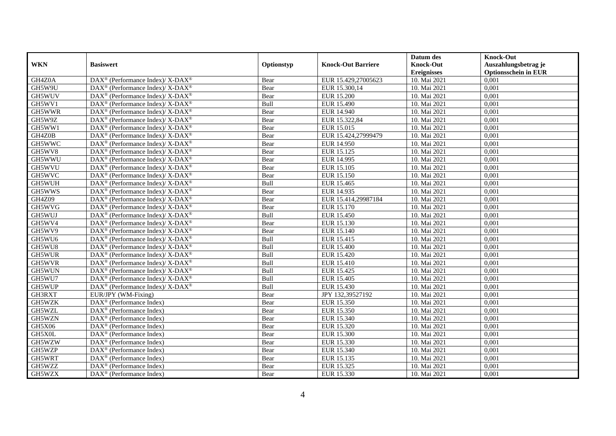|            |                                                              |            |                           | Datum des          | <b>Knock-Out</b>            |
|------------|--------------------------------------------------------------|------------|---------------------------|--------------------|-----------------------------|
| <b>WKN</b> | <b>Basiswert</b>                                             | Optionstyp | <b>Knock-Out Barriere</b> | <b>Knock-Out</b>   | Auszahlungsbetrag je        |
|            |                                                              |            |                           | <b>Ereignisses</b> | <b>Optionsschein in EUR</b> |
| GH4Z0A     | DAX <sup>®</sup> (Performance Index)/ X-DAX <sup>®</sup>     | Bear       | EUR 15.429,27005623       | 10. Mai 2021       | 0,001                       |
| GH5W9U     | $DAX^{\circledast}$ (Performance Index)/ X-DAX <sup>®</sup>  | Bear       | EUR 15.300,14             | 10. Mai 2021       | 0,001                       |
| GH5WUV     | $DAX^{\circledast}$ (Performance Index)/ X-DAX <sup>®</sup>  | Bear       | <b>EUR 15.200</b>         | 10. Mai 2021       | 0,001                       |
| GH5WV1     | $DAX^{\circledast}$ (Performance Index)/ X-DAX <sup>®</sup>  | Bull       | EUR 15.490                | 10. Mai 2021       | 0,001                       |
| GH5WWR     | $DAX^{\circledast}$ (Performance Index)/ X-DAX <sup>®</sup>  | Bear       | EUR 14.940                | 10. Mai 2021       | 0,001                       |
| GH5W9Z     | DAX <sup>®</sup> (Performance Index)/ X-DAX <sup>®</sup>     | Bear       | EUR 15.322,84             | 10. Mai 2021       | 0,001                       |
| GH5WW1     | $DAX^{\circledcirc}$ (Performance Index)/ X-DAX <sup>®</sup> | Bear       | EUR 15.015                | 10. Mai 2021       | 0,001                       |
| GH4Z0B     | $DAX^{\circledast}$ (Performance Index)/ X-DAX <sup>®</sup>  | Bear       | EUR 15.424,27999479       | 10. Mai 2021       | 0,001                       |
| GH5WWC     | $DAX^{\circledast}$ (Performance Index)/ X-DAX <sup>®</sup>  | Bear       | EUR 14.950                | 10. Mai 2021       | 0,001                       |
| GH5WV8     | $DAX^{\circledast}$ (Performance Index)/ X-DAX <sup>®</sup>  | Bear       | EUR 15.125                | 10. Mai 2021       | 0,001                       |
| GH5WWU     | DAX <sup>®</sup> (Performance Index)/ X-DAX <sup>®</sup>     | Bear       | EUR 14.995                | 10. Mai 2021       | 0,001                       |
| GH5WVU     | DAX <sup>®</sup> (Performance Index)/ X-DAX <sup>®</sup>     | Bear       | <b>EUR 15.105</b>         | 10. Mai 2021       | 0,001                       |
| GH5WVC     | $DAX^{\circledast}$ (Performance Index)/ X-DAX <sup>®</sup>  | Bear       | EUR 15.150                | 10. Mai 2021       | 0,001                       |
| GH5WUH     | $DAX^{\circledast}$ (Performance Index)/ X-DAX <sup>®</sup>  | Bull       | EUR 15.465                | 10. Mai 2021       | 0,001                       |
| GH5WWS     | DAX <sup>®</sup> (Performance Index)/ X-DAX <sup>®</sup>     | Bear       | EUR 14.935                | 10. Mai 2021       | 0,001                       |
| GH4Z09     | DAX <sup>®</sup> (Performance Index)/ X-DAX <sup>®</sup>     | Bear       | EUR 15.414,29987184       | 10. Mai 2021       | 0,001                       |
| GH5WVG     | $DAX^{\circledast}$ (Performance Index)/ X-DAX <sup>®</sup>  | Bear       | EUR 15.170                | 10. Mai 2021       | 0,001                       |
| GH5WUJ     | $DAX^{\circledcirc}$ (Performance Index)/ X-DAX <sup>®</sup> | Bull       | EUR 15.450                | 10. Mai 2021       | 0,001                       |
| GH5WV4     | $DAX^{\circledast}$ (Performance Index)/ X-DAX <sup>®</sup>  | Bear       | EUR 15.130                | 10. Mai 2021       | 0,001                       |
| GH5WV9     | DAX <sup>®</sup> (Performance Index)/ X-DAX <sup>®</sup>     | Bear       | EUR 15.140                | 10. Mai 2021       | 0,001                       |
| GH5WU6     | $DAX^{\circledast}$ (Performance Index)/ X-DAX <sup>®</sup>  | Bull       | EUR 15.415                | 10. Mai 2021       | 0,001                       |
| GH5WU8     | $DAX^{\circledast}$ (Performance Index)/ X-DAX <sup>®</sup>  | Bull       | <b>EUR 15.400</b>         | 10. Mai 2021       | 0,001                       |
| GH5WUR     | DAX <sup>®</sup> (Performance Index)/ X-DAX <sup>®</sup>     | Bull       | EUR 15.420                | 10. Mai 2021       | 0,001                       |
| GH5WVR     | DAX <sup>®</sup> (Performance Index)/ X-DAX <sup>®</sup>     | Bull       | EUR 15.410                | 10. Mai 2021       | 0,001                       |
| GH5WUN     | $DAX^{\circledcirc}$ (Performance Index)/ X-DAX <sup>®</sup> | Bull       | EUR 15.425                | 10. Mai 2021       | 0,001                       |
| GH5WU7     | $DAX^{\circledast}$ (Performance Index)/ X-DAX <sup>®</sup>  | Bull       | EUR 15.405                | 10. Mai 2021       | 0,001                       |
| GH5WUP     | DAX <sup>®</sup> (Performance Index)/ X-DAX <sup>®</sup>     | Bull       | <b>EUR 15.430</b>         | 10. Mai 2021       | 0,001                       |
| GH3RXT     | EUR/JPY (WM-Fixing)                                          | Bear       | JPY 132,39527192          | 10. Mai 2021       | 0,001                       |
| GH5WZK     | DAX <sup>®</sup> (Performance Index)                         | Bear       | EUR 15.350                | 10. Mai 2021       | 0,001                       |
| GH5WZL     | $\text{DAX}^{\circledast}$ (Performance Index)               | Bear       | EUR 15.350                | 10. Mai 2021       | 0,001                       |
| GH5WZN     | $DAX^{\circledast}$ (Performance Index)                      | Bear       | EUR 15.340                | 10. Mai 2021       | 0,001                       |
| GH5X06     | $\text{DAX}^{\circledast}$ (Performance Index)               | Bear       | EUR 15.320                | 10. Mai 2021       | 0,001                       |
| GH5X0L     | $\overline{\text{DAX}}^{\textcirc}$ (Performance Index)      | Bear       | <b>EUR 15.300</b>         | 10. Mai 2021       | 0,001                       |
| GH5WZW     | DAX <sup>®</sup> (Performance Index)                         | Bear       | EUR 15.330                | 10. Mai 2021       | 0,001                       |
| GH5WZP     | $\text{DAX}^{\otimes}$ (Performance Index)                   | Bear       | EUR 15.340                | 10. Mai 2021       | 0,001                       |
| GH5WRT     | DAX <sup>®</sup> (Performance Index)                         | Bear       | EUR 15.135                | 10. Mai 2021       | 0,001                       |
| GH5WZZ     | $DAX^{\circledcirc}$ (Performance Index)                     | Bear       | EUR 15.325                | 10. Mai 2021       | 0,001                       |
| GH5WZX     | $\text{DAX}^{\circledast}$ (Performance Index)               | Bear       | EUR 15.330                | 10. Mai 2021       | 0,001                       |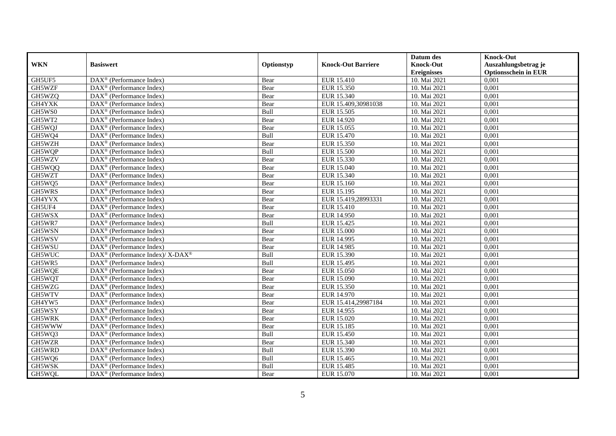|            |                                                                           |            |                           | Datum des          | <b>Knock-Out</b>            |
|------------|---------------------------------------------------------------------------|------------|---------------------------|--------------------|-----------------------------|
| <b>WKN</b> | <b>Basiswert</b>                                                          | Optionstyp | <b>Knock-Out Barriere</b> | <b>Knock-Out</b>   | Auszahlungsbetrag je        |
|            |                                                                           |            |                           | <b>Ereignisses</b> | <b>Optionsschein in EUR</b> |
| GH5UF5     | DAX <sup>®</sup> (Performance Index)                                      | Bear       | EUR 15.410                | 10. Mai 2021       | 0,001                       |
| GH5WZF     | $\text{DAX}^{\circledast}$ (Performance Index)                            | Bear       | EUR 15.350                | 10. Mai 2021       | 0,001                       |
| GH5WZQ     | $DAX^{\circledR}$ (Performance Index)                                     | Bear       | EUR 15.340                | 10. Mai 2021       | 0,001                       |
| GH4YXK     | $\text{DAX}^{\otimes}$ (Performance Index)                                | Bear       | EUR 15.409,30981038       | 10. Mai 2021       | 0,001                       |
| GH5WS0     | DAX <sup>®</sup> (Performance Index)                                      | Bull       | EUR 15.505                | 10. Mai 2021       | 0,001                       |
| GH5WT2     | $\overline{\text{DAX}^{\otimes}}$ (Performance Index)                     | Bear       | EUR 14.920                | 10. Mai 2021       | 0,001                       |
| GH5WQJ     | $\overline{\text{DAX}^{\otimes}}$ (Performance Index)                     | Bear       | EUR 15.055                | 10. Mai 2021       | 0,001                       |
| GH5WQ4     | $\text{DAX}^{\otimes}$ (Performance Index)                                | Bull       | EUR 15.470                | 10. Mai 2021       | 0,001                       |
| GH5WZH     | $\text{DAX}^{\otimes}$ (Performance Index)                                | Bear       | EUR 15.350                | 10. Mai 2021       | 0,001                       |
| GH5WQP     | $DAX^{\circledast}$ (Performance Index)                                   | Bull       | <b>EUR 15.500</b>         | 10. Mai 2021       | 0,001                       |
| GH5WZV     | DAX <sup>®</sup> (Performance Index)                                      | Bear       | EUR 15.330                | 10. Mai 2021       | 0,001                       |
| GH5WQQ     | $\overline{\text{DAX}}^{\textcirc}$ (Performance Index)                   | Bear       | EUR 15.040                | 10. Mai 2021       | 0,001                       |
| GH5WZT     | $\text{DAX}^{\otimes}$ (Performance Index)                                | Bear       | EUR 15.340                | 10. Mai 2021       | 0,001                       |
| GH5WQ5     | $DAX^{\circledR}$ (Performance Index)                                     | Bear       | EUR 15.160                | 10. Mai 2021       | 0,001                       |
| GH5WRS     | $\text{DAX}^{\otimes}$ (Performance Index)                                | Bear       | EUR 15.195                | 10. Mai 2021       | 0,001                       |
| GH4YVX     | DAX <sup>®</sup> (Performance Index)                                      | Bear       | EUR 15.419,28993331       | 10. Mai 2021       | 0,001                       |
| GH5UF4     | DAX <sup>®</sup> (Performance Index)                                      | Bear       | EUR 15.410                | 10. Mai 2021       | 0,001                       |
| GH5WSX     | $DAX^{\circledR}$ (Performance Index)                                     | Bear       | EUR 14.950                | 10. Mai 2021       | 0,001                       |
| GH5WR7     | DAX <sup>®</sup> (Performance Index)                                      | Bull       | EUR 15.425                | 10. Mai 2021       | 0,001                       |
| GH5WSN     | DAX <sup>®</sup> (Performance Index)                                      | Bear       | <b>EUR 15.000</b>         | 10. Mai 2021       | 0,001                       |
| GH5WSV     | DAX <sup>®</sup> (Performance Index)                                      | Bear       | EUR 14.995                | 10. Mai 2021       | 0,001                       |
| GH5WSU     | $\overline{\text{DAX}^{\otimes}}$ (Performance Index)                     | Bear       | EUR 14.985                | 10. Mai 2021       | 0,001                       |
| GH5WUC     | $DAX^{\circledast}$ (Performance Index)/ $\overline{X-DAX^{\circledast}}$ | Bull       | EUR 15.390                | 10. Mai 2021       | 0,001                       |
| GH5WR5     | $\text{DAX}^{\circledast}$ (Performance Index)                            | Bull       | EUR 15.495                | 10. Mai 2021       | 0,001                       |
| GH5WQE     | DAX <sup>®</sup> (Performance Index)                                      | Bear       | EUR 15.050                | 10. Mai 2021       | 0,001                       |
| GH5WQT     | $\text{DAX}^{\otimes}$ (Performance Index)                                | Bear       | EUR 15.090                | 10. Mai 2021       | 0,001                       |
| GH5WZG     | DAX <sup>®</sup> (Performance Index)                                      | Bear       | EUR 15.350                | 10. Mai 2021       | 0,001                       |
| GH5WTV     | $\overline{\text{DAX}^{\otimes}}$ (Performance Index)                     | Bear       | EUR 14.970                | 10. Mai 2021       | 0,001                       |
| GH4YW5     | DAX <sup>®</sup> (Performance Index)                                      | Bear       | EUR 15.414,29987184       | 10. Mai 2021       | 0,001                       |
| GH5WSY     | $\text{DAX}^{\otimes}$ (Performance Index)                                | Bear       | EUR 14.955                | 10. Mai 2021       | 0,001                       |
| GH5WRK     | $DAX^{\circledast}$ (Performance Index)                                   | Bear       | EUR 15.020                | 10. Mai 2021       | 0,001                       |
| GH5WWW     | $\text{DAX}^{\otimes}$ (Performance Index)                                | Bear       | EUR 15.185                | 10. Mai 2021       | 0,001                       |
| GH5WQ3     | $\overline{\text{DAX}^{\otimes}}$ (Performance Index)                     | Bull       | EUR 15.450                | 10. Mai 2021       | 0,001                       |
| GH5WZR     | $\overline{\text{DAX}^{\circledast}(\text{Performance Index})}$           | Bear       | EUR 15.340                | 10. Mai 2021       | 0,001                       |
| GH5WRD     | DAX <sup>®</sup> (Performance Index)                                      | Bull       | EUR 15.390                | 10. Mai 2021       | 0,001                       |
| GH5WQ6     | DAX <sup>®</sup> (Performance Index)                                      | Bull       | EUR 15.465                | 10. Mai 2021       | 0,001                       |
| GH5WSK     | $DAX^{\circledcirc}$ (Performance Index)                                  | Bull       | EUR 15.485                | 10. Mai 2021       | 0,001                       |
| GH5WQL     | $\overline{\text{DAX}^{\otimes}}$ (Performance Index)                     | Bear       | EUR 15.070                | 10. Mai 2021       | 0,001                       |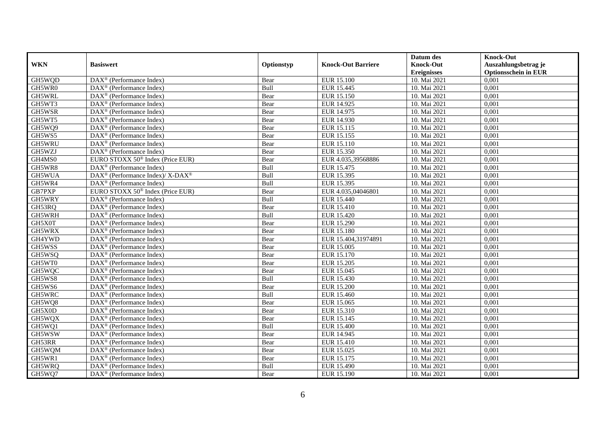|            |                                                                 |             |                           | Datum des          | <b>Knock-Out</b>            |
|------------|-----------------------------------------------------------------|-------------|---------------------------|--------------------|-----------------------------|
| <b>WKN</b> | <b>Basiswert</b>                                                | Optionstyp  | <b>Knock-Out Barriere</b> | <b>Knock-Out</b>   | Auszahlungsbetrag je        |
|            |                                                                 |             |                           | <b>Ereignisses</b> | <b>Optionsschein in EUR</b> |
| GH5WQD     | DAX <sup>®</sup> (Performance Index)                            | Bear        | <b>EUR 15.100</b>         | 10. Mai 2021       | 0,001                       |
| GH5WR0     | $\text{DAX}^{\otimes}$ (Performance Index)                      | Bull        | EUR 15.445                | 10. Mai 2021       | 0,001                       |
| GH5WRL     | $DAX^{\circledR}$ (Performance Index)                           | Bear        | EUR 15.150                | 10. Mai 2021       | 0,001                       |
| GH5WT3     | $\text{DAX}^{\otimes}$ (Performance Index)                      | Bear        | EUR 14.925                | 10. Mai 2021       | 0,001                       |
| GH5WSR     | DAX <sup>®</sup> (Performance Index)                            | Bear        | EUR 14.975                | 10. Mai 2021       | 0,001                       |
| GH5WT5     | $DAX^{\circledR}$ (Performance Index)                           | Bear        | EUR 14.930                | 10. Mai 2021       | 0,001                       |
| GH5WQ9     | $DAX^{\circledR}$ (Performance Index)                           | Bear        | EUR 15.115                | 10. Mai 2021       | 0,001                       |
| GH5WS5     | $\text{DAX}^{\otimes}$ (Performance Index)                      | Bear        | EUR 15.155                | 10. Mai 2021       | 0,001                       |
| GH5WRU     | $\text{DAX}^{\otimes}$ (Performance Index)                      | Bear        | EUR 15.110                | 10. Mai 2021       | 0,001                       |
| GH5WZJ     | $\text{DAX}^{\otimes}$ (Performance Index)                      | Bear        | EUR 15.350                | 10. Mai 2021       | 0,001                       |
| GH4MS0     | EURO STOXX 50 <sup>®</sup> Index (Price EUR)                    | Bear        | EUR 4.035,39568886        | 10. Mai 2021       | 0,001                       |
| GH5WR8     | $\overline{\text{DAX}^{\otimes}}$ (Performance Index)           | Bull        | EUR 15.475                | 10. Mai 2021       | 0,001                       |
| GH5WUA     | DAX <sup>®</sup> (Performance Index)/ X-DAX <sup>®</sup>        | Bull        | EUR 15.395                | 10. Mai 2021       | 0,001                       |
| GH5WR4     | $DAX^{\circledR}$ (Performance Index)                           | Bull        | EUR 15.395                | 10. Mai 2021       | 0,001                       |
| GB7PXP     | EURO STOXX 50 <sup>®</sup> Index (Price EUR)                    | Bear        | EUR 4.035,04046801        | 10. Mai 2021       | 0,001                       |
| GH5WRY     | DAX <sup>®</sup> (Performance Index)                            | Bull        | EUR 15.440                | 10. Mai 2021       | 0,001                       |
| GH53RQ     | DAX <sup>®</sup> (Performance Index)                            | Bear        | <b>EUR 15.410</b>         | 10. Mai 2021       | 0,001                       |
| GH5WRH     | $DAX^{\circledR}$ (Performance Index)                           | <b>Bull</b> | EUR 15.420                | 10. Mai 2021       | 0,001                       |
| GH5X0T     | DAX <sup>®</sup> (Performance Index)                            | Bear        | <b>EUR 15.290</b>         | 10. Mai 2021       | 0,001                       |
| GH5WRX     | DAX <sup>®</sup> (Performance Index)                            | Bear        | <b>EUR 15.180</b>         | 10. Mai 2021       | 0,001                       |
| GH4YWD     | DAX <sup>®</sup> (Performance Index)                            | Bear        | EUR 15.404,31974891       | 10. Mai 2021       | 0,001                       |
| GH5WSS     | $\overline{\text{DAX}^{\otimes}}$ (Performance Index)           | Bear        | <b>EUR 15.005</b>         | 10. Mai 2021       | 0,001                       |
| GH5WSQ     | DAX <sup>®</sup> (Performance Index)                            | Bear        | EUR 15.170                | 10. Mai 2021       | 0,001                       |
| GH5WT0     | DAX <sup>®</sup> (Performance Index)                            | Bear        | <b>EUR 15.205</b>         | 10. Mai 2021       | 0,001                       |
| GH5WQC     | $\overline{\text{DAX}^{\otimes}}$ (Performance Index)           | Bear        | EUR 15.045                | 10. Mai 2021       | 0,001                       |
| GH5WS8     | $\text{DAX}^{\otimes}$ (Performance Index)                      | Bull        | EUR 15.430                | 10. Mai 2021       | 0,001                       |
| GH5WS6     | DAX <sup>®</sup> (Performance Index)                            | Bear        | <b>EUR 15.200</b>         | 10. Mai 2021       | 0,001                       |
| GH5WRC     | $DAX^{\circledR}$ (Performance Index)                           | Bull        | EUR 15.460                | 10. Mai 2021       | 0,001                       |
| GH5WQ8     | DAX <sup>®</sup> (Performance Index)                            | Bear        | EUR 15.065                | 10. Mai 2021       | 0,001                       |
| GH5X0D     | $\text{DAX}^{\circledast}$ (Performance Index)                  | Bear        | EUR 15.310                | 10. Mai 2021       | 0,001                       |
| GH5WQX     | $DAX^{\circledast}$ (Performance Index)                         | Bear        | EUR 15.145                | 10. Mai 2021       | 0,001                       |
| GH5WQ1     | $\text{DAX}^{\circledast}$ (Performance Index)                  | <b>Bull</b> | EUR 15.400                | 10. Mai 2021       | 0,001                       |
| GH5WSW     | $\overline{\text{DAX}^{\otimes}}$ (Performance Index)           | Bear        | <b>EUR 14.945</b>         | 10. Mai 2021       | 0,001                       |
| GH53RR     | $\overline{\text{DAX}^{\circledast}(\text{Performance Index})}$ | Bear        | <b>EUR 15.410</b>         | 10. Mai 2021       | 0,001                       |
| GH5WQM     | DAX <sup>®</sup> (Performance Index)                            | Bear        | EUR 15.025                | 10. Mai 2021       | 0,001                       |
| GH5WR1     | DAX <sup>®</sup> (Performance Index)                            | Bear        | EUR 15.175                | 10. Mai 2021       | 0,001                       |
| GH5WRQ     | $DAX^{\circledcirc}$ (Performance Index)                        | Bull        | EUR 15.490                | 10. Mai 2021       | 0,001                       |
| GH5WQ7     | $\overline{\text{DAX}^{\otimes}}$ (Performance Index)           | Bear        | EUR 15.190                | 10. Mai 2021       | 0,001                       |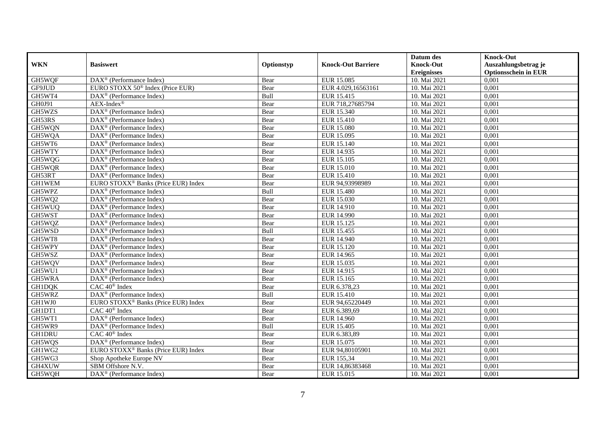|               |                                                                 |             |                           | Datum des          | <b>Knock-Out</b>            |
|---------------|-----------------------------------------------------------------|-------------|---------------------------|--------------------|-----------------------------|
| <b>WKN</b>    | <b>Basiswert</b>                                                | Optionstyp  | <b>Knock-Out Barriere</b> | <b>Knock-Out</b>   | Auszahlungsbetrag je        |
|               |                                                                 |             |                           | <b>Ereignisses</b> | <b>Optionsschein in EUR</b> |
| GH5WQF        | $\overline{\text{DAX}^{\circledast}(\text{Performance Index})}$ | Bear        | EUR 15.085                | 10. Mai 2021       | 0,001                       |
| GF9JUD        | EURO STOXX 50 <sup>®</sup> Index (Price EUR)                    | Bear        | EUR 4.029,16563161        | 10. Mai 2021       | 0,001                       |
| GH5WT4        | DAX <sup>®</sup> (Performance Index)                            | Bull        | EUR 15.415                | 10. Mai 2021       | 0,001                       |
| GH0J91        | $AEX-Index^{\circledR}$                                         | Bear        | EUR 718,27685794          | 10. Mai 2021       | 0.001                       |
| GH5WZS        | DAX <sup>®</sup> (Performance Index)                            | Bear        | EUR 15.340                | 10. Mai 2021       | 0,001                       |
| GH53RS        | $DAX^{\otimes}$ (Performance Index)                             | Bear        | EUR 15.410                | 10. Mai 2021       | 0,001                       |
| GH5WQN        | $DAX^{\otimes}$ (Performance Index)                             | Bear        | <b>EUR 15.080</b>         | 10. Mai 2021       | 0,001                       |
| GH5WQA        | $\text{DAX}^{\otimes}$ (Performance Index)                      | Bear        | EUR 15.095                | 10. Mai 2021       | 0,001                       |
| GH5WT6        | $\text{DAX}^{\otimes}$ (Performance Index)                      | Bear        | EUR 15.140                | 10. Mai 2021       | 0,001                       |
| GH5WTY        | $\text{DAX}^{\circledast}$ (Performance Index)                  | Bear        | EUR 14.935                | 10. Mai 2021       | 0,001                       |
| GH5WQG        | DAX <sup>®</sup> (Performance Index)                            | Bear        | EUR 15.105                | 10. Mai 2021       | 0,001                       |
| GH5WQR        | DAX <sup>®</sup> (Performance Index)                            | Bear        | <b>EUR 15.010</b>         | 10. Mai 2021       | 0,001                       |
| GH53RT        | $\overline{\text{DAX}}^{\textcirc}$ (Performance Index)         | Bear        | EUR 15.410                | 10. Mai 2021       | 0,001                       |
| <b>GH1WEM</b> | EURO STOXX <sup>®</sup> Banks (Price EUR) Index                 | Bear        | EUR 94,93998989           | 10. Mai 2021       | 0,001                       |
| GH5WPZ        | $\text{DAX}^{\otimes}$ (Performance Index)                      | Bull        | EUR 15.480                | 10. Mai 2021       | 0,001                       |
| GH5WQ2        | DAX <sup>®</sup> (Performance Index)                            | Bear        | EUR 15.030                | 10. Mai 2021       | 0,001                       |
| GH5WUQ        | DAX <sup>®</sup> (Performance Index)                            | Bear        | EUR 14.910                | 10. Mai 2021       | 0,001                       |
| GH5WST        | $DAX^{\circledR}$ (Performance Index)                           | Bear        | EUR 14.990                | 10. Mai 2021       | 0,001                       |
| GH5WQZ        | DAX <sup>®</sup> (Performance Index)                            | Bear        | EUR 15.125                | 10. Mai 2021       | 0,001                       |
| GH5WSD        | $\overline{\text{DAX}}^{\textcirc}$ (Performance Index)         | Bull        | EUR 15.455                | 10. Mai 2021       | 0,001                       |
| GH5WT8        | $DAX^{\otimes}$ (Performance Index)                             | Bear        | EUR 14.940                | 10. Mai 2021       | 0,001                       |
| GH5WPY        | $\overline{\text{DAX}^{\otimes}}$ (Performance Index)           | Bear        | <b>EUR 15.120</b>         | 10. Mai 2021       | 0,001                       |
| GH5WSZ        | DAX <sup>®</sup> (Performance Index)                            | Bear        | EUR 14.965                | 10. Mai 2021       | 0,001                       |
| GH5WQV        | DAX <sup>®</sup> (Performance Index)                            | Bear        | EUR 15.035                | 10. Mai 2021       | 0,001                       |
| GH5WU1        | $\overline{\text{DAX}^{\otimes}}$ (Performance Index)           | Bear        | EUR 14.915                | 10. Mai 2021       | 0,001                       |
| GH5WRA        | DAX <sup>®</sup> (Performance Index)                            | Bear        | EUR 15.165                | 10. Mai 2021       | 0,001                       |
| <b>GH1DQK</b> | CAC 40 <sup>®</sup> Index                                       | Bear        | EUR 6.378,23              | 10. Mai 2021       | 0,001                       |
| GH5WRZ        | DAX <sup>®</sup> (Performance Index)                            | Bull        | EUR 15.410                | 10. Mai 2021       | 0,001                       |
| GH1WJ0        | EURO STOXX <sup>®</sup> Banks (Price EUR) Index                 | Bear        | EUR 94,65220449           | 10. Mai 2021       | 0,001                       |
| GH1DT1        | $CAC 40$ <sup>®</sup> Index                                     | Bear        | EUR 6.389,69              | 10. Mai 2021       | 0,001                       |
| GH5WT1        | DAX <sup>®</sup> (Performance Index)                            | Bear        | EUR 14.960                | 10. Mai 2021       | 0,001                       |
| GH5WR9        | $\text{DAX}^{\circledast}$ (Performance Index)                  | <b>Bull</b> | EUR 15.405                | 10. Mai 2021       | 0.001                       |
| <b>GH1DRU</b> | CAC 40 <sup>®</sup> Index                                       | Bear        | EUR 6.383,89              | 10. Mai 2021       | 0,001                       |
| GH5WQS        | DAX <sup>®</sup> (Performance Index)                            | Bear        | EUR 15.075                | 10. Mai 2021       | 0,001                       |
| GH1WG2        | EURO STOXX <sup>®</sup> Banks (Price EUR) Index                 | Bear        | EUR 94,80105901           | 10. Mai 2021       | 0,001                       |
| GH5WG3        | Shop Apotheke Europe NV                                         | Bear        | EUR 155,34                | 10. Mai 2021       | 0,001                       |
| GH4XUW        | SBM Offshore N.V.                                               | Bear        | EUR 14,86383468           | 10. Mai 2021       | 0,001                       |
| GH5WQH        | $\text{DAX}^{\otimes}$ (Performance Index)                      | Bear        | EUR 15.015                | 10. Mai 2021       | 0,001                       |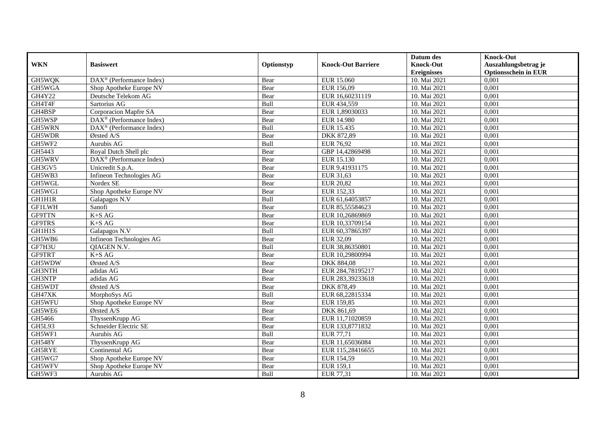|               |                                                                 |             |                           | Datum des          | <b>Knock-Out</b>            |
|---------------|-----------------------------------------------------------------|-------------|---------------------------|--------------------|-----------------------------|
| <b>WKN</b>    | <b>Basiswert</b>                                                | Optionstyp  | <b>Knock-Out Barriere</b> | <b>Knock-Out</b>   | Auszahlungsbetrag je        |
|               |                                                                 |             |                           | <b>Ereignisses</b> | <b>Optionsschein in EUR</b> |
| GH5WQK        | $\overline{\text{DAX}^{\circledast}(\text{Performance Index})}$ | Bear        | EUR 15.060                | 10. Mai 2021       | 0,001                       |
| GH5WGA        | Shop Apotheke Europe NV                                         | Bear        | EUR 156,09                | 10. Mai 2021       | 0,001                       |
| GH4Y22        | Deutsche Telekom AG                                             | Bear        | EUR 16,60231119           | 10. Mai 2021       | 0,001                       |
| GH4T4F        | Sartorius AG                                                    | Bull        | EUR 434,559               | 10. Mai 2021       | 0,001                       |
| GH4BSP        | Corporacion Mapfre SA                                           | Bear        | EUR 1,89030033            | 10. Mai 2021       | 0,001                       |
| GH5WSP        | DAX <sup>®</sup> (Performance Index)                            | Bear        | <b>EUR 14.980</b>         | 10. Mai 2021       | 0,001                       |
| GH5WRN        | $\overline{\text{DAX}^{\circledast}(\text{Performance Index})}$ | <b>Bull</b> | EUR 15.435                | 10. Mai 2021       | 0,001                       |
| GH5WDR        | Ørsted A/S                                                      | Bear        | DKK 872,89                | 10. Mai 2021       | 0,001                       |
| GH5WF2        | Aurubis AG                                                      | Bull        | <b>EUR 76,92</b>          | 10. Mai 2021       | 0,001                       |
| GH5443        | Royal Dutch Shell plc                                           | Bear        | GBP 14,42869498           | 10. Mai 2021       | 0,001                       |
| GH5WRV        | DAX <sup>®</sup> (Performance Index)                            | Bear        | EUR 15.130                | 10. Mai 2021       | 0,001                       |
| GH3GV5        | Unicredit S.p.A.                                                | Bear        | EUR 9,41931175            | 10. Mai 2021       | 0,001                       |
| GH5WB3        | Infineon Technologies AG                                        | Bear        | EUR 31,63                 | 10. Mai 2021       | 0,001                       |
| GH5WGL        | Nordex SE                                                       | Bear        | <b>EUR 20,82</b>          | 10. Mai 2021       | 0.001                       |
| GH5WG1        | Shop Apotheke Europe NV                                         | Bear        | EUR 152,33                | 10. Mai 2021       | 0,001                       |
| <b>GH1H1R</b> | Galapagos N.V                                                   | Bull        | EUR 61,64053857           | 10. Mai 2021       | 0,001                       |
| <b>GF1LWH</b> | Sanofi                                                          | Bear        | EUR 85,55584623           | 10. Mai 2021       | 0,001                       |
| <b>GF9TTN</b> | $K+SAG$                                                         | Bear        | EUR 10,26869869           | 10. Mai 2021       | 0,001                       |
| GF9TRS        | $K+SAG$                                                         | Bear        | EUR 10,33709154           | 10. Mai 2021       | 0,001                       |
| GH1H1S        | Galapagos N.V                                                   | Bull        | EUR 60,37865397           | 10. Mai 2021       | 0,001                       |
| GH5WB6        | Infineon Technologies AG                                        | Bear        | EUR 32,09                 | 10. Mai 2021       | 0,001                       |
| GF7H3U        | QIAGEN N.V.                                                     | Bull        | EUR 38,86350801           | 10. Mai 2021       | 0,001                       |
| GF9TRT        | $K+SAG$                                                         | Bear        | EUR 10,29800994           | 10. Mai 2021       | 0,001                       |
| GH5WDW        | Ørsted A/S                                                      | Bear        | DKK 884,08                | 10. Mai 2021       | 0,001                       |
| <b>GH3NTH</b> | adidas AG                                                       | Bear        | EUR 284,78195217          | 10. Mai 2021       | 0,001                       |
| GH3NTP        | adidas AG                                                       | Bear        | EUR 283,39233618          | 10. Mai 2021       | 0,001                       |
| GH5WDT        | Ørsted A/S                                                      | Bear        | DKK 878,49                | 10. Mai 2021       | 0,001                       |
| GH47XK        | MorphoSys AG                                                    | Bull        | EUR 68,22815334           | 10. Mai 2021       | 0,001                       |
| GH5WFU        | Shop Apotheke Europe NV                                         | Bear        | EUR 159,85                | 10. Mai 2021       | 0,001                       |
| GH5WE6        | Ørsted A/S                                                      | Bear        | DKK 861,69                | 10. Mai 2021       | 0,001                       |
| GH5466        | ThyssenKrupp AG                                                 | Bear        | EUR 11,71020859           | 10. Mai 2021       | 0,001                       |
| GH5L93        | Schneider Electric SE                                           | Bear        | EUR 133,8771832           | 10. Mai 2021       | 0,001                       |
| GH5WF1        | Aurubis AG                                                      | Bull        | <b>EUR 77,71</b>          | 10. Mai 2021       | 0,001                       |
| <b>GH548Y</b> | ThyssenKrupp AG                                                 | Bear        | EUR 11,65036084           | 10. Mai 2021       | 0,001                       |
| <b>GH5RYE</b> | Continental AG                                                  | Bear        | EUR 115,28416655          | 10. Mai 2021       | 0,001                       |
| GH5WG7        | Shop Apotheke Europe NV                                         | Bear        | EUR 154,59                | 10. Mai 2021       | 0,001                       |
| GH5WFV        | Shop Apotheke Europe NV                                         | Bear        | <b>EUR 159,1</b>          | 10. Mai 2021       | 0,001                       |
| GH5WF3        | Aurubis AG                                                      | Bull        | EUR 77,31                 | 10. Mai 2021       | 0,001                       |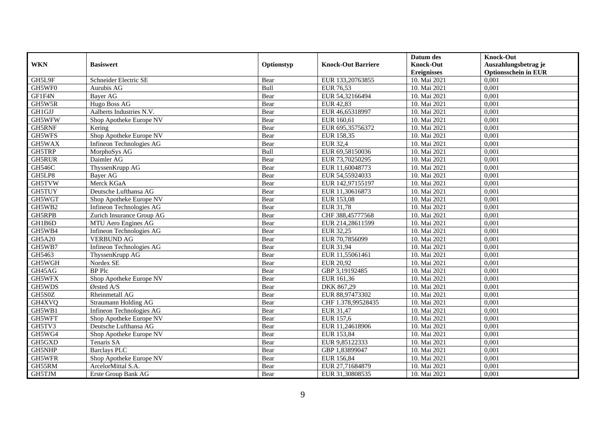|               |                           |            |                           | Datum des          | <b>Knock-Out</b>            |
|---------------|---------------------------|------------|---------------------------|--------------------|-----------------------------|
| <b>WKN</b>    | <b>Basiswert</b>          | Optionstyp | <b>Knock-Out Barriere</b> | <b>Knock-Out</b>   | Auszahlungsbetrag je        |
|               |                           |            |                           | <b>Ereignisses</b> | <b>Optionsschein in EUR</b> |
| GH5L9F        | Schneider Electric SE     | Bear       | EUR 133,20763855          | 10. Mai 2021       | 0,001                       |
| GH5WF0        | Aurubis AG                | Bull       | EUR 76,53                 | 10. Mai 2021       | 0,001                       |
| GF1F4N        | Bayer AG                  | Bear       | EUR 54,32166494           | 10. Mai 2021       | 0,001                       |
| GH5W5R        | Hugo Boss AG              | Bear       | EUR 42,83                 | 10. Mai 2021       | 0,001                       |
| <b>GH1GJJ</b> | Aalberts Industries N.V.  | Bear       | EUR 46,65318997           | 10. Mai 2021       | 0,001                       |
| GH5WFW        | Shop Apotheke Europe NV   | Bear       | EUR 160,61                | 10. Mai 2021       | 0,001                       |
| GH5RNF        | Kering                    | Bear       | EUR 695,35756372          | 10. Mai 2021       | 0,001                       |
| GH5WFS        | Shop Apotheke Europe NV   | Bear       | EUR 158,35                | 10. Mai 2021       | 0,001                       |
| GH5WAX        | Infineon Technologies AG  | Bear       | <b>EUR 32,4</b>           | 10. Mai 2021       | 0,001                       |
| GH5TRP        | MorphoSys AG              | Bull       | EUR 69,58150036           | 10. Mai 2021       | 0,001                       |
| <b>GH5RUR</b> | Daimler AG                | Bear       | EUR 73,70250295           | 10. Mai 2021       | 0,001                       |
| <b>GH546C</b> | ThyssenKrupp AG           | Bear       | EUR 11,60048773           | 10. Mai 2021       | 0,001                       |
| GH5LP8        | Bayer AG                  | Bear       | EUR 54,55924033           | 10. Mai 2021       | 0,001                       |
| GH5TVW        | Merck KGaA                | Bear       | EUR 142,97155197          | 10. Mai 2021       | 0,001                       |
| <b>GH5TUY</b> | Deutsche Lufthansa AG     | Bear       | EUR 11,30616873           | 10. Mai 2021       | 0,001                       |
| GH5WGT        | Shop Apotheke Europe NV   | Bear       | EUR 153,08                | 10. Mai 2021       | 0,001                       |
| GH5WB2        | Infineon Technologies AG  | Bear       | EUR 31,78                 | 10. Mai 2021       | 0,001                       |
| GH5RPB        | Zurich Insurance Group AG | Bear       | CHF 388,45777568          | 10. Mai 2021       | 0,001                       |
| GH1B6D        | MTU Aero Engines AG       | Bear       | EUR 214,28611599          | 10. Mai 2021       | 0,001                       |
| GH5WB4        | Infineon Technologies AG  | Bear       | EUR 32,25                 | 10. Mai 2021       | 0,001                       |
| <b>GH5A20</b> | <b>VERBUND AG</b>         | Bear       | EUR 70,7856099            | 10. Mai 2021       | 0,001                       |
| GH5WB7        | Infineon Technologies AG  | Bear       | <b>EUR 31,94</b>          | 10. Mai 2021       | 0,001                       |
| GH5463        | ThyssenKrupp AG           | Bear       | EUR 11,55061461           | 10. Mai 2021       | 0,001                       |
| GH5WGH        | Nordex SE                 | Bear       | <b>EUR 20,92</b>          | 10. Mai 2021       | 0,001                       |
| GH45AG        | <b>BP</b> Plc             | Bear       | GBP 3,19192485            | 10. Mai 2021       | 0,001                       |
| GH5WFX        | Shop Apotheke Europe NV   | Bear       | EUR 161,36                | 10. Mai 2021       | 0,001                       |
| GH5WDS        | Ørsted A/S                | Bear       | DKK 867,29                | 10. Mai 2021       | 0,001                       |
| GH5S0Z        | <b>Rheinmetall AG</b>     | Bear       | EUR 88,97473302           | 10. Mai 2021       | 0,001                       |
| GH4XVQ        | Straumann Holding AG      | Bear       | CHF 1.378,99528435        | 10. Mai 2021       | 0,001                       |
| GH5WB1        | Infineon Technologies AG  | Bear       | EUR 31,47                 | 10. Mai 2021       | 0,001                       |
| GH5WFT        | Shop Apotheke Europe NV   | Bear       | EUR 157,6                 | 10. Mai 2021       | 0,001                       |
| GH5TV3        | Deutsche Lufthansa AG     | Bear       | EUR 11,24618906           | 10. Mai 2021       | 0,001                       |
| GH5WG4        | Shop Apotheke Europe NV   | Bear       | EUR 153,84                | 10. Mai 2021       | 0,001                       |
| GH5GXD        | Tenaris SA                | Bear       | EUR 9,85122333            | 10. Mai 2021       | 0,001                       |
| GH5NHP        | <b>Barclays PLC</b>       | Bear       | GBP 1,83899047            | 10. Mai 2021       | 0,001                       |
| GH5WFR        | Shop Apotheke Europe NV   | Bear       | EUR 156,84                | 10. Mai 2021       | 0,001                       |
| GH55RM        | ArcelorMittal S.A.        | Bear       | EUR 27,71684879           | 10. Mai 2021       | 0,001                       |
| GH5TJM        | Erste Group Bank AG       | Bear       | EUR 31,30808535           | 10. Mai 2021       | 0,001                       |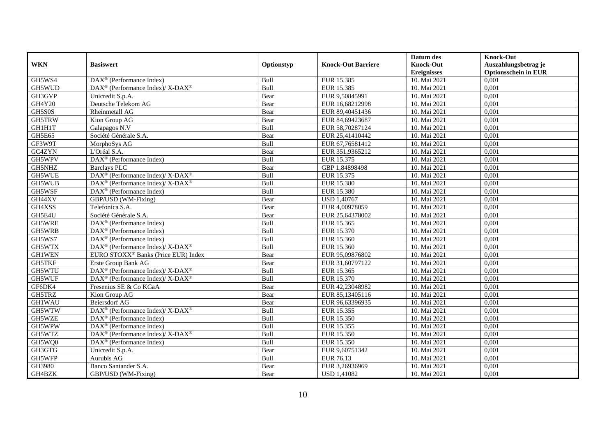|               |                                                             |             |                           | Datum des          | <b>Knock-Out</b>            |
|---------------|-------------------------------------------------------------|-------------|---------------------------|--------------------|-----------------------------|
| <b>WKN</b>    | <b>Basiswert</b>                                            | Optionstyp  | <b>Knock-Out Barriere</b> | <b>Knock-Out</b>   | Auszahlungsbetrag je        |
|               |                                                             |             |                           | <b>Ereignisses</b> | <b>Optionsschein in EUR</b> |
| GH5WS4        | DAX <sup>®</sup> (Performance Index)                        | Bull        | EUR 15.385                | 10. Mai 2021       | 0,001                       |
| GH5WUD        | DAX <sup>®</sup> (Performance Index)/X-DAX <sup>®</sup>     | Bull        | EUR 15.385                | 10. Mai 2021       | 0,001                       |
| GH3GVP        | Unicredit S.p.A.                                            | Bear        | EUR 9,50845991            | 10. Mai 2021       | 0,001                       |
| GH4Y20        | Deutsche Telekom AG                                         | Bear        | EUR 16,68212998           | 10. Mai 2021       | 0,001                       |
| GH5S0S        | Rheinmetall AG                                              | Bear        | EUR 89,40451436           | 10. Mai 2021       | 0,001                       |
| GH5TRW        | Kion Group AG                                               | Bear        | EUR 84,69423687           | 10. Mai 2021       | 0,001                       |
| GH1H1T        | Galapagos N.V                                               | <b>Bull</b> | EUR 58,70287124           | 10. Mai 2021       | 0,001                       |
| GH5E65        | Société Générale S.A.                                       | Bear        | EUR 25,41410442           | 10. Mai 2021       | 0,001                       |
| GF3W9T        | MorphoSys AG                                                | Bull        | EUR 67,76581412           | 10. Mai 2021       | 0,001                       |
| GC4ZYN        | L'Oréal S.A.                                                | Bear        | EUR 351,9365212           | 10. Mai 2021       | 0,001                       |
| GH5WPV        | DAX <sup>®</sup> (Performance Index)                        | Bull        | EUR 15.375                | 10. Mai 2021       | 0,001                       |
| GH5NHZ        | <b>Barclays PLC</b>                                         | Bear        | GBP 1,84898498            | 10. Mai 2021       | 0,001                       |
| GH5WUE        | DAX <sup>®</sup> (Performance Index)/ X-DAX <sup>®</sup>    | Bull        | EUR 15.375                | 10. Mai 2021       | 0,001                       |
| <b>GH5WUB</b> | $DAX^{\circledast}$ (Performance Index)/ X-DAX <sup>®</sup> | <b>Bull</b> | EUR 15.380                | 10. Mai 2021       | 0.001                       |
| GH5WSF        | $\text{DAX}^{\circledast}$ (Performance Index)              | Bull        | EUR 15.380                | 10. Mai 2021       | 0,001                       |
| GH44XV        | GBP/USD (WM-Fixing)                                         | Bear        | <b>USD 1,40767</b>        | 10. Mai 2021       | 0,001                       |
| GH4XSS        | Telefonica S.A.                                             | Bear        | EUR 4,00978059            | 10. Mai 2021       | 0,001                       |
| GH5E4U        | Société Générale S.A.                                       | Bear        | EUR 25,64378002           | 10. Mai 2021       | 0,001                       |
| GH5WRE        | $\text{DAX}^{\otimes}$ (Performance Index)                  | Bull        | EUR 15.365                | 10. Mai 2021       | 0,001                       |
| GH5WRB        | $\text{DAX}^{\otimes}$ (Performance Index)                  | Bull        | EUR 15.370                | 10. Mai 2021       | 0,001                       |
| GH5WS7        | DAX <sup>®</sup> (Performance Index)                        | Bull        | EUR 15.360                | 10. Mai 2021       | 0,001                       |
| GH5WTX        | DAX <sup>®</sup> (Performance Index)/X-DAX <sup>®</sup>     | Bull        | EUR 15.360                | 10. Mai 2021       | 0,001                       |
| <b>GH1WEN</b> | EURO STOXX <sup>®</sup> Banks (Price EUR) Index             | Bear        | EUR 95,09876802           | 10. Mai 2021       | 0,001                       |
| <b>GH5TKF</b> | Erste Group Bank AG                                         | Bear        | EUR 31,60797122           | 10. Mai 2021       | 0,001                       |
| GH5WTU        | DAX <sup>®</sup> (Performance Index)/ X-DAX <sup>®</sup>    | Bull        | EUR 15.365                | 10. Mai 2021       | 0,001                       |
| GH5WUF        | DAX <sup>®</sup> (Performance Index)/ X-DAX <sup>®</sup>    | Bull        | EUR 15.370                | 10. Mai 2021       | 0,001                       |
| GF6DK4        | Fresenius SE & Co KGaA                                      | Bear        | EUR 42,23048982           | 10. Mai 2021       | 0,001                       |
| GH5TRZ        | Kion Group AG                                               | Bear        | EUR 85,13405116           | 10. Mai 2021       | 0,001                       |
| <b>GH1WAU</b> | Beiersdorf AG                                               | Bear        | EUR 96,63396935           | 10. Mai 2021       | 0,001                       |
| GH5WTW        | DAX <sup>®</sup> (Performance Index)/ X-DAX <sup>®</sup>    | Bull        | EUR 15.355                | 10. Mai 2021       | 0,001                       |
| GH5WZE        | $DAX^{\otimes}$ (Performance Index)                         | Bull        | EUR 15.350                | 10. Mai 2021       | 0,001                       |
| GH5WPW        | DAX <sup>®</sup> (Performance Index)                        | Bull        | EUR 15.355                | 10. Mai 2021       | 0,001                       |
| GH5WTZ        | DAX <sup>®</sup> (Performance Index)/ X-DAX <sup>®</sup>    | Bull        | EUR 15.350                | 10. Mai 2021       | 0,001                       |
| GH5WQ0        | DAX <sup>®</sup> (Performance Index)                        | Bull        | EUR 15.350                | 10. Mai 2021       | 0,001                       |
| GH3GTG        | Unicredit S.p.A.                                            | Bear        | EUR 9,60751342            | 10. Mai 2021       | 0,001                       |
| GH5WFP        | Aurubis AG                                                  | Bull        | EUR 76,13                 | 10. Mai 2021       | 0,001                       |
| GH3980        | Banco Santander S.A.                                        | Bear        | EUR 3,26936969            | 10. Mai 2021       | 0,001                       |
| GH4BZK        | GBP/USD (WM-Fixing)                                         | Bear        | <b>USD 1,41082</b>        | 10. Mai 2021       | 0,001                       |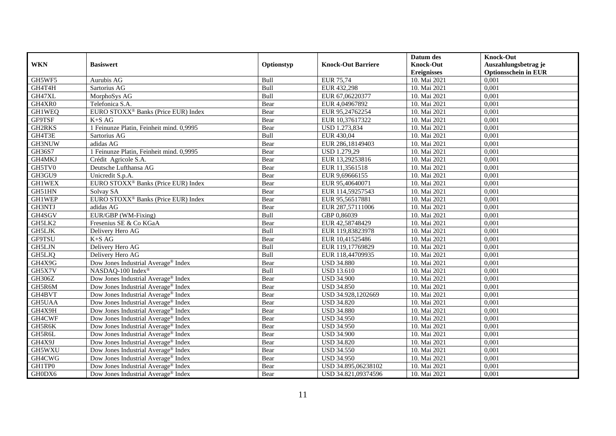|               |                                                 |             |                           | Datum des          | <b>Knock-Out</b>            |
|---------------|-------------------------------------------------|-------------|---------------------------|--------------------|-----------------------------|
| <b>WKN</b>    | <b>Basiswert</b>                                | Optionstyp  | <b>Knock-Out Barriere</b> | <b>Knock-Out</b>   | Auszahlungsbetrag je        |
|               |                                                 |             |                           | <b>Ereignisses</b> | <b>Optionsschein in EUR</b> |
| GH5WF5        | Aurubis AG                                      | Bull        | <b>EUR 75,74</b>          | 10. Mai 2021       | 0,001                       |
| GH4T4H        | Sartorius AG                                    | Bull        | EUR 432,298               | 10. Mai 2021       | 0,001                       |
| GH47XL        | MorphoSys AG                                    | Bull        | EUR 67,06220377           | 10. Mai 2021       | 0,001                       |
| GH4XR0        | Telefonica S.A.                                 | Bear        | EUR 4,04967892            | 10. Mai 2021       | 0.001                       |
| <b>GH1WEQ</b> | EURO STOXX <sup>®</sup> Banks (Price EUR) Index | Bear        | EUR 95,24762254           | 10. Mai 2021       | 0,001                       |
| GF9TSF        | $K+SAG$                                         | Bear        | EUR 10,37617322           | 10. Mai 2021       | 0,001                       |
| <b>GH2RKS</b> | 1 Feinunze Platin, Feinheit mind. 0,9995        | Bear        | USD 1.273,834             | 10. Mai 2021       | 0,001                       |
| GH4T3E        | Sartorius AG                                    | Bull        | EUR 430,04                | 10. Mai 2021       | 0,001                       |
| GH3NUW        | adidas AG                                       | Bear        | EUR 286,18149403          | 10. Mai 2021       | 0,001                       |
| GH36S7        | 1 Feinunze Platin, Feinheit mind. 0,9995        | Bear        | USD 1.279,29              | 10. Mai 2021       | 0.001                       |
| GH4MKJ        | Crédit Agricole S.A.                            | Bear        | EUR 13,29253816           | 10. Mai 2021       | 0,001                       |
| GH5TV0        | Deutsche Lufthansa AG                           | Bear        | EUR 11,3561518            | 10. Mai 2021       | 0,001                       |
| GH3GU9        | Unicredit S.p.A.                                | Bear        | EUR 9,69666155            | 10. Mai 2021       | 0,001                       |
| <b>GH1WEX</b> | EURO STOXX <sup>®</sup> Banks (Price EUR) Index | Bear        | EUR 95,40640071           | 10. Mai 2021       | 0,001                       |
| GH51HN        | Solvay SA                                       | Bear        | EUR 114,59257543          | 10. Mai 2021       | 0,001                       |
| <b>GH1WEP</b> | EURO STOXX <sup>®</sup> Banks (Price EUR) Index | Bear        | EUR 95,56517881           | 10. Mai 2021       | 0,001                       |
| GH3NTJ        | adidas AG                                       | Bear        | EUR 287,57111006          | 10. Mai 2021       | 0,001                       |
| GH4SGV        | EUR/GBP (WM-Fixing)                             | <b>Bull</b> | GBP 0.86039               | 10. Mai 2021       | 0.001                       |
| GH5LK2        | Fresenius SE & Co KGaA                          | Bear        | EUR 42,58748429           | 10. Mai 2021       | 0,001                       |
| GH5LJK        | Delivery Hero AG                                | Bull        | EUR 119,83823978          | 10. Mai 2021       | 0,001                       |
| <b>GF9TSU</b> | $K+SAG$                                         | Bear        | EUR 10,41525486           | 10. Mai 2021       | 0,001                       |
| GH5LJN        | Delivery Hero AG                                | Bull        | EUR 119,17769829          | 10. Mai 2021       | 0,001                       |
| GH5LJQ        | Delivery Hero AG                                | Bull        | EUR 118,44709935          | 10. Mai 2021       | 0,001                       |
| GH4X9G        | Dow Jones Industrial Average® Index             | Bear        | <b>USD 34.880</b>         | 10. Mai 2021       | 0,001                       |
| GH5X7V        | $NASDAO-100$ Index <sup>®</sup>                 | <b>Bull</b> | <b>USD 13.610</b>         | 10. Mai 2021       | 0.001                       |
| GH306Z        | Dow Jones Industrial Average <sup>®</sup> Index | Bear        | <b>USD 34.900</b>         | 10. Mai 2021       | 0,001                       |
| GH5R6M        | Dow Jones Industrial Average <sup>®</sup> Index | Bear        | <b>USD 34.850</b>         | 10. Mai 2021       | 0,001                       |
| GH4BVT        | Dow Jones Industrial Average <sup>®</sup> Index | Bear        | USD 34.928,1202669        | 10. Mai 2021       | 0,001                       |
| GH5UAA        | Dow Jones Industrial Average® Index             | Bear        | <b>USD 34.820</b>         | 10. Mai 2021       | 0,001                       |
| GH4X9H        | Dow Jones Industrial Average <sup>®</sup> Index | Bear        | <b>USD 34.880</b>         | 10. Mai 2021       | 0,001                       |
| GH4CWF        | Dow Jones Industrial Average <sup>®</sup> Index | Bear        | <b>USD 34.950</b>         | 10. Mai 2021       | 0,001                       |
| GH5R6K        | Dow Jones Industrial Average <sup>®</sup> Index | Bear        | <b>USD 34.950</b>         | 10. Mai 2021       | 0.001                       |
| GH5R6L        | Dow Jones Industrial Average® Index             | Bear        | <b>USD 34.900</b>         | 10. Mai 2021       | 0,001                       |
| GH4X9J        | Dow Jones Industrial Average <sup>®</sup> Index | Bear        | <b>USD 34.820</b>         | 10. Mai 2021       | 0,001                       |
| GH5WXU        | Dow Jones Industrial Average <sup>®</sup> Index | Bear        | <b>USD 34.550</b>         | 10. Mai 2021       | 0,001                       |
| GH4CWG        | Dow Jones Industrial Average® Index             | Bear        | <b>USD 34.950</b>         | 10. Mai 2021       | 0,001                       |
| GH1TP0        | Dow Jones Industrial Average® Index             | Bear        | USD 34.895,06238102       | 10. Mai 2021       | 0,001                       |
| GH0DX6        | Dow Jones Industrial Average® Index             | Bear        | USD 34.821,09374596       | 10. Mai 2021       | 0,001                       |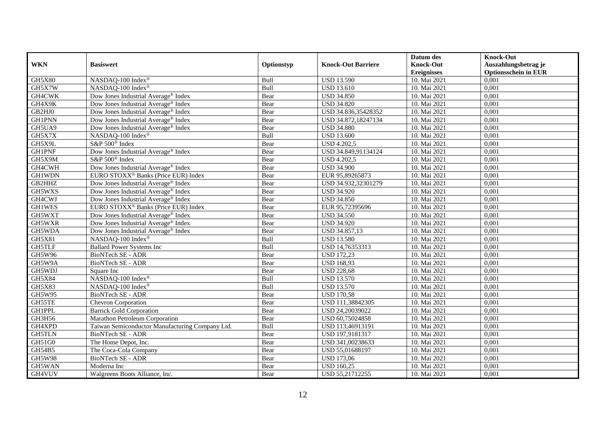|               |                                                 |            |                           | Datum des          | <b>Knock-Out</b>            |
|---------------|-------------------------------------------------|------------|---------------------------|--------------------|-----------------------------|
| <b>WKN</b>    | <b>Basiswert</b>                                | Optionstyp | <b>Knock-Out Barriere</b> | <b>Knock-Out</b>   | Auszahlungsbetrag je        |
|               |                                                 |            |                           | <b>Ereignisses</b> | <b>Optionsschein in EUR</b> |
| <b>GH5X80</b> | NASDAQ-100 Index®                               | Bull       | <b>USD 13.590</b>         | 10. Mai 2021       | 0,001                       |
| GH5X7W        | NASDAQ-100 Index®                               | Bull       | <b>USD 13.610</b>         | 10. Mai 2021       | 0,001                       |
| GH4CWK        | Dow Jones Industrial Average® Index             | Bear       | <b>USD 34.850</b>         | 10. Mai 2021       | 0,001                       |
| GH4X9K        | Dow Jones Industrial Average® Index             | Bear       | <b>USD 34.820</b>         | 10. Mai 2021       | 0,001                       |
| GB2HJ0        | Dow Jones Industrial Average® Index             | Bear       | USD 34.836,35428352       | 10. Mai 2021       | 0,001                       |
| <b>GH1PNN</b> | Dow Jones Industrial Average® Index             | Bear       | USD 34.872,18247134       | 10. Mai 2021       | 0,001                       |
| GH5UA9        | Dow Jones Industrial Average® Index             | Bear       | <b>USD 34.880</b>         | 10. Mai 2021       | 0,001                       |
| GH5X7X        | NASDAQ-100 Index®                               | Bull       | <b>USD 13.600</b>         | 10. Mai 2021       | 0,001                       |
| GH5X9L        | S&P 500 <sup>®</sup> Index                      | Bear       | <b>USD 4.202,5</b>        | 10. Mai 2021       | 0,001                       |
| <b>GH1PNF</b> | Dow Jones Industrial Average® Index             | Bear       | USD 34.849,91134124       | 10. Mai 2021       | 0,001                       |
| GH5X9M        | S&P 500 <sup>®</sup> Index                      | Bear       | <b>USD 4.202,5</b>        | 10. Mai 2021       | 0,001                       |
| GH4CWH        | Dow Jones Industrial Average® Index             | Bear       | <b>USD 34.900</b>         | 10. Mai 2021       | 0,001                       |
| <b>GH1WDN</b> | EURO STOXX <sup>®</sup> Banks (Price EUR) Index | Bear       | EUR 95,89265873           | 10. Mai 2021       | 0,001                       |
| GB2HHZ        | Dow Jones Industrial Average <sup>®</sup> Index | Bear       | USD 34.932,32301279       | 10. Mai 2021       | 0,001                       |
| GH5WXS        | Dow Jones Industrial Average <sup>®</sup> Index | Bear       | <b>USD 34.920</b>         | 10. Mai 2021       | 0,001                       |
| GH4CWJ        | Dow Jones Industrial Average® Index             | Bear       | <b>USD 34.850</b>         | 10. Mai 2021       | 0,001                       |
| <b>GH1WES</b> | EURO STOXX <sup>®</sup> Banks (Price EUR) Index | Bear       | EUR 95,72395696           | 10. Mai 2021       | 0,001                       |
| GH5WXT        | Dow Jones Industrial Average <sup>®</sup> Index | Bear       | <b>USD 34.550</b>         | 10. Mai 2021       | 0,001                       |
| GH5WXR        | Dow Jones Industrial Average® Index             | Bear       | <b>USD 34.920</b>         | 10. Mai 2021       | 0,001                       |
| GH5WDA        | Dow Jones Industrial Average® Index             | Bear       | USD 34.857,13             | 10. Mai 2021       | 0,001                       |
| GH5X81        | NASDAQ-100 Index®                               | Bull       | <b>USD 13.580</b>         | 10. Mai 2021       | 0,001                       |
| <b>GH5TLF</b> | <b>Ballard Power Systems Inc</b>                | Bull       | USD 14,76353313           | 10. Mai 2021       | 0,001                       |
| GH5W96        | BioNTech SE - ADR                               | Bear       | <b>USD 172,23</b>         | 10. Mai 2021       | 0,001                       |
| GH5W9A        | <b>BioNTech SE - ADR</b>                        | Bear       | <b>USD 168,93</b>         | 10. Mai 2021       | 0,001                       |
| GH5WDJ        | Square Inc                                      | Bear       | <b>USD 228,68</b>         | 10. Mai 2021       | 0,001                       |
| GH5X84        | NASDAQ-100 Index®                               | Bull       | <b>USD 13.570</b>         | 10. Mai 2021       | 0,001                       |
| <b>GH5X83</b> | NASDAQ-100 Index®                               | Bull       | <b>USD 13.570</b>         | 10. Mai 2021       | 0,001                       |
| <b>GH5W95</b> | <b>BioNTech SE - ADR</b>                        | Bear       | <b>USD</b> 170,58         | 10. Mai 2021       | 0,001                       |
| GH55TE        | Chevron Corporation                             | Bear       | USD 111,38842305          | 10. Mai 2021       | 0,001                       |
| <b>GH1PPL</b> | <b>Barrick Gold Corporation</b>                 | Bear       | USD 24,20039022           | 10. Mai 2021       | 0,001                       |
| GH3H56        | Marathon Petroleum Corporation                  | Bear       | USD 60,75024858           | 10. Mai 2021       | 0,001                       |
| GH4XPD        | Taiwan Semiconductor Manufacturing Company Ltd. | Bull       | USD 113,46913191          | 10. Mai 2021       | 0,001                       |
| <b>GH5TLN</b> | <b>BioNTech SE - ADR</b>                        | Bear       | USD 197,9181317           | 10. Mai 2021       | 0,001                       |
| GH51G0        | The Home Depot, Inc.                            | Bear       | USD 341,00238633          | 10. Mai 2021       | 0,001                       |
| GH54B5        | The Coca-Cola Company                           | Bear       | USD 55,01688197           | 10. Mai 2021       | 0,001                       |
| <b>GH5W98</b> | BioNTech SE - ADR                               | Bear       | <b>USD 173,06</b>         | 10. Mai 2021       | 0,001                       |
| GH5WAN        | Moderna Inc                                     | Bear       | <b>USD 160,25</b>         | 10. Mai 2021       | 0,001                       |
| GH4VUV        | Walgreens Boots Alliance, Inc.                  | Bear       | USD 55,21712255           | 10. Mai 2021       | 0,001                       |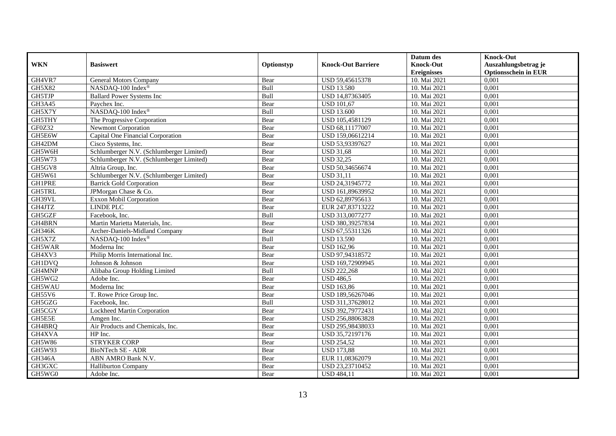|               |                                          |             |                           | Datum des          | <b>Knock-Out</b>            |
|---------------|------------------------------------------|-------------|---------------------------|--------------------|-----------------------------|
| <b>WKN</b>    | <b>Basiswert</b>                         | Optionstyp  | <b>Knock-Out Barriere</b> | <b>Knock-Out</b>   | Auszahlungsbetrag je        |
|               |                                          |             |                           | <b>Ereignisses</b> | <b>Optionsschein in EUR</b> |
| GH4VR7        | <b>General Motors Company</b>            | Bear        | USD 59,45615378           | 10. Mai 2021       | 0,001                       |
| GH5X82        | NASDAQ-100 Index®                        | Bull        | <b>USD 13.580</b>         | 10. Mai 2021       | 0,001                       |
| <b>GH5TJP</b> | <b>Ballard Power Systems Inc</b>         | Bull        | USD 14,87363405           | 10. Mai 2021       | 0,001                       |
| GH3A45        | Paychex Inc.                             | Bear        | <b>USD 101,67</b>         | 10. Mai 2021       | 0,001                       |
| GH5X7Y        | NASDAQ-100 Index®                        | Bull        | <b>USD 13.600</b>         | 10. Mai 2021       | 0,001                       |
| GH5THY        | The Progressive Corporation              | Bear        | USD 105,4581129           | 10. Mai 2021       | 0,001                       |
| GF0Z32        | <b>Newmont Corporation</b>               | Bear        | USD 68,11177007           | 10. Mai 2021       | 0,001                       |
| GH5E6W        | Capital One Financial Corporation        | Bear        | USD 159,06612214          | 10. Mai 2021       | 0,001                       |
| GH42DM        | Cisco Systems, Inc.                      | Bear        | USD 53,93397627           | 10. Mai 2021       | 0,001                       |
| GH5W6H        | Schlumberger N.V. (Schlumberger Limited) | Bear        | <b>USD 31,68</b>          | 10. Mai 2021       | 0,001                       |
| GH5W73        | Schlumberger N.V. (Schlumberger Limited) | Bear        | <b>USD 32,25</b>          | 10. Mai 2021       | 0,001                       |
| GH5GV8        | Altria Group, Inc.                       | Bear        | USD 50,34656674           | 10. Mai 2021       | 0,001                       |
| GH5W61        | Schlumberger N.V. (Schlumberger Limited) | Bear        | <b>USD 31,11</b>          | 10. Mai 2021       | 0,001                       |
| <b>GH1PRE</b> | <b>Barrick Gold Corporation</b>          | Bear        | USD 24,31945772           | 10. Mai 2021       | 0,001                       |
| GH5TRL        | JPMorgan Chase & Co.                     | Bear        | USD 161,89639952          | 10. Mai 2021       | 0,001                       |
| GH39VL        | Exxon Mobil Corporation                  | Bear        | USD 62,89795613           | 10. Mai 2021       | 0,001                       |
| GH4JTZ        | <b>LINDE PLC</b>                         | Bear        | EUR 247,83713222          | 10. Mai 2021       | 0,001                       |
| GH5GZF        | Facebook. Inc.                           | <b>Bull</b> | USD 313,0077277           | 10. Mai 2021       | 0.001                       |
| GH4BRN        | Martin Marietta Materials, Inc.          | Bear        | USD 380,39257834          | 10. Mai 2021       | 0,001                       |
| <b>GH346K</b> | Archer-Daniels-Midland Company           | Bear        | USD 67,55311326           | 10. Mai 2021       | 0,001                       |
| GH5X7Z        | NASDAQ-100 Index®                        | Bull        | <b>USD 13.590</b>         | 10. Mai 2021       | 0,001                       |
| GH5WAR        | Moderna Inc                              | Bear        | <b>USD 162,96</b>         | 10. Mai 2021       | 0,001                       |
| GH4XV3        | Philip Morris International Inc.         | Bear        | USD 97,94318572           | 10. Mai 2021       | 0,001                       |
| <b>GH1DVQ</b> | Johnson & Johnson                        | Bear        | USD 169,72909945          | 10. Mai 2021       | 0,001                       |
| GH4MNP        | Alibaba Group Holding Limited            | Bull        | <b>USD 222,268</b>        | 10. Mai 2021       | 0,001                       |
| GH5WG2        | Adobe Inc.                               | Bear        | <b>USD 486,5</b>          | 10. Mai 2021       | 0,001                       |
| GH5WAU        | Moderna Inc                              | Bear        | <b>USD 163,86</b>         | 10. Mai 2021       | 0,001                       |
| GH55V6        | T. Rowe Price Group Inc.                 | Bear        | USD 189,56267046          | 10. Mai 2021       | 0,001                       |
| GH5GZG        | Facebook, Inc.                           | <b>Bull</b> | USD 311,37628012          | 10. Mai 2021       | 0,001                       |
| GH5CGY        | <b>Lockheed Martin Corporation</b>       | Bear        | USD 392,79772431          | 10. Mai 2021       | 0,001                       |
| GH5E5E        | Amgen Inc.                               | Bear        | USD 256,88063828          | 10. Mai 2021       | 0,001                       |
| GH4BRQ        | Air Products and Chemicals, Inc.         | Bear        | USD 295,98438033          | 10. Mai 2021       | 0,001                       |
| GH4XVA        | HP Inc.                                  | Bear        | USD 35,72197176           | 10. Mai 2021       | 0,001                       |
| GH5W86        | <b>STRYKER CORP</b>                      | Bear        | <b>USD 254,52</b>         | 10. Mai 2021       | 0,001                       |
| GH5W93        | BioNTech SE - ADR                        | Bear        | <b>USD 173,88</b>         | 10. Mai 2021       | 0,001                       |
| GH346A        | ABN AMRO Bank N.V.                       | Bear        | EUR 11,08362079           | 10. Mai 2021       | 0,001                       |
| GH3GXC        | Halliburton Company                      | Bear        | USD 23,23710452           | 10. Mai 2021       | 0,001                       |
| GH5WG0        | Adobe Inc.                               | Bear        | <b>USD 484,11</b>         | 10. Mai 2021       | 0,001                       |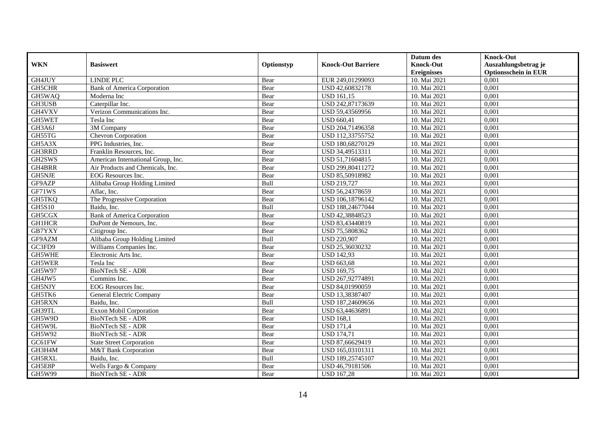|               |                                    |             |                           | Datum des          | <b>Knock-Out</b>            |
|---------------|------------------------------------|-------------|---------------------------|--------------------|-----------------------------|
| <b>WKN</b>    | <b>Basiswert</b>                   | Optionstyp  | <b>Knock-Out Barriere</b> | <b>Knock-Out</b>   | Auszahlungsbetrag je        |
|               |                                    |             |                           | <b>Ereignisses</b> | <b>Optionsschein in EUR</b> |
| GH4JUY        | <b>LINDE PLC</b>                   | Bear        | EUR 249,01299093          | 10. Mai 2021       | 0,001                       |
| <b>GH5CHR</b> | <b>Bank of America Corporation</b> | Bear        | USD 42,60832178           | 10. Mai 2021       | 0,001                       |
| GH5WAQ        | Moderna Inc                        | Bear        | $\overline{USD}$ 161,15   | 10. Mai 2021       | 0,001                       |
| GH3USB        | Caterpillar Inc.                   | Bear        | USD 242,87173639          | 10. Mai 2021       | 0,001                       |
| GH4VXV        | Verizon Communications Inc.        | Bear        | USD 59,43569956           | 10. Mai 2021       | 0,001                       |
| GH5WET        | Tesla Inc                          | Bear        | <b>USD 660,41</b>         | 10. Mai 2021       | 0,001                       |
| GH3A6J        | $\overline{3M}$ Company            | Bear        | USD 204,71496358          | 10. Mai 2021       | 0,001                       |
| GH55TG        | Chevron Corporation                | Bear        | USD 112,33755752          | 10. Mai 2021       | 0,001                       |
| GH5A3X        | PPG Industries, Inc.               | Bear        | USD 180,68270129          | 10. Mai 2021       | 0,001                       |
| GH3RRD        | Franklin Resources, Inc.           | Bear        | USD 34,49513311           | 10. Mai 2021       | 0,001                       |
| GH2SWS        | American International Group, Inc. | Bear        | USD 51,71604815           | 10. Mai 2021       | 0,001                       |
| GH4BRR        | Air Products and Chemicals, Inc.   | Bear        | USD 299,80411272          | 10. Mai 2021       | 0,001                       |
| GH5NJE        | <b>EOG</b> Resources Inc.          | Bear        | USD 85,50918982           | 10. Mai 2021       | 0,001                       |
| GF9AZP        | Alibaba Group Holding Limited      | Bull        | <b>USD 219,727</b>        | 10. Mai 2021       | 0,001                       |
| GF71WS        | Aflac, Inc.                        | Bear        | USD 56,24378659           | 10. Mai 2021       | 0,001                       |
| GH5TKQ        | The Progressive Corporation        | Bear        | USD 106,18796142          | 10. Mai 2021       | 0,001                       |
| GH5S10        | Baidu, Inc.                        | Bull        | USD 188,24677044          | 10. Mai 2021       | 0,001                       |
| GH5CGX        | <b>Bank of America Corporation</b> | Bear        | USD 42.38848523           | 10. Mai 2021       | 0.001                       |
| <b>GH1HCR</b> | DuPont de Nemours, Inc.            | Bear        | USD 83,43440819           | 10. Mai 2021       | 0,001                       |
| GB7YXY        | Citigroup Inc.                     | Bear        | USD 75,5808362            | 10. Mai 2021       | 0,001                       |
| GF9AZM        | Alibaba Group Holding Limited      | Bull        | <b>USD 220,907</b>        | 10. Mai 2021       | 0,001                       |
| GC3FD9        | Williams Companies Inc.            | Bear        | USD 25,36030232           | 10. Mai 2021       | 0,001                       |
| <b>GH5WHE</b> | Electronic Arts Inc.               | Bear        | <b>USD 142,93</b>         | 10. Mai 2021       | 0,001                       |
| GH5WER        | Tesla Inc                          | Bear        | <b>USD 663,68</b>         | 10. Mai 2021       | 0,001                       |
| GH5W97        | <b>BioNTech SE - ADR</b>           | Bear        | <b>USD 169,75</b>         | 10. Mai 2021       | 0,001                       |
| GH4JW5        | Cummins Inc.                       | Bear        | USD 267,92774891          | 10. Mai 2021       | 0,001                       |
| GH5NJY        | EOG Resources Inc.                 | Bear        | USD 84,01990059           | 10. Mai 2021       | 0,001                       |
| GH5TK6        | General Electric Company           | Bear        | USD 13,38387407           | 10. Mai 2021       | 0,001                       |
| GH5RXN        | Baidu, Inc.                        | <b>Bull</b> | USD 187,24609656          | 10. Mai 2021       | 0,001                       |
| GH39TL        | <b>Exxon Mobil Corporation</b>     | Bear        | USD 63,44636891           | 10. Mai 2021       | 0,001                       |
| GH5W9D        | BioNTech SE - ADR                  | Bear        | <b>USD 168,1</b>          | 10. Mai 2021       | 0,001                       |
| GH5W9L        | BioNTech SE - ADR                  | Bear        | <b>USD 171,4</b>          | 10. Mai 2021       | 0,001                       |
| GH5W92        | BioNTech SE - ADR                  | Bear        | <b>USD 174,71</b>         | 10. Mai 2021       | 0,001                       |
| GC61FW        | <b>State Street Corporation</b>    | Bear        | USD 87,66629419           | 10. Mai 2021       | 0,001                       |
| GH3H4M        | M&T Bank Corporation               | Bear        | USD 165,03101311          | 10. Mai 2021       | 0,001                       |
| GH5RXL        | Baidu, Inc.                        | Bull        | USD 189,25745107          | 10. Mai 2021       | 0,001                       |
| GH5E8P        | Wells Fargo & Company              | Bear        | USD 46,79181506           | 10. Mai 2021       | 0,001                       |
| GH5W99        | BioNTech SE - ADR                  | Bear        | <b>USD 167,28</b>         | 10. Mai 2021       | 0,001                       |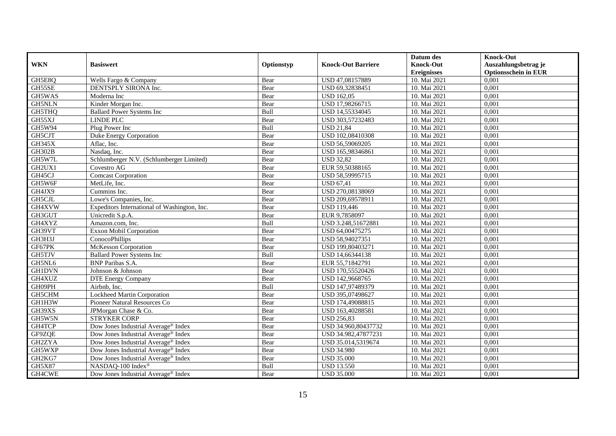|               |                                                 |             |                           | Datum des          | <b>Knock-Out</b>            |
|---------------|-------------------------------------------------|-------------|---------------------------|--------------------|-----------------------------|
| <b>WKN</b>    | <b>Basiswert</b>                                | Optionstyp  | <b>Knock-Out Barriere</b> | <b>Knock-Out</b>   | Auszahlungsbetrag je        |
|               |                                                 |             |                           | <b>Ereignisses</b> | <b>Optionsschein in EUR</b> |
| GH5E8Q        | Wells Fargo & Company                           | Bear        | USD 47,08157889           | 10. Mai 2021       | 0,001                       |
| GH55SE        | DENTSPLY SIRONA Inc.                            | Bear        | USD 69,32838451           | 10. Mai 2021       | 0,001                       |
| GH5WAS        | Moderna Inc                                     | Bear        | <b>USD 162,05</b>         | 10. Mai 2021       | 0,001                       |
| GH5NLN        | Kinder Morgan Inc.                              | Bear        | USD 17,98266715           | 10. Mai 2021       | 0,001                       |
| GH5THQ        | <b>Ballard Power Systems Inc</b>                | Bull        | USD 14,55334045           | 10. Mai 2021       | 0,001                       |
| GH55XJ        | <b>LINDE PLC</b>                                | Bear        | USD 303,57232483          | 10. Mai 2021       | 0,001                       |
| GH5W94        | Plug Power Inc                                  | Bull        | <b>USD 21,84</b>          | 10. Mai 2021       | 0,001                       |
| GH5CJT        | <b>Duke Energy Corporation</b>                  | Bear        | USD 102,08410308          | 10. Mai 2021       | 0,001                       |
| GH345X        | Aflac, Inc.                                     | Bear        | USD 56,59069205           | 10. Mai 2021       | 0,001                       |
| <b>GH302B</b> | Nasdaq, Inc.                                    | Bear        | USD 165,98346861          | 10. Mai 2021       | 0,001                       |
| GH5W7L        | Schlumberger N.V. (Schlumberger Limited)        | Bear        | <b>USD 32,82</b>          | 10. Mai 2021       | 0,001                       |
| GH2UX1        | Covestro AG                                     | Bear        | EUR 59,50388165           | 10. Mai 2021       | 0,001                       |
| GH45CJ        | <b>Comcast Corporation</b>                      | Bear        | USD 58,59995715           | 10. Mai 2021       | 0,001                       |
| GH5W6F        | MetLife, Inc.                                   | Bear        | <b>USD 67,41</b>          | 10. Mai 2021       | 0,001                       |
| GH4JX9        | Cummins Inc.                                    | Bear        | USD 270,08138069          | 10. Mai 2021       | 0,001                       |
| GH5CJL        | Lowe's Companies, Inc.                          | Bear        | USD 209,69578911          | 10. Mai 2021       | 0,001                       |
| GH4XVW        | Expeditors International of Washington, Inc.    | Bear        | <b>USD 119,446</b>        | 10. Mai 2021       | 0,001                       |
| GH3GUT        | Unicredit S.p.A.                                | Bear        | EUR 9,7858097             | 10. Mai 2021       | 0,001                       |
| GH4XYZ        | Amazon.com, Inc.                                | <b>Bull</b> | USD 3.248,51672881        | 10. Mai 2021       | 0,001                       |
| GH39VT        | <b>Exxon Mobil Corporation</b>                  | Bear        | USD 64,00475275           | 10. Mai 2021       | 0,001                       |
| GH3H3J        | ConocoPhillips                                  | Bear        | USD 58,94027351           | 10. Mai 2021       | 0,001                       |
| GF67PK        | <b>McKesson Corporation</b>                     | Bear        | USD 199,80403271          | 10. Mai 2021       | 0,001                       |
| GH5TJV        | <b>Ballard Power Systems Inc</b>                | Bull        | USD 14,66344138           | 10. Mai 2021       | 0,001                       |
| GH5NL6        | <b>BNP</b> Paribas S.A.                         | Bear        | EUR 55,71842791           | 10. Mai 2021       | 0,001                       |
| <b>GH1DVN</b> | Johnson & Johnson                               | Bear        | USD 170,55520426          | 10. Mai 2021       | 0,001                       |
| GH4XUZ        | <b>DTE Energy Company</b>                       | Bear        | USD 142,9668765           | 10. Mai 2021       | 0,001                       |
| GH09PH        | Airbnb, Inc.                                    | Bull        | USD 147,97489379          | 10. Mai 2021       | 0,001                       |
| GH5CHM        | Lockheed Martin Corporation                     | Bear        | USD 395,07498627          | 10. Mai 2021       | 0,001                       |
| GH1H3W        | Pioneer Natural Resources Co                    | Bear        | USD 174,49088815          | 10. Mai 2021       | 0,001                       |
| GH39XS        | JPMorgan Chase & Co.                            | Bear        | USD 163,40288581          | 10. Mai 2021       | 0.001                       |
| GH5W5N        | <b>STRYKER CORP</b>                             | Bear        | <b>USD 256,83</b>         | 10. Mai 2021       | 0,001                       |
| GH4TCP        | Dow Jones Industrial Average <sup>®</sup> Index | Bear        | USD 34.960,80437732       | 10. Mai 2021       | 0,001                       |
| GF9ZQE        | Dow Jones Industrial Average® Index             | Bear        | USD 34.982,47877231       | 10. Mai 2021       | 0,001                       |
| GH2ZYA        | Dow Jones Industrial Average <sup>®</sup> Index | Bear        | USD 35.014,5319674        | 10. Mai 2021       | 0,001                       |
| GH5WXP        | Dow Jones Industrial Average® Index             | Bear        | <b>USD 34.980</b>         | 10. Mai 2021       | 0,001                       |
| GH2KG7        | Dow Jones Industrial Average® Index             | Bear        | <b>USD 35.000</b>         | 10. Mai 2021       | 0,001                       |
| GH5X87        | NASDAQ-100 Index®                               | Bull        | <b>USD 13.550</b>         | 10. Mai 2021       | 0,001                       |
| GH4CWE        | Dow Jones Industrial Average <sup>®</sup> Index | Bear        | <b>USD 35.000</b>         | 10. Mai 2021       | 0,001                       |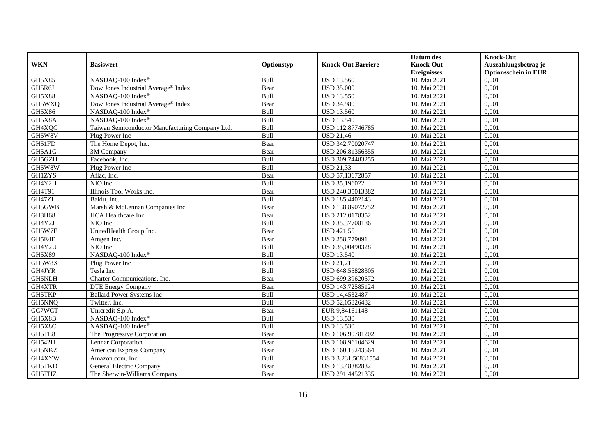|               |                                                 |             |                           | Datum des          | <b>Knock-Out</b>            |
|---------------|-------------------------------------------------|-------------|---------------------------|--------------------|-----------------------------|
| <b>WKN</b>    | <b>Basiswert</b>                                | Optionstyp  | <b>Knock-Out Barriere</b> | <b>Knock-Out</b>   | Auszahlungsbetrag je        |
|               |                                                 |             |                           | <b>Ereignisses</b> | <b>Optionsschein in EUR</b> |
| GH5X85        | NASDAQ-100 Index®                               | Bull        | <b>USD 13.560</b>         | 10. Mai 2021       | 0,001                       |
| GH5R6J        | Dow Jones Industrial Average <sup>®</sup> Index | Bear        | <b>USD 35.000</b>         | 10. Mai 2021       | 0,001                       |
| <b>GH5X88</b> | NASDAQ-100 Index®                               | Bull        | <b>USD 13.550</b>         | 10. Mai 2021       | 0,001                       |
| GH5WXQ        | Dow Jones Industrial Average® Index             | Bear        | <b>USD 34.980</b>         | 10. Mai 2021       | 0,001                       |
| GH5X86        | NASDAQ-100 Index®                               | Bull        | <b>USD 13.560</b>         | 10. Mai 2021       | 0,001                       |
| GH5X8A        | NASDAQ-100 Index®                               | Bull        | <b>USD 13.540</b>         | 10. Mai 2021       | 0,001                       |
| GH4XQC        | Taiwan Semiconductor Manufacturing Company Ltd. | Bull        | USD 112,87746785          | 10. Mai 2021       | 0,001                       |
| GH5W8V        | Plug Power Inc                                  | Bull        | <b>USD 21,46</b>          | 10. Mai 2021       | 0,001                       |
| GH51FD        | The Home Depot, Inc.                            | Bear        | USD 342,70020747          | 10. Mai 2021       | 0,001                       |
| GH5A1G        | 3M Company                                      | Bear        | USD 206,81356355          | 10. Mai 2021       | 0,001                       |
| GH5GZH        | Facebook, Inc.                                  | Bull        | USD 309,74483255          | 10. Mai 2021       | 0,001                       |
| GH5W8W        | Plug Power Inc                                  | Bull        | <b>USD 21,33</b>          | 10. Mai 2021       | 0,001                       |
| <b>GH1ZYS</b> | Aflac, Inc.                                     | Bear        | USD 57,13672857           | 10. Mai 2021       | 0,001                       |
| GH4Y2H        | NIO Inc                                         | Bull        | USD 35,196022             | 10. Mai 2021       | 0,001                       |
| GH4T91        | Illinois Tool Works Inc.                        | Bear        | USD 240,35013382          | 10. Mai 2021       | 0,001                       |
| GH47ZH        | Baidu, Inc.                                     | <b>Bull</b> | USD 185,4402143           | 10. Mai 2021       | 0,001                       |
| GH5GWB        | Marsh & McLennan Companies Inc                  | Bear        | USD 138,89072752          | 10. Mai 2021       | 0,001                       |
| GH3H68        | HCA Healthcare Inc.                             | Bear        | USD 212,0178352           | 10. Mai 2021       | 0,001                       |
| GH4Y2J        | NIO Inc                                         | Bull        | USD 35,37708186           | 10. Mai 2021       | 0,001                       |
| GH5W7F        | UnitedHealth Group Inc.                         | Bear        | <b>USD 421,55</b>         | 10. Mai 2021       | 0,001                       |
| GH5E4E        | Amgen Inc.                                      | Bear        | USD 258,779091            | 10. Mai 2021       | 0,001                       |
| GH4Y2U        | NIO Inc                                         | Bull        | USD 35,00490328           | 10. Mai 2021       | 0,001                       |
| GH5X89        | NASDAQ-100 Index®                               | Bull        | <b>USD 13.540</b>         | 10. Mai 2021       | 0,001                       |
| GH5W8X        | Plug Power Inc                                  | Bull        | <b>USD 21,21</b>          | 10. Mai 2021       | 0,001                       |
| GH4JYR        | Tesla Inc                                       | Bull        | USD 648,55828305          | 10. Mai 2021       | 0,001                       |
| <b>GH5NLH</b> | Charter Communications, Inc.                    | Bear        | USD 699,39620572          | 10. Mai 2021       | 0,001                       |
| GH4XTR        | <b>DTE Energy Company</b>                       | Bear        | USD 143,72585124          | 10. Mai 2021       | 0,001                       |
| GH5TKP        | <b>Ballard Power Systems Inc</b>                | Bull        | USD 14,4532487            | 10. Mai 2021       | 0,001                       |
| GH5NNQ        | Twitter, Inc.                                   | Bull        | USD 52,05826482           | 10. Mai 2021       | 0,001                       |
| GC7WCT        | Unicredit S.p.A.                                | Bear        | EUR 9,84161148            | 10. Mai 2021       | 0,001                       |
| GH5X8B        | NASDAQ-100 Index®                               | Bull        | <b>USD 13.530</b>         | 10. Mai 2021       | 0,001                       |
| GH5X8C        | NASDAQ-100 Index®                               | Bull        | <b>USD 13.530</b>         | 10. Mai 2021       | 0,001                       |
| GH5TL8        | The Progressive Corporation                     | Bear        | USD 106,90781202          | 10. Mai 2021       | 0,001                       |
| <b>GH542H</b> | Lennar Corporation                              | Bear        | USD 108,96104629          | 10. Mai 2021       | 0,001                       |
| GH5NKZ        | American Express Company                        | Bear        | USD 160,15243564          | 10. Mai 2021       | 0,001                       |
| GH4XYW        | Amazon.com, Inc.                                | Bull        | USD 3.231,50831554        | 10. Mai 2021       | 0,001                       |
| GH5TKD        | General Electric Company                        | Bear        | USD 13,48382832           | 10. Mai 2021       | 0,001                       |
| GH5THZ        | The Sherwin-Williams Company                    | Bear        | USD 291,44521335          | 10. Mai 2021       | 0,001                       |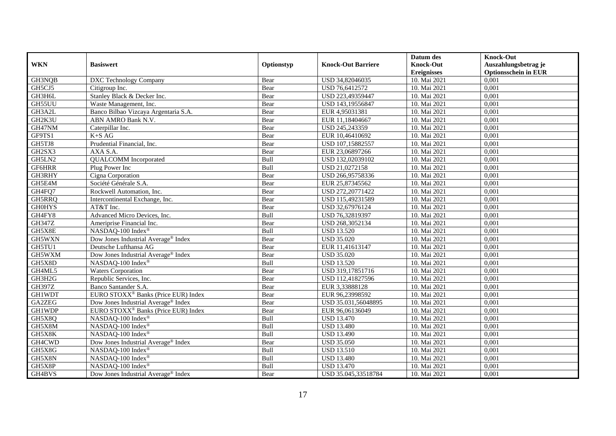|               |                                                 |             |                           | Datum des          | <b>Knock-Out</b>            |
|---------------|-------------------------------------------------|-------------|---------------------------|--------------------|-----------------------------|
| <b>WKN</b>    | <b>Basiswert</b>                                | Optionstyp  | <b>Knock-Out Barriere</b> | <b>Knock-Out</b>   | Auszahlungsbetrag je        |
|               |                                                 |             |                           | <b>Ereignisses</b> | <b>Optionsschein in EUR</b> |
| GH3NQB        | DXC Technology Company                          | Bear        | USD 34,82046035           | 10. Mai 2021       | 0,001                       |
| GH5CJ5        | Citigroup Inc.                                  | Bear        | USD 76,6412572            | 10. Mai 2021       | 0,001                       |
| GH3H6L        | Stanley Black & Decker Inc.                     | Bear        | USD 223,49359447          | 10. Mai 2021       | 0,001                       |
| GH55UU        | Waste Management, Inc.                          | Bear        | USD 143,19556847          | 10. Mai 2021       | 0.001                       |
| GH3A2L        | Banco Bilbao Vizcaya Argentaria S.A.            | Bear        | EUR 4,95031381            | 10. Mai 2021       | 0,001                       |
| GH2K3U        | ABN AMRO Bank N.V.                              | Bear        | EUR 11,18404667           | 10. Mai 2021       | 0,001                       |
| GH47NM        | Caterpillar Inc.                                | Bear        | USD 245,243359            | 10. Mai 2021       | 0,001                       |
| GF9TS1        | $K+SAG$                                         | Bear        | EUR 10,46410692           | 10. Mai 2021       | 0,001                       |
| GH5TJ8        | Prudential Financial, Inc.                      | Bear        | USD 107,15882557          | 10. Mai 2021       | 0,001                       |
| GH2SX3        | AXA S.A.                                        | Bear        | EUR 23,06897266           | 10. Mai 2021       | 0.001                       |
| GH5LN2        | <b>QUALCOMM</b> Incorporated                    | Bull        | USD 132,02039102          | 10. Mai 2021       | 0,001                       |
| GF6HRR        | Plug Power Inc                                  | Bull        | USD 21,0272158            | 10. Mai 2021       | 0,001                       |
| GH3RHY        | Cigna Corporation                               | Bear        | USD 266,95758336          | 10. Mai 2021       | 0,001                       |
| GH5E4M        | Société Générale S.A.                           | Bear        | EUR 25,87345562           | 10. Mai 2021       | 0,001                       |
| GH4FQ7        | Rockwell Automation, Inc.                       | Bear        | USD 272,20771422          | 10. Mai 2021       | 0,001                       |
| GH5RRQ        | Intercontinental Exchange, Inc.                 | Bear        | USD 115,49231589          | 10. Mai 2021       | 0,001                       |
| <b>GH0HYS</b> | AT&T Inc.                                       | Bear        | USD 32,67976124           | 10. Mai 2021       | 0,001                       |
| GH4FY8        | Advanced Micro Devices, Inc.                    | <b>Bull</b> | USD 76.32819397           | 10. Mai 2021       | 0,001                       |
| <b>GH347Z</b> | Ameriprise Financial Inc.                       | Bear        | USD 268,3052134           | 10. Mai 2021       | 0,001                       |
| GH5X8E        | NASDAQ-100 Index®                               | Bull        | <b>USD 13.520</b>         | 10. Mai 2021       | 0,001                       |
| GH5WXN        | Dow Jones Industrial Average® Index             | Bear        | <b>USD 35.020</b>         | 10. Mai 2021       | 0,001                       |
| GH5TU1        | Deutsche Lufthansa AG                           | Bear        | EUR 11,41613147           | 10. Mai 2021       | 0,001                       |
| GH5WXM        | Dow Jones Industrial Average® Index             | Bear        | <b>USD 35.020</b>         | 10. Mai 2021       | 0,001                       |
| GH5X8D        | NASDAQ-100 Index®                               | Bull        | <b>USD 13.520</b>         | 10. Mai 2021       | 0,001                       |
| GH4ML5        | <b>Waters Corporation</b>                       | Bear        | USD 319, 17851716         | 10. Mai 2021       | 0,001                       |
| GH3H2G        | Republic Services, Inc.                         | Bear        | USD 112,41827596          | 10. Mai 2021       | 0,001                       |
| <b>GH397Z</b> | Banco Santander S.A.                            | Bear        | EUR 3,33888128            | 10. Mai 2021       | 0,001                       |
| <b>GH1WDT</b> | EURO STOXX <sup>®</sup> Banks (Price EUR) Index | Bear        | EUR 96,23998592           | 10. Mai 2021       | 0,001                       |
| <b>GA2ZEG</b> | Dow Jones Industrial Average® Index             | Bear        | USD 35.031,56048895       | 10. Mai 2021       | 0,001                       |
| GH1WDP        | EURO STOXX <sup>®</sup> Banks (Price EUR) Index | Bear        | EUR 96,06136049           | 10. Mai 2021       | 0,001                       |
| GH5X8Q        | NASDAQ-100 Index®                               | Bull        | <b>USD 13.470</b>         | 10. Mai 2021       | 0,001                       |
| GH5X8M        | NASDAQ-100 Index®                               | <b>Bull</b> | <b>USD 13.480</b>         | 10. Mai 2021       | 0.001                       |
| GH5X8K        | NASDAO-100 Index®                               | Bull        | <b>USD 13.490</b>         | 10. Mai 2021       | 0,001                       |
| GH4CWD        | Dow Jones Industrial Average® Index             | Bear        | <b>USD 35.050</b>         | 10. Mai 2021       | 0,001                       |
| GH5X8G        | NASDAQ-100 Index®                               | Bull        | <b>USD 13.510</b>         | 10. Mai 2021       | 0,001                       |
| GH5X8N        | NASDAQ-100 Index®                               | Bull        | <b>USD 13.480</b>         | 10. Mai 2021       | 0,001                       |
| GH5X8P        | NASDAQ-100 Index®                               | Bull        | <b>USD 13.470</b>         | 10. Mai 2021       | 0,001                       |
| GH4BVS        | Dow Jones Industrial Average <sup>®</sup> Index | Bear        | USD 35.045,33518784       | 10. Mai 2021       | 0,001                       |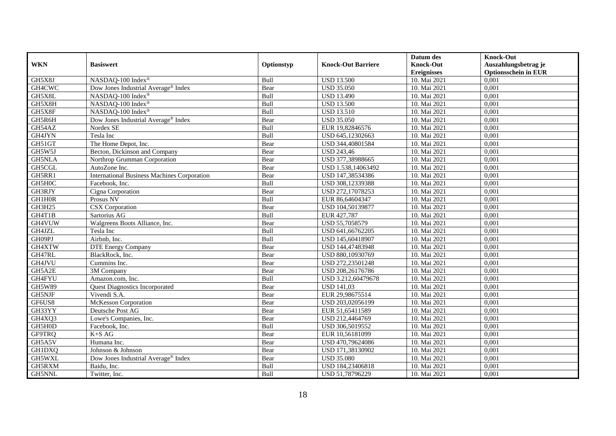|               |                                                    |             |                           | Datum des          | <b>Knock-Out</b>            |
|---------------|----------------------------------------------------|-------------|---------------------------|--------------------|-----------------------------|
| <b>WKN</b>    | <b>Basiswert</b>                                   | Optionstyp  | <b>Knock-Out Barriere</b> | <b>Knock-Out</b>   | Auszahlungsbetrag je        |
|               |                                                    |             |                           | <b>Ereignisses</b> | <b>Optionsschein in EUR</b> |
| GH5X8J        | NASDAQ-100 Index®                                  | Bull        | <b>USD 13.500</b>         | 10. Mai 2021       | 0,001                       |
| GH4CWC        | Dow Jones Industrial Average <sup>®</sup> Index    | Bear        | <b>USD 35.050</b>         | 10. Mai 2021       | 0,001                       |
| GH5X8L        | NASDAQ-100 Index®                                  | Bull        | <b>USD 13.490</b>         | 10. Mai 2021       | 0,001                       |
| GH5X8H        | NASDAQ-100 Index®                                  | Bull        | <b>USD 13.500</b>         | 10. Mai 2021       | 0,001                       |
| GH5X8F        | NASDAQ-100 Index®                                  | Bull        | <b>USD 13.510</b>         | 10. Mai 2021       | 0,001                       |
| GH5R6H        | Dow Jones Industrial Average <sup>®</sup> Index    | Bear        | <b>USD 35.050</b>         | 10. Mai 2021       | 0,001                       |
| GH54AZ        | Nordex SE                                          | <b>Bull</b> | EUR 19,82846576           | 10. Mai 2021       | 0,001                       |
| GH4JYN        | Tesla Inc                                          | Bull        | USD 645,12302663          | 10. Mai 2021       | 0,001                       |
| GH51GT        | The Home Depot, Inc.                               | Bear        | USD 344,40801584          | 10. Mai 2021       | 0,001                       |
| GH5W5J        | Becton, Dickinson and Company                      | Bear        | <b>USD 243,46</b>         | 10. Mai 2021       | 0,001                       |
| <b>GH5NLA</b> | Northrop Grumman Corporation                       | Bear        | USD 377,38988665          | 10. Mai 2021       | 0,001                       |
| GH5CGL        | AutoZone Inc.                                      | Bear        | USD 1.538,14063492        | 10. Mai 2021       | 0,001                       |
| GH5RR1        | <b>International Business Machines Corporation</b> | Bear        | USD 147,38534386          | 10. Mai 2021       | 0,001                       |
| GH5H0C        | Facebook. Inc.                                     | <b>Bull</b> | USD 308,12339388          | 10. Mai 2021       | 0.001                       |
| GH3RJY        | Cigna Corporation                                  | Bear        | USD 272,17078253          | 10. Mai 2021       | 0,001                       |
| GH1H0R        | Prosus NV                                          | Bull        | EUR 86,64604347           | 10. Mai 2021       | 0,001                       |
| GH3H25        | CSX Corporation                                    | Bear        | USD 104,50139877          | 10. Mai 2021       | 0,001                       |
| GH4T1B        | Sartorius AG                                       | Bull        | EUR 427,787               | 10. Mai 2021       | 0,001                       |
| GH4VUW        | Walgreens Boots Alliance, Inc.                     | Bear        | USD 55,7058579            | 10. Mai 2021       | 0,001                       |
| GH4JZL        | Tesla Inc                                          | Bull        | USD 641,66762205          | 10. Mai 2021       | 0,001                       |
| GH09PJ        | Airbnb, Inc.                                       | Bull        | USD 145,60418907          | 10. Mai 2021       | 0,001                       |
| GH4XTW        | <b>DTE Energy Company</b>                          | Bear        | USD 144,47483948          | 10. Mai 2021       | 0,001                       |
| GH47RL        | BlackRock, Inc.                                    | Bear        | USD 880,10930769          | 10. Mai 2021       | 0,001                       |
| GH4JVU        | Cummins Inc.                                       | Bear        | USD 272,23501248          | 10. Mai 2021       | 0,001                       |
| GH5A2E        | 3M Company                                         | Bear        | USD 208,26176786          | 10. Mai 2021       | 0,001                       |
| GH4FYU        | Amazon.com. Inc.                                   | Bull        | USD 3.212,60479678        | 10. Mai 2021       | 0,001                       |
| <b>GH5W89</b> | <b>Quest Diagnostics Incorporated</b>              | Bear        | <b>USD 141,03</b>         | 10. Mai 2021       | 0,001                       |
| <b>GH5NJF</b> | Vivendi S.A.                                       | Bear        | EUR 29,98675514           | 10. Mai 2021       | 0,001                       |
| GF6US8        | McKesson Corporation                               | Bear        | USD 203,02056199          | 10. Mai 2021       | 0,001                       |
| GH33YY        | Deutsche Post AG                                   | Bear        | EUR 51,65411589           | 10. Mai 2021       | 0,001                       |
| GH4XQ3        | Lowe's Companies, Inc.                             | Bear        | USD 212,4464769           | 10. Mai 2021       | 0,001                       |
| GH5H0D        | Facebook, Inc.                                     | Bull        | USD 306,5019552           | 10. Mai 2021       | 0,001                       |
| <b>GF9TRQ</b> | $K+SAG$                                            | Bear        | EUR 10,56181099           | 10. Mai 2021       | 0,001                       |
| GH5A5V        | Humana Inc.                                        | Bear        | USD 470,79624086          | 10. Mai 2021       | 0,001                       |
| GH1DXQ        | Johnson & Johnson                                  | Bear        | USD 171,38130902          | 10. Mai 2021       | 0,001                       |
| GH5WXL        | Dow Jones Industrial Average® Index                | Bear        | <b>USD 35.080</b>         | 10. Mai 2021       | 0,001                       |
| GH5RXM        | Baidu, Inc.                                        | Bull        | USD 184,23406818          | 10. Mai 2021       | 0,001                       |
| GH5NNL        | Twitter, Inc.                                      | Bull        | USD 51,78796229           | 10. Mai 2021       | 0,001                       |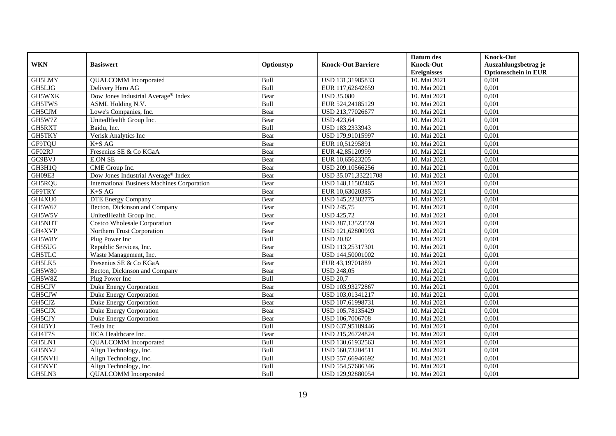|               |                                                    |             |                           | Datum des          | <b>Knock-Out</b>            |
|---------------|----------------------------------------------------|-------------|---------------------------|--------------------|-----------------------------|
| <b>WKN</b>    | <b>Basiswert</b>                                   | Optionstyp  | <b>Knock-Out Barriere</b> | <b>Knock-Out</b>   | Auszahlungsbetrag je        |
|               |                                                    |             |                           | <b>Ereignisses</b> | <b>Optionsschein in EUR</b> |
| GH5LMY        | <b>QUALCOMM</b> Incorporated                       | Bull        | USD 131,31985833          | 10. Mai 2021       | 0,001                       |
| GH5LJG        | Delivery Hero AG                                   | Bull        | EUR 117,62642659          | 10. Mai 2021       | 0,001                       |
| GH5WXK        | Dow Jones Industrial Average® Index                | Bear        | <b>USD 35.080</b>         | 10. Mai 2021       | 0,001                       |
| GH5TWS        | ASML Holding N.V.                                  | Bull        | EUR 524,24185129          | 10. Mai 2021       | 0.001                       |
| GH5CJM        | Lowe's Companies, Inc.                             | Bear        | USD 213,77026677          | 10. Mai 2021       | 0,001                       |
| GH5W7Z        | UnitedHealth Group Inc.                            | Bear        | <b>USD 423,64</b>         | 10. Mai 2021       | 0,001                       |
| GH5RXT        | Baidu. Inc.                                        | Bull        | USD 183,2333943           | 10. Mai 2021       | 0,001                       |
| GH5TKY        | Verisk Analytics Inc                               | Bear        | USD 179,91015997          | 10. Mai 2021       | 0,001                       |
| GF9TQU        | $K+SAG$                                            | Bear        | EUR 10,51295891           | 10. Mai 2021       | 0,001                       |
| GF02RJ        | Fresenius SE & Co KGaA                             | Bear        | EUR 42,85120999           | 10. Mai 2021       | 0.001                       |
| GC9BVJ        | <b>E.ON SE</b>                                     | Bear        | EUR 10,65623205           | 10. Mai 2021       | 0,001                       |
| GH3H1Q        | CME Group Inc.                                     | Bear        | USD 209,10566256          | 10. Mai 2021       | 0,001                       |
| GH09E3        | Dow Jones Industrial Average® Index                | Bear        | USD 35.071,33221708       | 10. Mai 2021       | 0,001                       |
| GH5RQU        | <b>International Business Machines Corporation</b> | Bear        | USD 148,11502465          | 10. Mai 2021       | 0,001                       |
| GF9TRY        | $K+SAG$                                            | Bear        | EUR 10,63020385           | 10. Mai 2021       | 0,001                       |
| GH4XU0        | <b>DTE Energy Company</b>                          | Bear        | USD 145,22382775          | 10. Mai 2021       | 0,001                       |
| GH5W67        | Becton, Dickinson and Company                      | Bear        | <b>USD 245,75</b>         | 10. Mai 2021       | 0,001                       |
| GH5W5V        | UnitedHealth Group Inc.                            | Bear        | <b>USD 425.72</b>         | 10. Mai 2021       | 0.001                       |
| <b>GH5NHT</b> | <b>Costco Wholesale Corporation</b>                | Bear        | USD 387,13523559          | 10. Mai 2021       | 0,001                       |
| GH4XVP        | Northern Trust Corporation                         | Bear        | USD 121,62800993          | 10. Mai 2021       | 0,001                       |
| GH5W8Y        | Plug Power Inc                                     | Bull        | <b>USD 20,82</b>          | 10. Mai 2021       | 0,001                       |
| GH55UG        | Republic Services, Inc.                            | Bear        | USD 113,25317301          | 10. Mai 2021       | 0,001                       |
| GH5TLC        | Waste Management, Inc.                             | Bear        | USD 144,50001002          | 10. Mai 2021       | 0,001                       |
| GH5LK5        | Fresenius SE & Co KGaA                             | Bear        | EUR 43,19701889           | 10. Mai 2021       | 0,001                       |
| <b>GH5W80</b> | Becton, Dickinson and Company                      | Bear        | <b>USD 248,05</b>         | 10. Mai 2021       | 0,001                       |
| GH5W8Z        | Plug Power Inc                                     | Bull        | <b>USD 20,7</b>           | 10. Mai 2021       | 0,001                       |
| GH5CJV        | <b>Duke Energy Corporation</b>                     | Bear        | USD 103,93272867          | 10. Mai 2021       | 0,001                       |
| GH5CJW        | <b>Duke Energy Corporation</b>                     | Bear        | USD 103,01341217          | 10. Mai 2021       | 0,001                       |
| GH5CJZ        | Duke Energy Corporation                            | Bear        | USD 107,61998731          | 10. Mai 2021       | 0,001                       |
| GH5CJX        | <b>Duke Energy Corporation</b>                     | Bear        | USD 105,78135429          | 10. Mai 2021       | 0,001                       |
| GH5CJY        | Duke Energy Corporation                            | Bear        | USD 106,7006708           | 10. Mai 2021       | 0,001                       |
| GH4BYJ        | Tesla Inc                                          | <b>Bull</b> | USD 637,95189446          | 10. Mai 2021       | 0.001                       |
| GH4T7S        | HCA Healthcare Inc.                                | Bear        | USD 215,26724824          | 10. Mai 2021       | 0,001                       |
| GH5LN1        | <b>QUALCOMM</b> Incorporated                       | Bull        | USD 130,61932563          | 10. Mai 2021       | 0,001                       |
| GH5NVJ        | Align Technology, Inc.                             | Bull        | USD 560,73204511          | 10. Mai 2021       | 0,001                       |
| GH5NVH        | Align Technology, Inc.                             | Bull        | USD 557,66946692          | 10. Mai 2021       | 0,001                       |
| <b>GH5NVE</b> | Align Technology, Inc.                             | Bull        | USD 554,57686346          | 10. Mai 2021       | 0,001                       |
| GH5LN3        | <b>QUALCOMM</b> Incorporated                       | Bull        | USD 129,92880054          | 10. Mai 2021       | 0,001                       |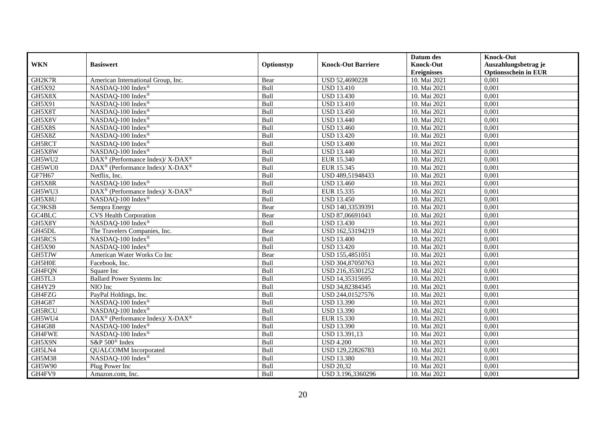|               |                                                          |             |                           | Datum des          | <b>Knock-Out</b>            |
|---------------|----------------------------------------------------------|-------------|---------------------------|--------------------|-----------------------------|
| <b>WKN</b>    | <b>Basiswert</b>                                         | Optionstyp  | <b>Knock-Out Barriere</b> | <b>Knock-Out</b>   | Auszahlungsbetrag je        |
|               |                                                          |             |                           | <b>Ereignisses</b> | <b>Optionsschein in EUR</b> |
| GH2K7R        | American International Group, Inc.                       | Bear        | USD 52,4690228            | 10. Mai 2021       | 0,001                       |
| GH5X92        | NASDAQ-100 Index®                                        | Bull        | <b>USD 13.410</b>         | 10. Mai 2021       | 0,001                       |
| GH5X8X        | NASDAQ-100 Index®                                        | Bull        | <b>USD 13.430</b>         | 10. Mai 2021       | 0,001                       |
| GH5X91        | NASDAQ-100 Index®                                        | Bull        | <b>USD 13.410</b>         | 10. Mai 2021       | 0,001                       |
| GH5X8T        | NASDAQ-100 Index®                                        | Bull        | <b>USD 13.450</b>         | 10. Mai 2021       | 0,001                       |
| GH5X8V        | NASDAQ-100 Index®                                        | Bull        | <b>USD 13.440</b>         | 10. Mai 2021       | 0,001                       |
| GH5X8S        | NASDAQ-100 Index®                                        | Bull        | <b>USD 13.460</b>         | 10. Mai 2021       | 0,001                       |
| GH5X8Z        | NASDAQ-100 Index®                                        | Bull        | <b>USD 13.420</b>         | 10. Mai 2021       | 0,001                       |
| GH5RCT        | NASDAQ-100 Index®                                        | Bull        | <b>USD 13.400</b>         | 10. Mai 2021       | 0,001                       |
| GH5X8W        | NASDAQ-100 Index®                                        | Bull        | <b>USD 13.440</b>         | 10. Mai 2021       | 0,001                       |
| GH5WU2        | DAX <sup>®</sup> (Performance Index)/ X-DAX <sup>®</sup> | Bull        | <b>EUR 15.340</b>         | 10. Mai 2021       | 0,001                       |
| GH5WU0        | DAX <sup>®</sup> (Performance Index)/ X-DAX <sup>®</sup> | Bull        | EUR 15.345                | 10. Mai 2021       | 0,001                       |
| GF7H67        | Netflix, Inc.                                            | Bull        | USD 489,51948433          | 10. Mai 2021       | 0,001                       |
| GH5X8R        | NASDAQ-100 Index®                                        | Bull        | <b>USD 13.460</b>         | 10. Mai 2021       | 0,001                       |
| GH5WU3        | DAX <sup>®</sup> (Performance Index)/ X-DAX <sup>®</sup> | Bull        | EUR 15.335                | 10. Mai 2021       | 0,001                       |
| GH5X8U        | NASDAQ-100 Index®                                        | <b>Bull</b> | <b>USD 13.450</b>         | 10. Mai 2021       | 0,001                       |
| GC9KSB        | Sempra Energy                                            | Bear        | USD 140,33539391          | 10. Mai 2021       | 0,001                       |
| GC4BLC        | <b>CVS Health Corporation</b>                            | Bear        | USD 87,06691043           | 10. Mai 2021       | 0,001                       |
| GH5X8Y        | NASDAQ-100 Index®                                        | Bull        | <b>USD 13.430</b>         | 10. Mai 2021       | 0,001                       |
| GH45DL        | The Travelers Companies, Inc.                            | Bear        | USD 162,53194219          | 10. Mai 2021       | 0,001                       |
| <b>GH5RCS</b> | NASDAQ-100 Index®                                        | Bull        | <b>USD 13.400</b>         | 10. Mai 2021       | 0,001                       |
| <b>GH5X90</b> | NASDAQ-100 Index®                                        | Bull        | <b>USD 13.420</b>         | 10. Mai 2021       | 0,001                       |
| GH5TJW        | American Water Works Co Inc                              | Bear        | USD 155,4851051           | 10. Mai 2021       | 0,001                       |
| GH5H0E        | Facebook, Inc.                                           | Bull        | USD 304,87050763          | 10. Mai 2021       | 0,001                       |
| GH4FQN        | Square Inc                                               | Bull        | USD 216,35301252          | 10. Mai 2021       | 0,001                       |
| GH5TL3        | <b>Ballard Power Systems Inc</b>                         | Bull        | USD 14,35315695           | 10. Mai 2021       | 0,001                       |
| GH4Y29        | NIO Inc                                                  | Bull        | USD 34,82384345           | 10. Mai 2021       | 0,001                       |
| GH4FZG        | PayPal Holdings, Inc.                                    | Bull        | USD 244,01527576          | 10. Mai 2021       | 0,001                       |
| GH4G87        | NASDAQ-100 Index®                                        | Bull        | <b>USD 13.390</b>         | 10. Mai 2021       | 0,001                       |
| <b>GH5RCU</b> | NASDAQ-100 Index®                                        | Bull        | <b>USD 13.390</b>         | 10. Mai 2021       | 0,001                       |
| GH5WU4        | DAX <sup>®</sup> (Performance Index)/ X-DAX <sup>®</sup> | Bull        | EUR 15.330                | 10. Mai 2021       | 0,001                       |
| <b>GH4G88</b> | NASDAQ-100 Index®                                        | Bull        | <b>USD 13.390</b>         | 10. Mai 2021       | 0,001                       |
| GH4FWE        | NASDAQ-100 Index®                                        | Bull        | USD 13.391,13             | 10. Mai 2021       | 0,001                       |
| GH5X9N        | S&P 500 <sup>®</sup> Index                               | Bull        | <b>USD 4.200</b>          | 10. Mai 2021       | 0,001                       |
| GH5LN4        | <b>QUALCOMM</b> Incorporated                             | Bull        | USD 129,22826783          | 10. Mai 2021       | 0,001                       |
| GH5M38        | NASDAQ-100 Index®                                        | Bull        | <b>USD 13.380</b>         | 10. Mai 2021       | 0,001                       |
| GH5W90        | Plug Power Inc                                           | Bull        | <b>USD 20,32</b>          | 10. Mai 2021       | 0,001                       |
| GH4FV9        | Amazon.com, Inc.                                         | Bull        | USD 3.196,3360296         | 10. Mai 2021       | 0,001                       |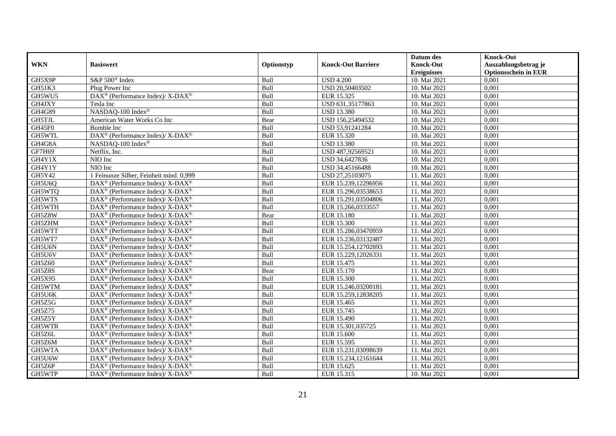|               |                                                                           |            |                           | Datum des          | <b>Knock-Out</b>            |
|---------------|---------------------------------------------------------------------------|------------|---------------------------|--------------------|-----------------------------|
| <b>WKN</b>    | <b>Basiswert</b>                                                          | Optionstyp | <b>Knock-Out Barriere</b> | <b>Knock-Out</b>   | Auszahlungsbetrag je        |
|               |                                                                           |            |                           | <b>Ereignisses</b> | <b>Optionsschein in EUR</b> |
| GH5X9P        | S&P 500 <sup>®</sup> Index                                                | Bull       | <b>USD 4.200</b>          | 10. Mai 2021       | 0,001                       |
| GH51K3        | Plug Power Inc                                                            | Bull       | USD 20,50403502           | 10. Mai 2021       | 0,001                       |
| GH5WU5        | $DAX^{\circledast}$ (Performance Index)/ X-DAX <sup>®</sup>               | Bull       | EUR 15.325                | 10. Mai 2021       | 0,001                       |
| GH4JXY        | Tesla Inc                                                                 | Bull       | USD 631,35177863          | 10. Mai 2021       | 0,001                       |
| GH4G89        | NASDAQ-100 Index®                                                         | Bull       | <b>USD 13.380</b>         | 10. Mai 2021       | 0,001                       |
| GH5TJL        | American Water Works Co Inc                                               | Bear       | USD 156,25494532          | 10. Mai 2021       | 0,001                       |
| GH45F0        | Bumble Inc                                                                | Bull       | USD 53,91241284           | 10. Mai 2021       | 0,001                       |
| GH5WTL        | DAX <sup>®</sup> (Performance Index)/ X-DAX <sup>®</sup>                  | Bull       | EUR 15.320                | 10. Mai 2021       | 0,001                       |
| GH4G8A        | NASDAO-100 Index <sup>®</sup>                                             | Bull       | <b>USD 13.380</b>         | 10. Mai 2021       | 0,001                       |
| GF7H69        | Netflix, Inc.                                                             | Bull       | USD 487,92569521          | 10. Mai 2021       | 0,001                       |
| GH4Y1X        | NIO Inc                                                                   | Bull       | USD 34,6427836            | 10. Mai 2021       | 0,001                       |
| GH4Y1Y        | NIO Inc                                                                   | Bull       | USD 34,45166488           | 10. Mai 2021       | 0,001                       |
| GH5Y42        | 1 Feinunze Silber, Feinheit mind. 0,999                                   | Bull       | USD 27.25103075           | 11. Mai 2021       | 0.001                       |
| GH5U6Q        | DAX <sup>®</sup> (Performance Index)/ X-DAX <sup>®</sup>                  | Bull       | EUR 15.239,12296956       | 11. Mai 2021       | 0,001                       |
| GH5WTQ        | $DAX^{\circledast}$ (Performance Index)/ X-DAX <sup>®</sup>               | Bull       | EUR 15.296,03538653       | 11. Mai 2021       | 0,001                       |
| GH5WTS        | $DAX^{\circledast}$ (Performance Index)/ $\overline{X-DAX^{\circledast}}$ | Bull       | EUR 15.291,03504806       | 11. Mai 2021       | 0,001                       |
| GH5WTH        | DAX <sup>®</sup> (Performance Index)/ X-DAX <sup>®</sup>                  | Bull       | EUR 15.266,0333557        | 11. Mai 2021       | 0,001                       |
| GH5Z8W        | DAX <sup>®</sup> (Performance Index)/ X-DAX <sup>®</sup>                  | Bear       | EUR 15.180                | 11. Mai 2021       | 0,001                       |
| GH5ZHM        | $DAX^{\circledast}$ (Performance Index)/ X-DAX <sup>®</sup>               | Bull       | <b>EUR 15.300</b>         | 11. Mai 2021       | 0,001                       |
| GH5WTT        | $DAX^{\circledast}$ (Performance Index)/ X-DAX <sup>®</sup>               | Bull       | EUR 15.286,03470959       | 11. Mai 2021       | 0,001                       |
| GH5WT7        | $DAX^{\circledast}$ (Performance Index)/ X-DAX <sup>®</sup>               | Bull       | EUR 15.236,03132487       | 11. Mai 2021       | 0,001                       |
| GH5U6N        | DAX <sup>®</sup> (Performance Index)/ X-DAX <sup>®</sup>                  | Bull       | EUR 15.254,12702893       | 11. Mai 2021       | 0,001                       |
| GH5U6V        | $DAX^{\circledast}$ (Performance Index)/ X-DAX <sup>®</sup>               | Bull       | EUR 15.229,12026331       | 11. Mai 2021       | 0,001                       |
| GH5Z60        | $DAX^{\circledcirc}$ (Performance Index)/ X-DAX <sup>®</sup>              | Bull       | EUR 15.475                | 11. Mai 2021       | 0,001                       |
| GH5Z8S        | $DAX^{\circledast}$ (Performance Index)/ X-DAX <sup>®</sup>               | Bear       | EUR 15.170                | 11. Mai 2021       | 0,001                       |
| GH5X95        | $DAX^{\circledast}$ (Performance Index)/ X-DAX <sup>®</sup>               | Bull       | EUR 15.300                | 11. Mai 2021       | 0,001                       |
| GH5WTM        | $DAX^{\circledast}$ (Performance Index)/ X-DAX <sup>®</sup>               | Bull       | EUR 15.246,03200181       | 11. Mai 2021       | 0,001                       |
| GH5U6K        | $DAX^{\circledcirc}$ (Performance Index)/ X-DAX <sup>®</sup>              | Bull       | EUR 15.259,12838205       | 11. Mai 2021       | 0,001                       |
| GH5Z5G        | DAX <sup>®</sup> (Performance Index)/ X-DAX <sup>®</sup>                  | Bull       | EUR 15.465                | 11. Mai 2021       | 0,001                       |
| <b>GH5Z75</b> | $DAX^{\circledast}$ (Performance Index)/ X-DAX <sup>®</sup>               | Bull       | EUR 15.745                | 11. Mai 2021       | 0,001                       |
| GH5Z5Y        | DAX <sup>®</sup> (Performance Index)/ X-DAX <sup>®</sup>                  | Bull       | EUR 15.490                | 11. Mai 2021       | 0,001                       |
| GH5WTR        | $DAX^{\circledast}$ (Performance Index)/ X-DAX <sup>®</sup>               | Bull       | EUR 15.301,035725         | 11. Mai 2021       | 0,001                       |
| GH5Z6L        | DAX <sup>®</sup> (Performance Index)/ X-DAX <sup>®</sup>                  | Bull       | EUR 15.600                | 11. Mai 2021       | 0,001                       |
| GH5Z6M        | DAX <sup>®</sup> (Performance Index)/ X-DAX <sup>®</sup>                  | Bull       | EUR 15.595                | 11. Mai 2021       | 0,001                       |
| GH5WTA        | DAX <sup>®</sup> (Performance Index)/ X-DAX <sup>®</sup>                  | Bull       | EUR 15.231,03098639       | 11. Mai 2021       | 0,001                       |
| GH5U6W        | $DAX^{\circledast}$ (Performance Index)/ X-DAX <sup>®</sup>               | Bull       | EUR 15.234,12161644       | 11. Mai 2021       | 0,001                       |
| GH5Z6P        | DAX <sup>®</sup> (Performance Index)/ X-DAX <sup>®</sup>                  | Bull       | EUR 15.625                | 11. Mai 2021       | 0,001                       |
| GH5WTP        | $DAX^{\circledast}$ (Performance Index)/ X-DAX <sup>®</sup>               | Bull       | EUR 15.315                | 10. Mai 2021       | 0,001                       |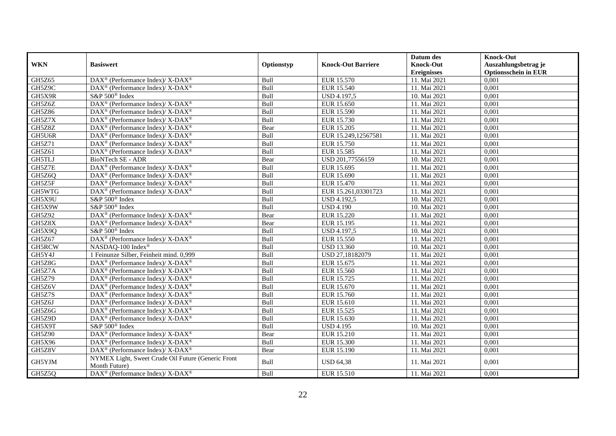|               |                                                                           |             |                           | Datum des          | <b>Knock-Out</b>            |
|---------------|---------------------------------------------------------------------------|-------------|---------------------------|--------------------|-----------------------------|
| <b>WKN</b>    | <b>Basiswert</b>                                                          | Optionstyp  | <b>Knock-Out Barriere</b> | <b>Knock-Out</b>   | Auszahlungsbetrag je        |
|               |                                                                           |             |                           | <b>Ereignisses</b> | <b>Optionsschein in EUR</b> |
| GH5Z65        | $\overline{\text{DAX}^{\otimes}}$ (Performance Index)/X-DAX <sup>®</sup>  | Bull        | EUR 15.570                | 11. Mai 2021       | 0,001                       |
| GH5Z9C        | $DAX^{\circledcirc}$ (Performance Index)/ X-DAX <sup>®</sup>              | Bull        | EUR 15.540                | 11. Mai 2021       | 0,001                       |
| GH5X9R        | S&P 500 <sup>®</sup> Index                                                | Bull        | <b>USD 4.197,5</b>        | 10. Mai 2021       | 0,001                       |
| GH5Z6Z        | DAX <sup>®</sup> (Performance Index)/ X-DAX <sup>®</sup>                  | Bull        | EUR 15.650                | 11. Mai 2021       | 0,001                       |
| GH5Z86        | $DAX^{\circledast}$ (Performance Index)/ X-DAX <sup>®</sup>               | Bull        | EUR 15.590                | 11. Mai 2021       | 0,001                       |
| GH5Z7X        | $DAX^{\circledast}$ (Performance Index)/ X-DAX <sup>®</sup>               | Bull        | EUR 15.730                | 11. Mai 2021       | 0,001                       |
| GH5Z8Z        | $DAX^{\circledast}$ (Performance Index)/ X-DAX <sup>®</sup>               | Bear        | EUR 15.205                | 11. Mai 2021       | 0,001                       |
| GH5U6R        | $DAX^{\circledast}$ (Performance Index)/ X-DAX <sup>®</sup>               | Bull        | EUR 15.249,12567581       | 11. Mai 2021       | 0,001                       |
| GH5Z71        | $DAX^{\circledast}$ (Performance Index)/ X-DAX <sup>®</sup>               | Bull        | EUR 15.750                | 11. Mai 2021       | 0,001                       |
| GH5Z61        | DAX <sup>®</sup> (Performance Index)/ X-DAX <sup>®</sup>                  | Bull        | EUR 15.585                | 11. Mai 2021       | 0,001                       |
| <b>GH5TLJ</b> | <b>BioNTech SE - ADR</b>                                                  | Bear        | USD 201,77556159          | 10. Mai 2021       | 0,001                       |
| GH5Z7E        | DAX <sup>®</sup> (Performance Index)/ X-DAX <sup>®</sup>                  | Bull        | EUR 15.695                | 11. Mai 2021       | 0,001                       |
| GH5Z6Q        | DAX <sup>®</sup> (Performance Index)/ X-DAX <sup>®</sup>                  | Bull        | EUR 15.690                | 11. Mai 2021       | 0,001                       |
| GH5Z5F        | $DAX^{\circledast}$ (Performance Index)/ X-DAX <sup>®</sup>               | Bull        | EUR 15.470                | 11. Mai 2021       | 0,001                       |
| GH5WTG        | DAX <sup>®</sup> (Performance Index)/ X-DAX <sup>®</sup>                  | <b>Bull</b> | EUR 15.261,03301723       | 11. Mai 2021       | 0,001                       |
| GH5X9U        | S&P 500 <sup>®</sup> Index                                                | Bull        | <b>USD 4.192,5</b>        | 10. Mai 2021       | 0,001                       |
| GH5X9W        | S&P 500 <sup>®</sup> Index                                                | Bull        | <b>USD 4.190</b>          | 10. Mai 2021       | 0,001                       |
| GH5Z92        | DAX <sup>®</sup> (Performance Index)/ X-DAX <sup>®</sup>                  | Bear        | <b>EUR 15.220</b>         | 11. Mai 2021       | 0,001                       |
| GH5Z8X        | $DAX^{\circledast}$ (Performance Index)/ $\overline{X-DAX^{\circledast}}$ | Bear        | EUR 15.195                | 11. Mai 2021       | 0,001                       |
| GH5X9Q        | S&P 500 <sup>®</sup> Index                                                | Bull        | USD 4.197,5               | 10. Mai 2021       | 0,001                       |
| GH5Z67        | DAX <sup>®</sup> (Performance Index)/ X-DAX <sup>®</sup>                  | Bull        | EUR 15.550                | 11. Mai 2021       | 0,001                       |
| GH5RCW        | NASDAQ-100 Index®                                                         | Bull        | <b>USD 13.360</b>         | 10. Mai 2021       | 0,001                       |
| GH5Y4J        | 1 Feinunze Silber, Feinheit mind. 0,999                                   | Bull        | USD 27,18182079           | 11. Mai 2021       | 0,001                       |
| GH5Z8G        | DAX <sup>®</sup> (Performance Index)/ X-DAX <sup>®</sup>                  | Bull        | EUR 15.675                | 11. Mai 2021       | 0,001                       |
| GH5Z7A        | $DAX^{\circledcirc}$ (Performance Index)/ X-DAX <sup>®</sup>              | <b>Bull</b> | EUR 15.560                | 11. Mai 2021       | 0,001                       |
| GH5Z79        | $DAX^{\circledast}$ (Performance Index)/ X-DAX <sup>®</sup>               | Bull        | EUR 15.725                | 11. Mai 2021       | 0,001                       |
| GH5Z6V        | DAX <sup>®</sup> (Performance Index)/ X-DAX <sup>®</sup>                  | Bull        | EUR 15.670                | 11. Mai 2021       | 0,001                       |
| GH5Z7S        | $DAX^{\circledast}$ (Performance Index)/ X-DAX <sup>®</sup>               | Bull        | EUR 15.760                | 11. Mai 2021       | 0,001                       |
| GH5Z6J        | $DAX^{\circledast}$ (Performance Index)/ X-DAX <sup>®</sup>               | <b>Bull</b> | EUR 15.610                | 11. Mai 2021       | 0,001                       |
| GH5Z6G        | $DAX^{\circledcirc}$ (Performance Index)/ X-DAX <sup>®</sup>              | Bull        | EUR 15.525                | 11. Mai 2021       | 0,001                       |
| GH5Z9D        | $DAX^{\circledast}$ (Performance Index)/ X-DAX <sup>®</sup>               | Bull        | EUR 15.630                | 11. Mai 2021       | 0,001                       |
| GH5X9T        | S&P 500 <sup>®</sup> Index                                                | Bull        | <b>USD 4.195</b>          | 10. Mai 2021       | 0,001                       |
| <b>GH5Z90</b> | DAX <sup>®</sup> (Performance Index)/ X-DAX <sup>®</sup>                  | Bear        | EUR 15.210                | 11. Mai 2021       | 0,001                       |
| GH5X96        | $DAX^{\circledcirc}$ (Performance Index)/ X-DAX <sup>®</sup>              | Bull        | EUR 15.300                | 11. Mai 2021       | 0,001                       |
| GH5Z8V        | DAX <sup>®</sup> (Performance Index)/ X-DAX <sup>®</sup>                  | Bear        | EUR 15.190                | 11. Mai 2021       | 0,001                       |
| GH5YJM        | NYMEX Light, Sweet Crude Oil Future (Generic Front<br>Month Future)       | Bull        | <b>USD 64,38</b>          | 11. Mai 2021       | 0,001                       |
| GH5Z5Q        | DAX <sup>®</sup> (Performance Index)/ X-DAX <sup>®</sup>                  | <b>Bull</b> | EUR 15.510                | 11. Mai 2021       | 0,001                       |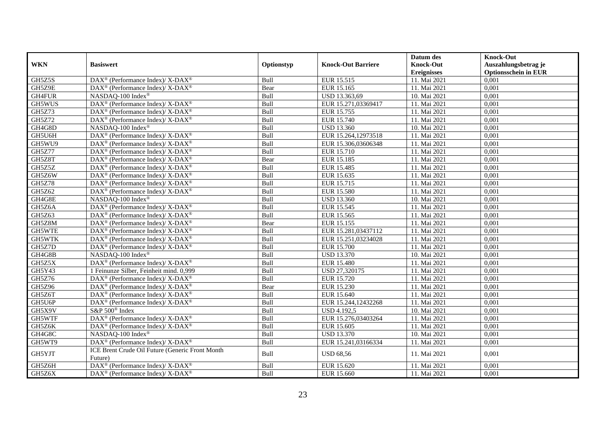| Datum des                                                                                                                         | <b>Knock-Out</b>            |
|-----------------------------------------------------------------------------------------------------------------------------------|-----------------------------|
| <b>Knock-Out</b><br><b>WKN</b><br><b>Basiswert</b><br><b>Knock-Out Barriere</b><br>Optionstyp                                     | Auszahlungsbetrag je        |
| <b>Ereignisses</b>                                                                                                                | <b>Optionsschein in EUR</b> |
| GH5Z5S<br>DAX <sup>®</sup> (Performance Index)/ X-DAX <sup>®</sup><br>Bull<br>EUR 15.515<br>11. Mai 2021                          | 0,001                       |
| GH5Z9E<br>EUR 15.165<br>11. Mai 2021<br>$DAX^{\circledast}$ (Performance Index)/ X-DAX <sup>®</sup><br>Bear                       | 0,001                       |
| GH4FUR<br>Bull<br>10. Mai 2021<br>NASDAQ-100 Index®<br>USD 13.363,69                                                              | 0,001                       |
| $\overline{\text{DAX}^{\otimes}}$ (Performance Index)/X-DAX <sup>®</sup><br>Bull<br>GH5WUS<br>EUR 15.271,03369417<br>11. Mai 2021 | 0,001                       |
| Bull<br>GH5Z73<br>DAX <sup>®</sup> (Performance Index)/ X-DAX <sup>®</sup><br>EUR 15.755<br>11. Mai 2021                          | 0,001                       |
| <b>GH5Z72</b><br>Bull<br><b>EUR 15.740</b><br>DAX <sup>®</sup> (Performance Index)/ X-DAX <sup>®</sup><br>11. Mai 2021            | 0,001                       |
| GH4G8D<br>NASDAO-100 Index®<br>Bull<br><b>USD 13.360</b><br>10. Mai 2021                                                          | 0,001                       |
| GH5U6H<br>DAX <sup>®</sup> (Performance Index)/ X-DAX <sup>®</sup><br>Bull<br>EUR 15.264,12973518<br>11. Mai 2021                 | 0,001                       |
| Bull<br>GH5WU9<br>DAX <sup>®</sup> (Performance Index)/ X-DAX <sup>®</sup><br>EUR 15.306,03606348<br>11. Mai 2021                 | 0,001                       |
| GH5Z77<br>Bull<br>EUR 15.710<br>$DAX^{\circledast}$ (Performance Index)/ X-DAX <sup>®</sup><br>11. Mai 2021                       | 0,001                       |
| GH5Z8T<br>EUR 15.185<br>11. Mai 2021<br>$DAX^{\circledast}$ (Performance Index)/ X-DAX <sup>®</sup><br>Bear                       | 0,001                       |
| GH5Z5Z<br>DAX <sup>®</sup> (Performance Index)/ X-DAX <sup>®</sup><br>Bull<br><b>EUR 15.485</b><br>11. Mai 2021                   | 0,001                       |
| GH5Z6W<br>Bull<br>EUR 15.635<br>11. Mai 2021<br>$DAX^{\circledast}$ (Performance Index)/ X-DAX <sup>®</sup>                       | 0,001                       |
| Bull<br><b>GH5Z78</b><br>DAX <sup>®</sup> (Performance Index)/ X-DAX <sup>®</sup><br>EUR 15.715<br>11. Mai 2021                   | 0,001                       |
| GH5Z62<br>Bull<br>DAX <sup>®</sup> (Performance Index)/ X-DAX <sup>®</sup><br>EUR 15.580<br>11. Mai 2021                          | 0,001                       |
| GH4G8E<br>NASDAQ-100 Index®<br>Bull<br><b>USD 13.360</b><br>10. Mai 2021                                                          | 0,001                       |
| DAX <sup>®</sup> (Performance Index)/ X-DAX <sup>®</sup><br>GH5Z6A<br>Bull<br>EUR 15.545<br>11. Mai 2021                          | 0,001                       |
| GH5Z63<br>Bull<br>$DAX^{\circledcirc}$ (Performance Index)/ X-DAX <sup>®</sup><br>EUR 15.565<br>11. Mai 2021                      | 0,001                       |
| GH5Z8M<br>DAX <sup>®</sup> (Performance Index)/ X-DAX <sup>®</sup><br>Bear<br>EUR 15.155<br>11. Mai 2021                          | 0,001                       |
| Bull<br>GH5WTE<br>EUR 15.281,03437112<br>11. Mai 2021<br>DAX <sup>®</sup> (Performance Index)/ X-DAX <sup>®</sup>                 | 0,001                       |
| GH5WTK<br>Bull<br>EUR 15.251,03234028<br>11. Mai 2021<br>$DAX^{\circledast}$ (Performance Index)/ X-DAX <sup>®</sup>              | 0,001                       |
| <b>EUR 15.700</b><br>GH5Z7D<br>DAX <sup>®</sup> (Performance Index)/ X-DAX <sup>®</sup><br>Bull<br>11. Mai 2021                   | 0,001                       |
| GH4G8B<br>NASDAQ-100 Index®<br>Bull<br><b>USD 13.370</b><br>10. Mai 2021                                                          | 0,001                       |
| GH5Z5X<br>DAX <sup>®</sup> (Performance Index)/ X-DAX <sup>®</sup><br>Bull<br><b>EUR 15.480</b><br>11. Mai 2021                   | 0,001                       |
| GH5Y43<br>Bull<br>1 Feinunze Silber, Feinheit mind, 0.999<br>USD 27,320175<br>11. Mai 2021                                        | 0,001                       |
| GH5Z76<br>DAX <sup>®</sup> (Performance Index)/ X-DAX <sup>®</sup><br>Bull<br>EUR 15.720<br>11. Mai 2021                          | 0,001                       |
| GH5Z96<br>11. Mai 2021<br>DAX <sup>®</sup> (Performance Index)/ X-DAX <sup>®</sup><br>Bear<br>EUR 15.230                          | 0,001                       |
| GH5Z6T<br>$DAX^{\circledast}$ (Performance Index)/ X-DAX <sup>®</sup><br>Bull<br>EUR 15.640<br>11. Mai 2021                       | 0,001                       |
| GH5U6P<br>DAX <sup>®</sup> (Performance Index)/ X-DAX <sup>®</sup><br>Bull<br>EUR 15.244,12432268<br>11. Mai 2021                 | 0,001                       |
| GH5X9V<br>S&P 500 <sup>®</sup> Index<br>Bull<br><b>USD 4.192,5</b><br>10. Mai 2021                                                | 0,001                       |
| DAX <sup>®</sup> (Performance Index)/ X-DAX <sup>®</sup><br>Bull<br>GH5WTF<br>EUR 15.276,03403264<br>11. Mai 2021                 | 0,001                       |
| GH5Z6K<br>$DAX^{\circledast}$ (Performance Index)/ $\overline{X-DAX^{\circledast}}$<br>Bull<br>11. Mai 2021<br>EUR 15.605         | 0,001                       |
| GH4G8C<br>Bull<br>NASDAQ-100 Index®<br><b>USD 13.370</b><br>10. Mai 2021                                                          | 0,001                       |
| DAX <sup>®</sup> (Performance Index)/X-DAX <sup>®</sup><br>GH5WT9<br>EUR 15.241,03166334<br>Bull<br>11. Mai 2021                  | 0,001                       |
| ICE Brent Crude Oil Future (Generic Front Month<br>GH5YJT<br>Bull<br><b>USD 68,56</b><br>11. Mai 2021<br>Future)                  | 0,001                       |
| GH5Z6H<br>DAX <sup>®</sup> (Performance Index)/ X-DAX <sup>®</sup><br><b>Bull</b><br>EUR 15.620<br>11. Mai 2021                   | 0,001                       |
| Bull<br>GH5Z6X<br>DAX <sup>®</sup> (Performance Index)/ X-DAX <sup>®</sup><br>EUR 15.660<br>11. Mai 2021                          | 0,001                       |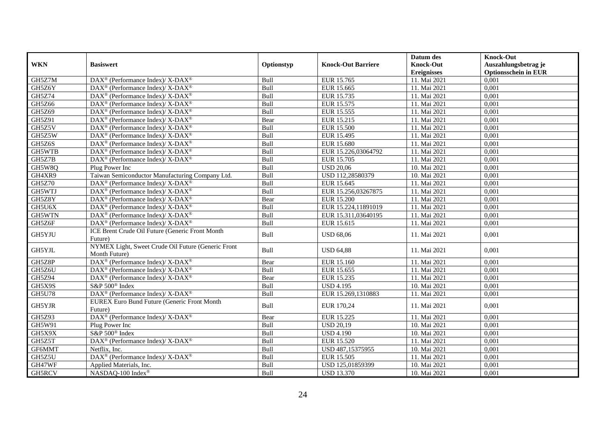|               |                                                                          |             |                           | Datum des          | <b>Knock-Out</b>            |
|---------------|--------------------------------------------------------------------------|-------------|---------------------------|--------------------|-----------------------------|
| <b>WKN</b>    | <b>Basiswert</b>                                                         | Optionstyp  | <b>Knock-Out Barriere</b> | <b>Knock-Out</b>   | Auszahlungsbetrag je        |
|               |                                                                          |             |                           | <b>Ereignisses</b> | <b>Optionsschein in EUR</b> |
| GH5Z7M        | $\overline{\text{DAX}^{\otimes}}$ (Performance Index)/X-DAX <sup>®</sup> | Bull        | EUR 15.765                | 11. Mai 2021       | 0.001                       |
| GH5Z6Y        | $DAX^{\circledast}$ (Performance Index)/ X-DAX <sup>®</sup>              | Bull        | EUR 15.665                | 11. Mai 2021       | 0,001                       |
| GH5Z74        | $DAX^{\circledast}$ (Performance Index)/ X-DAX <sup>®</sup>              | Bull        | EUR 15.735                | 11. Mai 2021       | $0,\overline{001}$          |
| GH5Z66        | DAX <sup>®</sup> (Performance Index)/ X-DAX <sup>®</sup>                 | Bull        | EUR 15.575                | 11. Mai 2021       | 0,001                       |
| GH5Z69        | $DAX^{\circledast}$ (Performance Index)/ X-DAX <sup>®</sup>              | Bull        | EUR 15.555                | 11. Mai 2021       | 0,001                       |
| GH5Z91        | DAX <sup>®</sup> (Performance Index)/ X-DAX <sup>®</sup>                 | Bear        | EUR 15.215                | 11. Mai 2021       | 0,001                       |
| GH5Z5V        | $DAX^{\circledast}$ (Performance Index)/ X-DAX <sup>®</sup>              | Bull        | EUR 15.500                | 11. Mai 2021       | 0,001                       |
| GH5Z5W        | $DAX^{\circledast}$ (Performance Index)/ X-DAX <sup>®</sup>              | Bull        | EUR 15.495                | 11. Mai 2021       | 0,001                       |
| GH5Z6S        | DAX <sup>®</sup> (Performance Index)/ X-DAX <sup>®</sup>                 | Bull        | EUR 15.680                | 11. Mai 2021       | 0,001                       |
| GH5WTB        | $DAX^{\circledast}$ (Performance Index)/ X-DAX <sup>®</sup>              | Bull        | EUR 15.226,03064792       | 11. Mai 2021       | 0,001                       |
| GH5Z7B        | DAX <sup>®</sup> (Performance Index)/ X-DAX <sup>®</sup>                 | Bull        | EUR 15.705                | 11. Mai 2021       | 0,001                       |
| GH5W8O        | Plug Power Inc                                                           | <b>Bull</b> | <b>USD 20,06</b>          | 10. Mai 2021       | 0,001                       |
| GH4XR9        | Taiwan Semiconductor Manufacturing Company Ltd.                          | Bull        | USD 112,28580379          | 10. Mai 2021       | 0,001                       |
| <b>GH5Z70</b> | DAX <sup>®</sup> (Performance Index)/ X-DAX <sup>®</sup>                 | Bull        | EUR 15.645                | 11. Mai 2021       | 0,001                       |
| GH5WTJ        | $DAX^{\circledast}$ (Performance Index)/ X-DAX <sup>®</sup>              | Bull        | EUR 15.256,03267875       | 11. Mai 2021       | 0,001                       |
| GH5Z8Y        | $DAX^{\circledast}$ (Performance Index)/ X-DAX <sup>®</sup>              | Bear        | EUR 15.200                | 11. Mai 2021       | 0.001                       |
| GH5U6X        | DAX <sup>®</sup> (Performance Index)/ X-DAX <sup>®</sup>                 | Bull        | EUR 15.224,11891019       | 11. Mai 2021       | 0,001                       |
| GH5WTN        | DAX <sup>®</sup> (Performance Index)/ X-DAX <sup>®</sup>                 | Bull        | EUR 15.311,03640195       | 11. Mai 2021       | 0,001                       |
| GH5Z6F        | $DAX^{\circledast}$ (Performance Index)/ X-DAX <sup>®</sup>              | Bull        | EUR 15.615                | 11. Mai 2021       | 0,001                       |
| GH5YJU        | ICE Brent Crude Oil Future (Generic Front Month<br>Future)               | Bull        | <b>USD 68,06</b>          | 11. Mai 2021       | 0,001                       |
| GH5YJL        | NYMEX Light, Sweet Crude Oil Future (Generic Front<br>Month Future)      | Bull        | <b>USD 64,88</b>          | 11. Mai 2021       | 0,001                       |
| GH5Z8P        | DAX <sup>®</sup> (Performance Index)/ X-DAX <sup>®</sup>                 | Bear        | EUR 15.160                | 11. Mai 2021       | 0,001                       |
| GH5Z6U        | DAX <sup>®</sup> (Performance Index)/ X-DAX <sup>®</sup>                 | Bull        | EUR 15.655                | 11. Mai 2021       | 0,001                       |
| GH5Z94        | DAX <sup>®</sup> (Performance Index)/ X-DAX <sup>®</sup>                 | Bear        | EUR 15.235                | 11. Mai 2021       | 0,001                       |
| GH5X9S        | S&P 500 <sup>®</sup> Index                                               | Bull        | <b>USD 4.195</b>          | 10. Mai 2021       | 0,001                       |
| <b>GH5U78</b> | DAX <sup>®</sup> (Performance Index)/ X-DAX <sup>®</sup>                 | Bull        | EUR 15.269,1310883        | 11. Mai 2021       | 0,001                       |
| GH5YJR        | EUREX Euro Bund Future (Generic Front Month<br>Future)                   | Bull        | EUR 170,24                | 11. Mai 2021       | 0,001                       |
| GH5Z93        | DAX <sup>®</sup> (Performance Index)/X-DAX <sup>®</sup>                  | Bear        | EUR 15.225                | 11. Mai 2021       | 0.001                       |
| GH5W91        | Plug Power Inc                                                           | Bull        | <b>USD 20,19</b>          | 10. Mai 2021       | 0,001                       |
| GH5X9X        | S&P 500 <sup>®</sup> Index                                               | Bull        | <b>USD 4.190</b>          | 10. Mai 2021       | 0,001                       |
| GH5Z5T        | DAX <sup>®</sup> (Performance Index)/ X-DAX <sup>®</sup>                 | Bull        | <b>EUR 15.520</b>         | 11. Mai 2021       | 0,001                       |
| GF6MMT        | Netflix. Inc.                                                            | Bull        | USD 487,15375955          | 10. Mai 2021       | 0,001                       |
| GH5Z5U        | DAX <sup>®</sup> (Performance Index)/ X-DAX <sup>®</sup>                 | Bull        | EUR 15.505                | 11. Mai 2021       | 0,001                       |
| GH47WF        | Applied Materials, Inc.                                                  | Bull        | USD 125,01859399          | 10. Mai 2021       | 0,001                       |
| GH5RCV        | NASDAQ-100 Index®                                                        | Bull        | <b>USD 13.370</b>         | 10. Mai 2021       | 0,001                       |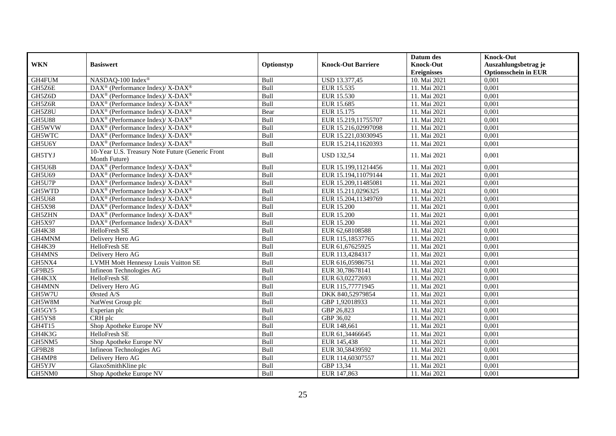|               |                                                                           |            |                           | Datum des          | <b>Knock-Out</b>            |
|---------------|---------------------------------------------------------------------------|------------|---------------------------|--------------------|-----------------------------|
| <b>WKN</b>    | <b>Basiswert</b>                                                          | Optionstyp | <b>Knock-Out Barriere</b> | <b>Knock-Out</b>   | Auszahlungsbetrag je        |
|               |                                                                           |            |                           | <b>Ereignisses</b> | <b>Optionsschein in EUR</b> |
| GH4FUM        | NASDAQ-100 Index®                                                         | Bull       | USD 13.377,45             | 10. Mai 2021       | 0,001                       |
| GH5Z6E        | $DAX^{\circledast}$ (Performance Index)/ $\overline{X-DAX^{\circledast}}$ | Bull       | EUR 15.535                | 11. Mai 2021       | 0,001                       |
| GH5Z6D        | $DAX^{\circledast}$ (Performance Index)/ X-DAX <sup>®</sup>               | Bull       | EUR 15.530                | 11. Mai 2021       | 0,001                       |
| GH5Z6R        | $DAX^{\circledast}$ (Performance Index)/ X-DAX <sup>®</sup>               | Bull       | EUR 15.685                | 11. Mai 2021       | 0,001                       |
| GH5Z8U        | $DAX^{\circledast}$ (Performance Index)/ X-DAX <sup>®</sup>               | Bear       | EUR 15.175                | 11. Mai 2021       | 0,001                       |
| <b>GH5U88</b> | $DAX^{\circledast}$ (Performance Index)/ X-DAX <sup>®</sup>               | Bull       | EUR 15.219,11755707       | 11. Mai 2021       | 0,001                       |
| GH5WVW        | $DAX^{\circledast}$ (Performance Index)/ X-DAX <sup>®</sup>               | Bull       | EUR 15.216,02997098       | 11. Mai 2021       | 0,001                       |
| GH5WTC        | DAX <sup>®</sup> (Performance Index)/ X-DAX <sup>®</sup>                  | Bull       | EUR 15.221,03030945       | 11. Mai 2021       | 0,001                       |
| GH5U6Y        | DAX <sup>®</sup> (Performance Index)/ X-DAX <sup>®</sup>                  | Bull       | EUR 15.214,11620393       | 11. Mai 2021       | 0,001                       |
| GH5TYJ        | 10-Year U.S. Treasury Note Future (Generic Front                          | Bull       | <b>USD 132,54</b>         | 11. Mai 2021       | 0,001                       |
|               | Month Future)                                                             |            |                           |                    |                             |
| GH5U6B        | DAX <sup>®</sup> (Performance Index)/ X-DAX <sup>®</sup>                  | Bull       | EUR 15.199,11214456       | 11. Mai 2021       | 0,001                       |
| GH5U69        | $DAX^{\circledast}$ (Performance Index)/ X-DAX <sup>®</sup>               | Bull       | EUR 15.194,11079144       | 11. Mai 2021       | 0,001                       |
| GH5U7P        | DAX <sup>®</sup> (Performance Index)/ X-DAX <sup>®</sup>                  | Bull       | EUR 15.209,11485081       | 11. Mai 2021       | 0,001                       |
| GH5WTD        | DAX <sup>®</sup> (Performance Index)/ X-DAX <sup>®</sup>                  | Bull       | EUR 15.211,0296325        | 11. Mai 2021       | 0,001                       |
| <b>GH5U68</b> | DAX <sup>®</sup> (Performance Index)/ X-DAX <sup>®</sup>                  | Bull       | EUR 15.204,11349769       | 11. Mai 2021       | 0,001                       |
| <b>GH5X98</b> | DAX <sup>®</sup> (Performance Index)/ X-DAX <sup>®</sup>                  | Bull       | <b>EUR 15.200</b>         | 11. Mai 2021       | 0,001                       |
| GH5ZHN        | $DAX^{\circledcirc}$ (Performance Index)/ X-DAX <sup>®</sup>              | Bull       | EUR 15.200                | 11. Mai 2021       | 0.001                       |
| GH5X97        | DAX <sup>®</sup> (Performance Index)/ X-DAX <sup>®</sup>                  | Bull       | <b>EUR 15.200</b>         | 11. Mai 2021       | 0,001                       |
| GH4K38        | HelloFresh SE                                                             | Bull       | EUR 62,68108588           | 11. Mai 2021       | 0,001                       |
| GH4MNM        | Delivery Hero AG                                                          | Bull       | EUR 115,18537765          | 11. Mai 2021       | 0,001                       |
| GH4K39        | HelloFresh SE                                                             | Bull       | EUR 61,67625925           | 11. Mai 2021       | 0,001                       |
| GH4MNS        | Delivery Hero AG                                                          | Bull       | EUR 113,4284317           | 11. Mai 2021       | 0,001                       |
| GH5NX4        | LVMH Moët Hennessy Louis Vuitton SE                                       | Bull       | EUR 616,05986751          | 11. Mai 2021       | 0,001                       |
| GF9B25        | Infineon Technologies AG                                                  | Bull       | EUR 30,78678141           | 11. Mai 2021       | 0,001                       |
| GH4K3X        | HelloFresh SE                                                             | Bull       | EUR 63,02272693           | 11. Mai 2021       | 0,001                       |
| GH4MNN        | Delivery Hero AG                                                          | Bull       | EUR 115,77771945          | 11. Mai 2021       | 0,001                       |
| GH5W7U        | Ørsted A/S                                                                | Bull       | DKK 840,52979854          | 11. Mai 2021       | 0,001                       |
| GH5W8M        | NatWest Group plc                                                         | Bull       | GBP 1,92018933            | 11. Mai 2021       | 0,001                       |
| GH5GY5        | Experian plc                                                              | Bull       | GBP 26,823                | 11. Mai 2021       | 0,001                       |
| GH5YS8        | CRH plc                                                                   | Bull       | GBP 36,02                 | 11. Mai 2021       | 0,001                       |
| GH4T15        | Shop Apotheke Europe NV                                                   | Bull       | EUR 148,661               | 11. Mai 2021       | 0,001                       |
| GH4K3G        | HelloFresh SE                                                             | Bull       | EUR 61,34466645           | 11. Mai 2021       | 0,001                       |
| GH5NM5        | Shop Apotheke Europe NV                                                   | Bull       | EUR 145,438               | 11. Mai 2021       | 0,001                       |
| GF9B28        | Infineon Technologies AG                                                  | Bull       | EUR 30,58439592           | 11. Mai 2021       | 0,001                       |
| GH4MP8        | Delivery Hero AG                                                          | Bull       | EUR 114,60307557          | 11. Mai 2021       | 0,001                       |
| GH5YJV        | GlaxoSmithKline plc                                                       | Bull       | GBP 13,34                 | 11. Mai 2021       | 0,001                       |
| GH5NM0        | Shop Apotheke Europe NV                                                   | Bull       | EUR 147,863               | 11. Mai 2021       | 0,001                       |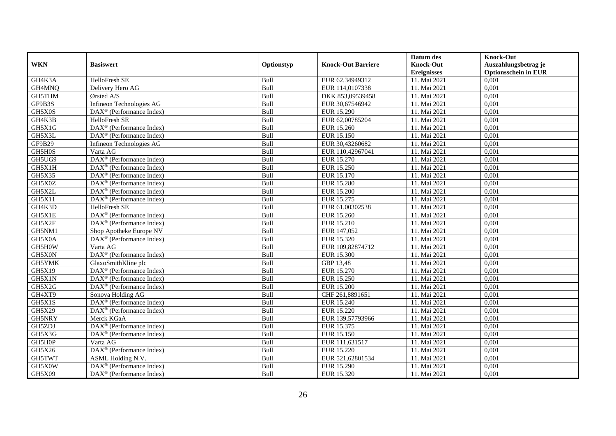|               |                                                         |             |                           | Datum des          | <b>Knock-Out</b>            |
|---------------|---------------------------------------------------------|-------------|---------------------------|--------------------|-----------------------------|
| <b>WKN</b>    | <b>Basiswert</b>                                        | Optionstyp  | <b>Knock-Out Barriere</b> | <b>Knock-Out</b>   | Auszahlungsbetrag je        |
|               |                                                         |             |                           | <b>Ereignisses</b> | <b>Optionsschein in EUR</b> |
| GH4K3A        | HelloFresh SE                                           | Bull        | EUR 62,34949312           | 11. Mai 2021       | 0,001                       |
| GH4MNQ        | Delivery Hero AG                                        | Bull        | EUR 114,0107338           | 11. Mai 2021       | 0,001                       |
| GH5THM        | Ørsted A/S                                              | Bull        | DKK 853,09539458          | 11. Mai 2021       | 0,001                       |
| GF9B3S        | Infineon Technologies AG                                | Bull        | EUR 30,67546942           | 11. Mai 2021       | 0,001                       |
| GH5X0S        | DAX <sup>®</sup> (Performance Index)                    | <b>Bull</b> | <b>EUR 15.290</b>         | 11. Mai 2021       | 0,001                       |
| GH4K3B        | HelloFresh SE                                           | Bull        | EUR 62,00785204           | 11. Mai 2021       | 0,001                       |
| GH5X1G        | $DAX^{\circledR}$ (Performance Index)                   | <b>Bull</b> | EUR 15.260                | 11. Mai 2021       | 0,001                       |
| GH5X3L        | DAX <sup>®</sup> (Performance Index)                    | Bull        | EUR 15.150                | 11. Mai 2021       | 0,001                       |
| GF9B29        | Infineon Technologies AG                                | Bull        | EUR 30,43260682           | 11. Mai 2021       | 0,001                       |
| GH5H0S        | Varta AG                                                | Bull        | EUR 110,42967041          | 11. Mai 2021       | 0,001                       |
| GH5UG9        | DAX <sup>®</sup> (Performance Index)                    | Bull        | EUR 15.270                | 11. Mai 2021       | 0,001                       |
| GH5X1H        | DAX <sup>®</sup> (Performance Index)                    | <b>Bull</b> | <b>EUR 15.250</b>         | 11. Mai 2021       | 0,001                       |
| GH5X35        | $DAX^{\circledast}$ (Performance Index)                 | Bull        | EUR 15.170                | 11. Mai 2021       | 0,001                       |
| GH5X0Z        | $\text{DAX}^{\otimes}$ (Performance Index)              | <b>Bull</b> | <b>EUR 15.280</b>         | 11. Mai 2021       | 0.001                       |
| GH5X2L        | $DAX^{\circledR}$ (Performance Index)                   | Bull        | <b>EUR 15.200</b>         | 11. Mai 2021       | 0,001                       |
| <b>GH5X11</b> | DAX <sup>®</sup> (Performance Index)                    | Bull        | EUR 15.275                | 11. Mai 2021       | 0,001                       |
| GH4K3D        | HelloFresh SE                                           | Bull        | EUR 61,00302538           | 11. Mai 2021       | 0,001                       |
| GH5X1E        | DAX <sup>®</sup> (Performance Index)                    | Bull        | EUR 15.260                | 11. Mai 2021       | 0,001                       |
| GH5X2F        | $DAX^{\circledR}$ (Performance Index)                   | Bull        | EUR 15.210                | 11. Mai 2021       | 0,001                       |
| GH5NM1        | Shop Apotheke Europe NV                                 | Bull        | EUR 147,052               | 11. Mai 2021       | 0,001                       |
| GH5X0A        | DAX <sup>®</sup> (Performance Index)                    | Bull        | EUR 15.320                | 11. Mai 2021       | 0,001                       |
| GH5H0W        | Varta AG                                                | Bull        | EUR 109,82874712          | 11. Mai 2021       | 0,001                       |
| GH5X0N        | DAX <sup>®</sup> (Performance Index)                    | Bull        | <b>EUR 15.300</b>         | 11. Mai 2021       | 0,001                       |
| GH5YMK        | GlaxoSmithKline plc                                     | Bull        | GBP 13,48                 | 11. Mai 2021       | 0,001                       |
| GH5X19        | $DAX^{\circledR}$ (Performance Index)                   | Bull        | EUR 15.270                | 11. Mai 2021       | 0,001                       |
| GH5X1N        | $\overline{\text{DAX}^{\otimes}}$ (Performance Index)   | Bull        | EUR 15.250                | 11. Mai 2021       | 0,001                       |
| GH5X2G        | DAX <sup>®</sup> (Performance Index)                    | Bull        | <b>EUR 15.200</b>         | 11. Mai 2021       | 0,001                       |
| GH4XT9        | Sonova Holding AG                                       | Bull        | CHF 261,8891651           | 11. Mai 2021       | 0,001                       |
| GH5X1S        | DAX <sup>®</sup> (Performance Index)                    | Bull        | EUR 15.240                | 11. Mai 2021       | 0.001                       |
| GH5X29        | $\overline{\text{DAX}}^{\textcirc}$ (Performance Index) | <b>Bull</b> | EUR 15.220                | 11. Mai 2021       | 0,001                       |
| GH5NRY        | Merck KGaA                                              | Bull        | EUR 139,57793966          | 11. Mai 2021       | 0,001                       |
| GH5ZDJ        | DAX <sup>®</sup> (Performance Index)                    | Bull        | EUR 15.375                | 11. Mai 2021       | 0,001                       |
| GH5X3G        | DAX <sup>®</sup> (Performance Index)                    | Bull        | <b>EUR 15.150</b>         | 11. Mai 2021       | 0,001                       |
| GH5H0P        | Varta AG                                                | Bull        | EUR 111,631517            | 11. Mai 2021       | 0,001                       |
| GH5X26        | DAX <sup>®</sup> (Performance Index)                    | <b>Bull</b> | EUR 15.220                | 11. Mai 2021       | 0,001                       |
| GH5TWT        | ASML Holding N.V.                                       | Bull        | EUR 521,62801534          | 11. Mai 2021       | 0,001                       |
| GH5X0W        | $DAX^{\circledast}$ (Performance Index)                 | Bull        | EUR 15.290                | 11. Mai 2021       | 0,001                       |
| GH5X09        | $\text{DAX}^{\circledast}$ (Performance Index)          | <b>Bull</b> | EUR 15.320                | 11. Mai 2021       | 0,001                       |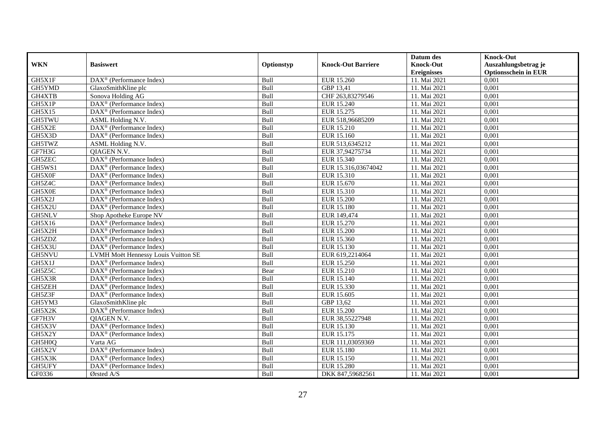|            |                                                             |             |                           | Datum des          | <b>Knock-Out</b>            |
|------------|-------------------------------------------------------------|-------------|---------------------------|--------------------|-----------------------------|
| <b>WKN</b> | <b>Basiswert</b>                                            | Optionstyp  | <b>Knock-Out Barriere</b> | <b>Knock-Out</b>   | Auszahlungsbetrag je        |
|            |                                                             |             |                           | <b>Ereignisses</b> | <b>Optionsschein in EUR</b> |
| GH5X1F     | $\overline{\text{DAX}^{\otimes}(\text{Performance Index})}$ | Bull        | EUR 15.260                | 11. Mai 2021       | 0,001                       |
| GH5YMD     | GlaxoSmithKline plc                                         | Bull        | GBP 13,41                 | 11. Mai 2021       | 0,001                       |
| GH4XTB     | Sonova Holding AG                                           | Bull        | CHF 263,83279546          | 11. Mai 2021       | 0,001                       |
| GH5X1P     | DAX <sup>®</sup> (Performance Index)                        | Bull        | EUR 15.240                | 11. Mai 2021       | 0,001                       |
| GH5X15     | DAX <sup>®</sup> (Performance Index)                        | <b>Bull</b> | EUR 15.275                | 11. Mai 2021       | 0,001                       |
| GH5TWU     | ASML Holding N.V.                                           | Bull        | EUR 518,96685209          | 11. Mai 2021       | 0,001                       |
| GH5X2E     | $\overline{\text{DAX}}^{\textcirc}$ (Performance Index)     | <b>Bull</b> | EUR 15.210                | 11. Mai 2021       | 0,001                       |
| GH5X3D     | DAX <sup>®</sup> (Performance Index)                        | Bull        | EUR 15.160                | 11. Mai 2021       | 0,001                       |
| GH5TWZ     | ASML Holding N.V.                                           | Bull        | EUR 513,6345212           | 11. Mai 2021       | 0,001                       |
| GF7H3G     | <b>OIAGEN N.V.</b>                                          | Bull        | EUR 37,94275734           | 11. Mai 2021       | 0,001                       |
| GH5ZEC     | DAX <sup>®</sup> (Performance Index)                        | Bull        | EUR 15.340                | 11. Mai 2021       | 0,001                       |
| GH5WS1     | DAX <sup>®</sup> (Performance Index)                        | <b>Bull</b> | EUR 15.316,03674042       | 11. Mai 2021       | 0,001                       |
| GH5X0F     | $\text{DAX}^{\otimes}$ (Performance Index)                  | <b>Bull</b> | EUR 15.310                | 11. Mai 2021       | 0,001                       |
| GH5Z4C     | $\text{DAX}^{\otimes}$ (Performance Index)                  | <b>Bull</b> | EUR 15.670                | 11. Mai 2021       | 0.001                       |
| GH5X0E     | $DAX^{\circledR}$ (Performance Index)                       | Bull        | EUR 15.310                | 11. Mai 2021       | 0,001                       |
| GH5X2J     | $\overline{\text{DAX}^{\otimes}}$ (Performance Index)       | Bull        | <b>EUR 15.200</b>         | 11. Mai 2021       | 0,001                       |
| GH5X2U     | DAX <sup>®</sup> (Performance Index)                        | Bull        | <b>EUR 15.180</b>         | 11. Mai 2021       | 0,001                       |
| GH5NLV     | Shop Apotheke Europe NV                                     | Bull        | EUR 149,474               | 11. Mai 2021       | 0,001                       |
| GH5X16     | $DAX^{\circledast}$ (Performance Index)                     | Bull        | EUR 15.270                | 11. Mai 2021       | 0,001                       |
| GH5X2H     | $\text{DAX}^{\otimes}$ (Performance Index)                  | Bull        | <b>EUR 15.200</b>         | 11. Mai 2021       | 0,001                       |
| GH5ZDZ     | DAX <sup>®</sup> (Performance Index)                        | Bull        | EUR 15.360                | 11. Mai 2021       | 0,001                       |
| GH5X3U     | $DAX^{\circledR}$ (Performance Index)                       | <b>Bull</b> | EUR 15.130                | 11. Mai 2021       | 0,001                       |
| GH5NVU     | LVMH Moët Hennessy Louis Vuitton SE                         | Bull        | EUR 619,2214064           | 11. Mai 2021       | 0,001                       |
| GH5X1J     | $DAX^{\circledR}$ (Performance Index)                       | Bull        | <b>EUR 15.250</b>         | 11. Mai 2021       | 0,001                       |
| GH5Z5C     | $DAX^{\circledR}$ (Performance Index)                       | Bear        | EUR 15.210                | 11. Mai 2021       | 0,001                       |
| GH5X3R     | $\overline{\text{DAX}^{\otimes}}$ (Performance Index)       | Bull        | EUR 15.140                | 11. Mai 2021       | 0,001                       |
| GH5ZEH     | $\overline{\text{DAX}^{\otimes}}$ (Performance Index)       | Bull        | EUR 15.330                | 11. Mai 2021       | 0,001                       |
| GH5Z3F     | $\overline{\text{DAX}^{\otimes}}$ (Performance Index)       | Bull        | EUR 15.605                | 11. Mai 2021       | 0,001                       |
| GH5YM3     | GlaxoSmithKline plc                                         | Bull        | GBP 13,62                 | 11. Mai 2021       | 0.001                       |
| GH5X2K     | $\text{DAX}^{\textcircled{}}$ (Performance Index)           | <b>Bull</b> | <b>EUR 15.200</b>         | 11. Mai 2021       | 0,001                       |
| GF7H3V     | <b>OIAGEN N.V.</b>                                          | Bull        | EUR 38,55227948           | 11. Mai 2021       | 0,001                       |
| GH5X3V     | DAX <sup>®</sup> (Performance Index)                        | Bull        | EUR 15.130                | 11. Mai 2021       | 0,001                       |
| GH5X2Y     | DAX <sup>®</sup> (Performance Index)                        | Bull        | <b>EUR 15.175</b>         | 11. Mai 2021       | 0,001                       |
| GH5H0Q     | Varta AG                                                    | Bull        | EUR 111,03059369          | 11. Mai 2021       | 0,001                       |
| GH5X2V     | DAX <sup>®</sup> (Performance Index)                        | <b>Bull</b> | <b>EUR 15.180</b>         | 11. Mai 2021       | 0,001                       |
| GH5X3K     | DAX <sup>®</sup> (Performance Index)                        | Bull        | EUR 15.150                | 11. Mai 2021       | 0,001                       |
| GH5UFY     | DAX <sup>®</sup> (Performance Index)                        | Bull        | EUR 15.280                | 11. Mai 2021       | 0,001                       |
| GF0336     | Ørsted A/S                                                  | <b>Bull</b> | DKK 847,59682561          | 11. Mai 2021       | 0,001                       |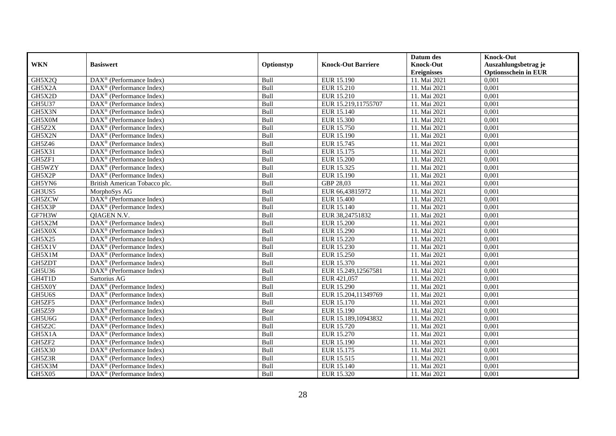|               |                                                              |             |                           | Datum des          | <b>Knock-Out</b>            |
|---------------|--------------------------------------------------------------|-------------|---------------------------|--------------------|-----------------------------|
| <b>WKN</b>    | <b>Basiswert</b>                                             | Optionstyp  | <b>Knock-Out Barriere</b> | <b>Knock-Out</b>   | Auszahlungsbetrag je        |
|               |                                                              |             |                           | <b>Ereignisses</b> | <b>Optionsschein in EUR</b> |
| GH5X2Q        | DAX <sup>®</sup> (Performance Index)                         | Bull        | EUR 15.190                | 11. Mai 2021       | 0,001                       |
| GH5X2A        | $DAX^{\circledast}$ (Performance Index)                      | Bull        | EUR 15.210                | 11. Mai 2021       | 0,001                       |
| GH5X2D        | $DAX^{\circledcirc}$ (Performance Index)                     | Bull        | EUR 15.210                | 11. Mai 2021       | 0,001                       |
| GH5U37        | $\text{DAX}^{\otimes}$ (Performance Index)                   | Bull        | EUR 15.219,11755707       | 11. Mai 2021       | 0.001                       |
| GH5X3N        | DAX <sup>®</sup> (Performance Index)                         | Bull        | <b>EUR 15.140</b>         | 11. Mai 2021       | 0,001                       |
| GH5X0M        | $DAX^{\circledR}$ (Performance Index)                        | Bull        | EUR 15.300                | 11. Mai 2021       | 0,001                       |
| GH5Z2X        | $DAX^{\circledR}$ (Performance Index)                        | Bull        | EUR 15.750                | 11. Mai 2021       | 0,001                       |
| GH5X2N        | $\text{DAX}^{\otimes}$ (Performance Index)                   | <b>Bull</b> | EUR 15.190                | 11. Mai 2021       | 0,001                       |
| GH5Z46        | $DAX^{\circledast}$ (Performance Index)                      | Bull        | EUR 15.745                | 11. Mai 2021       | 0,001                       |
| GH5X31        | $DAX^{\circledast}$ (Performance Index)                      | Bull        | EUR 15.175                | 11. Mai 2021       | 0,001                       |
| GH5ZF1        | $\overline{\text{DAX}}^{\textcircled{}}$ (Performance Index) | Bull        | EUR 15.200                | 11. Mai 2021       | 0,001                       |
| GH5WZY        | $\overline{\text{DAX}^{\otimes}}$ (Performance Index)        | Bull        | EUR 15.325                | 11. Mai 2021       | 0,001                       |
| GH5X2P        | DAX <sup>®</sup> (Performance Index)                         | Bull        | EUR 15.190                | 11. Mai 2021       | 0,001                       |
| GH5YN6        | British American Tobacco plc.                                | Bull        | GBP 28,03                 | 11. Mai 2021       | 0,001                       |
| GH3US5        | MorphoSys AG                                                 | Bull        | EUR 66,43815972           | 11. Mai 2021       | 0,001                       |
| GH5ZCW        | DAX <sup>®</sup> (Performance Index)                         | <b>Bull</b> | EUR 15.400                | 11. Mai 2021       | 0,001                       |
| GH5X3P        | DAX <sup>®</sup> (Performance Index)                         | Bull        | EUR 15.140                | 11. Mai 2021       | 0,001                       |
| GF7H3W        | OIAGEN N.V.                                                  | <b>Bull</b> | EUR 38.24751832           | 11. Mai 2021       | 0.001                       |
| GH5X2M        | DAX <sup>®</sup> (Performance Index)                         | Bull        | <b>EUR 15.200</b>         | 11. Mai 2021       | 0,001                       |
| GH5X0X        | DAX <sup>®</sup> (Performance Index)                         | Bull        | EUR 15.290                | 11. Mai 2021       | 0,001                       |
| GH5X25        | DAX <sup>®</sup> (Performance Index)                         | Bull        | EUR 15.220                | 11. Mai 2021       | 0,001                       |
| GH5X1V        | $\overline{\text{DAX}^{\otimes}}$ (Performance Index)        | Bull        | EUR 15.230                | 11. Mai 2021       | 0,001                       |
| GH5X1M        | DAX <sup>®</sup> (Performance Index)                         | Bull        | EUR 15.250                | 11. Mai 2021       | 0,001                       |
| GH5ZDT        | DAX <sup>®</sup> (Performance Index)                         | Bull        | EUR 15.370                | 11. Mai 2021       | 0,001                       |
| GH5U36        | $DAX^{\circledcirc}$ (Performance Index)                     | <b>Bull</b> | EUR 15.249.12567581       | 11. Mai 2021       | 0,001                       |
| GH4T1D        | Sartorius AG                                                 | Bull        | EUR 421,057               | 11. Mai 2021       | 0,001                       |
| GH5X0Y        | DAX <sup>®</sup> (Performance Index)                         | Bull        | <b>EUR 15.290</b>         | 11. Mai 2021       | 0,001                       |
| GH5U6S        | $DAX^{\circledR}$ (Performance Index)                        | Bull        | EUR 15.204,11349769       | 11. Mai 2021       | 0,001                       |
| GH5ZF5        | $\overline{\text{DAX}^{\otimes}}$ (Performance Index)        | Bull        | EUR 15.170                | 11. Mai 2021       | 0,001                       |
| GH5Z59        | $\text{DAX}^{\textcircled{}}$ (Performance Index)            | Bear        | EUR 15.190                | 11. Mai 2021       | 0,001                       |
| GH5U6G        | $DAX^{\circledast}$ (Performance Index)                      | <b>Bull</b> | EUR 15.189,10943832       | 11. Mai 2021       | 0,001                       |
| GH5Z2C        | $DAX^{\circledcirc}$ (Performance Index)                     | <b>Bull</b> | EUR 15.720                | 11. Mai 2021       | 0.001                       |
| GH5X1A        | $DAX^{\circledR}$ (Performance Index)                        | Bull        | <b>EUR 15.270</b>         | 11. Mai 2021       | 0,001                       |
| GH5ZF2        | $\overline{\text{DAX}}^{\textcirc}$ (Performance Index)      | Bull        | EUR 15.190                | 11. Mai 2021       | 0,001                       |
| <b>GH5X30</b> | DAX <sup>®</sup> (Performance Index)                         | Bull        | EUR 15.175                | 11. Mai 2021       | 0,001                       |
| GH5Z3R        | DAX <sup>®</sup> (Performance Index)                         | Bull        | EUR 15.515                | 11. Mai 2021       | 0,001                       |
| GH5X3M        | $DAX^{\circledast}$ (Performance Index)                      | Bull        | EUR 15.140                | 11. Mai 2021       | 0,001                       |
| GH5X05        | DAX <sup>®</sup> (Performance Index)                         | <b>Bull</b> | EUR 15.320                | 11. Mai 2021       | 0,001                       |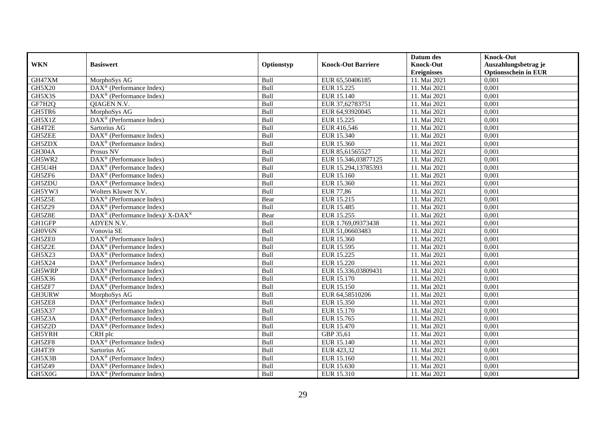|               |                                                          |             |                           | Datum des          | <b>Knock-Out</b>            |
|---------------|----------------------------------------------------------|-------------|---------------------------|--------------------|-----------------------------|
| <b>WKN</b>    | <b>Basiswert</b>                                         | Optionstyp  | <b>Knock-Out Barriere</b> | <b>Knock-Out</b>   | Auszahlungsbetrag je        |
|               |                                                          |             |                           | <b>Ereignisses</b> | <b>Optionsschein in EUR</b> |
| GH47XM        | MorphoSys AG                                             | Bull        | EUR 65,50406185           | 11. Mai 2021       | 0,001                       |
| <b>GH5X20</b> | DAX <sup>®</sup> (Performance Index)                     | Bull        | EUR 15.225                | 11. Mai 2021       | 0,001                       |
| GH5X3S        | $\overline{\text{DAX}^{\otimes}}$ (Performance Index)    | Bull        | EUR 15.140                | 11. Mai 2021       | 0,001                       |
| GF7H2Q        | <b>OIAGEN N.V.</b>                                       | Bull        | EUR 37,62783751           | 11. Mai 2021       | 0,001                       |
| GH5TR6        | MorphoSys AG                                             | <b>Bull</b> | EUR 64,93920045           | 11. Mai 2021       | 0,001                       |
| GH5X1Z        | $\overline{\text{DAX}^{\otimes}}$ (Performance Index)    | Bull        | EUR 15.225                | 11. Mai 2021       | 0,001                       |
| GH4T2E        | Sartorius AG                                             | <b>Bull</b> | EUR 416,546               | 11. Mai 2021       | 0,001                       |
| <b>GH5ZEE</b> | DAX <sup>®</sup> (Performance Index)                     | Bull        | EUR 15.340                | 11. Mai 2021       | 0,001                       |
| GH5ZDX        | DAX <sup>®</sup> (Performance Index)                     | Bull        | EUR 15.360                | 11. Mai 2021       | 0,001                       |
| <b>GH304A</b> | Prosus NV                                                | Bull        | EUR 85,61565527           | 11. Mai 2021       | 0,001                       |
| GH5WR2        | DAX <sup>®</sup> (Performance Index)                     | Bull        | EUR 15.346,03877125       | 11. Mai 2021       | 0,001                       |
| GH5U4H        | DAX <sup>®</sup> (Performance Index)                     | <b>Bull</b> | EUR 15.294,13785393       | 11. Mai 2021       | 0,001                       |
| GH5ZF6        | $DAX^{\circledast}$ (Performance Index)                  | Bull        | EUR 15.160                | 11. Mai 2021       | 0,001                       |
| GH5ZDU        | DAX <sup>®</sup> (Performance Index)                     | <b>Bull</b> | EUR 15.360                | 11. Mai 2021       | 0.001                       |
| GH5YW3        | Wolters Kluwer N.V.                                      | Bull        | <b>EUR 77,86</b>          | 11. Mai 2021       | 0,001                       |
| GH5Z5E        | DAX <sup>®</sup> (Performance Index)                     | Bear        | EUR 15.215                | 11. Mai 2021       | 0,001                       |
| GH5Z29        | DAX <sup>®</sup> (Performance Index)                     | Bull        | <b>EUR 15.485</b>         | 11. Mai 2021       | 0,001                       |
| GH5Z8E        | DAX <sup>®</sup> (Performance Index)/ X-DAX <sup>®</sup> | Bear        | EUR 15.255                | 11. Mai 2021       | 0,001                       |
| GH1GFP        | ADYEN N.V.                                               | Bull        | EUR 1.769,09373438        | 11. Mai 2021       | 0,001                       |
| GH0V6N        | Vonovia SE                                               | Bull        | EUR 51,06603483           | 11. Mai 2021       | 0,001                       |
| GH5ZE0        | DAX <sup>®</sup> (Performance Index)                     | Bull        | EUR 15.360                | 11. Mai 2021       | 0,001                       |
| GH5Z2E        | $DAX^{\circledcirc}$ (Performance Index)                 | Bull        | EUR 15.595                | 11. Mai 2021       | 0,001                       |
| <b>GH5X23</b> | $\text{DAX}^{\otimes}$ (Performance Index)               | Bull        | EUR 15.225                | 11. Mai 2021       | 0,001                       |
| GH5X24        | $\text{DAX}^{\textcircled{}}$ (Performance Index)        | Bull        | <b>EUR 15.220</b>         | 11. Mai 2021       | 0,001                       |
| GH5WRP        | $DAX^{\circledcirc}$ (Performance Index)                 | Bull        | EUR 15.336,03809431       | 11. Mai 2021       | 0,001                       |
| GH5X36        | $DAX^{\circledast}$ (Performance Index)                  | Bull        | EUR 15.170                | 11. Mai 2021       | 0,001                       |
| GH5ZF7        | DAX <sup>®</sup> (Performance Index)                     | Bull        | EUR 15.150                | 11. Mai 2021       | 0,001                       |
| GH3URW        | MorphoSys AG                                             | Bull        | EUR 64,58510206           | 11. Mai 2021       | 0,001                       |
| GH5ZE8        | $DAX^{\circledast}$ (Performance Index)                  | Bull        | EUR 15.350                | 11. Mai 2021       | 0.001                       |
| GH5X37        | $\text{DAX}^{\textcircled{}}$ (Performance Index)        | <b>Bull</b> | EUR 15.170                | 11. Mai 2021       | 0,001                       |
| GH5Z3A        | $DAX^{\circledR}$ (Performance Index)                    | Bull        | EUR 15.765                | 11. Mai 2021       | 0,001                       |
| GH5Z2D        | DAX <sup>®</sup> (Performance Index)                     | Bull        | EUR 15.470                | 11. Mai 2021       | 0,001                       |
| GH5YRH        | CRH plc                                                  | Bull        | GBP 35,61                 | 11. Mai 2021       | 0,001                       |
| GH5ZF8        | DAX <sup>®</sup> (Performance Index)                     | Bull        | EUR 15.140                | 11. Mai 2021       | 0,001                       |
| GH4T39        | Sartorius AG                                             | <b>Bull</b> | EUR 423,32                | 11. Mai 2021       | 0,001                       |
| GH5X3B        | $DAX^{\circledast}$ (Performance Index)                  | Bull        | EUR 15.160                | 11. Mai 2021       | 0,001                       |
| GH5Z49        | $DAX^{\circledast}$ (Performance Index)                  | Bull        | EUR 15.630                | 11. Mai 2021       | 0,001                       |
| GH5X0G        | $\text{DAX}^{\circledast}$ (Performance Index)           | <b>Bull</b> | EUR 15.310                | 11. Mai 2021       | 0,001                       |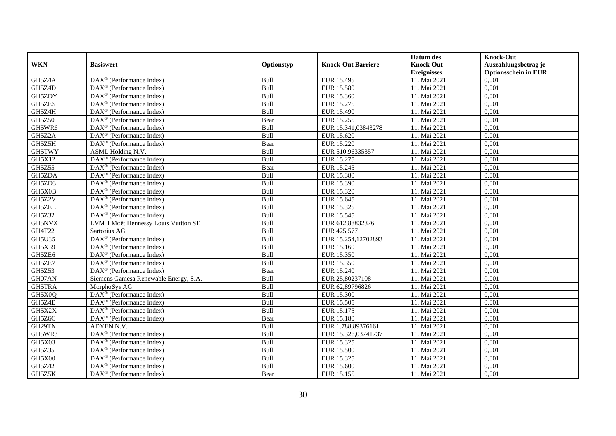|               |                                                         |             |                           | Datum des          | <b>Knock-Out</b>            |
|---------------|---------------------------------------------------------|-------------|---------------------------|--------------------|-----------------------------|
| <b>WKN</b>    | <b>Basiswert</b>                                        | Optionstyp  | <b>Knock-Out Barriere</b> | <b>Knock-Out</b>   | Auszahlungsbetrag je        |
|               |                                                         |             |                           | <b>Ereignisses</b> | <b>Optionsschein in EUR</b> |
| GH5Z4A        | DAX <sup>®</sup> (Performance Index)                    | Bull        | EUR 15.495                | 11. Mai 2021       | 0,001                       |
| GH5Z4D        | $DAX^{\circledast}$ (Performance Index)                 | Bull        | <b>EUR 15.580</b>         | 11. Mai 2021       | 0,001                       |
| GH5ZDY        | $DAX^{\circledcirc}$ (Performance Index)                | Bull        | EUR 15.360                | 11. Mai 2021       | 0,001                       |
| GH5ZES        | $DAX^{\circledast}$ (Performance Index)                 | Bull        | EUR 15.275                | 11. Mai 2021       | 0,001                       |
| GH5Z4H        | DAX <sup>®</sup> (Performance Index)                    | Bull        | EUR 15.490                | 11. Mai 2021       | 0,001                       |
| <b>GH5Z50</b> | $DAX^{\circledR}$ (Performance Index)                   | Bear        | EUR 15.255                | 11. Mai 2021       | 0,001                       |
| GH5WR6        | $DAX^{\circledR}$ (Performance Index)                   | <b>Bull</b> | EUR 15.341,03843278       | 11. Mai 2021       | 0,001                       |
| GH5Z2A        | $\overline{\text{DAX}}^{\textcirc}$ (Performance Index) | Bull        | EUR 15.620                | 11. Mai 2021       | 0,001                       |
| GH5Z5H        | $DAX^{\circledast}$ (Performance Index)                 | Bear        | <b>EUR 15.220</b>         | 11. Mai 2021       | 0,001                       |
| GH5TWY        | ASML Holding N.V.                                       | Bull        | EUR 510,96335357          | 11. Mai 2021       | 0,001                       |
| GH5X12        | DAX <sup>®</sup> (Performance Index)                    | Bull        | EUR 15.275                | 11. Mai 2021       | 0,001                       |
| GH5Z55        | DAX <sup>®</sup> (Performance Index)                    | Bear        | EUR 15.245                | 11. Mai 2021       | 0,001                       |
| GH5ZDA        | $DAX^{\circledast}$ (Performance Index)                 | <b>Bull</b> | <b>EUR 15.380</b>         | 11. Mai 2021       | 0,001                       |
| GH5ZD3        | $\text{DAX}^{\otimes}$ (Performance Index)              | <b>Bull</b> | EUR 15.390                | 11. Mai 2021       | 0.001                       |
| GH5X0B        | DAX <sup>®</sup> (Performance Index)                    | Bull        | EUR 15.320                | 11. Mai 2021       | 0,001                       |
| GH5Z2V        | DAX <sup>®</sup> (Performance Index)                    | Bull        | EUR 15.645                | 11. Mai 2021       | 0,001                       |
| GH5ZEL        | DAX <sup>®</sup> (Performance Index)                    | Bull        | EUR 15.325                | 11. Mai 2021       | 0,001                       |
| GH5Z32        | DAX <sup>®</sup> (Performance Index)                    | Bull        | EUR 15.545                | 11. Mai 2021       | 0,001                       |
| GH5NVX        | LVMH Moët Hennessy Louis Vuitton SE                     | Bull        | EUR 612,88832376          | 11. Mai 2021       | 0,001                       |
| GH4T22        | Sartorius AG                                            | Bull        | EUR 425,577               | 11. Mai 2021       | 0,001                       |
| <b>GH5U35</b> | DAX <sup>®</sup> (Performance Index)                    | Bull        | EUR 15.254,12702893       | 11. Mai 2021       | 0,001                       |
| GH5X39        | $DAX^{\circledR}$ (Performance Index)                   | <b>Bull</b> | EUR 15.160                | 11. Mai 2021       | 0,001                       |
| GH5ZE6        | $\text{DAX}^{\otimes}$ (Performance Index)              | Bull        | EUR 15.350                | 11. Mai 2021       | 0,001                       |
| GH5ZE7        | $DAX^{\circledR}$ (Performance Index)                   | Bull        | EUR 15.350                | 11. Mai 2021       | 0,001                       |
| GH5Z53        | $DAX^{\circledR}$ (Performance Index)                   | Bear        | EUR 15.240                | 11. Mai 2021       | 0,001                       |
| GH07AN        | Siemens Gamesa Renewable Energy, S.A.                   | Bull        | EUR 25,80237108           | 11. Mai 2021       | 0,001                       |
| GH5TRA        | MorphoSys AG                                            | Bull        | EUR 62,89796826           | 11. Mai 2021       | 0,001                       |
| GH5X0Q        | DAX <sup>®</sup> (Performance Index)                    | Bull        | <b>EUR 15.300</b>         | 11. Mai 2021       | 0,001                       |
| GH5Z4E        | $DAX^{\circledast}$ (Performance Index)                 | Bull        | EUR 15.505                | 11. Mai 2021       | 0,001                       |
| GH5X2X        | $\text{DAX}^{\textcircled{}}$ (Performance Index)       | <b>Bull</b> | EUR 15.175                | 11. Mai 2021       | 0,001                       |
| GH5Z6C        | DAX <sup>®</sup> (Performance Index)                    | Bear        | <b>EUR 15.180</b>         | 11. Mai 2021       | 0,001                       |
| GH29TN        | ADYEN N.V.                                              | Bull        | EUR 1.788,89376161        | 11. Mai 2021       | 0,001                       |
| GH5WR3        | DAX <sup>®</sup> (Performance Index)                    | Bull        | EUR 15.326,03741737       | 11. Mai 2021       | 0,001                       |
| GH5X03        | $\overline{\text{DAX}}^{\textcirc}$ (Performance Index) | Bull        | EUR 15.325                | 11. Mai 2021       | 0,001                       |
| GH5Z35        | $\text{DAX}^{\circledast}$ (Performance Index)          | <b>Bull</b> | <b>EUR 15.500</b>         | 11. Mai 2021       | 0,001                       |
| GH5X00        | DAX <sup>®</sup> (Performance Index)                    | Bull        | EUR 15.325                | 11. Mai 2021       | 0,001                       |
| GH5Z42        | $DAX^{\circledast}$ (Performance Index)                 | Bull        | EUR 15.600                | 11. Mai 2021       | 0,001                       |
| GH5Z5K        | $\text{DAX}^{\circledast}$ (Performance Index)          | Bear        | EUR 15.155                | 11. Mai 2021       | 0,001                       |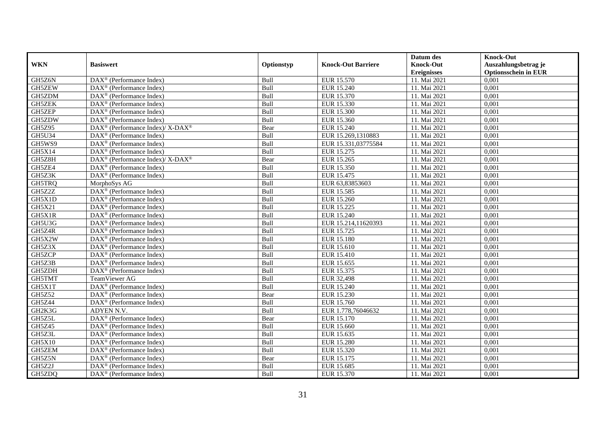|               |                                                          |             |                           | Datum des          | <b>Knock-Out</b>            |
|---------------|----------------------------------------------------------|-------------|---------------------------|--------------------|-----------------------------|
| <b>WKN</b>    | <b>Basiswert</b>                                         | Optionstyp  | <b>Knock-Out Barriere</b> | <b>Knock-Out</b>   | Auszahlungsbetrag je        |
|               |                                                          |             |                           | <b>Ereignisses</b> | <b>Optionsschein in EUR</b> |
| GH5Z6N        | DAX <sup>®</sup> (Performance Index)                     | Bull        | EUR 15.570                | 11. Mai 2021       | 0,001                       |
| GH5ZEW        | $DAX^{\circledast}$ (Performance Index)                  | Bull        | EUR 15.240                | 11. Mai 2021       | 0,001                       |
| GH5ZDM        | DAX <sup>®</sup> (Performance Index)                     | <b>Bull</b> | EUR 15.370                | 11. Mai 2021       | 0,001                       |
| GH5ZEK        | $DAX^{\circledast}$ (Performance Index)                  | Bull        | EUR 15.330                | 11. Mai 2021       | 0,001                       |
| GH5ZEP        | DAX <sup>®</sup> (Performance Index)                     | Bull        | <b>EUR 15.300</b>         | 11. Mai 2021       | 0,001                       |
| GH5ZDW        | $\text{DAX}^{\textcircled{}}$ (Performance Index)        | <b>Bull</b> | EUR 15.360                | 11. Mai 2021       | 0,001                       |
| <b>GH5Z95</b> | DAX <sup>®</sup> (Performance Index)/ X-DAX <sup>®</sup> | Bear        | EUR 15.240                | 11. Mai 2021       | 0,001                       |
| GH5U34        | $DAX^{\circledR}$ (Performance Index)                    | Bull        | EUR 15.269,1310883        | 11. Mai 2021       | 0,001                       |
| GH5WS9        | $DAX^{\circledR}$ (Performance Index)                    | Bull        | EUR 15.331,03775584       | 11. Mai 2021       | 0,001                       |
| GH5X14        | DAX <sup>®</sup> (Performance Index)                     | Bull        | EUR 15.275                | 11. Mai 2021       | 0,001                       |
| GH5Z8H        | DAX <sup>®</sup> (Performance Index)/ X-DAX <sup>®</sup> | Bear        | EUR 15.265                | 11. Mai 2021       | 0,001                       |
| GH5ZE4        | DAX <sup>®</sup> (Performance Index)                     | Bull        | EUR 15.350                | 11. Mai 2021       | 0,001                       |
| GH5Z3K        | $DAX^{\circledast}$ (Performance Index)                  | Bull        | EUR 15.475                | 11. Mai 2021       | 0,001                       |
| GH5TRQ        | MorphoSys AG                                             | Bull        | EUR 63,83853603           | 11. Mai 2021       | 0,001                       |
| GH5Z2Z        | DAX <sup>®</sup> (Performance Index)                     | Bull        | EUR 15.585                | 11. Mai 2021       | 0,001                       |
| GH5X1D        | DAX <sup>®</sup> (Performance Index)                     | Bull        | EUR 15.260                | 11. Mai 2021       | 0,001                       |
| GH5X21        | $\text{DAX}^{\textcircled{}}$ (Performance Index)        | Bull        | EUR 15.225                | 11. Mai 2021       | 0,001                       |
| GH5X1R        | $\overline{\text{DAX}^{\otimes}}$ (Performance Index)    | Bull        | <b>EUR 15.240</b>         | 11. Mai 2021       | 0,001                       |
| GH5U3G        | $DAX^{\circledast}$ (Performance Index)                  | <b>Bull</b> | EUR 15.214,11620393       | 11. Mai 2021       | 0,001                       |
| GH5Z4R        | $DAX^{\circledast}$ (Performance Index)                  | Bull        | EUR 15.725                | 11. Mai 2021       | 0,001                       |
| GH5X2W        | $DAX^{\circledast}$ (Performance Index)                  | Bull        | EUR 15.180                | 11. Mai 2021       | 0,001                       |
| GH5Z3X        | $\overline{\text{DAX}}^{\textcirc}$ (Performance Index)  | Bull        | EUR 15.610                | 11. Mai 2021       | 0,001                       |
| GH5ZCP        | $\overline{\text{DAX}^{\otimes}}$ (Performance Index)    | Bull        | EUR 15.410                | 11. Mai 2021       | 0,001                       |
| GH5Z3B        | $DAX^{\circledR}$ (Performance Index)                    | Bull        | EUR 15.655                | 11. Mai 2021       | 0,001                       |
| GH5ZDH        | $DAX^{\circledR}$ (Performance Index)                    | Bull        | EUR 15.375                | 11. Mai 2021       | 0,001                       |
| GH5TMT        | TeamViewer AG                                            | Bull        | EUR 32,498                | 11. Mai 2021       | 0,001                       |
| GH5X1T        | DAX <sup>®</sup> (Performance Index)                     | Bull        | EUR 15.240                | 11. Mai 2021       | 0,001                       |
| GH5Z52        | $\overline{\text{DAX}^{\otimes}}$ (Performance Index)    | Bear        | EUR 15.230                | 11. Mai 2021       | 0,001                       |
| GH5Z44        | DAX <sup>®</sup> (Performance Index)                     | Bull        | EUR 15.760                | 11. Mai 2021       | 0,001                       |
| GH2K3G        | ADYEN N.V.                                               | Bull        | EUR 1.778.76046632        | 11. Mai 2021       | 0.001                       |
| GH5Z5L        | $DAX^{\circledR}$ (Performance Index)                    | Bear        | EUR 15.170                | 11. Mai 2021       | 0,001                       |
| GH5Z45        | DAX <sup>®</sup> (Performance Index)                     | Bull        | EUR 15.660                | 11. Mai 2021       | 0,001                       |
| GH5Z3L        | $DAX^{\circledast}$ (Performance Index)                  | Bull        | EUR 15.635                | 11. Mai 2021       | 0,001                       |
| <b>GH5X10</b> | $\overline{\text{DAX}^{\otimes}}$ (Performance Index)    | Bull        | <b>EUR 15.280</b>         | 11. Mai 2021       | 0,001                       |
| GH5ZEM        | DAX <sup>®</sup> (Performance Index)                     | Bull        | EUR 15.320                | 11. Mai 2021       | 0,001                       |
| GH5Z5N        | DAX <sup>®</sup> (Performance Index)                     | Bear        | EUR 15.175                | 11. Mai 2021       | 0,001                       |
| GH5Z2J        | $DAX^{\circledast}$ (Performance Index)                  | Bull        | EUR 15.685                | 11. Mai 2021       | 0,001                       |
| GH5ZDQ        | DAX <sup>®</sup> (Performance Index)                     | <b>Bull</b> | EUR 15.370                | 11. Mai 2021       | 0,001                       |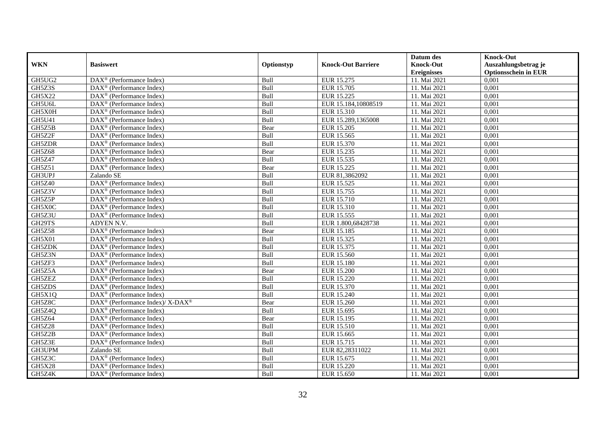|               |                                                          |             |                           | Datum des          | <b>Knock-Out</b>            |
|---------------|----------------------------------------------------------|-------------|---------------------------|--------------------|-----------------------------|
| <b>WKN</b>    | <b>Basiswert</b>                                         | Optionstyp  | <b>Knock-Out Barriere</b> | <b>Knock-Out</b>   | Auszahlungsbetrag je        |
|               |                                                          |             |                           | <b>Ereignisses</b> | <b>Optionsschein in EUR</b> |
| GH5UG2        | DAX <sup>®</sup> (Performance Index)                     | Bull        | EUR 15.275                | 11. Mai 2021       | 0,001                       |
| GH5Z3S        | $DAX^{\circledast}$ (Performance Index)                  | Bull        | EUR 15.705                | 11. Mai 2021       | 0,001                       |
| GH5X22        | $DAX^{\circledcirc}$ (Performance Index)                 | Bull        | EUR 15.225                | 11. Mai 2021       | 0,001                       |
| GH5U6L        | $DAX^{\circledast}$ (Performance Index)                  | Bull        | EUR 15.184,10808519       | 11. Mai 2021       | 0.001                       |
| GH5X0H        | DAX <sup>®</sup> (Performance Index)                     | Bull        | EUR 15.310                | 11. Mai 2021       | 0,001                       |
| GH5U41        | $DAX^{\circledR}$ (Performance Index)                    | Bull        | EUR 15.289,1365008        | 11. Mai 2021       | 0,001                       |
| GH5Z5B        | $DAX^{\circledR}$ (Performance Index)                    | Bear        | <b>EUR 15.205</b>         | 11. Mai 2021       | 0,001                       |
| GH5Z2F        | $DAX^{\circledast}$ (Performance Index)                  | <b>Bull</b> | EUR 15.565                | 11. Mai 2021       | 0,001                       |
| GH5ZDR        | $DAX^{\circledast}$ (Performance Index)                  | Bull        | EUR 15.370                | 11. Mai 2021       | 0,001                       |
| GH5Z68        | $DAX^{\circledast}$ (Performance Index)                  | Bear        | EUR 15.235                | 11. Mai 2021       | 0.001                       |
| <b>GH5Z47</b> | $DAX^{\circledcirc}$ (Performance Index)                 | Bull        | EUR 15.535                | 11. Mai 2021       | 0,001                       |
| GH5Z51        | DAX <sup>®</sup> (Performance Index)                     | Bear        | EUR 15.225                | 11. Mai 2021       | 0,001                       |
| GH3UPJ        | Zalando SE                                               | Bull        | EUR 81,3862092            | 11. Mai 2021       | 0,001                       |
| GH5Z40        | $DAX^{\circledR}$ (Performance Index)                    | Bull        | EUR 15.525                | 11. Mai 2021       | 0,001                       |
| GH5Z3V        | $DAX^{\circledast}$ (Performance Index)                  | Bull        | EUR 15.755                | 11. Mai 2021       | 0,001                       |
| GH5Z5P        | DAX <sup>®</sup> (Performance Index)                     | <b>Bull</b> | EUR 15.710                | 11. Mai 2021       | 0,001                       |
| GH5X0C        | DAX <sup>®</sup> (Performance Index)                     | Bull        | EUR 15.310                | 11. Mai 2021       | 0,001                       |
| GH5Z3U        | $DAX^{\circledast}$ (Performance Index)                  | <b>Bull</b> | EUR 15.555                | 11. Mai 2021       | 0.001                       |
| GH29TS        | ADYEN N.V.                                               | Bull        | EUR 1.800,68428738        | 11. Mai 2021       | 0,001                       |
| <b>GH5Z58</b> | DAX <sup>®</sup> (Performance Index)                     | Bear        | EUR 15.185                | 11. Mai 2021       | 0,001                       |
| GH5X01        | DAX <sup>®</sup> (Performance Index)                     | Bull        | EUR 15.325                | 11. Mai 2021       | 0,001                       |
| GH5ZDK        | $\overline{\text{DAX}^{\otimes}}$ (Performance Index)    | Bull        | EUR 15.375                | 11. Mai 2021       | 0,001                       |
| GH5Z3N        | DAX <sup>®</sup> (Performance Index)                     | Bull        | EUR 15.560                | 11. Mai 2021       | 0,001                       |
| GH5ZF3        | DAX <sup>®</sup> (Performance Index)                     | Bull        | <b>EUR 15.180</b>         | 11. Mai 2021       | 0,001                       |
| GH5Z5A        | DAX <sup>®</sup> (Performance Index)                     | Bear        | EUR 15.200                | 11. Mai 2021       | 0,001                       |
| GH5ZEZ        | DAX <sup>®</sup> (Performance Index)                     | Bull        | <b>EUR 15.220</b>         | 11. Mai 2021       | 0,001                       |
| GH5ZDS        | DAX <sup>®</sup> (Performance Index)                     | Bull        | <b>EUR 15.370</b>         | 11. Mai 2021       | 0,001                       |
| GH5X1Q        | $DAX^{\circledR}$ (Performance Index)                    | Bull        | EUR 15.240                | 11. Mai 2021       | 0,001                       |
| GH5Z8C        | DAX <sup>®</sup> (Performance Index)/ X-DAX <sup>®</sup> | Bear        | EUR 15.260                | 11. Mai 2021       | 0,001                       |
| GH5Z4Q        | $\text{DAX}^{\textcircled{}}$ (Performance Index)        | <b>Bull</b> | EUR 15.695                | 11. Mai 2021       | 0,001                       |
| GH5Z64        | $DAX^{\circledast}$ (Performance Index)                  | Bear        | EUR 15.195                | 11. Mai 2021       | 0,001                       |
| <b>GH5Z28</b> | $DAX^{\circledcirc}$ (Performance Index)                 | <b>Bull</b> | EUR 15.510                | 11. Mai 2021       | 0.001                       |
| GH5Z2B        | $DAX^{\circledR}$ (Performance Index)                    | Bull        | EUR 15.665                | 11. Mai 2021       | 0,001                       |
| GH5Z3E        | DAX <sup>®</sup> (Performance Index)                     | Bull        | EUR 15.715                | 11. Mai 2021       | 0,001                       |
| GH3UPM        | Zalando SE                                               | Bull        | EUR 82,28311022           | 11. Mai 2021       | 0,001                       |
| GH5Z3C        | DAX <sup>®</sup> (Performance Index)                     | Bull        | EUR 15.675                | 11. Mai 2021       | 0,001                       |
| <b>GH5X28</b> | $DAX^{\circledast}$ (Performance Index)                  | Bull        | EUR 15.220                | 11. Mai 2021       | 0,001                       |
| GH5Z4K        | $\overline{\text{DAX}^{\otimes}}$ (Performance Index)    | <b>Bull</b> | EUR 15.650                | 11. Mai 2021       | 0,001                       |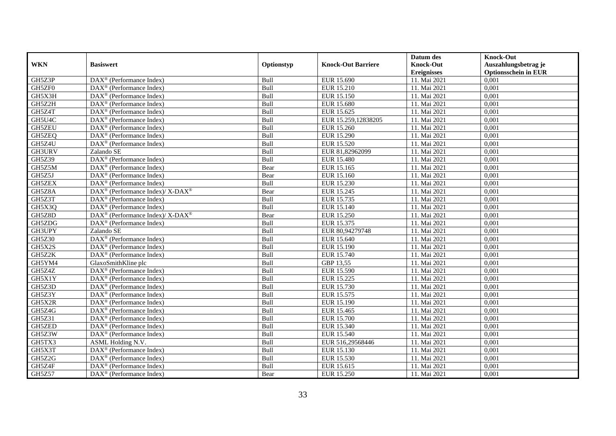|               |                                                          |             |                           | Datum des          | <b>Knock-Out</b>            |
|---------------|----------------------------------------------------------|-------------|---------------------------|--------------------|-----------------------------|
| <b>WKN</b>    | <b>Basiswert</b>                                         | Optionstyp  | <b>Knock-Out Barriere</b> | <b>Knock-Out</b>   | Auszahlungsbetrag je        |
|               |                                                          |             |                           | <b>Ereignisses</b> | <b>Optionsschein in EUR</b> |
| GH5Z3P        | DAX <sup>®</sup> (Performance Index)                     | Bull        | EUR 15.690                | 11. Mai 2021       | 0,001                       |
| GH5ZF0        | $DAX^{\circledast}$ (Performance Index)                  | Bull        | EUR 15.210                | 11. Mai 2021       | 0,001                       |
| GH5X3H        | $DAX^{\circledcirc}$ (Performance Index)                 | Bull        | EUR 15.150                | 11. Mai 2021       | 0,001                       |
| GH5Z2H        | $DAX^{\circledast}$ (Performance Index)                  | Bull        | EUR 15.680                | 11. Mai 2021       | 0,001                       |
| GH5Z4T        | DAX <sup>®</sup> (Performance Index)                     | <b>Bull</b> | EUR 15.625                | 11. Mai 2021       | 0,001                       |
| GH5U4C        | $DAX^{\circledR}$ (Performance Index)                    | Bull        | EUR 15.259,12838205       | 11. Mai 2021       | 0,001                       |
| <b>GH5ZEU</b> | $DAX^{\circledR}$ (Performance Index)                    | <b>Bull</b> | EUR 15.260                | 11. Mai 2021       | 0,001                       |
| GH5ZEQ        | DAX <sup>®</sup> (Performance Index)                     | Bull        | EUR 15.290                | 11. Mai 2021       | 0,001                       |
| GH5Z4U        | DAX <sup>®</sup> (Performance Index)                     | Bull        | EUR 15.520                | 11. Mai 2021       | 0,001                       |
| GH3URV        | Zalando SE                                               | Bull        | EUR 81,82962099           | 11. Mai 2021       | 0,001                       |
| GH5Z39        | DAX <sup>®</sup> (Performance Index)                     | Bull        | <b>EUR 15.480</b>         | 11. Mai 2021       | 0,001                       |
| GH5Z5M        | DAX <sup>®</sup> (Performance Index)                     | Bear        | EUR 15.165                | 11. Mai 2021       | 0,001                       |
| GH5Z5J        | $DAX^{\circledast}$ (Performance Index)                  | Bear        | EUR 15.160                | 11. Mai 2021       | 0,001                       |
| GH5ZEX        | $\text{DAX}^{\otimes}$ (Performance Index)               | <b>Bull</b> | EUR 15.230                | 11. Mai 2021       | 0.001                       |
| GH5Z8A        | DAX <sup>®</sup> (Performance Index)/ X-DAX <sup>®</sup> | Bear        | EUR 15.245                | 11. Mai 2021       | 0,001                       |
| GH5Z3T        | DAX <sup>®</sup> (Performance Index)                     | Bull        | EUR 15.735                | 11. Mai 2021       | 0,001                       |
| GH5X3Q        | DAX <sup>®</sup> (Performance Index)                     | Bull        | EUR 15.140                | 11. Mai 2021       | 0,001                       |
| GH5Z8D        | DAX <sup>®</sup> (Performance Index)/ X-DAX <sup>®</sup> | Bear        | EUR 15.250                | 11. Mai 2021       | 0,001                       |
| GH5ZDG        | $DAX^{\circledast}$ (Performance Index)                  | Bull        | EUR 15.375                | 11. Mai 2021       | 0,001                       |
| GH3UPY        | Zalando SE                                               | Bull        | EUR 80,94279748           | 11. Mai 2021       | 0,001                       |
| GH5Z30        | DAX <sup>®</sup> (Performance Index)                     | Bull        | EUR 15.640                | 11. Mai 2021       | 0,001                       |
| GH5X2S        | $DAX^{\circledcirc}$ (Performance Index)                 | Bull        | EUR 15.190                | 11. Mai 2021       | 0,001                       |
| GH5Z2K        | $\text{DAX}^{\otimes}$ (Performance Index)               | Bull        | EUR 15.740                | 11. Mai 2021       | 0,001                       |
| GH5YM4        | GlaxoSmithKline plc                                      | Bull        | GBP 13,55                 | 11. Mai 2021       | 0,001                       |
| GH5Z4Z        | $\overline{\text{DAX}}^{\textcirc}$ (Performance Index)  | Bull        | <b>EUR 15.590</b>         | 11. Mai 2021       | 0,001                       |
| GH5X1Y        | DAX <sup>®</sup> (Performance Index)                     | Bull        | EUR 15.225                | 11. Mai 2021       | 0,001                       |
| GH5Z3D        | $\overline{\text{DAX}^{\otimes}}$ (Performance Index)    | Bull        | EUR 15.730                | 11. Mai 2021       | 0,001                       |
| GH5Z3Y        | DAX <sup>®</sup> (Performance Index)                     | Bull        | EUR 15.575                | 11. Mai 2021       | 0,001                       |
| GH5X2R        | $DAX^{\circledast}$ (Performance Index)                  | Bull        | EUR 15.190                | 11. Mai 2021       | 0,001                       |
| GH5Z4G        | $\text{DAX}^{\textcircled{}}$ (Performance Index)        | <b>Bull</b> | EUR 15.465                | 11. Mai 2021       | 0,001                       |
| GH5Z31        | $DAX^{\circledR}$ (Performance Index)                    | Bull        | <b>EUR 15.700</b>         | 11. Mai 2021       | 0,001                       |
| GH5ZED        | DAX <sup>®</sup> (Performance Index)                     | Bull        | EUR 15.340                | 11. Mai 2021       | 0,001                       |
| GH5Z3W        | DAX <sup>®</sup> (Performance Index)                     | Bull        | EUR 15.540                | 11. Mai 2021       | 0,001                       |
| GH5TX3        | <b>ASML</b> Holding N.V.                                 | Bull        | EUR 516,29568446          | 11. Mai 2021       | 0,001                       |
| GH5X3T        | $\text{DAX}^{\circledast}$ (Performance Index)           | <b>Bull</b> | EUR 15.130                | 11. Mai 2021       | 0,001                       |
| GH5Z2G        | DAX <sup>®</sup> (Performance Index)                     | Bull        | EUR 15.530                | 11. Mai 2021       | 0,001                       |
| GH5Z4F        | $DAX^{\circledast}$ (Performance Index)                  | Bull        | EUR 15.615                | 11. Mai 2021       | 0,001                       |
| GH5Z57        | $\text{DAX}^{\circledast}$ (Performance Index)           | Bear        | EUR 15.250                | 11. Mai 2021       | 0,001                       |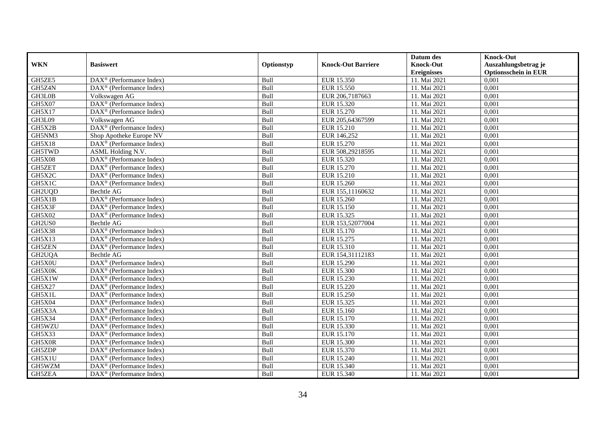|               |                                                         |             |                           | Datum des          | <b>Knock-Out</b>            |
|---------------|---------------------------------------------------------|-------------|---------------------------|--------------------|-----------------------------|
| <b>WKN</b>    | <b>Basiswert</b>                                        | Optionstyp  | <b>Knock-Out Barriere</b> | <b>Knock-Out</b>   | Auszahlungsbetrag je        |
|               |                                                         |             |                           | <b>Ereignisses</b> | <b>Optionsschein in EUR</b> |
| GH5ZE5        | DAX <sup>®</sup> (Performance Index)                    | Bull        | EUR 15.350                | 11. Mai 2021       | 0,001                       |
| GH5Z4N        | $DAX^{\circledast}$ (Performance Index)                 | Bull        | EUR 15.550                | 11. Mai 2021       | 0,001                       |
| GH3L0B        | Volkswagen AG                                           | Bull        | EUR 206,7187663           | 11. Mai 2021       | 0,001                       |
| GH5X07        | $DAX^{\circledR}$ (Performance Index)                   | Bull        | EUR 15.320                | 11. Mai 2021       | 0.001                       |
| <b>GH5X17</b> | $\overline{\text{DAX}^{\otimes}}$ (Performance Index)   | Bull        | <b>EUR 15.270</b>         | 11. Mai 2021       | 0,001                       |
| GH3L09        | Volkswagen AG                                           | Bull        | EUR 205,64367599          | 11. Mai 2021       | 0,001                       |
| GH5X2B        | DAX <sup>®</sup> (Performance Index)                    | Bull        | EUR 15.210                | 11. Mai 2021       | 0,001                       |
| GH5NM3        | Shop Apotheke Europe NV                                 | Bull        | EUR 146,252               | 11. Mai 2021       | 0,001                       |
| <b>GH5X18</b> | $\text{DAX}^{\otimes}$ (Performance Index)              | Bull        | EUR 15.270                | 11. Mai 2021       | 0,001                       |
| GH5TWD        | ASML Holding N.V.                                       | Bull        | EUR 508,29218595          | 11. Mai 2021       | 0.001                       |
| <b>GH5X08</b> | DAX <sup>®</sup> (Performance Index)                    | Bull        | EUR 15.320                | 11. Mai 2021       | 0,001                       |
| GH5ZET        | $\overline{\text{DAX}^{\otimes}}$ (Performance Index)   | Bull        | <b>EUR 15.270</b>         | 11. Mai 2021       | 0,001                       |
| GH5X2C        | DAX <sup>®</sup> (Performance Index)                    | Bull        | EUR 15.210                | 11. Mai 2021       | 0,001                       |
| GH5X1C        | DAX <sup>®</sup> (Performance Index)                    | Bull        | EUR 15.260                | 11. Mai 2021       | 0,001                       |
| GH2UQD        | Bechtle AG                                              | Bull        | EUR 155,11160632          | 11. Mai 2021       | 0,001                       |
| GH5X1B        | DAX <sup>®</sup> (Performance Index)                    | <b>Bull</b> | EUR 15.260                | 11. Mai 2021       | 0,001                       |
| GH5X3F        | DAX <sup>®</sup> (Performance Index)                    | Bull        | EUR 15.150                | 11. Mai 2021       | 0,001                       |
| GH5X02        | $DAX^{\circledcirc}$ (Performance Index)                | <b>Bull</b> | EUR 15.325                | 11. Mai 2021       | 0.001                       |
| GH2US0        | Bechtle AG                                              | Bull        | EUR 153,52077004          | 11. Mai 2021       | 0,001                       |
| GH5X38        | DAX <sup>®</sup> (Performance Index)                    | Bull        | EUR 15.170                | 11. Mai 2021       | 0,001                       |
| GH5X13        | DAX <sup>®</sup> (Performance Index)                    | Bull        | EUR 15.275                | 11. Mai 2021       | 0,001                       |
| <b>GH5ZEN</b> | $\text{DAX}^{\textcircled{}}$ (Performance Index)       | Bull        | EUR 15.310                | 11. Mai 2021       | 0,001                       |
| GH2UQA        | Bechtle AG                                              | Bull        | EUR 154,31112183          | 11. Mai 2021       | 0,001                       |
| GH5X0U        | DAX <sup>®</sup> (Performance Index)                    | Bull        | EUR 15.290                | 11. Mai 2021       | 0,001                       |
| GH5X0K        | DAX <sup>®</sup> (Performance Index)                    | <b>Bull</b> | <b>EUR 15.300</b>         | 11. Mai 2021       | 0,001                       |
| GH5X1W        | DAX <sup>®</sup> (Performance Index)                    | Bull        | <b>EUR 15.230</b>         | 11. Mai 2021       | 0,001                       |
| GH5X27        | DAX <sup>®</sup> (Performance Index)                    | Bull        | <b>EUR 15.220</b>         | 11. Mai 2021       | 0,001                       |
| GH5X1L        | $DAX^{\circledR}$ (Performance Index)                   | Bull        | EUR 15.250                | 11. Mai 2021       | 0,001                       |
| GH5X04        | $\overline{\text{DAX}^{\otimes}}$ (Performance Index)   | Bull        | EUR 15.325                | 11. Mai 2021       | 0,001                       |
| GH5X3A        | $\text{DAX}^{\textcircled{}}$ (Performance Index)       | <b>Bull</b> | EUR 15.160                | 11. Mai 2021       | 0,001                       |
| GH5X34        | $\text{DAX}^{\otimes}$ (Performance Index)              | <b>Bull</b> | EUR 15.170                | 11. Mai 2021       | 0,001                       |
| GH5WZU        | $DAX^{\circledcirc}$ (Performance Index)                | <b>Bull</b> | EUR 15.330                | 11. Mai 2021       | 0,001                       |
| GH5X33        | $DAX^{\circledR}$ (Performance Index)                   | Bull        | EUR 15.170                | 11. Mai 2021       | 0,001                       |
| GH5X0R        | $\overline{\text{DAX}}^{\textcirc}$ (Performance Index) | Bull        | <b>EUR 15.300</b>         | 11. Mai 2021       | 0,001                       |
| GH5ZDP        | DAX <sup>®</sup> (Performance Index)                    | Bull        | EUR 15.370                | 11. Mai 2021       | 0,001                       |
| GH5X1U        | $DAX^{\circledR}$ (Performance Index)                   | Bull        | <b>EUR 15.240</b>         | 11. Mai 2021       | 0,001                       |
| GH5WZM        | $DAX^{\circledast}$ (Performance Index)                 | Bull        | EUR 15.340                | 11. Mai 2021       | 0,001                       |
| GH5ZEA        | DAX <sup>®</sup> (Performance Index)                    | <b>Bull</b> | EUR 15.340                | 11. Mai 2021       | 0,001                       |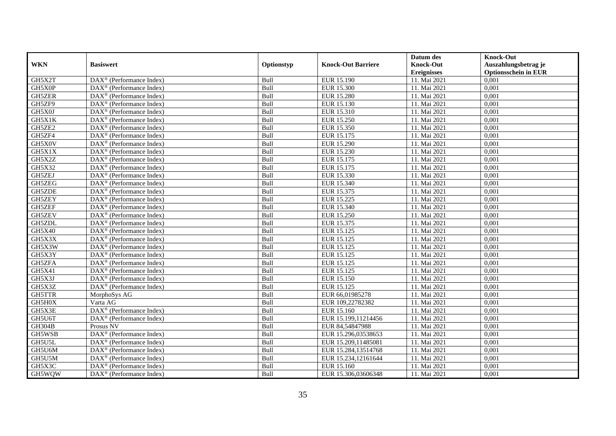|               |                                                         |             |                           | Datum des          | <b>Knock-Out</b>            |
|---------------|---------------------------------------------------------|-------------|---------------------------|--------------------|-----------------------------|
| <b>WKN</b>    | <b>Basiswert</b>                                        | Optionstyp  | <b>Knock-Out Barriere</b> | <b>Knock-Out</b>   | Auszahlungsbetrag je        |
|               |                                                         |             |                           | <b>Ereignisses</b> | <b>Optionsschein in EUR</b> |
| GH5X2T        | DAX <sup>®</sup> (Performance Index)                    | Bull        | EUR 15.190                | 11. Mai 2021       | 0,001                       |
| GH5X0P        | $DAX^{\circledast}$ (Performance Index)                 | Bull        | <b>EUR 15.300</b>         | 11. Mai 2021       | 0,001                       |
| GH5ZER        | $DAX^{\circledcirc}$ (Performance Index)                | Bull        | <b>EUR 15.280</b>         | 11. Mai 2021       | 0,001                       |
| GH5ZF9        | $\text{DAX}^{\otimes}$ (Performance Index)              | Bull        | EUR 15.130                | 11. Mai 2021       | 0.001                       |
| GH5X0J        | DAX <sup>®</sup> (Performance Index)                    | Bull        | EUR 15.310                | 11. Mai 2021       | 0,001                       |
| GH5X1K        | $DAX^{\circledR}$ (Performance Index)                   | Bull        | <b>EUR 15.250</b>         | 11. Mai 2021       | 0,001                       |
| GH5ZE2        | $\overline{\text{DAX}^{\otimes}}$ (Performance Index)   | Bull        | EUR 15.350                | 11. Mai 2021       | 0,001                       |
| GH5ZF4        | $\text{DAX}^{\otimes}$ (Performance Index)              | <b>Bull</b> | EUR 15.175                | 11. Mai 2021       | 0,001                       |
| GH5X0V        | $\text{DAX}^{\otimes}$ (Performance Index)              | Bull        | EUR 15.290                | 11. Mai 2021       | 0,001                       |
| GH5X1X        | $DAX^{\circledast}$ (Performance Index)                 | Bull        | EUR 15.230                | 11. Mai 2021       | 0,001                       |
| GH5X2Z        | DAX <sup>®</sup> (Performance Index)                    | Bull        | EUR 15.175                | 11. Mai 2021       | 0,001                       |
| GH5X32        | $\overline{\text{DAX}}^{\textcirc}$ (Performance Index) | Bull        | EUR 15.175                | 11. Mai 2021       | 0,001                       |
| GH5ZEJ        | $\text{DAX}^{\otimes}$ (Performance Index)              | Bull        | EUR 15.330                | 11. Mai 2021       | 0,001                       |
| GH5ZEG        | $DAX^{\circledcirc}$ (Performance Index)                | Bull        | EUR 15.340                | 11. Mai 2021       | 0,001                       |
| GH5ZDE        | $\text{DAX}^{\otimes}$ (Performance Index)              | Bull        | EUR 15.375                | 11. Mai 2021       | 0,001                       |
| GH5ZEY        | $DAX^{\circledast}$ (Performance Index)                 | <b>Bull</b> | EUR 15.225                | 11. Mai 2021       | 0,001                       |
| GH5ZEF        | DAX <sup>®</sup> (Performance Index)                    | Bull        | EUR 15.340                | 11. Mai 2021       | 0,001                       |
| GH5ZEV        | $\overline{\text{DAX}^{\otimes}}$ (Performance Index)   | <b>Bull</b> | EUR 15.250                | 11. Mai 2021       | 0.001                       |
| GH5ZDL        | $\text{DAX}^{\otimes}$ (Performance Index)              | Bull        | EUR 15.375                | 11. Mai 2021       | 0,001                       |
| GH5X40        | DAX <sup>®</sup> (Performance Index)                    | Bull        | EUR 15.125                | 11. Mai 2021       | 0,001                       |
| GH5X3X        | DAX <sup>®</sup> (Performance Index)                    | Bull        | EUR 15.125                | 11. Mai 2021       | 0,001                       |
| GH5X3W        | $\overline{\text{DAX}^{\otimes}}$ (Performance Index)   | Bull        | EUR 15.125                | 11. Mai 2021       | 0,001                       |
| GH5X3Y        | $\text{DAX}^{\circledast}$ (Performance Index)          | Bull        | EUR 15.125                | 11. Mai 2021       | 0,001                       |
| GH5ZFA        | DAX <sup>®</sup> (Performance Index)                    | Bull        | EUR 15.125                | 11. Mai 2021       | 0,001                       |
| GH5X41        | DAX <sup>®</sup> (Performance Index)                    | <b>Bull</b> | EUR 15.125                | 11. Mai 2021       | 0,001                       |
| GH5X3J        | $\text{DAX}^{\otimes}$ (Performance Index)              | Bull        | EUR 15.150                | 11. Mai 2021       | 0,001                       |
| GH5X3Z        | DAX <sup>®</sup> (Performance Index)                    | Bull        | <b>EUR 15.125</b>         | 11. Mai 2021       | 0,001                       |
| <b>GH5TTR</b> | MorphoSys AG                                            | Bull        | EUR 66,01985278           | 11. Mai 2021       | 0,001                       |
| GH5H0X        | Varta AG                                                | Bull        | EUR 109,22782382          | 11. Mai 2021       | 0,001                       |
| GH5X3E        | DAX <sup>®</sup> (Performance Index)                    | <b>Bull</b> | EUR 15.160                | 11. Mai 2021       | 0,001                       |
| GH5U6T        | DAX <sup>®</sup> (Performance Index)                    | <b>Bull</b> | EUR 15.199,11214456       | 11. Mai 2021       | 0,001                       |
| GH304B        | Prosus NV                                               | <b>Bull</b> | EUR 84,54847988           | 11. Mai 2021       | 0.001                       |
| GH5WSB        | DAX <sup>®</sup> (Performance Index)                    | Bull        | EUR 15.296,03538653       | 11. Mai 2021       | 0,001                       |
| GH5U5L        | $\overline{\text{DAX}}^{\textcirc}$ (Performance Index) | Bull        | EUR 15.209,11485081       | 11. Mai 2021       | 0,001                       |
| GH5U6M        | DAX <sup>®</sup> (Performance Index)                    | Bull        | EUR 15.284,13514768       | 11. Mai 2021       | 0,001                       |
| GH5U5M        | DAX <sup>®</sup> (Performance Index)                    | Bull        | EUR 15.234,12161644       | 11. Mai 2021       | 0,001                       |
| GH5X3C        | $DAX^{\circledast}$ (Performance Index)                 | Bull        | EUR 15.160                | 11. Mai 2021       | 0,001                       |
| GH5WQW        | $\overline{\text{DAX}^{\otimes}}$ (Performance Index)   | <b>Bull</b> | EUR 15.306,03606348       | 11. Mai 2021       | 0,001                       |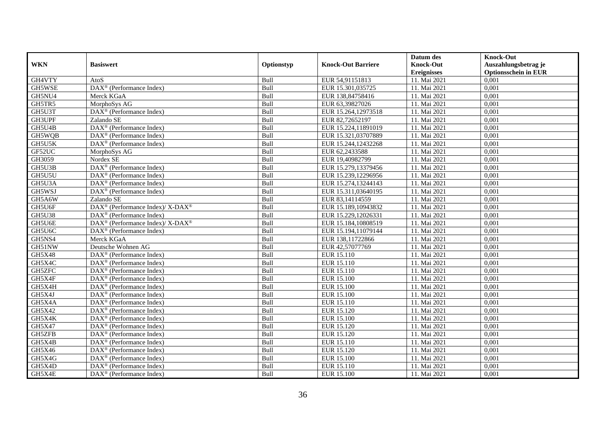|               |                                                          |             |                           | Datum des          | <b>Knock-Out</b>            |
|---------------|----------------------------------------------------------|-------------|---------------------------|--------------------|-----------------------------|
| <b>WKN</b>    | <b>Basiswert</b>                                         | Optionstyp  | <b>Knock-Out Barriere</b> | <b>Knock-Out</b>   | Auszahlungsbetrag je        |
|               |                                                          |             |                           | <b>Ereignisses</b> | <b>Optionsschein in EUR</b> |
| GH4VTY        | AtoS                                                     | Bull        | EUR 54,91151813           | 11. Mai 2021       | 0,001                       |
| GH5WSE        | DAX <sup>®</sup> (Performance Index)                     | Bull        | EUR 15.301,035725         | 11. Mai 2021       | 0,001                       |
| GH5NU4        | Merck KGaA                                               | Bull        | EUR 138,84758416          | 11. Mai 2021       | 0,001                       |
| GH5TR5        | MorphoSys AG                                             | Bull        | EUR 63,39827026           | 11. Mai 2021       | 0,001                       |
| GH5U3T        | DAX <sup>®</sup> (Performance Index)                     | <b>Bull</b> | EUR 15.264,12973518       | 11. Mai 2021       | 0,001                       |
| GH3UPF        | Zalando SE                                               | Bull        | EUR 82,72652197           | 11. Mai 2021       | 0,001                       |
| GH5U4B        | $\overline{\text{DAX}}^{\textcirc}$ (Performance Index)  | <b>Bull</b> | EUR 15.224,11891019       | 11. Mai 2021       | 0,001                       |
| GH5WQB        | DAX <sup>®</sup> (Performance Index)                     | Bull        | EUR 15.321,03707889       | 11. Mai 2021       | 0,001                       |
| GH5U5K        | DAX <sup>®</sup> (Performance Index)                     | Bull        | EUR 15.244,12432268       | 11. Mai 2021       | 0,001                       |
| GF52UC        | MorphoSys AG                                             | Bull        | EUR 62,2433588            | 11. Mai 2021       | 0,001                       |
| GH3059        | Nordex SE                                                | Bull        | EUR 19,40982799           | 11. Mai 2021       | 0,001                       |
| GH5U3B        | DAX <sup>®</sup> (Performance Index)                     | Bull        | EUR 15.279,13379456       | 11. Mai 2021       | 0,001                       |
| GH5U5U        | $\text{DAX}^{\otimes}$ (Performance Index)               | <b>Bull</b> | EUR 15.239,12296956       | 11. Mai 2021       | 0,001                       |
| GH5U3A        | $\text{DAX}^{\otimes}$ (Performance Index)               | <b>Bull</b> | EUR 15.274,13244143       | 11. Mai 2021       | 0.001                       |
| GH5WSJ        | DAX <sup>®</sup> (Performance Index)                     | Bull        | EUR 15.311,03640195       | 11. Mai 2021       | 0,001                       |
| GH5A6W        | Zalando SE                                               | Bull        | EUR 83,14114559           | 11. Mai 2021       | 0,001                       |
| GH5U6F        | DAX <sup>®</sup> (Performance Index)/ X-DAX <sup>®</sup> | Bull        | EUR 15.189,10943832       | 11. Mai 2021       | 0,001                       |
| <b>GH5U38</b> | DAX <sup>®</sup> (Performance Index)                     | Bull        | EUR 15.229,12026331       | 11. Mai 2021       | 0,001                       |
| GH5U6E        | DAX <sup>®</sup> (Performance Index)/ X-DAX <sup>®</sup> | Bull        | EUR 15.184,10808519       | 11. Mai 2021       | 0,001                       |
| GH5U6C        | $DAX^{\circledast}$ (Performance Index)                  | Bull        | EUR 15.194,11079144       | 11. Mai 2021       | 0,001                       |
| GH5NS4        | Merck KGaA                                               | Bull        | EUR 138,11722866          | 11. Mai 2021       | 0,001                       |
| GH51NW        | Deutsche Wohnen AG                                       | Bull        | EUR 42,57077769           | 11. Mai 2021       | 0,001                       |
| <b>GH5X48</b> | $DAX^{\circledR}$ (Performance Index)                    | Bull        | EUR 15.110                | 11. Mai 2021       | 0,001                       |
| GH5X4C        | $DAX^{\circledR}$ (Performance Index)                    | Bull        | EUR 15.110                | 11. Mai 2021       | 0,001                       |
| GH5ZFC        | $DAX^{\circledcirc}$ (Performance Index)                 | Bull        | EUR 15.110                | 11. Mai 2021       | 0,001                       |
| GH5X4F        | $DAX^{\circledast}$ (Performance Index)                  | Bull        | <b>EUR 15.100</b>         | 11. Mai 2021       | 0,001                       |
| GH5X4H        | DAX <sup>®</sup> (Performance Index)                     | Bull        | <b>EUR 15.100</b>         | 11. Mai 2021       | 0,001                       |
| GH5X4J        | DAX <sup>®</sup> (Performance Index)                     | Bull        | <b>EUR 15.100</b>         | 11. Mai 2021       | 0,001                       |
| GH5X4A        | $DAX^{\circledast}$ (Performance Index)                  | Bull        | EUR 15.110                | 11. Mai 2021       | 0,001                       |
| GH5X42        | $\text{DAX}^{\textcircled{}}$ (Performance Index)        | <b>Bull</b> | EUR 15.120                | 11. Mai 2021       | 0,001                       |
| GH5X4K        | $DAX^{\circledR}$ (Performance Index)                    | Bull        | <b>EUR 15.100</b>         | 11. Mai 2021       | 0,001                       |
| GH5X47        | DAX <sup>®</sup> (Performance Index)                     | Bull        | EUR 15.120                | 11. Mai 2021       | 0,001                       |
| GH5ZFB        | $DAX^{\circledR}$ (Performance Index)                    | Bull        | EUR 15.120                | 11. Mai 2021       | 0,001                       |
| GH5X4B        | DAX <sup>®</sup> (Performance Index)                     | Bull        | EUR 15.110                | 11. Mai 2021       | 0,001                       |
| GH5X46        | $\text{DAX}^{\circledast}$ (Performance Index)           | <b>Bull</b> | EUR 15.120                | 11. Mai 2021       | 0,001                       |
| GH5X4G        | $DAX^{\circledast}$ (Performance Index)                  | Bull        | <b>EUR 15.100</b>         | 11. Mai 2021       | 0,001                       |
| GH5X4D        | $DAX^{\circledast}$ (Performance Index)                  | Bull        | EUR 15.110                | 11. Mai 2021       | 0,001                       |
| GH5X4E        | $\text{DAX}^{\circledast}$ (Performance Index)           | Bull        | <b>EUR 15.100</b>         | 11. Mai 2021       | 0,001                       |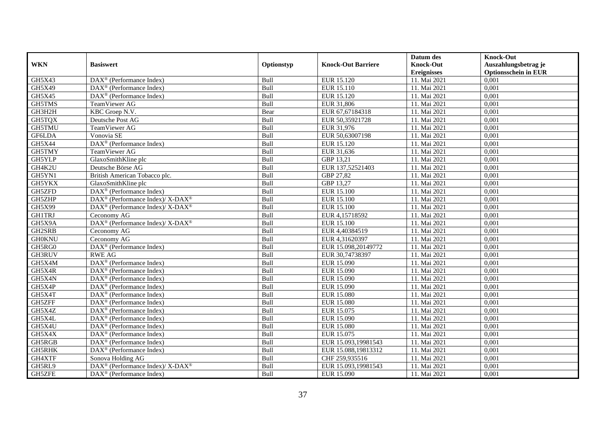|               |                                                          |             |                           | Datum des          | <b>Knock-Out</b>            |
|---------------|----------------------------------------------------------|-------------|---------------------------|--------------------|-----------------------------|
| <b>WKN</b>    | <b>Basiswert</b>                                         | Optionstyp  | <b>Knock-Out Barriere</b> | <b>Knock-Out</b>   | Auszahlungsbetrag je        |
|               |                                                          |             |                           | <b>Ereignisses</b> | <b>Optionsschein in EUR</b> |
| GH5X43        | DAX <sup>®</sup> (Performance Index)                     | Bull        | EUR 15.120                | 11. Mai 2021       | 0,001                       |
| GH5X49        | DAX <sup>®</sup> (Performance Index)                     | Bull        | EUR 15.110                | 11. Mai 2021       | 0,001                       |
| GH5X45        | $DAX^{\circledcirc}$ (Performance Index)                 | Bull        | EUR 15.120                | 11. Mai 2021       | 0,001                       |
| GH5TMS        | TeamViewer AG                                            | Bull        | EUR 31,806                | 11. Mai 2021       | 0,001                       |
| GH3H2H        | KBC Groep N.V.                                           | Bear        | EUR 67,67184318           | 11. Mai 2021       | 0,001                       |
| GH5TQX        | Deutsche Post AG                                         | Bull        | EUR 50,35921728           | 11. Mai 2021       | 0,001                       |
| GH5TMU        | TeamViewer AG                                            | <b>Bull</b> | EUR 31,976                | 11. Mai 2021       | 0,001                       |
| GF6LDA        | Vonovia SE                                               | Bull        | EUR 50,63007198           | 11. Mai 2021       | 0,001                       |
| GH5X44        | DAX <sup>®</sup> (Performance Index)                     | Bull        | EUR 15.120                | 11. Mai 2021       | 0,001                       |
| GH5TMY        | TeamViewer AG                                            | Bull        | EUR 31,636                | 11. Mai 2021       | 0,001                       |
| GH5YLP        | GlaxoSmithKline plc                                      | Bull        | GBP 13,21                 | 11. Mai 2021       | 0,001                       |
| GH4K2U        | Deutsche Börse AG                                        | Bull        | EUR 137,52521403          | 11. Mai 2021       | 0,001                       |
| GH5YN1        | British American Tobacco plc.                            | Bull        | GBP 27,82                 | 11. Mai 2021       | 0,001                       |
| GH5YKX        | GlaxoSmithKline plc                                      | <b>Bull</b> | GBP 13,27                 | 11. Mai 2021       | 0.001                       |
| GH5ZFD        | $DAX^{\circledR}$ (Performance Index)                    | Bull        | <b>EUR 15.100</b>         | 11. Mai 2021       | 0,001                       |
| GH5ZHP        | DAX <sup>®</sup> (Performance Index)/ X-DAX <sup>®</sup> | Bull        | <b>EUR 15.100</b>         | 11. Mai 2021       | 0,001                       |
| GH5X99        | DAX <sup>®</sup> (Performance Index)/ X-DAX <sup>®</sup> | Bull        | <b>EUR 15.100</b>         | 11. Mai 2021       | 0,001                       |
| <b>GH1TRJ</b> | Ceconomy AG                                              | Bull        | EUR 4,15718592            | 11. Mai 2021       | 0,001                       |
| GH5X9A        | DAX <sup>®</sup> (Performance Index)/ X-DAX <sup>®</sup> | Bull        | EUR 15.100                | 11. Mai 2021       | 0,001                       |
| GH2SRB        | Ceconomy AG                                              | Bull        | EUR 4,40384519            | 11. Mai 2021       | 0,001                       |
| <b>GH0KNU</b> | Ceconomy AG                                              | Bull        | EUR 4,31620397            | 11. Mai 2021       | 0,001                       |
| GH5RG0        | DAX <sup>®</sup> (Performance Index)                     | Bull        | EUR 15.098,20149772       | 11. Mai 2021       | 0,001                       |
| GH3RUV        | <b>RWE AG</b>                                            | Bull        | EUR 30,74738397           | 11. Mai 2021       | 0,001                       |
| GH5X4M        | DAX <sup>®</sup> (Performance Index)                     | Bull        | EUR 15.090                | 11. Mai 2021       | 0,001                       |
| GH5X4R        | $DAX^{\circledR}$ (Performance Index)                    | Bull        | EUR 15.090                | 11. Mai 2021       | 0,001                       |
| GH5X4N        | $DAX^{\circledast}$ (Performance Index)                  | Bull        | EUR 15.090                | 11. Mai 2021       | 0,001                       |
| GH5X4P        | DAX <sup>®</sup> (Performance Index)                     | Bull        | EUR 15.090                | 11. Mai 2021       | 0,001                       |
| GH5X4T        | DAX <sup>®</sup> (Performance Index)                     | Bull        | <b>EUR 15.080</b>         | 11. Mai 2021       | 0,001                       |
| GH5ZFF        | $DAX^{\circledast}$ (Performance Index)                  | Bull        | <b>EUR 15.080</b>         | 11. Mai 2021       | 0,001                       |
| GH5X4Z        | $\text{DAX}^{\textcircled{}}$ (Performance Index)        | <b>Bull</b> | EUR 15.075                | 11. Mai 2021       | 0,001                       |
| GH5X4L        | $DAX^{\circledR}$ (Performance Index)                    | Bull        | EUR 15.090                | 11. Mai 2021       | 0,001                       |
| GH5X4U        | DAX <sup>®</sup> (Performance Index)                     | Bull        | <b>EUR 15.080</b>         | 11. Mai 2021       | 0,001                       |
| GH5X4X        | $DAX^{\circledR}$ (Performance Index)                    | Bull        | EUR 15.075                | 11. Mai 2021       | 0,001                       |
| GH5RGB        | $\overline{\text{DAX}}^{\textcirc}$ (Performance Index)  | Bull        | EUR 15.093,19981543       | 11. Mai 2021       | 0,001                       |
| GH5RHK        | $DAX^{\circledast}$ (Performance Index)                  | <b>Bull</b> | EUR 15.088,19813312       | 11. Mai 2021       | 0,001                       |
| GH4XTF        | Sonova Holding AG                                        | Bull        | CHF 259,935516            | 11. Mai 2021       | 0,001                       |
| GH5RL9        | DAX <sup>®</sup> (Performance Index)/ X-DAX <sup>®</sup> | Bull        | EUR 15.093,19981543       | 11. Mai 2021       | 0,001                       |
| GH5ZFE        | $\text{DAX}^{\circledast}$ (Performance Index)           | Bull        | EUR 15.090                | 11. Mai 2021       | 0,001                       |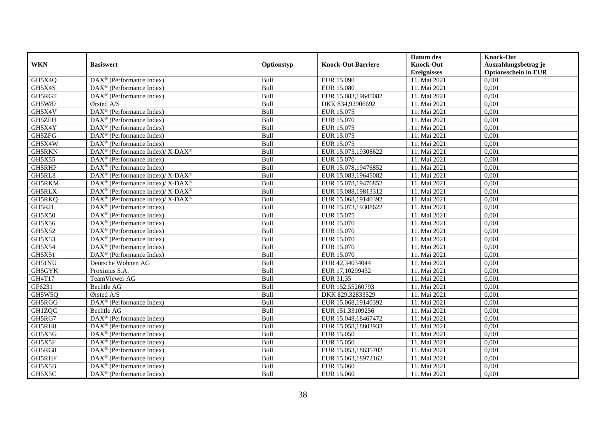|               |                                                              |             |                           | Datum des          | <b>Knock-Out</b>            |
|---------------|--------------------------------------------------------------|-------------|---------------------------|--------------------|-----------------------------|
| <b>WKN</b>    | <b>Basiswert</b>                                             | Optionstyp  | <b>Knock-Out Barriere</b> | <b>Knock-Out</b>   | Auszahlungsbetrag je        |
|               |                                                              |             |                           | <b>Ereignisses</b> | <b>Optionsschein in EUR</b> |
| GH5X4Q        | DAX <sup>®</sup> (Performance Index)                         | Bull        | <b>EUR 15.090</b>         | 11. Mai 2021       | 0,001                       |
| GH5X4S        | $DAX^{\circledast}$ (Performance Index)                      | Bull        | <b>EUR 15.080</b>         | 11. Mai 2021       | 0,001                       |
| GH5RGT        | $DAX^{\circledcirc}$ (Performance Index)                     | Bull        | EUR 15.083,19645082       | 11. Mai 2021       | 0,001                       |
| GH5W87        | Ørsted A/S                                                   | Bull        | DKK 834,92906692          | 11. Mai 2021       | 0.001                       |
| GH5X4V        | DAX <sup>®</sup> (Performance Index)                         | Bull        | EUR 15.075                | 11. Mai 2021       | 0,001                       |
| GH5ZFH        | $DAX^{\circledR}$ (Performance Index)                        | Bull        | EUR 15.070                | 11. Mai 2021       | 0,001                       |
| GH5X4Y        | DAX <sup>®</sup> (Performance Index)                         | Bull        | EUR 15.075                | 11. Mai 2021       | 0,001                       |
| GH5ZFG        | $DAX^{\circledast}$ (Performance Index)                      | <b>Bull</b> | EUR 15.075                | 11. Mai 2021       | 0,001                       |
| GH5X4W        | $DAX^{\circledast}$ (Performance Index)                      | Bull        | EUR 15.075                | 11. Mai 2021       | 0,001                       |
| GH5RKN        | DAX <sup>®</sup> (Performance Index)/ X-DAX <sup>®</sup>     | Bull        | EUR 15.073,19308622       | 11. Mai 2021       | 0.001                       |
| GH5X55        | $\overline{\text{DAX}}^{\textcircled{}}$ (Performance Index) | Bull        | EUR 15.070                | 11. Mai 2021       | 0,001                       |
| GH5RHP        | $\overline{\text{DAX}^{\otimes}}$ (Performance Index)        | Bull        | EUR 15.078,19476852       | 11. Mai 2021       | 0,001                       |
| GH5RL8        | DAX <sup>®</sup> (Performance Index)/ X-DAX <sup>®</sup>     | Bull        | EUR 15.083,19645082       | 11. Mai 2021       | 0,001                       |
| GH5RKM        | $DAX^{\circledast}$ (Performance Index)/ X-DAX <sup>®</sup>  | Bull        | EUR 15.078,19476852       | 11. Mai 2021       | 0,001                       |
| GH5RLX        | DAX <sup>®</sup> (Performance Index)/ X-DAX <sup>®</sup>     | Bull        | EUR 15.088,19813312       | 11. Mai 2021       | 0,001                       |
| GH5RKQ        | DAX <sup>®</sup> (Performance Index)/ X-DAX <sup>®</sup>     | <b>Bull</b> | EUR 15.068,19140392       | 11. Mai 2021       | 0,001                       |
| GH5RJ1        | $\text{DAX}^{\textcircled{}}$ (Performance Index)            | Bull        | EUR 15.073,19308622       | 11. Mai 2021       | 0,001                       |
| GH5X50        | $DAX^{\circledcirc}$ (Performance Index)                     | <b>Bull</b> | EUR 15.075                | 11. Mai 2021       | 0.001                       |
| GH5X56        | $DAX^{\circledast}$ (Performance Index)                      | Bull        | EUR 15.070                | 11. Mai 2021       | 0,001                       |
| GH5X52        | DAX <sup>®</sup> (Performance Index)                         | Bull        | EUR 15.070                | 11. Mai 2021       | 0,001                       |
| GH5X53        | DAX <sup>®</sup> (Performance Index)                         | Bull        | EUR 15.070                | 11. Mai 2021       | 0,001                       |
| GH5X54        | $\overline{\text{DAX}^{\otimes}}$ (Performance Index)        | Bull        | EUR 15.070                | 11. Mai 2021       | 0,001                       |
| <b>GH5X51</b> | DAX <sup>®</sup> (Performance Index)                         | Bull        | EUR 15.070                | 11. Mai 2021       | 0,001                       |
| GH51NU        | Deutsche Wohnen AG                                           | Bull        | EUR 42,34034044           | 11. Mai 2021       | 0,001                       |
| GH5GYK        | Proximus S.A.                                                | <b>Bull</b> | EUR 17,10299432           | 11. Mai 2021       | 0,001                       |
| GH4T17        | TeamViewer AG                                                | Bull        | EUR 31,35                 | 11. Mai 2021       | 0,001                       |
| GF6231        | Bechtle AG                                                   | Bull        | EUR 152,55260793          | 11. Mai 2021       | 0,001                       |
| GH5W5Q        | Ørsted A/S                                                   | Bull        | DKK 829,32833529          | 11. Mai 2021       | 0,001                       |
| GH5RGG        | DAX <sup>®</sup> (Performance Index)                         | Bull        | EUR 15.068,19140392       | 11. Mai 2021       | 0,001                       |
| GH1ZQC        | Bechtle AG                                                   | <b>Bull</b> | EUR 151,33109256          | 11. Mai 2021       | 0,001                       |
| GH5RG7        | DAX <sup>®</sup> (Performance Index)                         | <b>Bull</b> | EUR 15.048,18467472       | 11. Mai 2021       | 0,001                       |
| GH5RH8        | $DAX^{\circledcirc}$ (Performance Index)                     | <b>Bull</b> | EUR 15.058,18803933       | 11. Mai 2021       | 0.001                       |
| GH5X5G        | $DAX^{\circledR}$ (Performance Index)                        | Bull        | EUR 15.050                | 11. Mai 2021       | 0,001                       |
| GH5X5F        | $\overline{\text{DAX}}^{\textcirc}$ (Performance Index)      | Bull        | <b>EUR 15.050</b>         | 11. Mai 2021       | 0,001                       |
| GH5RG8        | DAX <sup>®</sup> (Performance Index)                         | Bull        | EUR 15.053,18635702       | 11. Mai 2021       | 0,001                       |
| GH5RHF        | DAX <sup>®</sup> (Performance Index)                         | Bull        | EUR 15.063,18972162       | 11. Mai 2021       | 0,001                       |
| GH5X5B        | $DAX^{\circledast}$ (Performance Index)                      | Bull        | EUR 15.060                | 11. Mai 2021       | 0,001                       |
| GH5X5C        | $\overline{\text{DAX}^{\otimes}}$ (Performance Index)        | <b>Bull</b> | EUR 15.060                | 11. Mai 2021       | 0,001                       |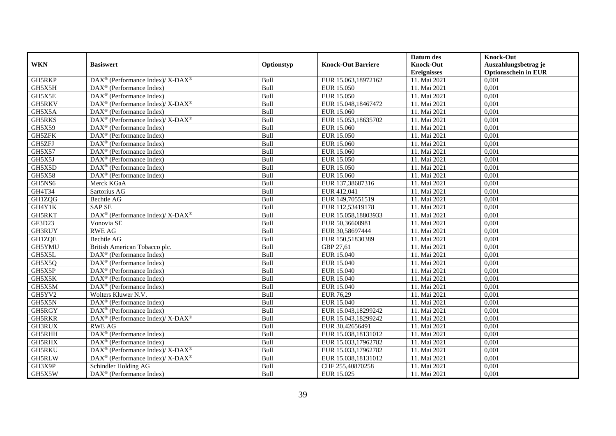|               |                                                              |             |                           | Datum des          | <b>Knock-Out</b>            |
|---------------|--------------------------------------------------------------|-------------|---------------------------|--------------------|-----------------------------|
| <b>WKN</b>    | <b>Basiswert</b>                                             | Optionstyp  | <b>Knock-Out Barriere</b> | <b>Knock-Out</b>   | Auszahlungsbetrag je        |
|               |                                                              |             |                           | <b>Ereignisses</b> | <b>Optionsschein in EUR</b> |
| GH5RKP        | DAX <sup>®</sup> (Performance Index)/ X-DAX <sup>®</sup>     | Bull        | EUR 15.063,18972162       | 11. Mai 2021       | 0,001                       |
| GH5X5H        | $DAX^{\circledast}$ (Performance Index)                      | Bull        | <b>EUR 15.050</b>         | 11. Mai 2021       | 0,001                       |
| GH5X5E        | $DAX^{\circledcirc}$ (Performance Index)                     | Bull        | EUR 15.050                | 11. Mai 2021       | 0,001                       |
| GH5RKV        | DAX <sup>®</sup> (Performance Index)/ X-DAX <sup>®</sup>     | Bull        | EUR 15.048.18467472       | 11. Mai 2021       | 0.001                       |
| GH5X5A        | DAX <sup>®</sup> (Performance Index)                         | Bull        | EUR 15.060                | 11. Mai 2021       | 0,001                       |
| <b>GH5RKS</b> | DAX <sup>®</sup> (Performance Index)/ X-DAX <sup>®</sup>     | Bull        | EUR 15.053,18635702       | 11. Mai 2021       | 0,001                       |
| GH5X59        | $DAX^{\circledcirc}$ (Performance Index)                     | Bull        | EUR 15.060                | 11. Mai 2021       | 0,001                       |
| GH5ZFK        | $\overline{\text{DAX}}^{\textcirc}$ (Performance Index)      | Bull        | EUR 15.050                | 11. Mai 2021       | 0,001                       |
| GH5ZFJ        | $DAX^{\circledast}$ (Performance Index)                      | Bull        | EUR 15.060                | 11. Mai 2021       | 0,001                       |
| GH5X57        | $DAX^{\circledast}$ (Performance Index)                      | Bull        | EUR 15.060                | 11. Mai 2021       | 0.001                       |
| GH5X5J        | $\overline{\text{DAX}}^{\textcircled{}}$ (Performance Index) | Bull        | EUR 15.050                | 11. Mai 2021       | 0,001                       |
| GH5X5D        | $\overline{\text{DAX}}^{\textcirc}$ (Performance Index)      | Bull        | <b>EUR 15.050</b>         | 11. Mai 2021       | 0,001                       |
| GH5X58        | DAX <sup>®</sup> (Performance Index)                         | Bull        | EUR 15.060                | 11. Mai 2021       | 0,001                       |
| GH5NS6        | Merck KGaA                                                   | Bull        | EUR 137,38687316          | 11. Mai 2021       | 0,001                       |
| GH4T34        | Sartorius AG                                                 | Bull        | EUR 412,041               | 11. Mai 2021       | 0,001                       |
| GH1ZQG        | Bechtle AG                                                   | <b>Bull</b> | EUR 149,70551519          | 11. Mai 2021       | 0,001                       |
| GH4Y1K        | SAPSE                                                        | Bull        | EUR 112,53419178          | 11. Mai 2021       | 0,001                       |
| GH5RKT        | DAX <sup>®</sup> (Performance Index)/ X-DAX <sup>®</sup>     | <b>Bull</b> | EUR 15.058.18803933       | 11. Mai 2021       | 0.001                       |
| GF3D23        | Vonovia SE                                                   | Bull        | EUR 50,36608981           | 11. Mai 2021       | 0,001                       |
| GH3RUY        | <b>RWE AG</b>                                                | Bull        | EUR 30,58697444           | 11. Mai 2021       | 0,001                       |
| <b>GH1ZQE</b> | Bechtle AG                                                   | Bull        | EUR 150,51830389          | 11. Mai 2021       | 0,001                       |
| GH5YMU        | British American Tobacco plc.                                | Bull        | GBP 27,61                 | 11. Mai 2021       | 0,001                       |
| GH5X5L        | DAX <sup>®</sup> (Performance Index)                         | Bull        | <b>EUR 15.040</b>         | 11. Mai 2021       | 0,001                       |
| GH5X5Q        | DAX <sup>®</sup> (Performance Index)                         | Bull        | EUR 15.040                | 11. Mai 2021       | 0,001                       |
| GH5X5P        | $\text{DAX}^{\circledR}$ (Performance Index)                 | <b>Bull</b> | EUR 15.040                | 11. Mai 2021       | 0,001                       |
| GH5X5K        | $DAX^{\circledast}$ (Performance Index)                      | Bull        | EUR 15.040                | 11. Mai 2021       | 0,001                       |
| GH5X5M        | DAX <sup>®</sup> (Performance Index)                         | Bull        | <b>EUR 15.040</b>         | 11. Mai 2021       | 0,001                       |
| GH5YV2        | Wolters Kluwer N.V.                                          | Bull        | EUR 76,29                 | 11. Mai 2021       | 0,001                       |
| GH5X5N        | DAX <sup>®</sup> (Performance Index)                         | Bull        | EUR 15.040                | 11. Mai 2021       | 0,001                       |
| GH5RGY        | $DAX^{\circledast}$ (Performance Index)                      | <b>Bull</b> | EUR 15.043,18299242       | 11. Mai 2021       | 0,001                       |
| GH5RKR        | DAX <sup>®</sup> (Performance Index)/ X-DAX <sup>®</sup>     | Bull        | EUR 15.043,18299242       | 11. Mai 2021       | 0,001                       |
| GH3RUX        | <b>RWE AG</b>                                                | <b>Bull</b> | EUR 30,42656491           | 11. Mai 2021       | 0.001                       |
| GH5RHH        | $\overline{\text{DAX}^{\otimes}}$ (Performance Index)        | Bull        | EUR 15.038,18131012       | 11. Mai 2021       | 0,001                       |
| GH5RHX        | DAX <sup>®</sup> (Performance Index)                         | Bull        | EUR 15.033,17962782       | 11. Mai 2021       | 0,001                       |
| <b>GH5RKU</b> | DAX <sup>®</sup> (Performance Index)/ X-DAX <sup>®</sup>     | Bull        | EUR 15.033,17962782       | 11. Mai 2021       | 0,001                       |
| GH5RLW        | $DAX^{\circledast}$ (Performance Index)/ X-DAX <sup>®</sup>  | Bull        | EUR 15.038,18131012       | 11. Mai 2021       | 0,001                       |
| GH3X9P        | Schindler Holding AG                                         | Bull        | CHF 255,40870258          | 11. Mai 2021       | 0,001                       |
| GH5X5W        | DAX <sup>®</sup> (Performance Index)                         | <b>Bull</b> | EUR 15.025                | 11. Mai 2021       | 0,001                       |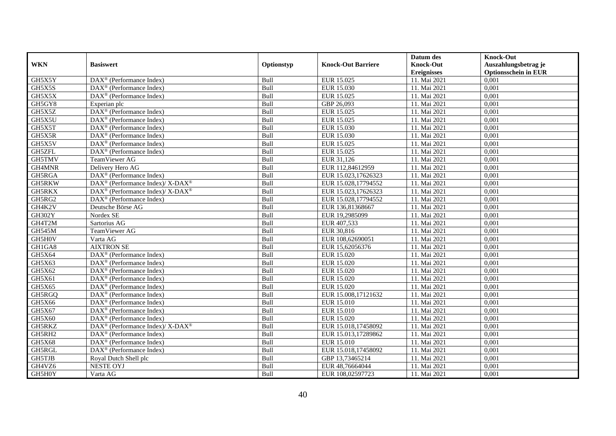|               |                                                                           |            |                           | Datum des          | <b>Knock-Out</b>            |
|---------------|---------------------------------------------------------------------------|------------|---------------------------|--------------------|-----------------------------|
| <b>WKN</b>    | <b>Basiswert</b>                                                          | Optionstyp | <b>Knock-Out Barriere</b> | <b>Knock-Out</b>   | Auszahlungsbetrag je        |
|               |                                                                           |            |                           | <b>Ereignisses</b> | <b>Optionsschein in EUR</b> |
| GH5X5Y        | DAX <sup>®</sup> (Performance Index)                                      | Bull       | EUR 15.025                | 11. Mai 2021       | 0,001                       |
| GH5X5S        | $\text{DAX}^{\otimes}$ (Performance Index)                                | Bull       | EUR 15.030                | 11. Mai 2021       | 0,001                       |
| GH5X5X        | DAX <sup>®</sup> (Performance Index)                                      | Bull       | EUR 15.025                | 11. Mai 2021       | 0,001                       |
| GH5GY8        | Experian plc                                                              | Bull       | GBP 26,093                | 11. Mai 2021       | 0,001                       |
| GH5X5Z        | DAX <sup>®</sup> (Performance Index)                                      | Bull       | EUR 15.025                | 11. Mai 2021       | 0,001                       |
| GH5X5U        | $DAX^{\otimes}$ (Performance Index)                                       | Bull       | EUR 15.025                | 11. Mai 2021       | 0,001                       |
| GH5X5T        | $DAX^{\circledR}$ (Performance Index)                                     | Bull       | EUR 15.030                | 11. Mai 2021       | 0,001                       |
| GH5X5R        | $\text{DAX}^{\otimes}$ (Performance Index)                                | Bull       | EUR 15.030                | 11. Mai 2021       | 0,001                       |
| GH5X5V        | $\text{DAX}^{\otimes}$ (Performance Index)                                | Bull       | EUR 15.025                | 11. Mai 2021       | 0,001                       |
| GH5ZFL        | $DAX^{\circledast}$ (Performance Index)                                   | Bull       | EUR 15.025                | 11. Mai 2021       | 0,001                       |
| GH5TMV        | TeamViewer AG                                                             | Bull       | EUR 31,126                | 11. Mai 2021       | 0,001                       |
| GH4MNR        | Delivery Hero AG                                                          | Bull       | EUR 112,84612959          | 11. Mai 2021       | 0,001                       |
| GH5RGA        | DAX <sup>®</sup> (Performance Index)                                      | Bull       | EUR 15.023,17626323       | 11. Mai 2021       | 0,001                       |
| GH5RKW        | DAX <sup>®</sup> (Performance Index)/ X-DAX <sup>®</sup>                  | Bull       | EUR 15.028,17794552       | 11. Mai 2021       | 0,001                       |
| GH5RKX        | $DAX^{\circledast}$ (Performance Index)/ X-DAX <sup>®</sup>               | Bull       | EUR 15.023,17626323       | 11. Mai 2021       | 0,001                       |
| GH5RG2        | DAX <sup>®</sup> (Performance Index)                                      | Bull       | EUR 15.028,17794552       | 11. Mai 2021       | 0,001                       |
| GH4K2V        | Deutsche Börse AG                                                         | Bull       | EUR 136,81368667          | 11. Mai 2021       | 0,001                       |
| GH302Y        | Nordex SE                                                                 | Bull       | EUR 19.2985099            | 11. Mai 2021       | 0,001                       |
| GH4T2M        | Sartorius AG                                                              | Bull       | EUR 407,533               | 11. Mai 2021       | 0,001                       |
| GH545M        | TeamViewer AG                                                             | Bull       | EUR 30,816                | 11. Mai 2021       | 0,001                       |
| GH5H0V        | Varta AG                                                                  | Bull       | EUR 108,62690051          | 11. Mai 2021       | 0,001                       |
| GH1GA8        | <b>AIXTRON SE</b>                                                         | Bull       | EUR 15,62056376           | 11. Mai 2021       | 0,001                       |
| GH5X64        | DAX <sup>®</sup> (Performance Index)                                      | Bull       | EUR 15.020                | 11. Mai 2021       | 0,001                       |
| GH5X63        | $\text{DAX}^{\otimes}$ (Performance Index)                                | Bull       | EUR 15.020                | 11. Mai 2021       | 0,001                       |
| GH5X62        | DAX <sup>®</sup> (Performance Index)                                      | Bull       | EUR 15.020                | 11. Mai 2021       | 0,001                       |
| GH5X61        | $\text{DAX}^{\otimes}$ (Performance Index)                                | Bull       | EUR 15.020                | 11. Mai 2021       | 0,001                       |
| GH5X65        | DAX <sup>®</sup> (Performance Index)                                      | Bull       | <b>EUR 15.020</b>         | 11. Mai 2021       | 0,001                       |
| GH5RGQ        | $DAX^{\circledR}$ (Performance Index)                                     | Bull       | EUR 15.008,17121632       | 11. Mai 2021       | 0,001                       |
| GH5X66        | DAX <sup>®</sup> (Performance Index)                                      | Bull       | <b>EUR 15.010</b>         | 11. Mai 2021       | 0,001                       |
| GH5X67        | $\text{DAX}^{\otimes}$ (Performance Index)                                | Bull       | EUR 15.010                | 11. Mai 2021       | 0,001                       |
| GH5X60        | $\text{DAX}^{\circledast}$ (Performance Index)                            | Bull       | EUR 15.020                | 11. Mai 2021       | 0,001                       |
| GH5RKZ        | $DAX^{\circledast}$ (Performance Index)/ $\overline{X-DAX^{\circledast}}$ | Bull       | EUR 15.018,17458092       | 11. Mai 2021       | 0,001                       |
| GH5RH2        | $\overline{\text{DAX}^{\otimes}}$ (Performance Index)                     | Bull       | EUR 15.013,17289862       | 11. Mai 2021       | 0,001                       |
| <b>GH5X68</b> | $\overline{\text{DAX}^{\circledast}(\text{Performance Index})}$           | Bull       | EUR 15.010                | 11. Mai 2021       | 0,001                       |
| GH5RGL        | DAX <sup>®</sup> (Performance Index)                                      | Bull       | EUR 15.018,17458092       | 11. Mai 2021       | 0,001                       |
| GH5TJB        | Royal Dutch Shell plc                                                     | Bull       | GBP 13,73465214           | 11. Mai 2021       | 0,001                       |
| GH4VZ6        | <b>NESTE OYJ</b>                                                          | Bull       | EUR 48,76664044           | 11. Mai 2021       | 0,001                       |
| GH5H0Y        | Varta AG                                                                  | Bull       | EUR 108,02597723          | 11. Mai 2021       | 0,001                       |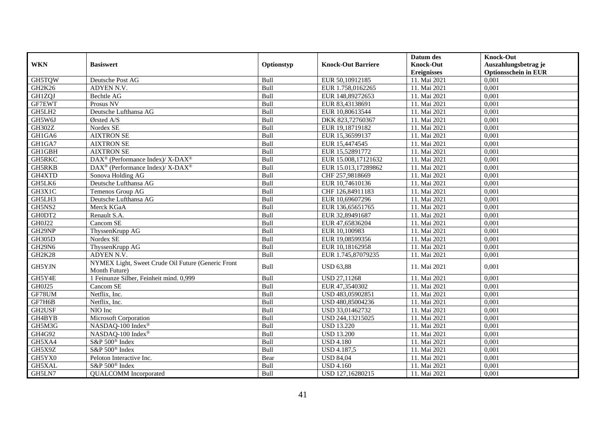|               |                                                                     |             |                           | Datum des          | <b>Knock-Out</b>            |
|---------------|---------------------------------------------------------------------|-------------|---------------------------|--------------------|-----------------------------|
| <b>WKN</b>    | <b>Basiswert</b>                                                    | Optionstyp  | <b>Knock-Out Barriere</b> | <b>Knock-Out</b>   | Auszahlungsbetrag je        |
|               |                                                                     |             |                           | <b>Ereignisses</b> | <b>Optionsschein in EUR</b> |
| GH5TQW        | Deutsche Post AG                                                    | Bull        | EUR 50,10912185           | 11. Mai 2021       | 0,001                       |
| GH2K26        | ADYEN N.V.                                                          | Bull        | EUR 1.758,0162265         | 11. Mai 2021       | 0,001                       |
| GH1ZQJ        | Bechtle AG                                                          | Bull        | EUR 148,89272653          | 11. Mai 2021       | 0,001                       |
| GF7EWT        | Prosus NV                                                           | Bull        | EUR 83,43138691           | 11. Mai 2021       | 0,001                       |
| GH5LH2        | Deutsche Lufthansa AG                                               | Bull        | EUR 10,80613544           | 11. Mai 2021       | 0,001                       |
| GH5W6J        | Ørsted A/S                                                          | Bull        | DKK 823,72760367          | 11. Mai 2021       | 0,001                       |
| <b>GH302Z</b> | Nordex SE                                                           | Bull        | EUR 19,18719182           | 11. Mai 2021       | 0,001                       |
| GH1GA6        | <b>AIXTRON SE</b>                                                   | Bull        | EUR 15,36599137           | 11. Mai 2021       | 0,001                       |
| GH1GA7        | <b>AIXTRON SE</b>                                                   | Bull        | EUR 15,4474545            | 11. Mai 2021       | 0,001                       |
| <b>GH1GBH</b> | <b>AIXTRON SE</b>                                                   | Bull        | EUR 15,52891772           | 11. Mai 2021       | 0,001                       |
| <b>GH5RKC</b> | DAX <sup>®</sup> (Performance Index)/ X-DAX <sup>®</sup>            | Bull        | EUR 15.008,17121632       | 11. Mai 2021       | 0,001                       |
| <b>GH5RKB</b> | DAX <sup>®</sup> (Performance Index)/ X-DAX <sup>®</sup>            | Bull        | EUR 15.013,17289862       | 11. Mai 2021       | 0,001                       |
| GH4XTD        | Sonova Holding AG                                                   | Bull        | CHF 257,9818669           | 11. Mai 2021       | 0,001                       |
| GH5LK6        | Deutsche Lufthansa AG                                               | Bull        | EUR 10,74610136           | 11. Mai 2021       | 0,001                       |
| GH3X1C        | Temenos Group AG                                                    | Bull        | CHF 126,84911183          | 11. Mai 2021       | 0,001                       |
| GH5LH3        | Deutsche Lufthansa AG                                               | Bull        | EUR 10,69607296           | 11. Mai 2021       | 0,001                       |
| GH5NS2        | Merck KGaA                                                          | Bull        | EUR 136,65651765          | 11. Mai 2021       | 0,001                       |
| GH0DT2        | Renault S.A.                                                        | Bull        | EUR 32,89491687           | 11. Mai 2021       | 0,001                       |
| GH0J22        | Cancom SE                                                           | Bull        | EUR 47,65836204           | 11. Mai 2021       | 0,001                       |
| GH29NP        | ThyssenKrupp AG                                                     | Bull        | EUR 10,100983             | 11. Mai 2021       | 0,001                       |
| <b>GH305D</b> | Nordex SE                                                           | <b>Bull</b> | EUR 19,08599356           | 11. Mai 2021       | 0.001                       |
| <b>GH29N6</b> | ThyssenKrupp AG                                                     | Bull        | EUR 10,18162958           | 11. Mai 2021       | 0,001                       |
| GH2K28        | ADYEN N.V.                                                          | Bull        | EUR 1.745,87079235        | 11. Mai 2021       | 0,001                       |
| GH5YJN        | NYMEX Light, Sweet Crude Oil Future (Generic Front<br>Month Future) | Bull        | <b>USD 63,88</b>          | 11. Mai 2021       | 0,001                       |
| GH5Y4E        | 1 Feinunze Silber, Feinheit mind. 0,999                             | Bull        | USD 27,11268              | 11. Mai 2021       | 0,001                       |
| GH0J25        | Cancom SE                                                           | Bull        | EUR 47,3540302            | 11. Mai 2021       | 0,001                       |
| GF78UM        | Netflix, Inc.                                                       | Bull        | USD 483,05902851          | 11. Mai 2021       | 0,001                       |
| GF7H6B        | Netflix, Inc.                                                       | Bull        | USD 480,85004236          | 11. Mai 2021       | 0,001                       |
| GH2USF        | NIO Inc                                                             | Bull        | USD 33,01462732           | 11. Mai 2021       | 0,001                       |
| GH4BYB        | Microsoft Corporation                                               | Bull        | USD 244,13215025          | 11. Mai 2021       | 0,001                       |
| GH5M3G        | NASDAQ-100 Index®                                                   | Bull        | <b>USD 13.220</b>         | 11. Mai 2021       | 0,001                       |
| GH4G92        | NASDAQ-100 Index®                                                   | Bull        | <b>USD 13.200</b>         | 11. Mai 2021       | 0,001                       |
| GH5XA4        | S&P 500 <sup>®</sup> Index                                          | Bull        | <b>USD 4.180</b>          | 11. Mai 2021       | 0,001                       |
| GH5X9Z        | S&P 500 <sup>®</sup> Index                                          | Bull        | <b>USD 4.187,5</b>        | 11. Mai 2021       | 0,001                       |
| GH5YX0        | Peloton Interactive Inc.                                            | Bear        | <b>USD 84,04</b>          | 11. Mai 2021       | 0,001                       |
| GH5XAL        | S&P 500 <sup>®</sup> Index                                          | Bull        | <b>USD 4.160</b>          | 11. Mai 2021       | 0,001                       |
| GH5LN7        | <b>QUALCOMM</b> Incorporated                                        | Bull        | USD 127,16280215          | 11. Mai 2021       | 0,001                       |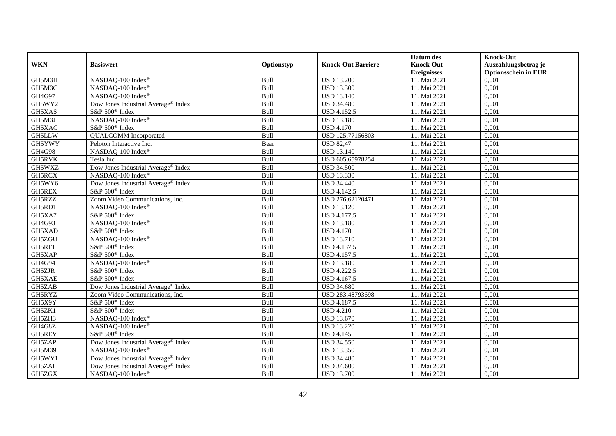|               |                                                 |             |                           | Datum des          | <b>Knock-Out</b>            |
|---------------|-------------------------------------------------|-------------|---------------------------|--------------------|-----------------------------|
| <b>WKN</b>    | <b>Basiswert</b>                                | Optionstyp  | <b>Knock-Out Barriere</b> | <b>Knock-Out</b>   | Auszahlungsbetrag je        |
|               |                                                 |             |                           | <b>Ereignisses</b> | <b>Optionsschein in EUR</b> |
| GH5M3H        | NASDAQ-100 Index®                               | <b>Bull</b> | <b>USD 13.200</b>         | 11. Mai 2021       | 0,001                       |
| GH5M3C        | NASDAQ-100 Index®                               | Bull        | <b>USD 13.300</b>         | 11. Mai 2021       | 0,001                       |
| GH4G97        | NASDAQ-100 Index®                               | Bull        | <b>USD 13.140</b>         | 11. Mai 2021       | 0,001                       |
| GH5WY2        | Dow Jones Industrial Average <sup>®</sup> Index | Bull        | <b>USD 34.480</b>         | 11. Mai 2021       | 0,001                       |
| GH5XAS        | S&P 500 <sup>®</sup> Index                      | Bull        | <b>USD 4.152,5</b>        | 11. Mai 2021       | 0,001                       |
| GH5M3J        | NASDAQ-100 Index®                               | Bull        | <b>USD 13.180</b>         | 11. Mai 2021       | 0,001                       |
| GH5XAC        | S&P 500 <sup>®</sup> Index                      | Bull        | <b>USD 4.170</b>          | 11. Mai 2021       | 0,001                       |
| GH5LLW        | <b>QUALCOMM</b> Incorporated                    | Bull        | USD 125,77156803          | 11. Mai 2021       | 0,001                       |
| GH5YWY        | Peloton Interactive Inc.                        | Bear        | <b>USD 82,47</b>          | 11. Mai 2021       | 0,001                       |
| GH4G98        | NASDAQ-100 Index®                               | Bull        | <b>USD 13.140</b>         | 11. Mai 2021       | 0,001                       |
| GH5RVK        | Tesla Inc                                       | Bull        | USD 605,65978254          | 11. Mai 2021       | 0,001                       |
| GH5WXZ        | Dow Jones Industrial Average <sup>®</sup> Index | Bull        | <b>USD 34.500</b>         | 11. Mai 2021       | 0,001                       |
| GH5RCX        | NASDAQ-100 Index®                               | Bull        | <b>USD 13.330</b>         | 11. Mai 2021       | 0,001                       |
| GH5WY6        | Dow Jones Industrial Average <sup>®</sup> Index | Bull        | <b>USD 34.440</b>         | 11. Mai 2021       | 0,001                       |
| GH5REX        | S&P 500 <sup>®</sup> Index                      | Bull        | <b>USD 4.142,5</b>        | 11. Mai 2021       | 0,001                       |
| GH5RZZ        | Zoom Video Communications, Inc.                 | Bull        | USD 276,62120471          | 11. Mai 2021       | 0,001                       |
| GH5RD1        | NASDAQ-100 Index®                               | Bull        | <b>USD 13.120</b>         | 11. Mai 2021       | 0,001                       |
| GH5XA7        | S&P 500 <sup>®</sup> Index                      | Bull        | <b>USD 4.177,5</b>        | 11. Mai 2021       | 0,001                       |
| GH4G93        | NASDAQ-100 Index®                               | Bull        | <b>USD 13.180</b>         | 11. Mai 2021       | 0,001                       |
| GH5XAD        | S&P 500 <sup>®</sup> Index                      | Bull        | <b>USD 4.170</b>          | 11. Mai 2021       | 0,001                       |
| GH5ZGU        | NASDAQ-100 Index®                               | Bull        | <b>USD 13.710</b>         | 11. Mai 2021       | 0,001                       |
| GH5RF1        | S&P 500 <sup>®</sup> Index                      | Bull        | <b>USD 4.137,5</b>        | 11. Mai 2021       | 0,001                       |
| GH5XAP        | S&P 500 <sup>®</sup> Index                      | Bull        | <b>USD 4.157,5</b>        | 11. Mai 2021       | 0,001                       |
| GH4G94        | NASDAQ-100 Index®                               | Bull        | <b>USD 13.180</b>         | 11. Mai 2021       | 0,001                       |
| GH5ZJR        | S&P 500 <sup>®</sup> Index                      | Bull        | <b>USD 4.222,5</b>        | 11. Mai 2021       | 0,001                       |
| GH5XAE        | S&P 500 <sup>®</sup> Index                      | Bull        | USD 4.167,5               | 11. Mai 2021       | 0,001                       |
| GH5ZAB        | Dow Jones Industrial Average® Index             | Bull        | <b>USD 34.680</b>         | 11. Mai 2021       | 0,001                       |
| GH5RYZ        | Zoom Video Communications, Inc.                 | Bull        | USD 283,48793698          | 11. Mai 2021       | 0,001                       |
| GH5X9Y        | S&P 500 <sup>®</sup> Index                      | Bull        | USD 4.187,5               | 11. Mai 2021       | 0,001                       |
| GH5ZK1        | S&P 500 <sup>®</sup> Index                      | Bull        | <b>USD 4.210</b>          | 11. Mai 2021       | 0,001                       |
| GH5ZH3        | NASDAQ-100 Index®                               | Bull        | <b>USD 13.670</b>         | 11. Mai 2021       | 0,001                       |
| GH4G8Z        | NASDAQ-100 Index®                               | Bull        | <b>USD 13.220</b>         | 11. Mai 2021       | 0,001                       |
| <b>GH5REV</b> | S&P 500 <sup>®</sup> Index                      | Bull        | <b>USD 4.145</b>          | 11. Mai 2021       | 0,001                       |
| GH5ZAP        | Dow Jones Industrial Average® Index             | Bull        | <b>USD 34.550</b>         | 11. Mai 2021       | 0,001                       |
| GH5M39        | NASDAQ-100 Index®                               | Bull        | <b>USD 13.350</b>         | 11. Mai 2021       | 0,001                       |
| GH5WY1        | Dow Jones Industrial Average® Index             | Bull        | <b>USD 34.480</b>         | 11. Mai 2021       | 0,001                       |
| GH5ZAL        | Dow Jones Industrial Average® Index             | Bull        | <b>USD 34.600</b>         | 11. Mai 2021       | 0,001                       |
| GH5ZGX        | NASDAQ-100 Index®                               | Bull        | <b>USD 13.700</b>         | 11. Mai 2021       | 0,001                       |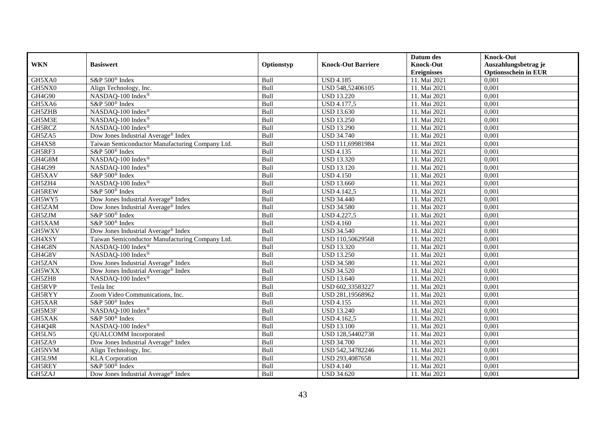|            |                                                 |            |                           | Datum des          | <b>Knock-Out</b>            |
|------------|-------------------------------------------------|------------|---------------------------|--------------------|-----------------------------|
| <b>WKN</b> | <b>Basiswert</b>                                | Optionstyp | <b>Knock-Out Barriere</b> | <b>Knock-Out</b>   | Auszahlungsbetrag je        |
|            |                                                 |            |                           | <b>Ereignisses</b> | <b>Optionsschein in EUR</b> |
| GH5XA0     | S&P 500 <sup>®</sup> Index                      | Bull       | <b>USD 4.185</b>          | 11. Mai 2021       | 0,001                       |
| GH5NX0     | Align Technology, Inc.                          | Bull       | USD 548,52406105          | 11. Mai 2021       | 0,001                       |
| GH4G90     | NASDAQ-100 Index®                               | Bull       | <b>USD 13.220</b>         | 11. Mai 2021       | 0,001                       |
| GH5XA6     | S&P 500 <sup>®</sup> Index                      | Bull       | <b>USD 4.177,5</b>        | 11. Mai 2021       | 0,001                       |
| GH5ZHB     | NASDAQ-100 Index®                               | Bull       | <b>USD 13.630</b>         | 11. Mai 2021       | 0,001                       |
| GH5M3E     | NASDAQ-100 Index®                               | Bull       | <b>USD 13.250</b>         | 11. Mai 2021       | 0,001                       |
| GH5RCZ     | NASDAQ-100 Index®                               | Bull       | <b>USD 13.290</b>         | 11. Mai 2021       | 0,001                       |
| GH5ZA5     | Dow Jones Industrial Average® Index             | Bull       | <b>USD 34.740</b>         | 11. Mai 2021       | 0,001                       |
| GH4XS8     | Taiwan Semiconductor Manufacturing Company Ltd. | Bull       | USD 111,69981984          | 11. Mai 2021       | 0,001                       |
| GH5RF3     | S&P 500 <sup>®</sup> Index                      | Bull       | <b>USD 4.135</b>          | 11. Mai 2021       | 0,001                       |
| GH4G8M     | NASDAQ-100 Index®                               | Bull       | <b>USD 13.320</b>         | 11. Mai 2021       | 0,001                       |
| GH4G99     | NASDAQ-100 Index®                               | Bull       | <b>USD 13.120</b>         | 11. Mai 2021       | 0,001                       |
| GH5XAV     | S&P 500 <sup>®</sup> Index                      | Bull       | <b>USD 4.150</b>          | 11. Mai 2021       | 0,001                       |
| GH5ZH4     | NASDAQ-100 Index®                               | Bull       | <b>USD 13.660</b>         | 11. Mai 2021       | 0,001                       |
| GH5REW     | S&P 500 <sup>®</sup> Index                      | Bull       | USD 4.142,5               | 11. Mai 2021       | 0,001                       |
| GH5WY5     | Dow Jones Industrial Average® Index             | Bull       | <b>USD 34.440</b>         | 11. Mai 2021       | 0,001                       |
| GH5ZAM     | Dow Jones Industrial Average® Index             | Bull       | <b>USD 34.580</b>         | 11. Mai 2021       | 0,001                       |
| GH5ZJM     | S&P 500 <sup>®</sup> Index                      | Bull       | <b>USD 4.227,5</b>        | 11. Mai 2021       | 0,001                       |
| GH5XAM     | S&P 500 <sup>®</sup> Index                      | Bull       | <b>USD 4.160</b>          | 11. Mai 2021       | 0,001                       |
| GH5WXV     | Dow Jones Industrial Average® Index             | Bull       | <b>USD 34.540</b>         | 11. Mai 2021       | 0,001                       |
| GH4XSY     | Taiwan Semiconductor Manufacturing Company Ltd. | Bull       | USD 110,50629568          | 11. Mai 2021       | 0,001                       |
| GH4G8N     | NASDAQ-100 Index®                               | Bull       | <b>USD 13.320</b>         | 11. Mai 2021       | 0,001                       |
| GH4G8V     | NASDAQ-100 Index®                               | Bull       | <b>USD 13.250</b>         | 11. Mai 2021       | 0,001                       |
| GH5ZAN     | Dow Jones Industrial Average <sup>®</sup> Index | Bull       | <b>USD 34.580</b>         | 11. Mai 2021       | 0,001                       |
| GH5WXX     | Dow Jones Industrial Average <sup>®</sup> Index | Bull       | <b>USD 34.520</b>         | 11. Mai 2021       | 0,001                       |
| GH5ZH8     | NASDAQ-100 Index®                               | Bull       | <b>USD 13.640</b>         | 11. Mai 2021       | 0,001                       |
| GH5RVP     | Tesla Inc                                       | Bull       | USD 602,33583227          | 11. Mai 2021       | 0,001                       |
| GH5RYY     | Zoom Video Communications, Inc.                 | Bull       | USD 281,19568962          | 11. Mai 2021       | 0,001                       |
| GH5XAR     | S&P 500 <sup>®</sup> Index                      | Bull       | <b>USD 4.155</b>          | 11. Mai 2021       | 0,001                       |
| GH5M3F     | NASDAQ-100 Index®                               | Bull       | <b>USD 13.240</b>         | 11. Mai 2021       | 0.001                       |
| GH5XAK     | S&P 500 <sup>®</sup> Index                      | Bull       | <b>USD 4.162,5</b>        | 11. Mai 2021       | 0,001                       |
| GH4Q4R     | NASDAQ-100 Index®                               | Bull       | <b>USD 13.100</b>         | 11. Mai 2021       | 0,001                       |
| GH5LN5     | <b>QUALCOMM</b> Incorporated                    | Bull       | USD 128,54402738          | 11. Mai 2021       | 0,001                       |
| GH5ZA9     | Dow Jones Industrial Average <sup>®</sup> Index | Bull       | <b>USD 34.700</b>         | 11. Mai 2021       | 0,001                       |
| GH5NVM     | Align Technology, Inc.                          | Bull       | USD 542,34782246          | 11. Mai 2021       | 0,001                       |
| GH5L9M     | <b>KLA</b> Corporation                          | Bull       | USD 293,4087658           | 11. Mai 2021       | 0,001                       |
| GH5REY     | S&P 500 <sup>®</sup> Index                      | Bull       | <b>USD 4.140</b>          | 11. Mai 2021       | 0,001                       |
| GH5ZAJ     | Dow Jones Industrial Average <sup>®</sup> Index | Bull       | <b>USD 34.620</b>         | 11. Mai 2021       | 0,001                       |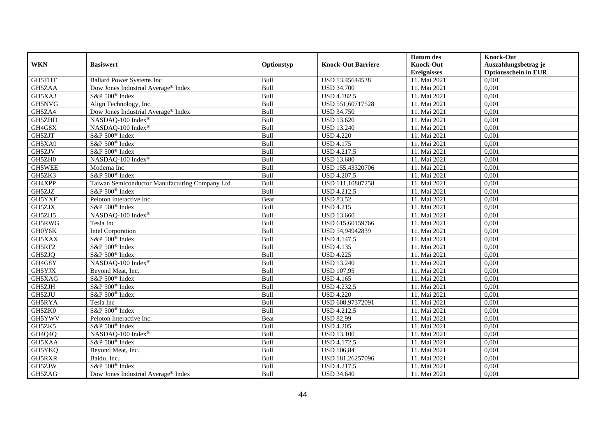|            |                                                 |             |                           | Datum des          | <b>Knock-Out</b>            |
|------------|-------------------------------------------------|-------------|---------------------------|--------------------|-----------------------------|
| <b>WKN</b> | <b>Basiswert</b>                                | Optionstyp  | <b>Knock-Out Barriere</b> | <b>Knock-Out</b>   | Auszahlungsbetrag je        |
|            |                                                 |             |                           | <b>Ereignisses</b> | <b>Optionsschein in EUR</b> |
| GH5THT     | <b>Ballard Power Systems Inc</b>                | Bull        | USD 13,45644538           | 11. Mai 2021       | 0,001                       |
| GH5ZAA     | Dow Jones Industrial Average <sup>®</sup> Index | Bull        | <b>USD 34.700</b>         | 11. Mai 2021       | 0,001                       |
| GH5XA3     | S&P 500 <sup>®</sup> Index                      | Bull        | <b>USD 4.182,5</b>        | 11. Mai 2021       | 0,001                       |
| GH5NVG     | Align Technology, Inc.                          | Bull        | USD 551,60717528          | 11. Mai 2021       | 0,001                       |
| GH5ZA4     | Dow Jones Industrial Average® Index             | Bull        | <b>USD 34.750</b>         | 11. Mai 2021       | 0,001                       |
| GH5ZHD     | NASDAQ-100 Index®                               | Bull        | <b>USD 13.620</b>         | 11. Mai 2021       | 0,001                       |
| GH4G8X     | NASDAQ-100 Index®                               | Bull        | <b>USD 13.240</b>         | 11. Mai 2021       | 0,001                       |
| GH5ZJT     | S&P 500 <sup>®</sup> Index                      | Bull        | <b>USD 4.220</b>          | 11. Mai 2021       | 0,001                       |
| GH5XA9     | S&P 500 <sup>®</sup> Index                      | Bull        | <b>USD 4.175</b>          | 11. Mai 2021       | 0,001                       |
| GH5ZJV     | S&P 500 <sup>®</sup> Index                      | Bull        | <b>USD 4.217,5</b>        | 11. Mai 2021       | 0,001                       |
| GH5ZH0     | NASDAQ-100 Index®                               | Bull        | <b>USD 13.680</b>         | 11. Mai 2021       | 0,001                       |
| GH5WEE     | Moderna Inc                                     | Bull        | USD 155,43320706          | 11. Mai 2021       | 0,001                       |
| GH5ZK3     | S&P 500 <sup>®</sup> Index                      | Bull        | <b>USD 4.207,5</b>        | 11. Mai 2021       | 0,001                       |
| GH4XPP     | Taiwan Semiconductor Manufacturing Company Ltd. | Bull        | USD 111,10807258          | 11. Mai 2021       | 0,001                       |
| GH5ZJZ     | S&P 500 <sup>®</sup> Index                      | Bull        | <b>USD 4.212,5</b>        | 11. Mai 2021       | 0,001                       |
| GH5YXF     | Peloton Interactive Inc.                        | Bear        | <b>USD 83,52</b>          | 11. Mai 2021       | 0,001                       |
| GH5ZJX     | S&P 500 <sup>®</sup> Index                      | Bull        | <b>USD 4.215</b>          | 11. Mai 2021       | 0,001                       |
| GH5ZH5     | NASDAO-100 Index®                               | <b>Bull</b> | <b>USD 13.660</b>         | 11. Mai 2021       | 0,001                       |
| GH5RWG     | Tesla Inc                                       | Bull        | USD 615,60159766          | 11. Mai 2021       | 0,001                       |
| GH0Y6K     | <b>Intel Corporation</b>                        | Bull        | USD 54,94942839           | 11. Mai 2021       | 0,001                       |
| GH5XAX     | S&P 500 <sup>®</sup> Index                      | Bull        | <b>USD 4.147,5</b>        | 11. Mai 2021       | 0,001                       |
| GH5RF2     | S&P 500 <sup>®</sup> Index                      | Bull        | <b>USD 4.135</b>          | 11. Mai 2021       | 0,001                       |
| GH5ZJQ     | S&P 500 <sup>®</sup> Index                      | Bull        | <b>USD 4.225</b>          | 11. Mai 2021       | 0,001                       |
| GH4G8Y     | NASDAQ-100 Index®                               | Bull        | <b>USD 13.240</b>         | 11. Mai 2021       | 0,001                       |
| GH5YJX     | Bevond Meat, Inc.                               | <b>Bull</b> | <b>USD 107,95</b>         | 11. Mai 2021       | 0,001                       |
| GH5XAG     | S&P 500 <sup>®</sup> Index                      | Bull        | <b>USD 4.165</b>          | 11. Mai 2021       | 0,001                       |
| GH5ZJH     | S&P 500 <sup>®</sup> Index                      | Bull        | <b>USD 4.232,5</b>        | 11. Mai 2021       | 0,001                       |
| GH5ZJU     | S&P 500 <sup>®</sup> Index                      | Bull        | <b>USD 4.220</b>          | 11. Mai 2021       | 0,001                       |
| GH5RYA     | Tesla Inc                                       | Bull        | USD 608,97372091          | 11. Mai 2021       | 0,001                       |
| GH5ZK0     | S&P 500 <sup>®</sup> Index                      | Bull        | <b>USD 4.212,5</b>        | 11. Mai 2021       | 0,001                       |
| GH5YWV     | Peloton Interactive Inc.                        | Bear        | <b>USD 82,99</b>          | 11. Mai 2021       | 0,001                       |
| GH5ZK5     | $S\&P 500^{\circ}$ Index                        | Bull        | <b>USD 4.205</b>          | 11. Mai 2021       | 0,001                       |
| GH4Q4Q     | NASDAQ-100 Index®                               | Bull        | <b>USD 13.100</b>         | 11. Mai 2021       | 0,001                       |
| GH5XAA     | S&P 500 <sup>®</sup> Index                      | Bull        | <b>USD 4.172,5</b>        | 11. Mai 2021       | 0,001                       |
| GH5YKQ     | Beyond Meat, Inc.                               | Bull        | <b>USD 106,84</b>         | 11. Mai 2021       | 0,001                       |
| GH5RXR     | Baidu, Inc.                                     | Bull        | USD 181,26257096          | 11. Mai 2021       | 0,001                       |
| GH5ZJW     | S&P 500 <sup>®</sup> Index                      | Bull        | <b>USD 4.217,5</b>        | 11. Mai 2021       | 0,001                       |
| GH5ZAG     | Dow Jones Industrial Average <sup>®</sup> Index | Bull        | <b>USD 34.640</b>         | 11. Mai 2021       | 0,001                       |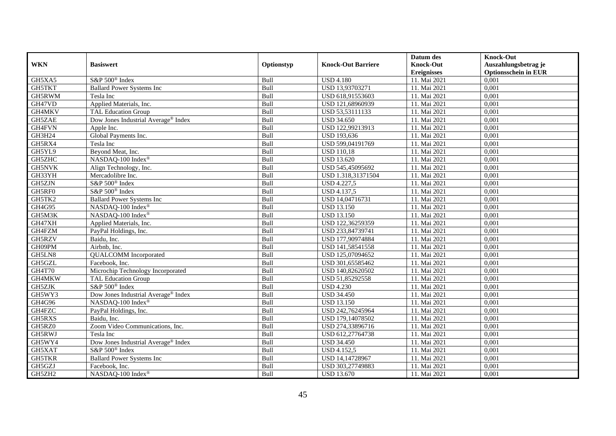|               |                                                 |             |                           | Datum des          | <b>Knock-Out</b>            |
|---------------|-------------------------------------------------|-------------|---------------------------|--------------------|-----------------------------|
| <b>WKN</b>    | <b>Basiswert</b>                                | Optionstyp  | <b>Knock-Out Barriere</b> | <b>Knock-Out</b>   | Auszahlungsbetrag je        |
|               |                                                 |             |                           | <b>Ereignisses</b> | <b>Optionsschein in EUR</b> |
| GH5XA5        | S&P 500 <sup>®</sup> Index                      | Bull        | <b>USD 4.180</b>          | 11. Mai 2021       | 0,001                       |
| GH5TKT        | <b>Ballard Power Systems Inc.</b>               | Bull        | USD 13,93703271           | 11. Mai 2021       | 0,001                       |
| GH5RWM        | Tesla Inc                                       | Bull        | USD 618,91553603          | 11. Mai 2021       | 0,001                       |
| GH47VD        | Applied Materials, Inc.                         | Bull        | USD 121,68960939          | 11. Mai 2021       | 0,001                       |
| GH4MKV        | <b>TAL Education Group</b>                      | Bull        | USD 53,53111133           | 11. Mai 2021       | 0,001                       |
| GH5ZAE        | Dow Jones Industrial Average <sup>®</sup> Index | Bull        | <b>USD 34.650</b>         | 11. Mai 2021       | 0,001                       |
| GH4FVN        | Apple Inc.                                      | Bull        | USD 122,99213913          | 11. Mai 2021       | 0,001                       |
| GH3H24        | Global Payments Inc.                            | Bull        | USD 193,636               | 11. Mai 2021       | 0,001                       |
| GH5RX4        | Tesla Inc                                       | Bull        | USD 599,04191769          | 11. Mai 2021       | 0,001                       |
| GH5YL9        | Beyond Meat, Inc.                               | Bull        | <b>USD 110,18</b>         | 11. Mai 2021       | 0,001                       |
| GH5ZHC        | NASDAQ-100 Index®                               | Bull        | <b>USD 13.620</b>         | 11. Mai 2021       | 0,001                       |
| <b>GH5NVK</b> | Align Technology, Inc.                          | Bull        | USD 545,45095692          | 11. Mai 2021       | 0,001                       |
| GH33YH        | Mercadolibre Inc.                               | Bull        | USD 1.318,31371504        | 11. Mai 2021       | 0,001                       |
| GH5ZJN        | S&P 500 <sup>®</sup> Index                      | Bull        | <b>USD 4.227,5</b>        | 11. Mai 2021       | 0,001                       |
| GH5RF0        | S&P 500 <sup>®</sup> Index                      | Bull        | USD 4.137,5               | 11. Mai 2021       | 0,001                       |
| GH5TK2        | <b>Ballard Power Systems Inc</b>                | Bull        | USD 14,04716731           | 11. Mai 2021       | 0,001                       |
| GH4G95        | NASDAQ-100 Index®                               | Bull        | <b>USD 13.150</b>         | 11. Mai 2021       | 0,001                       |
| GH5M3K        | NASDAO-100 Index®                               | <b>Bull</b> | <b>USD 13.150</b>         | 11. Mai 2021       | 0,001                       |
| GH47XH        | Applied Materials, Inc.                         | Bull        | USD 122,36259359          | 11. Mai 2021       | 0,001                       |
| GH4FZM        | PayPal Holdings, Inc.                           | Bull        | USD 233,84739741          | 11. Mai 2021       | 0,001                       |
| GH5RZV        | Baidu, Inc.                                     | Bull        | USD 177,90974884          | 11. Mai 2021       | 0,001                       |
| GH09PM        | Airbnb, Inc.                                    | Bull        | USD 141,58541558          | 11. Mai 2021       | 0,001                       |
| GH5LN8        | <b>QUALCOMM</b> Incorporated                    | Bull        | USD 125,07094652          | 11. Mai 2021       | 0,001                       |
| GH5GZL        | Facebook, Inc.                                  | Bull        | USD 301,65585462          | 11. Mai 2021       | 0,001                       |
| <b>GH4T70</b> | Microchip Technology Incorporated               | Bull        | USD 140,82620502          | 11. Mai 2021       | 0,001                       |
| GH4MKW        | <b>TAL Education Group</b>                      | Bull        | USD 51,85292558           | 11. Mai 2021       | 0,001                       |
| GH5ZJK        | S&P 500 <sup>®</sup> Index                      | Bull        | <b>USD 4.230</b>          | 11. Mai 2021       | 0,001                       |
| GH5WY3        | Dow Jones Industrial Average® Index             | Bull        | <b>USD 34.450</b>         | 11. Mai 2021       | 0,001                       |
| GH4G96        | NASDAQ-100 Index®                               | Bull        | <b>USD 13.150</b>         | 11. Mai 2021       | 0,001                       |
| GH4FZC        | PayPal Holdings, Inc.                           | Bull        | USD 242,76245964          | 11. Mai 2021       | 0,001                       |
| GH5RXS        | Baidu, Inc.                                     | Bull        | USD 179,14078502          | 11. Mai 2021       | 0,001                       |
| GH5RZ0        | Zoom Video Communications, Inc.                 | Bull        | USD 274,33896716          | 11. Mai 2021       | 0,001                       |
| GH5RWJ        | Tesla Inc                                       | Bull        | USD 612,27764738          | 11. Mai 2021       | 0,001                       |
| GH5WY4        | Dow Jones Industrial Average® Index             | Bull        | <b>USD 34.450</b>         | 11. Mai 2021       | 0,001                       |
| GH5XAT        | S&P 500 <sup>®</sup> Index                      | <b>Bull</b> | <b>USD 4.152,5</b>        | 11. Mai 2021       | 0,001                       |
| GH5TKR        | <b>Ballard Power Systems Inc</b>                | Bull        | USD 14,14728967           | 11. Mai 2021       | 0,001                       |
| GH5GZJ        | Facebook, Inc.                                  | Bull        | USD 303,27749883          | 11. Mai 2021       | 0,001                       |
| GH5ZH2        | NASDAQ-100 Index®                               | Bull        | <b>USD 13.670</b>         | 11. Mai 2021       | 0,001                       |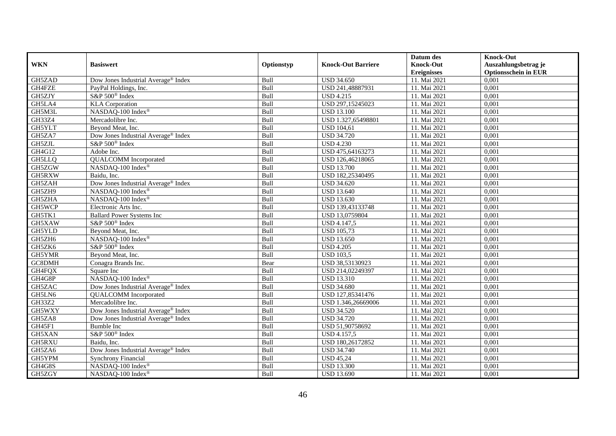|            |                                                 |             |                           | Datum des          | <b>Knock-Out</b>            |
|------------|-------------------------------------------------|-------------|---------------------------|--------------------|-----------------------------|
| <b>WKN</b> | <b>Basiswert</b>                                | Optionstyp  | <b>Knock-Out Barriere</b> | <b>Knock-Out</b>   | Auszahlungsbetrag je        |
|            |                                                 |             |                           | <b>Ereignisses</b> | <b>Optionsschein in EUR</b> |
| GH5ZAD     | Dow Jones Industrial Average® Index             | Bull        | <b>USD 34.650</b>         | 11. Mai 2021       | 0,001                       |
| GH4FZE     | PayPal Holdings, Inc.                           | Bull        | USD 241,48887931          | 11. Mai 2021       | 0,001                       |
| GH5ZJY     | S&P 500 <sup>®</sup> Index                      | Bull        | <b>USD 4.215</b>          | 11. Mai 2021       | 0,001                       |
| GH5LA4     | <b>KLA</b> Corporation                          | Bull        | USD 297,15245023          | 11. Mai 2021       | 0,001                       |
| GH5M3L     | NASDAQ-100 Index®                               | Bull        | <b>USD 13.100</b>         | 11. Mai 2021       | 0,001                       |
| GH33Z4     | Mercadolibre Inc.                               | Bull        | USD 1.327,65498801        | 11. Mai 2021       | 0,001                       |
| GH5YLT     | Beyond Meat, Inc.                               | Bull        | <b>USD 104,61</b>         | 11. Mai 2021       | 0,001                       |
| GH5ZA7     | Dow Jones Industrial Average® Index             | Bull        | <b>USD 34.720</b>         | 11. Mai 2021       | 0,001                       |
| GH5ZJL     | S&P 500 <sup>®</sup> Index                      | Bull        | <b>USD 4.230</b>          | 11. Mai 2021       | 0,001                       |
| GH4G12     | Adobe Inc.                                      | Bull        | USD 475,64163273          | 11. Mai 2021       | 0,001                       |
| GH5LLQ     | <b>QUALCOMM</b> Incorporated                    | Bull        | USD 126,46218065          | 11. Mai 2021       | 0,001                       |
| GH5ZGW     | NASDAQ-100 Index®                               | Bull        | <b>USD 13.700</b>         | 11. Mai 2021       | 0,001                       |
| GH5RXW     | Baidu, Inc.                                     | Bull        | USD 182,25340495          | 11. Mai 2021       | 0,001                       |
| GH5ZAH     | Dow Jones Industrial Average® Index             | <b>Bull</b> | <b>USD 34.620</b>         | 11. Mai 2021       | 0,001                       |
| GH5ZH9     | NASDAQ-100 Index®                               | Bull        | <b>USD 13.640</b>         | 11. Mai 2021       | 0,001                       |
| GH5ZHA     | NASDAQ-100 Index®                               | Bull        | <b>USD 13.630</b>         | 11. Mai 2021       | 0,001                       |
| GH5WCP     | Electronic Arts Inc.                            | Bull        | USD 139,43133748          | 11. Mai 2021       | 0,001                       |
| GH5TK1     | <b>Ballard Power Systems Inc</b>                | Bull        | USD 13,0759804            | 11. Mai 2021       | 0,001                       |
| GH5XAW     | S&P 500 <sup>®</sup> Index                      | Bull        | <b>USD 4.147,5</b>        | 11. Mai 2021       | 0,001                       |
| GH5YLD     | Beyond Meat, Inc.                               | Bull        | <b>USD 105,73</b>         | 11. Mai 2021       | 0,001                       |
| GH5ZH6     | NASDAQ-100 Index®                               | Bull        | <b>USD 13.650</b>         | 11. Mai 2021       | 0,001                       |
| GH5ZK6     | S&P 500 <sup>®</sup> Index                      | <b>Bull</b> | <b>USD 4.205</b>          | 11. Mai 2021       | 0,001                       |
| GH5YMR     | Beyond Meat, Inc.                               | Bull        | <b>USD 103.5</b>          | 11. Mai 2021       | 0,001                       |
| GC8DMH     | Conagra Brands Inc.                             | Bear        | USD 38,53130923           | 11. Mai 2021       | 0,001                       |
| GH4FQX     | Square Inc                                      | Bull        | USD 214,02249397          | 11. Mai 2021       | 0,001                       |
| GH4G8P     | NASDAQ-100 Index®                               | Bull        | <b>USD 13.310</b>         | 11. Mai 2021       | 0,001                       |
| GH5ZAC     | Dow Jones Industrial Average® Index             | Bull        | <b>USD 34.680</b>         | 11. Mai 2021       | 0,001                       |
| GH5LN6     | <b>QUALCOMM</b> Incorporated                    | Bull        | USD 127,85341476          | 11. Mai 2021       | 0,001                       |
| GH33Z2     | Mercadolibre Inc.                               | Bull        | USD 1.346,26669006        | 11. Mai 2021       | 0,001                       |
| GH5WXY     | Dow Jones Industrial Average® Index             | Bull        | <b>USD 34.520</b>         | 11. Mai 2021       | 0,001                       |
| GH5ZA8     | Dow Jones Industrial Average® Index             | Bull        | <b>USD 34.720</b>         | 11. Mai 2021       | 0,001                       |
| GH45F1     | Bumble Inc                                      | Bull        | USD 51,90758692           | 11. Mai 2021       | 0,001                       |
| GH5XAN     | S&P 500 <sup>®</sup> Index                      | Bull        | <b>USD 4.157,5</b>        | 11. Mai 2021       | 0,001                       |
| GH5RXU     | Baidu, Inc.                                     | Bull        | USD 180,26172852          | 11. Mai 2021       | 0,001                       |
| GH5ZA6     | Dow Jones Industrial Average <sup>®</sup> Index | Bull        | <b>USD 34.740</b>         | 11. Mai 2021       | 0,001                       |
| GH5YPM     | <b>Synchrony Financial</b>                      | Bull        | <b>USD 45,24</b>          | 11. Mai 2021       | 0,001                       |
| GH4G8S     | NASDAQ-100 Index®                               | Bull        | <b>USD 13.300</b>         | 11. Mai 2021       | 0,001                       |
| GH5ZGY     | NASDAQ-100 Index®                               | Bull        | <b>USD 13.690</b>         | 11. Mai 2021       | 0,001                       |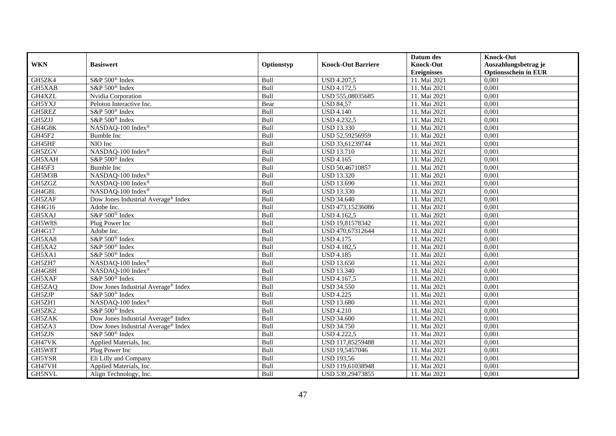|            |                                                 |             |                           | Datum des          | <b>Knock-Out</b>            |
|------------|-------------------------------------------------|-------------|---------------------------|--------------------|-----------------------------|
| <b>WKN</b> | <b>Basiswert</b>                                | Optionstyp  | <b>Knock-Out Barriere</b> | <b>Knock-Out</b>   | Auszahlungsbetrag je        |
|            |                                                 |             |                           | <b>Ereignisses</b> | <b>Optionsschein in EUR</b> |
| GH5ZK4     | S&P 500 <sup>®</sup> Index                      | Bull        | USD 4.207,5               | 11. Mai 2021       | 0,001                       |
| GH5XAB     | S&P 500 <sup>®</sup> Index                      | Bull        | <b>USD 4.172,5</b>        | 11. Mai 2021       | 0,001                       |
| GH4XZL     | Nvidia Corporation                              | Bull        | USD 555,08035685          | 11. Mai 2021       | 0,001                       |
| GH5YXJ     | Peloton Interactive Inc.                        | Bear        | <b>USD 84,57</b>          | 11. Mai 2021       | 0,001                       |
| GH5REZ     | S&P 500 <sup>®</sup> Index                      | Bull        | <b>USD 4.140</b>          | 11. Mai 2021       | 0,001                       |
| GH5ZJJ     | S&P 500 <sup>®</sup> Index                      | Bull        | <b>USD 4.232,5</b>        | 11. Mai 2021       | 0,001                       |
| GH4G8K     | NASDAQ-100 Index®                               | Bull        | <b>USD 13.330</b>         | 11. Mai 2021       | 0,001                       |
| GH45F2     | Bumble Inc                                      | Bull        | USD 52,59256959           | 11. Mai 2021       | 0,001                       |
| GH45HF     | NIO Inc                                         | Bull        | USD 33,61239744           | 11. Mai 2021       | 0,001                       |
| GH5ZGV     | NASDAQ-100 Index®                               | Bull        | <b>USD 13.710</b>         | 11. Mai 2021       | 0,001                       |
| GH5XAH     | $S\&P 500$ <sup>®</sup> Index                   | Bull        | <b>USD 4.165</b>          | 11. Mai 2021       | 0,001                       |
| GH45F3     | <b>Bumble Inc</b>                               | Bull        | USD 50,46710857           | 11. Mai 2021       | 0,001                       |
| GH5M3B     | NASDAQ-100 Index®                               | Bull        | <b>USD 13.320</b>         | 11. Mai 2021       | 0,001                       |
| GH5ZGZ     | NASDAQ-100 Index®                               | Bull        | <b>USD 13.690</b>         | 11. Mai 2021       | 0,001                       |
| GH4G8L     | NASDAQ-100 Index®                               | Bull        | <b>USD 13.330</b>         | 11. Mai 2021       | 0,001                       |
| GH5ZAF     | Dow Jones Industrial Average <sup>®</sup> Index | Bull        | <b>USD 34.640</b>         | 11. Mai 2021       | 0,001                       |
| GH4G16     | Adobe Inc.                                      | Bull        | USD 473,15236086          | 11. Mai 2021       | 0,001                       |
| GH5XAJ     | S&P 500 <sup>®</sup> Index                      | <b>Bull</b> | <b>USD 4.162,5</b>        | 11. Mai 2021       | 0,001                       |
| GH5W8S     | Plug Power Inc                                  | Bull        | USD 19,81578342           | 11. Mai 2021       | 0,001                       |
| GH4G17     | Adobe Inc.                                      | Bull        | USD 470,67312644          | 11. Mai 2021       | 0,001                       |
| GH5XA8     | S&P 500 <sup>®</sup> Index                      | Bull        | <b>USD 4.175</b>          | 11. Mai 2021       | 0,001                       |
| GH5XA2     | S&P 500 <sup>®</sup> Index                      | Bull        | <b>USD 4.182,5</b>        | 11. Mai 2021       | 0,001                       |
| GH5XA1     | S&P 500 <sup>®</sup> Index                      | Bull        | <b>USD 4.185</b>          | 11. Mai 2021       | 0,001                       |
| GH5ZH7     | NASDAQ-100 Index®                               | Bull        | <b>USD 13.650</b>         | 11. Mai 2021       | 0,001                       |
| GH4G8H     | NASDAQ-100 Index®                               | <b>Bull</b> | <b>USD 13.340</b>         | 11. Mai 2021       | 0,001                       |
| GH5XAF     | S&P 500 <sup>®</sup> Index                      | Bull        | USD 4.167,5               | 11. Mai 2021       | 0,001                       |
| GH5ZAQ     | Dow Jones Industrial Average® Index             | Bull        | <b>USD 34.550</b>         | 11. Mai 2021       | 0,001                       |
| GH5ZJP     | S&P 500 <sup>®</sup> Index                      | Bull        | <b>USD 4.225</b>          | 11. Mai 2021       | 0,001                       |
| GH5ZH1     | NASDAQ-100 Index®                               | Bull        | <b>USD 13.680</b>         | 11. Mai 2021       | 0,001                       |
| GH5ZK2     | S&P 500 <sup>®</sup> Index                      | Bull        | <b>USD 4.210</b>          | 11. Mai 2021       | 0,001                       |
| GH5ZAK     | Dow Jones Industrial Average <sup>®</sup> Index | Bull        | <b>USD 34.600</b>         | 11. Mai 2021       | 0,001                       |
| GH5ZA3     | Dow Jones Industrial Average <sup>®</sup> Index | <b>Bull</b> | <b>USD 34.750</b>         | 11. Mai 2021       | 0,001                       |
| GH5ZJS     | S&P 500 <sup>®</sup> Index                      | Bull        | <b>USD 4.222.5</b>        | 11. Mai 2021       | 0,001                       |
| GH47VK     | Applied Materials, Inc.                         | Bull        | USD 117,85259488          | 11. Mai 2021       | 0,001                       |
| GH5W8T     | Plug Power Inc                                  | Bull        | USD 19,5457046            | 11. Mai 2021       | 0,001                       |
| GH5YSR     | Eli Lilly and Company                           | Bull        | <b>USD 193,56</b>         | 11. Mai 2021       | 0,001                       |
| GH47VH     | Applied Materials, Inc.                         | Bull        | USD 119,61038948          | 11. Mai 2021       | 0,001                       |
| GH5NVL     | Align Technology, Inc.                          | Bull        | USD 539,29473855          | 11. Mai 2021       | 0,001                       |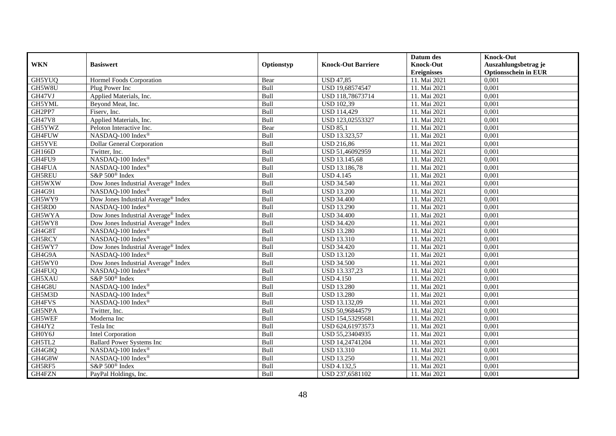|               |                                                 |             |                           | Datum des          | <b>Knock-Out</b>            |
|---------------|-------------------------------------------------|-------------|---------------------------|--------------------|-----------------------------|
| <b>WKN</b>    | <b>Basiswert</b>                                | Optionstyp  | <b>Knock-Out Barriere</b> | <b>Knock-Out</b>   | Auszahlungsbetrag je        |
|               |                                                 |             |                           | <b>Ereignisses</b> | <b>Optionsschein in EUR</b> |
| GH5YUQ        | Hormel Foods Corporation                        | Bear        | <b>USD 47,85</b>          | 11. Mai 2021       | 0,001                       |
| GH5W8U        | Plug Power Inc                                  | Bull        | USD 19,68574547           | 11. Mai 2021       | 0,001                       |
| GH47VJ        | Applied Materials, Inc.                         | Bull        | USD 118,78673714          | 11. Mai 2021       | 0,001                       |
| GH5YML        | Beyond Meat, Inc.                               | Bull        | <b>USD 102,39</b>         | 11. Mai 2021       | 0,001                       |
| GH2PP7        | Fiserv, Inc.                                    | Bull        | <b>USD 114,429</b>        | 11. Mai 2021       | 0,001                       |
| <b>GH47V8</b> | Applied Materials, Inc.                         | Bull        | USD 123,02553327          | 11. Mai 2021       | 0,001                       |
| GH5YWZ        | Peloton Interactive Inc.                        | Bear        | <b>USD 85.1</b>           | 11. Mai 2021       | 0,001                       |
| GH4FUW        | NASDAQ-100 Index®                               | Bull        | USD 13.323,57             | 11. Mai 2021       | 0,001                       |
| GH5YVE        | <b>Dollar General Corporation</b>               | Bull        | <b>USD 216,86</b>         | 11. Mai 2021       | 0,001                       |
| <b>GH166D</b> | Twitter, Inc.                                   | Bull        | USD 51,46092959           | 11. Mai 2021       | 0,001                       |
| GH4FU9        | NASDAQ-100 Index®                               | Bull        | USD 13.145,68             | 11. Mai 2021       | 0,001                       |
| GH4FUA        | NASDAQ-100 Index®                               | Bull        | USD 13.186,78             | 11. Mai 2021       | 0,001                       |
| <b>GH5REU</b> | S&P 500 <sup>®</sup> Index                      | Bull        | <b>USD 4.145</b>          | 11. Mai 2021       | 0,001                       |
| GH5WXW        | Dow Jones Industrial Average® Index             | <b>Bull</b> | <b>USD 34.540</b>         | 11. Mai 2021       | 0,001                       |
| GH4G91        | NASDAQ-100 Index®                               | Bull        | <b>USD 13.200</b>         | 11. Mai 2021       | 0,001                       |
| GH5WY9        | Dow Jones Industrial Average <sup>®</sup> Index | Bull        | <b>USD 34.400</b>         | 11. Mai 2021       | 0,001                       |
| GH5RD0        | NASDAQ-100 Index®                               | Bull        | <b>USD 13.290</b>         | 11. Mai 2021       | 0,001                       |
| GH5WYA        | Dow Jones Industrial Average <sup>®</sup> Index | Bull        | <b>USD 34.400</b>         | 11. Mai 2021       | 0,001                       |
| GH5WY8        | Dow Jones Industrial Average® Index             | Bull        | <b>USD 34.420</b>         | 11. Mai 2021       | 0,001                       |
| GH4G8T        | NASDAQ-100 Index®                               | Bull        | <b>USD 13.280</b>         | 11. Mai 2021       | 0,001                       |
| GH5RCY        | NASDAQ-100 Index®                               | Bull        | <b>USD 13.310</b>         | 11. Mai 2021       | 0,001                       |
| GH5WY7        | Dow Jones Industrial Average® Index             | <b>Bull</b> | <b>USD 34.420</b>         | 11. Mai 2021       | 0,001                       |
| GH4G9A        | NASDAQ-100 Index®                               | Bull        | <b>USD 13.120</b>         | 11. Mai 2021       | 0,001                       |
| GH5WY0        | Dow Jones Industrial Average® Index             | Bull        | <b>USD 34.500</b>         | 11. Mai 2021       | 0,001                       |
| GH4FUQ        | NASDAQ-100 Index®                               | Bull        | USD 13.337,23             | 11. Mai 2021       | 0,001                       |
| GH5XAU        | S&P 500 <sup>®</sup> Index                      | Bull        | <b>USD 4.150</b>          | 11. Mai 2021       | 0,001                       |
| GH4G8U        | NASDAQ-100 Index®                               | Bull        | <b>USD 13.280</b>         | 11. Mai 2021       | 0,001                       |
| GH5M3D        | NASDAQ-100 Index®                               | Bull        | <b>USD 13.280</b>         | 11. Mai 2021       | 0,001                       |
| GH4FVS        | NASDAQ-100 Index®                               | Bull        | USD 13.132,09             | 11. Mai 2021       | 0,001                       |
| GH5NPA        | Twitter, Inc.                                   | Bull        | USD 50,96844579           | 11. Mai 2021       | 0,001                       |
| GH5WEF        | Moderna Inc                                     | Bull        | USD 154,53295681          | 11. Mai 2021       | 0,001                       |
| GH4JY2        | Tesla Inc                                       | Bull        | USD 624,61973573          | 11. Mai 2021       | 0,001                       |
| GH0Y6J        | <b>Intel Corporation</b>                        | Bull        | USD 55,23404935           | 11. Mai 2021       | 0,001                       |
| GH5TL2        | <b>Ballard Power Systems Inc</b>                | Bull        | USD 14,24741204           | 11. Mai 2021       | 0,001                       |
| GH4G8Q        | NASDAQ-100 Index®                               | Bull        | <b>USD 13.310</b>         | 11. Mai 2021       | 0,001                       |
| GH4G8W        | NASDAQ-100 Index®                               | Bull        | <b>USD 13.250</b>         | 11. Mai 2021       | 0,001                       |
| GH5RF5        | S&P 500 <sup>®</sup> Index                      | Bull        | <b>USD 4.132,5</b>        | 11. Mai 2021       | 0,001                       |
| GH4FZN        | PayPal Holdings, Inc.                           | Bull        | USD 237,6581102           | 11. Mai 2021       | 0,001                       |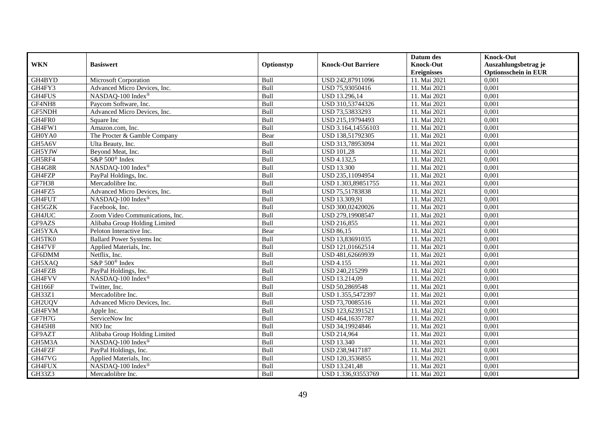|               |                                  |             |                           | Datum des          | <b>Knock-Out</b>            |
|---------------|----------------------------------|-------------|---------------------------|--------------------|-----------------------------|
| <b>WKN</b>    | <b>Basiswert</b>                 | Optionstyp  | <b>Knock-Out Barriere</b> | <b>Knock-Out</b>   | Auszahlungsbetrag je        |
|               |                                  |             |                           | <b>Ereignisses</b> | <b>Optionsschein in EUR</b> |
| GH4BYD        | Microsoft Corporation            | Bull        | USD 242,87911096          | 11. Mai 2021       | 0,001                       |
| GH4FY3        | Advanced Micro Devices, Inc.     | Bull        | USD 75,93050416           | 11. Mai 2021       | 0,001                       |
| GH4FUS        | NASDAQ-100 Index®                | <b>Bull</b> | USD 13.296,14             | 11. Mai 2021       | 0,001                       |
| GF4NH8        | Paycom Software, Inc.            | Bull        | USD 310,53744326          | 11. Mai 2021       | 0,001                       |
| GF5NDH        | Advanced Micro Devices, Inc.     | Bull        | USD 73,53833293           | 11. Mai 2021       | 0,001                       |
| GH4FR0        | Square Inc                       | <b>Bull</b> | USD 215,19794493          | 11. Mai 2021       | 0,001                       |
| GH4FW1        | Amazon.com, Inc.                 | Bull        | USD 3.164,14556103        | 11. Mai 2021       | 0,001                       |
| GH0YA0        | The Procter & Gamble Company     | Bear        | USD 138,51792305          | 11. Mai 2021       | 0,001                       |
| GH5A6V        | Ulta Beauty, Inc.                | Bull        | USD 313,78953094          | 11. Mai 2021       | 0,001                       |
| GH5YJW        | Beyond Meat, Inc.                | Bull        | <b>USD 101,28</b>         | 11. Mai 2021       | 0,001                       |
| GH5RF4        | S&P 500 <sup>®</sup> Index       | Bull        | <b>USD 4.132,5</b>        | 11. Mai 2021       | 0,001                       |
| GH4G8R        | NASDAQ-100 Index®                | Bull        | <b>USD 13.300</b>         | 11. Mai 2021       | 0,001                       |
| GH4FZP        | PayPal Holdings, Inc.            | Bull        | USD 235,11094954          | 11. Mai 2021       | 0,001                       |
| <b>GF7H38</b> | Mercadolibre Inc.                | Bull        | USD 1.303,89851755        | 11. Mai 2021       | 0,001                       |
| GH4FZ5        | Advanced Micro Devices, Inc.     | Bull        | USD 75,51783838           | 11. Mai 2021       | 0,001                       |
| GH4FUT        | NASDAQ-100 Index®                | Bull        | USD 13.309,91             | 11. Mai 2021       | 0,001                       |
| GH5GZK        | Facebook, Inc.                   | Bull        | USD 300,02420026          | 11. Mai 2021       | 0,001                       |
| GH4JUC        | Zoom Video Communications, Inc.  | Bull        | USD 279,19908547          | 11. Mai 2021       | 0,001                       |
| GF9AZS        | Alibaba Group Holding Limited    | Bull        | USD 216,855               | 11. Mai 2021       | 0,001                       |
| GH5YXA        | Peloton Interactive Inc.         | Bear        | <b>USD 86,15</b>          | 11. Mai 2021       | 0,001                       |
| GH5TK0        | <b>Ballard Power Systems Inc</b> | Bull        | USD 13,83691035           | 11. Mai 2021       | 0,001                       |
| GH47VF        | Applied Materials, Inc.          | Bull        | USD 121,01662514          | 11. Mai 2021       | 0,001                       |
| GF6DMM        | Netflix, Inc.                    | Bull        | USD 481,62669939          | 11. Mai 2021       | 0,001                       |
| GH5XAQ        | S&P 500 <sup>®</sup> Index       | Bull        | <b>USD 4.155</b>          | 11. Mai 2021       | 0,001                       |
| GH4FZB        | PayPal Holdings, Inc.            | Bull        | USD 240,215299            | 11. Mai 2021       | 0,001                       |
| GH4FVV        | NASDAQ-100 Index®                | Bull        | USD 13.214,09             | 11. Mai 2021       | 0,001                       |
| GH166F        | Twitter, Inc.                    | Bull        | USD 50,2869548            | 11. Mai 2021       | 0,001                       |
| GH33Z1        | Mercadolibre Inc.                | Bull        | USD 1.355,5472397         | 11. Mai 2021       | 0,001                       |
| GH2UQV        | Advanced Micro Devices, Inc.     | Bull        | USD 73,70085516           | 11. Mai 2021       | 0,001                       |
| GH4FVM        | Apple Inc.                       | Bull        | USD 123,62391521          | 11. Mai 2021       | 0.001                       |
| GF7H7G        | ServiceNow Inc                   | Bull        | USD 464,16357787          | 11. Mai 2021       | 0,001                       |
| GH45H8        | NIO Inc                          | Bull        | USD 34,19924846           | 11. Mai 2021       | 0,001                       |
| GF9AZT        | Alibaba Group Holding Limited    | Bull        | <b>USD 214,964</b>        | 11. Mai 2021       | 0,001                       |
| GH5M3A        | NASDAQ-100 Index®                | Bull        | <b>USD 13.340</b>         | 11. Mai 2021       | 0,001                       |
| GH4FZF        | PayPal Holdings, Inc.            | Bull        | USD 238,9417187           | 11. Mai 2021       | 0,001                       |
| GH47VG        | Applied Materials, Inc.          | Bull        | USD 120,3536855           | 11. Mai 2021       | 0,001                       |
| GH4FUX        | NASDAQ-100 Index®                | Bull        | USD 13.241,48             | 11. Mai 2021       | 0,001                       |
| GH33Z3        | Mercadolibre Inc.                | <b>Bull</b> | USD 1.336,93553769        | 11. Mai 2021       | 0,001                       |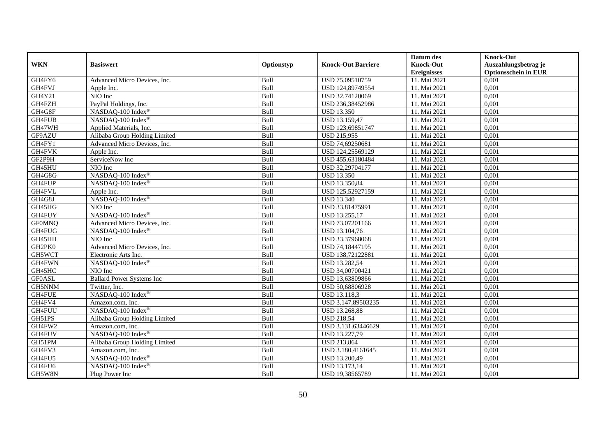|                    |                                  |             |                           | Datum des          | <b>Knock-Out</b>            |
|--------------------|----------------------------------|-------------|---------------------------|--------------------|-----------------------------|
| <b>WKN</b>         | <b>Basiswert</b>                 | Optionstyp  | <b>Knock-Out Barriere</b> | <b>Knock-Out</b>   | Auszahlungsbetrag je        |
|                    |                                  |             |                           | <b>Ereignisses</b> | <b>Optionsschein in EUR</b> |
| GH4FY6             | Advanced Micro Devices, Inc.     | Bull        | USD 75,09510759           | 11. Mai 2021       | 0,001                       |
| GH4FVJ             | Apple Inc.                       | Bull        | USD 124,89749554          | 11. Mai 2021       | 0,001                       |
| GH4Y21             | NIO Inc                          | Bull        | USD 32,74120069           | 11. Mai 2021       | 0,001                       |
| GH4FZH             | PayPal Holdings, Inc.            | Bull        | USD 236,38452986          | 11. Mai 2021       | 0,001                       |
| GH4G8F             | NASDAQ-100 Index®                | <b>Bull</b> | <b>USD 13.350</b>         | 11. Mai 2021       | 0,001                       |
| <b>GH4FUB</b>      | NASDAQ-100 Index®                | Bull        | <b>USD 13.159,47</b>      | 11. Mai 2021       | 0,001                       |
| GH47WH             | Applied Materials, Inc.          | <b>Bull</b> | USD 123,69851747          | 11. Mai 2021       | 0,001                       |
| GF9AZU             | Alibaba Group Holding Limited    | Bull        | <b>USD 215,955</b>        | 11. Mai 2021       | 0,001                       |
| GH4FY1             | Advanced Micro Devices, Inc.     | Bull        | USD 74,69250681           | 11. Mai 2021       | 0,001                       |
| GH4FVK             | Apple Inc.                       | Bull        | USD 124,25569129          | 11. Mai 2021       | 0,001                       |
| GF2P9H             | ServiceNow Inc                   | Bull        | USD 455,63180484          | 11. Mai 2021       | 0,001                       |
| GH45HU             | NIO Inc                          | Bull        | USD 32,29704177           | 11. Mai 2021       | 0,001                       |
| GH4G8G             | NASDAQ-100 Index®                | Bull        | <b>USD 13.350</b>         | 11. Mai 2021       | 0,001                       |
| GH4FUP             | NASDAO-100 Index®                | <b>Bull</b> | USD 13.350,84             | 11. Mai 2021       | 0.001                       |
| GH4FVL             | Apple Inc.                       | Bull        | USD 125,52927159          | 11. Mai 2021       | 0,001                       |
| GH4G8J             | NASDAQ-100 Index®                | Bull        | <b>USD 13.340</b>         | 11. Mai 2021       | 0,001                       |
| GH45HG             | NIO Inc                          | Bull        | USD 33,81475991           | 11. Mai 2021       | 0,001                       |
| GH4FUY             | NASDAQ-100 Index®                | Bull        | USD 13.255,17             | 11. Mai 2021       | 0,001                       |
| <b>GF0MNQ</b>      | Advanced Micro Devices, Inc.     | Bull        | USD 73,07201166           | 11. Mai 2021       | 0,001                       |
| GH4FUG             | $NASDAQ-100$ Index <sup>®</sup>  | Bull        | USD 13.104,76             | 11. Mai 2021       | 0,001                       |
| GH45HH             | NIO Inc                          | Bull        | USD 33,37968068           | 11. Mai 2021       | 0,001                       |
| GH <sub>2PK0</sub> | Advanced Micro Devices, Inc.     | Bull        | USD 74,18447195           | 11. Mai 2021       | 0,001                       |
| GH5WCT             | Electronic Arts Inc.             | Bull        | USD 138,72122881          | 11. Mai 2021       | 0,001                       |
| GH4FWN             | NASDAQ-100 Index®                | Bull        | USD 13.282,54             | 11. Mai 2021       | 0,001                       |
| GH45HC             | NIO Inc                          | Bull        | USD 34,00700421           | 11. Mai 2021       | 0,001                       |
| <b>GF0ASL</b>      | <b>Ballard Power Systems Inc</b> | Bull        | USD 13,63809866           | 11. Mai 2021       | 0,001                       |
| GH5NNM             | Twitter, Inc.                    | Bull        | USD 50,68806928           | 11. Mai 2021       | 0,001                       |
| GH4FUE             | NASDAQ-100 Index®                | Bull        | USD 13.118,3              | 11. Mai 2021       | 0,001                       |
| GH4FV4             | Amazon.com, Inc.                 | Bull        | USD 3.147,89503235        | 11. Mai 2021       | 0,001                       |
| GH4FUU             | NASDAQ-100 Index®                | <b>Bull</b> | USD 13.268,88             | 11. Mai 2021       | 0,001                       |
| GH51PS             | Alibaba Group Holding Limited    | Bull        | <b>USD 218,54</b>         | 11. Mai 2021       | 0,001                       |
| GH4FW2             | Amazon.com, Inc.                 | Bull        | USD 3.131,63446629        | 11. Mai 2021       | 0,001                       |
| GH4FUV             | NASDAQ-100 Index®                | Bull        | USD 13.227,79             | 11. Mai 2021       | 0,001                       |
| GH51PM             | Alibaba Group Holding Limited    | Bull        | <b>USD 213,864</b>        | 11. Mai 2021       | 0,001                       |
| GH4FV3             | Amazon.com, Inc.                 | <b>Bull</b> | USD 3.180,4161645         | 11. Mai 2021       | 0,001                       |
| GH4FU5             | NASDAQ-100 Index®                | Bull        | USD 13.200,49             | 11. Mai 2021       | 0,001                       |
| GH4FU6             | NASDAQ-100 Index®                | Bull        | USD 13.173,14             | 11. Mai 2021       | 0,001                       |
| GH5W8N             | Plug Power Inc                   | Bull        | USD 19,38565789           | 11. Mai 2021       | 0,001                       |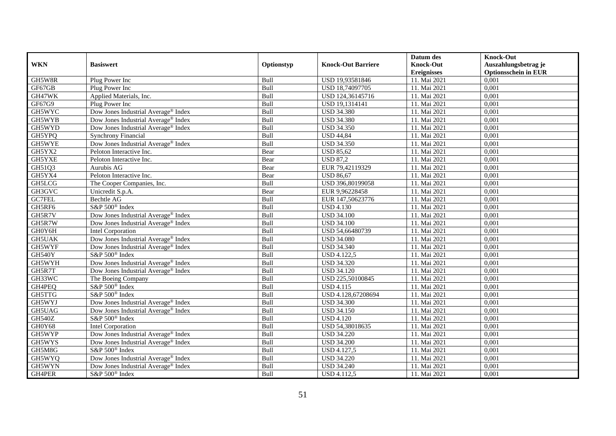|               |                                                 |            |                           | Datum des          | <b>Knock-Out</b>            |
|---------------|-------------------------------------------------|------------|---------------------------|--------------------|-----------------------------|
| <b>WKN</b>    | <b>Basiswert</b>                                | Optionstyp | <b>Knock-Out Barriere</b> | <b>Knock-Out</b>   | Auszahlungsbetrag je        |
|               |                                                 |            |                           | <b>Ereignisses</b> | <b>Optionsschein in EUR</b> |
| GH5W8R        | Plug Power Inc                                  | Bull       | USD 19,93581846           | 11. Mai 2021       | 0,001                       |
| GF67GB        | Plug Power Inc                                  | Bull       | USD 18,74097705           | 11. Mai 2021       | 0,001                       |
| GH47WK        | Applied Materials, Inc.                         | Bull       | USD 124,36145716          | 11. Mai 2021       | 0,001                       |
| GF67G9        | Plug Power Inc                                  | Bull       | USD 19,1314141            | 11. Mai 2021       | 0,001                       |
| GH5WYC        | Dow Jones Industrial Average® Index             | Bull       | <b>USD 34.380</b>         | 11. Mai 2021       | 0,001                       |
| GH5WYB        | Dow Jones Industrial Average® Index             | Bull       | <b>USD 34.380</b>         | 11. Mai 2021       | 0,001                       |
| GH5WYD        | Dow Jones Industrial Average® Index             | Bull       | <b>USD 34.350</b>         | 11. Mai 2021       | 0,001                       |
| GH5YPQ        | <b>Synchrony Financial</b>                      | Bull       | <b>USD 44,84</b>          | 11. Mai 2021       | 0,001                       |
| GH5WYE        | Dow Jones Industrial Average® Index             | Bull       | <b>USD 34.350</b>         | 11. Mai 2021       | 0,001                       |
| GH5YX2        | Peloton Interactive Inc.                        | Bear       | <b>USD 85,62</b>          | 11. Mai 2021       | 0,001                       |
| GH5YXE        | Peloton Interactive Inc.                        | Bear       | <b>USD 87,2</b>           | 11. Mai 2021       | 0,001                       |
| GH51Q3        | Aurubis AG                                      | Bear       | EUR 79,42119329           | 11. Mai 2021       | 0,001                       |
| GH5YX4        | Peloton Interactive Inc.                        | Bear       | <b>USD 86,67</b>          | 11. Mai 2021       | 0,001                       |
| GH5LCG        | The Cooper Companies, Inc.                      | Bull       | USD 396,80199058          | 11. Mai 2021       | 0,001                       |
| GH3GVC        | Unicredit S.p.A.                                | Bear       | EUR 9,96228458            | 11. Mai 2021       | 0,001                       |
| GC7FEL        | Bechtle AG                                      | Bull       | EUR 147,50623776          | 11. Mai 2021       | 0,001                       |
| GH5RF6        | S&P 500 <sup>®</sup> Index                      | Bull       | <b>USD 4.130</b>          | 11. Mai 2021       | 0,001                       |
| GH5R7V        | Dow Jones Industrial Average <sup>®</sup> Index | Bull       | <b>USD 34.100</b>         | 11. Mai 2021       | 0,001                       |
| GH5R7W        | Dow Jones Industrial Average® Index             | Bull       | <b>USD 34.100</b>         | 11. Mai 2021       | 0,001                       |
| GH0Y6H        | <b>Intel Corporation</b>                        | Bull       | USD 54,66480739           | 11. Mai 2021       | 0,001                       |
| GH5UAK        | Dow Jones Industrial Average <sup>®</sup> Index | Bull       | <b>USD 34.080</b>         | 11. Mai 2021       | 0,001                       |
| GH5WYF        | Dow Jones Industrial Average® Index             | Bull       | <b>USD 34.340</b>         | 11. Mai 2021       | 0,001                       |
| <b>GH540Y</b> | S&P 500 <sup>®</sup> Index                      | Bull       | <b>USD 4.122,5</b>        | 11. Mai 2021       | 0,001                       |
| GH5WYH        | Dow Jones Industrial Average® Index             | Bull       | <b>USD 34.320</b>         | 11. Mai 2021       | 0,001                       |
| GH5R7T        | Dow Jones Industrial Average® Index             | Bull       | <b>USD 34.120</b>         | 11. Mai 2021       | $0,\overline{001}$          |
| GH33WC        | The Boeing Company                              | Bull       | USD 225,50100845          | 11. Mai 2021       | 0,001                       |
| GH4PEQ        | S&P 500 <sup>®</sup> Index                      | Bull       | <b>USD 4.115</b>          | 11. Mai 2021       | 0,001                       |
| <b>GH5TTG</b> | S&P 500 <sup>®</sup> Index                      | Bull       | USD 4.128,67208694        | 11. Mai 2021       | 0,001                       |
| GH5WYJ        | Dow Jones Industrial Average® Index             | Bull       | <b>USD 34.300</b>         | 11. Mai 2021       | 0,001                       |
| GH5UAG        | Dow Jones Industrial Average <sup>®</sup> Index | Bull       | <b>USD 34.150</b>         | 11. Mai 2021       | 0.001                       |
| <b>GH540Z</b> | S&P 500 <sup>®</sup> Index                      | Bull       | <b>USD 4.120</b>          | 11. Mai 2021       | 0,001                       |
| GH0Y68        | <b>Intel Corporation</b>                        | Bull       | USD 54,38018635           | 11. Mai 2021       | 0,001                       |
| GH5WYP        | Dow Jones Industrial Average <sup>®</sup> Index | Bull       | <b>USD 34.220</b>         | 11. Mai 2021       | 0,001                       |
| GH5WYS        | Dow Jones Industrial Average® Index             | Bull       | <b>USD 34.200</b>         | 11. Mai 2021       | 0,001                       |
| GH5M8G        | S&P 500 <sup>®</sup> Index                      | Bull       | <b>USD 4.127,5</b>        | 11. Mai 2021       | 0,001                       |
| GH5WYQ        | Dow Jones Industrial Average® Index             | Bull       | <b>USD 34.220</b>         | 11. Mai 2021       | 0,001                       |
| GH5WYN        | Dow Jones Industrial Average® Index             | Bull       | <b>USD 34.240</b>         | 11. Mai 2021       | 0,001                       |
| GH4PER        | S&P 500 <sup>®</sup> Index                      | Bull       | <b>USD 4.112,5</b>        | 11. Mai 2021       | 0,001                       |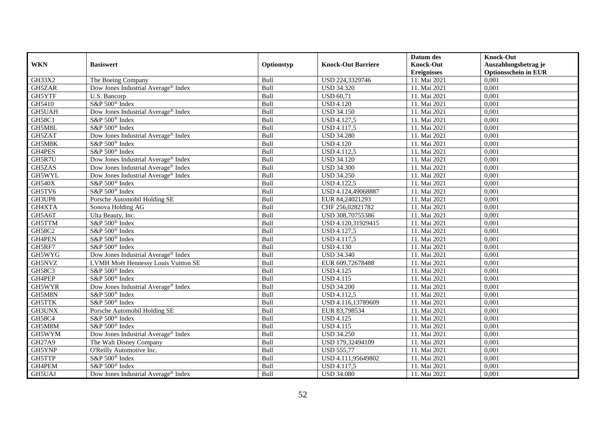|               |                                                 |            |                           | Datum des          | <b>Knock-Out</b>            |
|---------------|-------------------------------------------------|------------|---------------------------|--------------------|-----------------------------|
| <b>WKN</b>    | <b>Basiswert</b>                                | Optionstyp | <b>Knock-Out Barriere</b> | <b>Knock-Out</b>   | Auszahlungsbetrag je        |
|               |                                                 |            |                           | <b>Ereignisses</b> | <b>Optionsschein in EUR</b> |
| GH33X2        | The Boeing Company                              | Bull       | USD 224,3329746           | 11. Mai 2021       | 0,001                       |
| GH5ZAR        | Dow Jones Industrial Average <sup>®</sup> Index | Bull       | <b>USD 34.320</b>         | 11. Mai 2021       | 0,001                       |
| GH5YTF        | U.S. Bancorp                                    | Bull       | <b>USD 60,71</b>          | 11. Mai 2021       | 0,001                       |
| GH5410        | S&P 500 <sup>®</sup> Index                      | Bull       | <b>USD 4.120</b>          | 11. Mai 2021       | 0,001                       |
| GH5UAH        | Dow Jones Industrial Average® Index             | Bull       | <b>USD 34.150</b>         | 11. Mai 2021       | 0,001                       |
| GH58C1        | S&P 500 <sup>®</sup> Index                      | Bull       | <b>USD 4.127,5</b>        | 11. Mai 2021       | 0,001                       |
| GH5M8L        | S&P 500 <sup>®</sup> Index                      | Bull       | <b>USD 4.117,5</b>        | 11. Mai 2021       | 0,001                       |
| GH5ZAT        | Dow Jones Industrial Average® Index             | Bull       | <b>USD 34.280</b>         | 11. Mai 2021       | 0,001                       |
| GH5M8K        | S&P 500 <sup>®</sup> Index                      | Bull       | <b>USD 4.120</b>          | 11. Mai 2021       | 0,001                       |
| GH4PES        | S&P 500 <sup>®</sup> Index                      | Bull       | <b>USD 4.112,5</b>        | 11. Mai 2021       | 0,001                       |
| GH5R7U        | Dow Jones Industrial Average <sup>®</sup> Index | Bull       | <b>USD 34.120</b>         | 11. Mai 2021       | 0,001                       |
| GH5ZAS        | Dow Jones Industrial Average® Index             | Bull       | <b>USD 34.300</b>         | 11. Mai 2021       | 0,001                       |
| GH5WYL        | Dow Jones Industrial Average® Index             | Bull       | <b>USD 34.250</b>         | 11. Mai 2021       | 0,001                       |
| <b>GH540X</b> | S&P 500 <sup>®</sup> Index                      | Bull       | <b>USD 4.122,5</b>        | 11. Mai 2021       | 0,001                       |
| GH5TV6        | S&P 500 <sup>®</sup> Index                      | Bull       | USD 4.124,49068887        | 11. Mai 2021       | 0,001                       |
| GH3UP8        | Porsche Automobil Holding SE                    | Bull       | EUR 84,24021293           | 11. Mai 2021       | 0,001                       |
| GH4XTA        | Sonova Holding AG                               | Bull       | CHF 256,02821782          | 11. Mai 2021       | 0,001                       |
| GH5A6T        | Ulta Beauty, Inc.                               | Bull       | USD 308,70755386          | 11. Mai 2021       | 0,001                       |
| GH5TTM        | S&P 500 <sup>®</sup> Index                      | Bull       | USD 4.120,31929415        | 11. Mai 2021       | 0,001                       |
| <b>GH58C2</b> | S&P 500 <sup>®</sup> Index                      | Bull       | <b>USD 4.127,5</b>        | 11. Mai 2021       | 0,001                       |
| GH4PEN        | S&P 500 <sup>®</sup> Index                      | Bull       | <b>USD 4.117,5</b>        | 11. Mai 2021       | 0,001                       |
| GH5RF7        | S&P 500 <sup>®</sup> Index                      | Bull       | <b>USD 4.130</b>          | 11. Mai 2021       | 0,001                       |
| GH5WYG        | Dow Jones Industrial Average® Index             | Bull       | <b>USD 34.340</b>         | 11. Mai 2021       | 0,001                       |
| GH5NVZ        | LVMH Moët Hennessy Louis Vuitton SE             | Bull       | EUR 609,72678488          | 11. Mai 2021       | 0,001                       |
| <b>GH58C3</b> | S&P 500 <sup>®</sup> Index                      | Bull       | <b>USD 4.125</b>          | 11. Mai 2021       | 0,001                       |
| GH4PEP        | S&P 500 <sup>®</sup> Index                      | Bull       | <b>USD 4.115</b>          | 11. Mai 2021       | 0,001                       |
| GH5WYR        | Dow Jones Industrial Average <sup>®</sup> Index | Bull       | <b>USD 34.200</b>         | 11. Mai 2021       | 0,001                       |
| GH5M8N        | S&P 500 <sup>®</sup> Index                      | Bull       | <b>USD 4.112,5</b>        | 11. Mai 2021       | 0,001                       |
| <b>GH5TTK</b> | S&P 500 <sup>®</sup> Index                      | Bull       | USD 4.116,13789609        | 11. Mai 2021       | 0,001                       |
| GH3UNX        | Porsche Automobil Holding SE                    | Bull       | EUR 83,798534             | 11. Mai 2021       | 0,001                       |
| GH58C4        | S&P 500 <sup>®</sup> Index                      | Bull       | <b>USD 4.125</b>          | 11. Mai 2021       | 0,001                       |
| GH5M8M        | S&P 500 <sup>®</sup> Index                      | Bull       | <b>USD 4.115</b>          | 11. Mai 2021       | 0,001                       |
| GH5WYM        | Dow Jones Industrial Average <sup>®</sup> Index | Bull       | <b>USD 34.250</b>         | 11. Mai 2021       | 0,001                       |
| <b>GH27A9</b> | The Walt Disney Company                         | Bull       | USD 179,32494109          | 11. Mai 2021       | 0,001                       |
| GH5YNP        | O'Reilly Automotive Inc.                        | Bull       | <b>USD 555,77</b>         | 11. Mai 2021       | 0,001                       |
| GH5TTP        | S&P 500 <sup>®</sup> Index                      | Bull       | USD 4.111,95649802        | 11. Mai 2021       | 0,001                       |
| GH4PEM        | S&P 500 <sup>®</sup> Index                      | Bull       | <b>USD 4.117,5</b>        | 11. Mai 2021       | 0,001                       |
| GH5UAJ        | Dow Jones Industrial Average <sup>®</sup> Index | Bull       | <b>USD 34.080</b>         | 11. Mai 2021       | 0,001                       |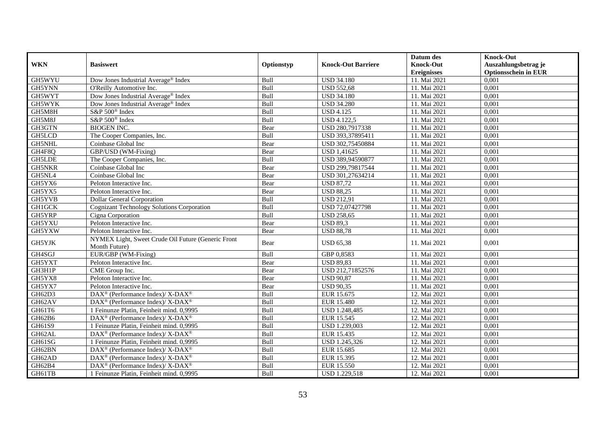|               |                                                                     |             |                           | Datum des          | <b>Knock-Out</b>            |
|---------------|---------------------------------------------------------------------|-------------|---------------------------|--------------------|-----------------------------|
| <b>WKN</b>    | <b>Basiswert</b>                                                    | Optionstyp  | <b>Knock-Out Barriere</b> | <b>Knock-Out</b>   | Auszahlungsbetrag je        |
|               |                                                                     |             |                           | <b>Ereignisses</b> | <b>Optionsschein in EUR</b> |
| GH5WYU        | Dow Jones Industrial Average® Index                                 | <b>Bull</b> | <b>USD 34.180</b>         | 11. Mai 2021       | 0,001                       |
| GH5YNN        | O'Reilly Automotive Inc.                                            | Bull        | <b>USD 552,68</b>         | 11. Mai 2021       | 0,001                       |
| GH5WYT        | Dow Jones Industrial Average® Index                                 | Bull        | <b>USD 34.180</b>         | 11. Mai 2021       | 0,001                       |
| GH5WYK        | Dow Jones Industrial Average® Index                                 | Bull        | <b>USD 34.280</b>         | 11. Mai 2021       | 0,001                       |
| GH5M8H        | S&P 500 <sup>®</sup> Index                                          | Bull        | $USD$ 4.125               | 11. Mai 2021       | 0,001                       |
| GH5M8J        | S&P 500 <sup>®</sup> Index                                          | Bull        | <b>USD 4.122,5</b>        | 11. Mai 2021       | 0,001                       |
| GH3GTN        | <b>BIOGEN INC.</b>                                                  | Bear        | USD 280,7917338           | 11. Mai 2021       | 0,001                       |
| GH5LCD        | The Cooper Companies, Inc.                                          | Bull        | USD 393,37895411          | 11. Mai 2021       | 0,001                       |
| <b>GH5NHL</b> | Coinbase Global Inc                                                 | Bear        | USD 302,75450884          | 11. Mai 2021       | 0,001                       |
| GH4F8Q        | GBP/USD (WM-Fixing)                                                 | Bear        | <b>USD 1,41625</b>        | 11. Mai 2021       | 0,001                       |
| GH5LDE        | The Cooper Companies, Inc.                                          | Bull        | USD 389,94590877          | 11. Mai 2021       | 0,001                       |
| <b>GH5NKR</b> | Coinbase Global Inc                                                 | Bear        | USD 299,79817544          | 11. Mai 2021       | 0,001                       |
| GH5NL4        | Coinbase Global Inc                                                 | Bear        | USD 301.27634214          | 11. Mai 2021       | 0,001                       |
| GH5YX6        | Peloton Interactive Inc.                                            | Bear        | <b>USD 87,72</b>          | 11. Mai 2021       | 0,001                       |
| GH5YX5        | Peloton Interactive Inc.                                            | Bear        | <b>USD 88,25</b>          | 11. Mai 2021       | 0,001                       |
| GH5YVB        | <b>Dollar General Corporation</b>                                   | Bull        | <b>USD 212,91</b>         | 11. Mai 2021       | 0,001                       |
| <b>GH1GCK</b> | <b>Cognizant Technology Solutions Corporation</b>                   | Bull        | USD 72,07427798           | 11. Mai 2021       | 0,001                       |
| GH5YRP        | Cigna Corporation                                                   | Bull        | <b>USD 258,65</b>         | 11. Mai 2021       | 0.001                       |
| GH5YXU        | Peloton Interactive Inc.                                            | Bear        | <b>USD 89,3</b>           | 11. Mai 2021       | 0,001                       |
| GH5YXW        | Peloton Interactive Inc.                                            | Bear        | <b>USD 88.78</b>          | 11. Mai 2021       | 0,001                       |
| GH5YJK        | NYMEX Light, Sweet Crude Oil Future (Generic Front<br>Month Future) | Bear        | <b>USD 65,38</b>          | 11. Mai 2021       | 0,001                       |
| GH4SGJ        | EUR/GBP (WM-Fixing)                                                 | Bull        | GBP 0,8583                | 11. Mai 2021       | 0,001                       |
| GH5YXT        | Peloton Interactive Inc.                                            | Bear        | <b>USD 89,83</b>          | 11. Mai 2021       | 0,001                       |
| GH3H1P        | CME Group Inc.                                                      | Bear        | USD 212,71852576          | 11. Mai 2021       | 0,001                       |
| GH5YX8        | Peloton Interactive Inc.                                            | Bear        | <b>USD 90,87</b>          | 11. Mai 2021       | 0,001                       |
| GH5YX7        | Peloton Interactive Inc.                                            | Bear        | <b>USD 90,35</b>          | 11. Mai 2021       | 0,001                       |
| GH62D3        | DAX <sup>®</sup> (Performance Index)/ X-DAX <sup>®</sup>            | Bull        | EUR 15.675                | 12. Mai 2021       | 0,001                       |
| GH62AV        | DAX <sup>®</sup> (Performance Index)/ X-DAX <sup>®</sup>            | Bull        | <b>EUR 15.480</b>         | 12. Mai 2021       | 0,001                       |
| GH61T6        | 1 Feinunze Platin, Feinheit mind. 0,9995                            | Bull        | USD 1.248,485             | 12. Mai 2021       | 0,001                       |
| GH62B6        | DAX <sup>®</sup> (Performance Index)/ X-DAX <sup>®</sup>            | Bull        | EUR 15.545                | 12. Mai 2021       | 0,001                       |
| GH61S9        | 1 Feinunze Platin, Feinheit mind. 0,9995                            | Bull        | USD 1.239,003             | 12. Mai 2021       | 0,001                       |
| GH62AL        | DAX <sup>®</sup> (Performance Index)/ X-DAX <sup>®</sup>            | Bull        | EUR 15.435                | 12. Mai 2021       | 0,001                       |
| GH61SG        | 1 Feinunze Platin, Feinheit mind. 0,9995                            | Bull        | USD 1.245,326             | 12. Mai 2021       | 0,001                       |
| GH62BN        | DAX <sup>®</sup> (Performance Index)/ X-DAX <sup>®</sup>            | Bull        | EUR 15.685                | 12. Mai 2021       | 0,001                       |
| GH62AD        | DAX <sup>®</sup> (Performance Index)/ X-DAX <sup>®</sup>            | Bull        | EUR 15.395                | 12. Mai 2021       | 0,001                       |
| GH62B4        | DAX <sup>®</sup> (Performance Index)/ X-DAX <sup>®</sup>            | Bull        | EUR 15.550                | 12. Mai 2021       | 0,001                       |
| GH61TB        | 1 Feinunze Platin, Feinheit mind. 0,9995                            | Bull        | USD 1.229,518             | 12. Mai 2021       | 0,001                       |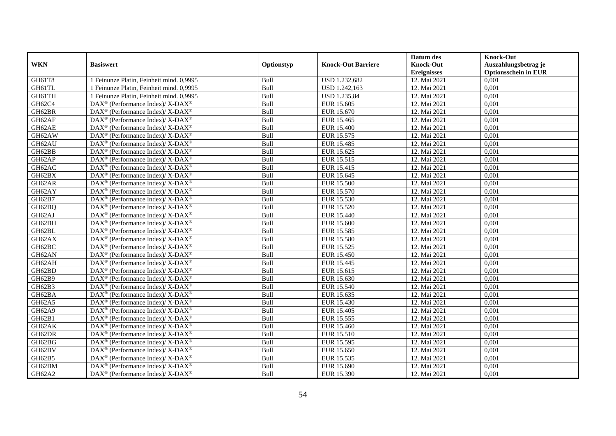|            |                                                             |            |                           | Datum des          | <b>Knock-Out</b>            |
|------------|-------------------------------------------------------------|------------|---------------------------|--------------------|-----------------------------|
| <b>WKN</b> | <b>Basiswert</b>                                            | Optionstyp | <b>Knock-Out Barriere</b> | <b>Knock-Out</b>   | Auszahlungsbetrag je        |
|            |                                                             |            |                           | <b>Ereignisses</b> | <b>Optionsschein in EUR</b> |
| GH61T8     | 1 Feinunze Platin, Feinheit mind. 0,9995                    | Bull       | USD 1.232,682             | 12. Mai 2021       | 0,001                       |
| GH61TL     | 1 Feinunze Platin, Feinheit mind. 0,9995                    | Bull       | USD 1.242,163             | 12. Mai 2021       | 0,001                       |
| GH61TH     | 1 Feinunze Platin, Feinheit mind, 0.9995                    | Bull       | USD 1.235,84              | 12. Mai 2021       | 0,001                       |
| GH62C4     | $DAX^{\circledast}$ (Performance Index)/ X-DAX <sup>®</sup> | Bull       | EUR 15.605                | 12. Mai 2021       | 0,001                       |
| GH62BR     | $DAX^{\circledast}$ (Performance Index)/ X-DAX <sup>®</sup> | Bull       | EUR 15.670                | 12. Mai 2021       | 0,001                       |
| GH62AF     | DAX <sup>®</sup> (Performance Index)/ X-DAX <sup>®</sup>    | Bull       | EUR 15.465                | 12. Mai 2021       | 0,001                       |
| GH62AE     | $DAX^{\circledast}$ (Performance Index)/ X-DAX <sup>®</sup> | Bull       | EUR 15.400                | 12. Mai 2021       | 0,001                       |
| GH62AW     | DAX <sup>®</sup> (Performance Index)/ X-DAX <sup>®</sup>    | Bull       | EUR 15.575                | 12. Mai 2021       | 0,001                       |
| GH62AU     | DAX <sup>®</sup> (Performance Index)/ X-DAX <sup>®</sup>    | Bull       | EUR 15.485                | 12. Mai 2021       | 0,001                       |
| GH62BB     | $DAX^{\circledast}$ (Performance Index)/ X-DAX <sup>®</sup> | Bull       | EUR 15.625                | 12. Mai 2021       | 0,001                       |
| GH62AP     | $DAX^{\circledast}$ (Performance Index)/ X-DAX <sup>®</sup> | Bull       | EUR 15.515                | 12. Mai 2021       | 0,001                       |
| GH62AC     | $DAX^{\circledast}$ (Performance Index)/ X-DAX <sup>®</sup> | Bull       | EUR 15.415                | 12. Mai 2021       | 0,001                       |
| GH62BX     | $DAX^{\circledast}$ (Performance Index)/ X-DAX <sup>®</sup> | Bull       | EUR 15.645                | 12. Mai 2021       | 0,001                       |
| GH62AR     | DAX <sup>®</sup> (Performance Index)/ X-DAX <sup>®</sup>    | Bull       | EUR 15.500                | 12. Mai 2021       | 0,001                       |
| GH62AY     | DAX <sup>®</sup> (Performance Index)/ $X$ -DAX <sup>®</sup> | Bull       | EUR 15.570                | 12. Mai 2021       | 0,001                       |
| GH62B7     | DAX <sup>®</sup> (Performance Index)/ X-DAX <sup>®</sup>    | Bull       | EUR 15.530                | 12. Mai 2021       | 0,001                       |
| GH62BQ     | DAX <sup>®</sup> (Performance Index)/ X-DAX <sup>®</sup>    | Bull       | EUR 15.520                | 12. Mai 2021       | 0,001                       |
| GH62AJ     | $DAX^{\circledast}$ (Performance Index)/ X-DAX <sup>®</sup> | Bull       | <b>EUR 15.440</b>         | 12. Mai 2021       | 0,001                       |
| GH62BH     | DAX <sup>®</sup> (Performance Index)/ X-DAX <sup>®</sup>    | Bull       | EUR 15.600                | 12. Mai 2021       | 0,001                       |
| GH62BL     | DAX <sup>®</sup> (Performance Index)/ X-DAX <sup>®</sup>    | Bull       | EUR 15.585                | 12. Mai 2021       | 0,001                       |
| GH62AX     | DAX <sup>®</sup> (Performance Index)/ $X$ -DAX <sup>®</sup> | Bull       | EUR 15.580                | 12. Mai 2021       | 0.001                       |
| GH62BC     | $DAX^{\circledast}$ (Performance Index)/ X-DAX <sup>®</sup> | Bull       | EUR 15.525                | 12. Mai 2021       | 0,001                       |
| GH62AN     | DAX <sup>®</sup> (Performance Index)/ X-DAX <sup>®</sup>    | Bull       | EUR 15.450                | 12. Mai 2021       | 0,001                       |
| GH62AH     | $DAX^{\circledast}$ (Performance Index)/ X-DAX <sup>®</sup> | Bull       | EUR 15.445                | 12. Mai 2021       | 0,001                       |
| GH62BD     | $DAX^{\circledast}$ (Performance Index)/ X-DAX <sup>®</sup> | Bull       | EUR 15.615                | 12. Mai 2021       | 0,001                       |
| GH62B9     | $DAX^{\circledast}$ (Performance Index)/ X-DAX <sup>®</sup> | Bull       | EUR 15.630                | 12. Mai 2021       | 0,001                       |
| GH62B3     | DAX <sup>®</sup> (Performance Index)/ X-DAX <sup>®</sup>    | Bull       | EUR 15.540                | 12. Mai 2021       | 0,001                       |
| GH62BA     | DAX <sup>®</sup> (Performance Index)/ X-DAX <sup>®</sup>    | Bull       | EUR 15.635                | 12. Mai 2021       | 0,001                       |
| GH62A5     | $DAX^{\circledast}$ (Performance Index)/ X-DAX <sup>®</sup> | Bull       | <b>EUR 15.430</b>         | 12. Mai 2021       | 0,001                       |
| GH62A9     | $DAX^{\circledast}$ (Performance Index)/ X-DAX <sup>®</sup> | Bull       | EUR 15.405                | 12. Mai 2021       | 0,001                       |
| GH62B1     | $DAX^{\circledast}$ (Performance Index)/ X-DAX <sup>®</sup> | Bull       | EUR 15.555                | 12. Mai 2021       | 0,001                       |
| GH62AK     | $DAX^{\circledast}$ (Performance Index)/ X-DAX <sup>®</sup> | Bull       | EUR 15.460                | 12. Mai 2021       | 0,001                       |
| GH62DR     | $DAX^{\circledast}$ (Performance Index)/ X-DAX <sup>®</sup> | Bull       | EUR 15.510                | 12. Mai 2021       | 0,001                       |
| GH62BG     | DAX <sup>®</sup> (Performance Index)/ X-DAX <sup>®</sup>    | Bull       | EUR 15.595                | 12. Mai 2021       | 0,001                       |
| GH62BV     | $DAX^{\circledast}$ (Performance Index)/ X-DAX <sup>®</sup> | Bull       | EUR 15.650                | 12. Mai 2021       | 0,001                       |
| GH62B5     | $DAX^{\circledast}$ (Performance Index)/ X-DAX <sup>®</sup> | Bull       | EUR 15.535                | 12. Mai 2021       | 0,001                       |
| GH62BM     | $DAX^{\circledast}$ (Performance Index)/ X-DAX <sup>®</sup> | Bull       | EUR 15.690                | 12. Mai 2021       | 0,001                       |
| GH62A2     | $DAX^{\circledast}$ (Performance Index)/ X-DAX <sup>®</sup> | Bull       | EUR 15.390                | 12. Mai 2021       | 0,001                       |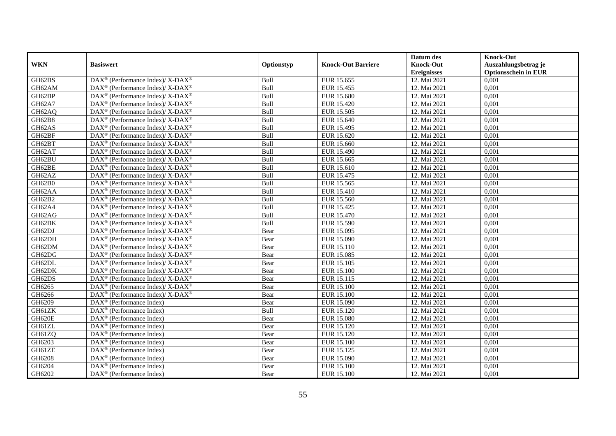|            |                                                             |             |                           | Datum des          | <b>Knock-Out</b>            |
|------------|-------------------------------------------------------------|-------------|---------------------------|--------------------|-----------------------------|
| <b>WKN</b> | <b>Basiswert</b>                                            | Optionstyp  | <b>Knock-Out Barriere</b> | <b>Knock-Out</b>   | Auszahlungsbetrag je        |
|            |                                                             |             |                           | <b>Ereignisses</b> | <b>Optionsschein in EUR</b> |
| GH62BS     | DAX <sup>®</sup> (Performance Index)/ X-DAX <sup>®</sup>    | Bull        | EUR 15.655                | 12. Mai 2021       | 0,001                       |
| GH62AM     | $DAX^{\circledast}$ (Performance Index)/ X-DAX <sup>®</sup> | Bull        | <b>EUR 15.455</b>         | 12. Mai 2021       | 0,001                       |
| GH62BP     | $DAX^{\circledast}$ (Performance Index)/ X-DAX <sup>®</sup> | Bull        | EUR 15.680                | 12. Mai 2021       | 0,001                       |
| GH62A7     | $DAX^{\circledast}$ (Performance Index)/ X-DAX <sup>®</sup> | Bull        | EUR 15.420                | 12. Mai 2021       | 0,001                       |
| GH62AQ     | DAX <sup>®</sup> (Performance Index)/ X-DAX <sup>®</sup>    | Bull        | EUR 15.505                | 12. Mai 2021       | 0,001                       |
| GH62B8     | DAX <sup>®</sup> (Performance Index)/ X-DAX <sup>®</sup>    | Bull        | EUR 15.640                | 12. Mai 2021       | 0,001                       |
| GH62AS     | $DAX^{\circledast}$ (Performance Index)/ X-DAX <sup>®</sup> | Bull        | EUR 15.495                | 12. Mai 2021       | 0,001                       |
| GH62BF     | $DAX^{\circledast}$ (Performance Index)/ X-DAX <sup>®</sup> | <b>Bull</b> | EUR 15.620                | 12. Mai 2021       | 0,001                       |
| GH62BT     | $DAX^{\circledast}$ (Performance Index)/ X-DAX <sup>®</sup> | Bull        | EUR 15.660                | 12. Mai 2021       | 0,001                       |
| GH62AT     | DAX <sup>®</sup> (Performance Index)/ X-DAX <sup>®</sup>    | Bull        | EUR 15.490                | 12. Mai 2021       | 0,001                       |
| GH62BU     | DAX <sup>®</sup> (Performance Index)/ X-DAX <sup>®</sup>    | Bull        | EUR 15.665                | 12. Mai 2021       | 0,001                       |
| GH62BE     | DAX <sup>®</sup> (Performance Index)/ X-DAX <sup>®</sup>    | Bull        | EUR 15.610                | 12. Mai 2021       | 0,001                       |
| GH62AZ     | $DAX^{\circledast}$ (Performance Index)/ X-DAX <sup>®</sup> | Bull        | EUR 15.475                | 12. Mai 2021       | 0,001                       |
| GH62B0     | $DAX^{\circledast}$ (Performance Index)/ X-DAX <sup>®</sup> | Bull        | EUR 15.565                | 12. Mai 2021       | 0,001                       |
| GH62AA     | DAX <sup>®</sup> (Performance Index)/ X-DAX <sup>®</sup>    | Bull        | EUR 15.410                | 12. Mai 2021       | 0,001                       |
| GH62B2     | DAX <sup>®</sup> (Performance Index)/ X-DAX <sup>®</sup>    | <b>Bull</b> | EUR 15.560                | 12. Mai 2021       | 0,001                       |
| GH62A4     | DAX <sup>®</sup> (Performance Index)/ X-DAX <sup>®</sup>    | Bull        | EUR 15.425                | 12. Mai 2021       | 0,001                       |
| GH62AG     | $DAX^{\circledast}$ (Performance Index)/ X-DAX <sup>®</sup> | Bull        | EUR 15.470                | 12. Mai 2021       | 0.001                       |
| GH62BK     | $DAX^{\circledast}$ (Performance Index)/ X-DAX <sup>®</sup> | Bull        | EUR 15.590                | 12. Mai 2021       | 0,001                       |
| GH62DJ     | $DAX^{\circledast}$ (Performance Index)/ X-DAX <sup>®</sup> | Bear        | EUR 15.095                | 12. Mai 2021       | 0,001                       |
| GH62DH     | DAX <sup>®</sup> (Performance Index)/ X-DAX <sup>®</sup>    | Bear        | EUR 15.090                | 12. Mai 2021       | 0,001                       |
| GH62DM     | $DAX^{\circledast}$ (Performance Index)/ X-DAX <sup>®</sup> | Bear        | EUR 15.110                | 12. Mai 2021       | 0,001                       |
| GH62DG     | DAX <sup>®</sup> (Performance Index)/ X-DAX <sup>®</sup>    | Bear        | EUR 15.085                | 12. Mai 2021       | 0,001                       |
| GH62DL     | $DAX^{\circledast}$ (Performance Index)/ X-DAX <sup>®</sup> | Bear        | EUR 15.105                | 12. Mai 2021       | 0,001                       |
| GH62DK     | DAX <sup>®</sup> (Performance Index)/ X-DAX <sup>®</sup>    | Bear        | EUR 15.100                | 12. Mai 2021       | 0,001                       |
| GH62DS     | DAX <sup>®</sup> (Performance Index)/ X-DAX <sup>®</sup>    | Bear        | EUR 15.115                | 12. Mai 2021       | 0,001                       |
| GH6265     | DAX <sup>®</sup> (Performance Index)/ X-DAX <sup>®</sup>    | Bear        | <b>EUR 15.100</b>         | 12. Mai 2021       | 0,001                       |
| GH6266     | DAX <sup>®</sup> (Performance Index)/ X-DAX <sup>®</sup>    | Bear        | <b>EUR 15.100</b>         | 12. Mai 2021       | 0,001                       |
| GH6209     | DAX <sup>®</sup> (Performance Index)                        | Bear        | EUR 15.090                | 12. Mai 2021       | 0,001                       |
| GH61ZK     | $\text{DAX}^{\textcircled{}}$ (Performance Index)           | <b>Bull</b> | EUR 15.120                | 12. Mai 2021       | 0,001                       |
| GH620E     | $DAX^{\circledast}$ (Performance Index)                     | Bear        | <b>EUR 15.080</b>         | 12. Mai 2021       | 0,001                       |
| GH61ZL     | $DAX^{\circledcirc}$ (Performance Index)                    | Bear        | EUR 15.120                | 12. Mai 2021       | 0,001                       |
| GH61ZQ     | $\text{DAX}^{\textcircled{}}$ (Performance Index)           | Bear        | EUR 15.120                | 12. Mai 2021       | 0,001                       |
| GH6203     | $\overline{\text{DAX}}^{\textcirc}$ (Performance Index)     | Bear        | <b>EUR 15.100</b>         | 12. Mai 2021       | 0,001                       |
| GH61ZE     | DAX <sup>®</sup> (Performance Index)                        | Bear        | EUR 15.125                | 12. Mai 2021       | 0,001                       |
| GH6208     | DAX <sup>®</sup> (Performance Index)                        | Bear        | EUR 15.090                | 12. Mai 2021       | 0,001                       |
| GH6204     | $DAX^{\circledcirc}$ (Performance Index)                    | Bear        | <b>EUR 15.100</b>         | 12. Mai 2021       | 0,001                       |
| GH6202     | $DAX^{\circledast}$ (Performance Index)                     | Bear        | EUR 15.100                | 12. Mai 2021       | 0,001                       |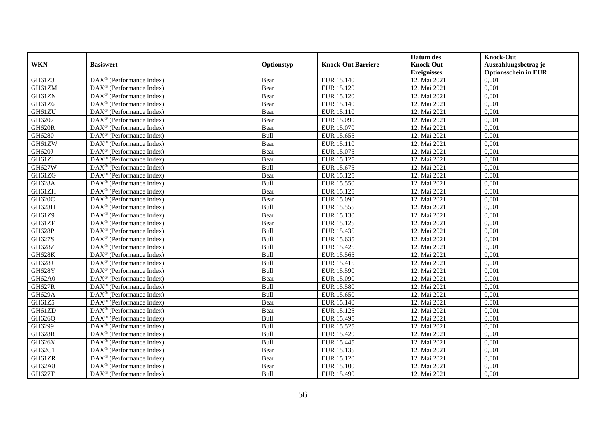|               |                                                              |             |                           | Datum des          | <b>Knock-Out</b>            |
|---------------|--------------------------------------------------------------|-------------|---------------------------|--------------------|-----------------------------|
| <b>WKN</b>    | <b>Basiswert</b>                                             | Optionstyp  | <b>Knock-Out Barriere</b> | <b>Knock-Out</b>   | Auszahlungsbetrag je        |
|               |                                                              |             |                           | <b>Ereignisses</b> | <b>Optionsschein in EUR</b> |
| GH61Z3        | DAX <sup>®</sup> (Performance Index)                         | Bear        | EUR 15.140                | 12. Mai 2021       | 0,001                       |
| GH61ZM        | $DAX^{\circledast}$ (Performance Index)                      | Bear        | EUR 15.120                | 12. Mai 2021       | 0,001                       |
| GH61ZN        | $DAX^{\circledcirc}$ (Performance Index)                     | Bear        | EUR 15.120                | 12. Mai 2021       | 0,001                       |
| GH61Z6        | $DAX^{\circledast}$ (Performance Index)                      | Bear        | EUR 15.140                | 12. Mai 2021       | 0,001                       |
| GH61ZU        | DAX <sup>®</sup> (Performance Index)                         | Bear        | EUR 15.110                | 12. Mai 2021       | 0,001                       |
| GH6207        | $\overline{\text{DAX}^{\otimes}}$ (Performance Index)        | Bear        | EUR 15.090                | 12. Mai 2021       | 0,001                       |
| <b>GH620R</b> | $\overline{\text{DAX}^{\otimes}}$ (Performance Index)        | Bear        | EUR 15.070                | 12. Mai 2021       | 0,001                       |
| GH6280        | $\text{DAX}^{\circledast}$ (Performance Index)               | <b>Bull</b> | EUR 15.655                | 12. Mai 2021       | 0,001                       |
| GH61ZW        | $DAX^{\circledast}$ (Performance Index)                      | Bear        | EUR 15.110                | 12. Mai 2021       | 0,001                       |
| GH620J        | $DAX^{\circledast}$ (Performance Index)                      | Bear        | EUR 15.075                | 12. Mai 2021       | 0,001                       |
| GH61ZJ        | $\overline{\text{DAX}}^{\textcirc}$ (Performance Index)      | Bear        | EUR 15.125                | 12. Mai 2021       | 0,001                       |
| GH627W        | $\overline{\text{DAX}}^{\textcirc}$ (Performance Index)      | Bull        | EUR 15.675                | 12. Mai 2021       | 0,001                       |
| GH61ZG        | $DAX^{\circledast}$ (Performance Index)                      | Bear        | EUR 15.125                | 12. Mai 2021       | 0,001                       |
| <b>GH628A</b> | $DAX^{\circledcirc}$ (Performance Index)                     | Bull        | EUR 15.550                | 12. Mai 2021       | 0,001                       |
| GH61ZH        | $DAX^{\circledast}$ (Performance Index)                      | Bear        | EUR 15.125                | 12. Mai 2021       | 0,001                       |
| GH620C        | $\text{DAX}^{\textcircled{}}$ (Performance Index)            | Bear        | EUR 15.090                | 12. Mai 2021       | 0,001                       |
| GH628H        | DAX <sup>®</sup> (Performance Index)                         | Bull        | EUR 15.555                | 12. Mai 2021       | 0,001                       |
| GH61Z9        | $\overline{\text{DAX}^{\otimes}}$ (Performance Index)        | Bear        | EUR 15.130                | 12. Mai 2021       | 0.001                       |
| GH61ZF        | $DAX^{\circledast}$ (Performance Index)                      | Bear        | EUR 15.125                | 12. Mai 2021       | 0,001                       |
| <b>GH628P</b> | DAX <sup>®</sup> (Performance Index)                         | Bull        | EUR 15.435                | 12. Mai 2021       | 0,001                       |
| GH627S        | DAX <sup>®</sup> (Performance Index)                         | Bull        | EUR 15.635                | 12. Mai 2021       | 0,001                       |
| GH628Z        | $\overline{\text{DAX}^{\otimes}}$ (Performance Index)        | Bull        | EUR 15.425                | 12. Mai 2021       | 0,001                       |
| <b>GH628K</b> | DAX <sup>®</sup> (Performance Index)                         | Bull        | EUR 15.565                | 12. Mai 2021       | 0,001                       |
| GH628J        | DAX <sup>®</sup> (Performance Index)                         | Bull        | EUR 15.415                | 12. Mai 2021       | 0,001                       |
| <b>GH628Y</b> | DAX <sup>®</sup> (Performance Index)                         | Bull        | EUR 15.590                | 12. Mai 2021       | 0,001                       |
| GH62A0        | DAX <sup>®</sup> (Performance Index)                         | Bear        | EUR 15.090                | 12. Mai 2021       | 0,001                       |
| <b>GH627R</b> | DAX <sup>®</sup> (Performance Index)                         | Bull        | <b>EUR 15.580</b>         | 12. Mai 2021       | 0,001                       |
| GH629A        | $\overline{\text{DAX}^{\otimes}}$ (Performance Index)        | Bull        | EUR 15.650                | 12. Mai 2021       | 0,001                       |
| GH61Z5        | DAX <sup>®</sup> (Performance Index)                         | Bear        | EUR 15.140                | 12. Mai 2021       | 0,001                       |
| GH61ZD        | $\text{DAX}^{\textcircled{}}$ (Performance Index)            | Bear        | EUR 15.125                | 12. Mai 2021       | 0,001                       |
| GH626Q        | $DAX^{\circledast}$ (Performance Index)                      | <b>Bull</b> | EUR 15.495                | 12. Mai 2021       | 0,001                       |
| GH6299        | $DAX^{\circledcirc}$ (Performance Index)                     | <b>Bull</b> | EUR 15.525                | 12. Mai 2021       | 0,001                       |
| <b>GH628R</b> | $DAX^{\circledast}$ (Performance Index)                      | Bull        | EUR 15.420                | 12. Mai 2021       | 0,001                       |
| GH626X        | $\overline{\text{DAX}}^{\textcircled{}}$ (Performance Index) | Bull        | EUR 15.445                | 12. Mai 2021       | 0,001                       |
| GH62C1        | DAX <sup>®</sup> (Performance Index)                         | Bear        | EUR 15.135                | 12. Mai 2021       | 0,001                       |
| GH61ZR        | DAX <sup>®</sup> (Performance Index)                         | Bear        | EUR 15.120                | 12. Mai 2021       | 0,001                       |
| <b>GH62A8</b> | $DAX^{\circledast}$ (Performance Index)                      | Bear        | EUR 15.100                | 12. Mai 2021       | 0,001                       |
| GH627T        | $\overline{\text{DAX}}^{\textcirc}$ (Performance Index)      | <b>Bull</b> | EUR 15.490                | 12. Mai 2021       | 0,001                       |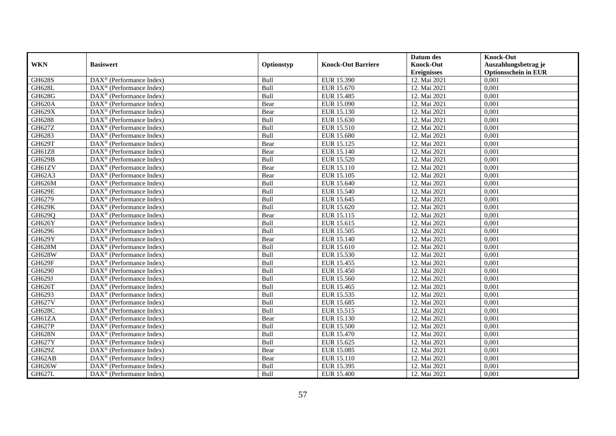|               |                                                              |             |                           | Datum des          | <b>Knock-Out</b>            |
|---------------|--------------------------------------------------------------|-------------|---------------------------|--------------------|-----------------------------|
| <b>WKN</b>    | <b>Basiswert</b>                                             | Optionstyp  | <b>Knock-Out Barriere</b> | <b>Knock-Out</b>   | Auszahlungsbetrag je        |
|               |                                                              |             |                           | <b>Ereignisses</b> | <b>Optionsschein in EUR</b> |
| <b>GH628S</b> | DAX <sup>®</sup> (Performance Index)                         | Bull        | EUR 15.390                | 12. Mai 2021       | 0,001                       |
| <b>GH628L</b> | $DAX^{\circledast}$ (Performance Index)                      | Bull        | EUR 15.670                | 12. Mai 2021       | 0,001                       |
| GH628G        | $DAX^{\circledcirc}$ (Performance Index)                     | Bull        | <b>EUR 15.485</b>         | 12. Mai 2021       | 0,001                       |
| GH620A        | $DAX^{\circledast}$ (Performance Index)                      | Bear        | EUR 15.090                | 12. Mai 2021       | 0,001                       |
| <b>GH629X</b> | DAX <sup>®</sup> (Performance Index)                         | Bear        | <b>EUR 15.130</b>         | 12. Mai 2021       | 0,001                       |
| GH6288        | $\overline{\text{DAX}^{\otimes}}$ (Performance Index)        | Bull        | EUR 15.630                | 12. Mai 2021       | 0,001                       |
| GH627Z        | $\overline{\text{DAX}^{\otimes}}$ (Performance Index)        | Bull        | EUR 15.510                | 12. Mai 2021       | 0,001                       |
| GH6283        | $DAX^{\circledast}$ (Performance Index)                      | <b>Bull</b> | EUR 15.680                | 12. Mai 2021       | 0,001                       |
| GH629T        | $DAX^{\circledast}$ (Performance Index)                      | Bear        | EUR 15.125                | 12. Mai 2021       | 0,001                       |
| GH61Z8        | $DAX^{\circledast}$ (Performance Index)                      | Bear        | EUR 15.140                | 12. Mai 2021       | 0,001                       |
| GH629B        | $\overline{\text{DAX}}^{\textcircled{}}$ (Performance Index) | Bull        | EUR 15.520                | 12. Mai 2021       | 0,001                       |
| GH61ZV        | $\overline{\text{DAX}}^{\textcirc}$ (Performance Index)      | Bear        | EUR 15.110                | 12. Mai 2021       | 0,001                       |
| GH62A3        | $DAX^{\circledast}$ (Performance Index)                      | Bear        | <b>EUR 15.105</b>         | 12. Mai 2021       | 0,001                       |
| GH626M        | $DAX^{\circledcirc}$ (Performance Index)                     | Bull        | EUR 15.640                | 12. Mai 2021       | 0,001                       |
| GH629E        | $DAX^{\circledast}$ (Performance Index)                      | Bull        | EUR 15.540                | 12. Mai 2021       | 0,001                       |
| GH6279        | $\text{DAX}^{\textcircled{}}$ (Performance Index)            | <b>Bull</b> | EUR 15.645                | 12. Mai 2021       | 0,001                       |
| <b>GH629K</b> | DAX <sup>®</sup> (Performance Index)                         | Bull        | EUR 15.620                | 12. Mai 2021       | 0,001                       |
| GH629Q        | $\overline{\text{DAX}}^{\textcirc}$ (Performance Index)      | Bear        | EUR 15.115                | 12. Mai 2021       | 0.001                       |
| GH626Y        | $DAX^{\circledast}$ (Performance Index)                      | Bull        | EUR 15.615                | 12. Mai 2021       | 0,001                       |
| GH6296        | DAX <sup>®</sup> (Performance Index)                         | Bull        | EUR 15.505                | 12. Mai 2021       | 0,001                       |
| GH629Y        | DAX <sup>®</sup> (Performance Index)                         | Bear        | EUR 15.140                | 12. Mai 2021       | 0,001                       |
| <b>GH628M</b> | $\overline{\text{DAX}^{\otimes}}$ (Performance Index)        | Bull        | EUR 15.610                | 12. Mai 2021       | 0,001                       |
| GH628W        | DAX <sup>®</sup> (Performance Index)                         | Bull        | EUR 15.530                | 12. Mai 2021       | 0,001                       |
| GH629F        | DAX <sup>®</sup> (Performance Index)                         | Bull        | EUR 15.455                | 12. Mai 2021       | 0,001                       |
| GH6290        | $DAX^{\circledcirc}$ (Performance Index)                     | Bull        | <b>EUR 15.450</b>         | 12. Mai 2021       | 0,001                       |
| GH629J        | DAX <sup>®</sup> (Performance Index)                         | Bull        | EUR 15.560                | 12. Mai 2021       | 0,001                       |
| GH626T        | DAX <sup>®</sup> (Performance Index)                         | Bull        | <b>EUR 15.465</b>         | 12. Mai 2021       | 0,001                       |
| GH6293        | $\overline{\text{DAX}^{\otimes}}$ (Performance Index)        | Bull        | EUR 15.535                | 12. Mai 2021       | 0,001                       |
| GH627V        | DAX <sup>®</sup> (Performance Index)                         | Bull        | EUR 15.685                | 12. Mai 2021       | 0,001                       |
| <b>GH628C</b> | $\text{DAX}^{\textcircled{}}$ (Performance Index)            | <b>Bull</b> | EUR 15.515                | 12. Mai 2021       | 0,001                       |
| GH61ZA        | $DAX^{\circledast}$ (Performance Index)                      | Bear        | EUR 15.130                | 12. Mai 2021       | 0,001                       |
| <b>GH627P</b> | $DAX^{\circledcirc}$ (Performance Index)                     | Bull        | EUR 15.500                | 12. Mai 2021       | 0,001                       |
| <b>GH628N</b> | $DAX^{\circledast}$ (Performance Index)                      | Bull        | EUR 15.470                | 12. Mai 2021       | 0,001                       |
| <b>GH627Y</b> | $\overline{\text{DAX}}^{\textcircled{}}$ (Performance Index) | Bull        | EUR 15.625                | 12. Mai 2021       | 0,001                       |
| GH629Z        | DAX <sup>®</sup> (Performance Index)                         | Bear        | <b>EUR 15.085</b>         | 12. Mai 2021       | 0,001                       |
| GH62AB        | DAX <sup>®</sup> (Performance Index)                         | Bear        | EUR 15.110                | 12. Mai 2021       | 0,001                       |
| GH626W        | $DAX^{\circledast}$ (Performance Index)                      | Bull        | EUR 15.395                | 12. Mai 2021       | 0,001                       |
| GH627L        | $\overline{\text{DAX}}^{\textcirc}$ (Performance Index)      | <b>Bull</b> | EUR 15.400                | 12. Mai 2021       | 0,001                       |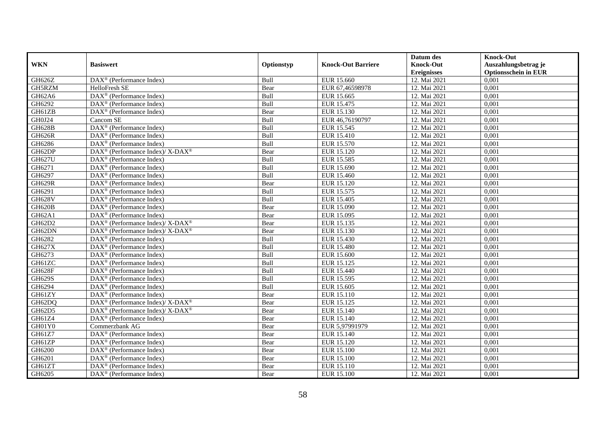|               |                                                             |             |                           | Datum des          | <b>Knock-Out</b>            |
|---------------|-------------------------------------------------------------|-------------|---------------------------|--------------------|-----------------------------|
| <b>WKN</b>    | <b>Basiswert</b>                                            | Optionstyp  | <b>Knock-Out Barriere</b> | <b>Knock-Out</b>   | Auszahlungsbetrag je        |
|               |                                                             |             |                           | <b>Ereignisses</b> | <b>Optionsschein in EUR</b> |
| GH626Z        | $\overline{\text{DAX}^{\otimes}(\text{Performance Index})}$ | Bull        | <b>EUR 15.660</b>         | 12. Mai 2021       | 0,001                       |
| GH5RZM        | HelloFresh SE                                               | Bear        | EUR 67,46598978           | 12. Mai 2021       | 0,001                       |
| GH62A6        | $DAX^{\circledcirc}$ (Performance Index)                    | Bull        | EUR 15.665                | 12. Mai 2021       | 0,001                       |
| GH6292        | $DAX^{\circledast}$ (Performance Index)                     | Bull        | EUR 15.475                | 12. Mai 2021       | 0,001                       |
| GH61ZB        | DAX <sup>®</sup> (Performance Index)                        | Bear        | EUR 15.130                | 12. Mai 2021       | 0,001                       |
| GH0J24        | Cancom SE                                                   | Bull        | EUR 46,76190797           | 12. Mai 2021       | 0,001                       |
| <b>GH628B</b> | $\overline{\text{DAX}}^{\textcirc}$ (Performance Index)     | <b>Bull</b> | EUR 15.545                | 12. Mai 2021       | 0,001                       |
| GH626R        | $\overline{\text{DAX}}^{\textcirc}$ (Performance Index)     | Bull        | EUR 15.410                | 12. Mai 2021       | 0,001                       |
| GH6286        | DAX <sup>®</sup> (Performance Index)                        | Bull        | EUR 15.570                | 12. Mai 2021       | 0,001                       |
| GH62DP        | DAX <sup>®</sup> (Performance Index)/ X-DAX <sup>®</sup>    | Bear        | EUR 15.120                | 12. Mai 2021       | 0,001                       |
| GH627U        | $\overline{\text{DAX}^{\otimes}}$ (Performance Index)       | Bull        | EUR 15.585                | 12. Mai 2021       | 0,001                       |
| GH6271        | DAX <sup>®</sup> (Performance Index)                        | <b>Bull</b> | EUR 15.690                | 12. Mai 2021       | 0,001                       |
| GH6297        | $DAX^{\circledast}$ (Performance Index)                     | Bull        | EUR 15.460                | 12. Mai 2021       | 0,001                       |
| <b>GH629R</b> | DAX <sup>®</sup> (Performance Index)                        | Bear        | EUR 15.120                | 12. Mai 2021       | 0.001                       |
| GH6291        | DAX <sup>®</sup> (Performance Index)                        | Bull        | EUR 15.575                | 12. Mai 2021       | 0,001                       |
| <b>GH628V</b> | DAX <sup>®</sup> (Performance Index)                        | Bull        | <b>EUR 15.405</b>         | 12. Mai 2021       | 0,001                       |
| <b>GH620B</b> | DAX <sup>®</sup> (Performance Index)                        | Bear        | EUR 15.090                | 12. Mai 2021       | 0,001                       |
| GH62A1        | DAX <sup>®</sup> (Performance Index)                        | Bear        | EUR 15.095                | 12. Mai 2021       | 0,001                       |
| GH62D2        | DAX <sup>®</sup> (Performance Index)/ X-DAX <sup>®</sup>    | Bear        | EUR 15.135                | 12. Mai 2021       | 0,001                       |
| GH62DN        | DAX <sup>®</sup> (Performance Index)/ X-DAX <sup>®</sup>    | Bear        | EUR 15.130                | 12. Mai 2021       | 0,001                       |
| GH6282        | $DAX^{\circledast}$ (Performance Index)                     | Bull        | EUR 15.430                | 12. Mai 2021       | 0,001                       |
| GH627X        | $DAX^{\circledR}$ (Performance Index)                       | <b>Bull</b> | <b>EUR 15.480</b>         | 12. Mai 2021       | 0,001                       |
| GH6273        | $\text{DAX}^{\otimes}$ (Performance Index)                  | Bull        | <b>EUR 15.600</b>         | 12. Mai 2021       | 0,001                       |
| GH61ZC        | DAX <sup>®</sup> (Performance Index)                        | Bull        | EUR 15.125                | 12. Mai 2021       | 0,001                       |
| <b>GH628F</b> | $DAX^{\circledcirc}$ (Performance Index)                    | Bull        | EUR 15.440                | 12. Mai 2021       | 0,001                       |
| GH629S        | $DAX^{\circledast}$ (Performance Index)                     | Bull        | EUR 15.595                | 12. Mai 2021       | 0,001                       |
| GH6294        | DAX <sup>®</sup> (Performance Index)                        | Bull        | EUR 15.605                | 12. Mai 2021       | 0,001                       |
| GH61ZY        | DAX <sup>®</sup> (Performance Index)                        | Bear        | EUR 15.110                | 12. Mai 2021       | 0,001                       |
| GH62DQ        | $DAX^{\circledast}$ (Performance Index)/ X-DAX <sup>®</sup> | Bear        | EUR 15.125                | 12. Mai 2021       | 0,001                       |
| GH62D5        | $DAX^{\circledast}$ (Performance Index)/ X-DAX <sup>®</sup> | Bear        | EUR 15.140                | 12. Mai 2021       | 0,001                       |
| GH61Z4        | $DAX^{\circledR}$ (Performance Index)                       | Bear        | EUR 15.140                | 12. Mai 2021       | 0,001                       |
| GH01Y0        | Commerzbank AG                                              | Bear        | EUR 5,97991979            | 12. Mai 2021       | 0,001                       |
| GH61Z7        | $\overline{\text{DAX}^{\otimes}}$ (Performance Index)       | Bear        | EUR 15.140                | 12. Mai 2021       | 0,001                       |
| GH61ZP        | $\text{DAX}^{\circledast}$ (Performance Index)              | Bear        | EUR 15.120                | 12. Mai 2021       | 0,001                       |
| GH6200        | $\text{DAX}^{\circledast}$ (Performance Index)              | Bear        | EUR 15.100                | 12. Mai 2021       | 0,001                       |
| GH6201        | $DAX^{\circledast}$ (Performance Index)                     | Bear        | <b>EUR 15.100</b>         | 12. Mai 2021       | 0,001                       |
| GH61ZT        | $DAX^{\circledast}$ (Performance Index)                     | Bear        | EUR 15.110                | 12. Mai 2021       | 0,001                       |
| GH6205        | $\text{DAX}^{\circledast}$ (Performance Index)              | Bear        | <b>EUR 15.100</b>         | 12. Mai 2021       | 0,001                       |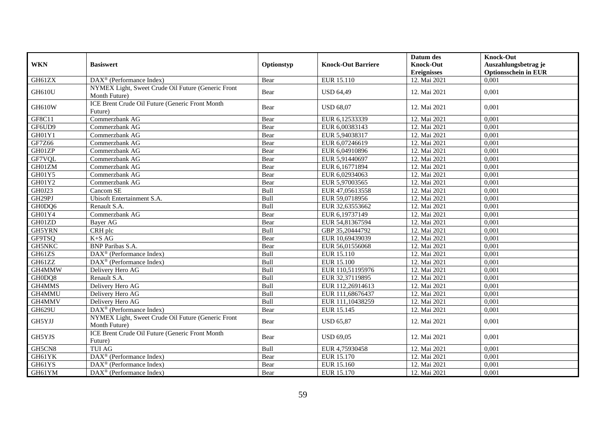|               |                                                       |             |                           | Datum des          | <b>Knock-Out</b>            |
|---------------|-------------------------------------------------------|-------------|---------------------------|--------------------|-----------------------------|
| <b>WKN</b>    | <b>Basiswert</b>                                      | Optionstyp  | <b>Knock-Out Barriere</b> | <b>Knock-Out</b>   | Auszahlungsbetrag je        |
|               |                                                       |             |                           | <b>Ereignisses</b> | <b>Optionsschein in EUR</b> |
| GH61ZX        | $\overline{\text{DAX}^{\otimes}}$ (Performance Index) | Bear        | EUR 15.110                | 12. Mai 2021       | 0.001                       |
|               | NYMEX Light, Sweet Crude Oil Future (Generic Front    |             |                           |                    |                             |
| <b>GH610U</b> | Month Future)                                         | Bear        | <b>USD 64,49</b>          | 12. Mai 2021       | 0,001                       |
|               | ICE Brent Crude Oil Future (Generic Front Month       |             |                           |                    |                             |
| <b>GH610W</b> | Future)                                               | Bear        | <b>USD 68.07</b>          | 12. Mai 2021       | 0.001                       |
| GF8C11        | Commerzbank AG                                        | Bear        | EUR 6,12533339            | 12. Mai 2021       | 0,001                       |
| GF6UD9        | Commerzbank AG                                        | Bear        | EUR 6,00383143            | 12. Mai 2021       | 0,001                       |
| GH01Y1        | Commerzbank AG                                        | Bear        | EUR 5,94038317            | 12. Mai 2021       | 0,001                       |
| GF7Z66        | Commerzbank AG                                        | Bear        | EUR 6,07246619            | 12. Mai 2021       | 0,001                       |
| GH01ZP        | Commerzbank AG                                        | Bear        | EUR 6,04910896            | 12. Mai 2021       | 0,001                       |
| GF7VQL        | Commerzbank AG                                        | Bear        | EUR 5,91440697            | 12. Mai 2021       | 0,001                       |
| GH01ZM        | Commerzbank AG                                        | Bear        | EUR 6,16771894            | 12. Mai 2021       | 0,001                       |
| GH01Y5        | Commerzbank AG                                        | Bear        | EUR 6,02934063            | 12. Mai 2021       | 0,001                       |
| GH01Y2        | Commerzbank AG                                        | Bear        | EUR 5,97003565            | 12. Mai 2021       | 0,001                       |
| GH0J23        | Cancom SE                                             | Bull        | EUR 47,05613558           | 12. Mai 2021       | 0,001                       |
| GH29PJ        | Ubisoft Entertainment S.A.                            | Bull        | EUR 59,0718956            | 12. Mai 2021       | 0,001                       |
| GH0DQ6        | Renault S.A.                                          | Bull        | EUR 32,63553662           | 12. Mai 2021       | 0,001                       |
| GH01Y4        | Commerzbank AG                                        | Bear        | EUR 6,19737149            | 12. Mai 2021       | 0.001                       |
| GH01ZD        | Bayer AG                                              | Bear        | EUR 54,81367594           | 12. Mai 2021       | 0,001                       |
| GH5YRN        | CRH plc                                               | Bull        | GBP 35,20444792           | 12. Mai 2021       | 0,001                       |
| GF9TSQ        | $K+SAG$                                               | Bear        | EUR 10,69439039           | 12. Mai 2021       | 0,001                       |
| GH5NKC        | <b>BNP</b> Paribas S.A.                               | Bear        | EUR 56,01556068           | 12. Mai 2021       | 0,001                       |
| GH61ZS        | DAX <sup>®</sup> (Performance Index)                  | Bull        | EUR 15.110                | 12. Mai 2021       | 0,001                       |
| GH61ZZ        | $\overline{\text{DAX}^{\otimes}}$ (Performance Index) | Bull        | <b>EUR 15.100</b>         | 12. Mai 2021       | 0,001                       |
| GH4MMW        | Delivery Hero AG                                      | Bull        | EUR 110,51195976          | 12. Mai 2021       | 0,001                       |
| GH0DQ8        | Renault S.A.                                          | Bull        | EUR 32,37119895           | 12. Mai 2021       | 0,001                       |
| GH4MMS        | Delivery Hero AG                                      | Bull        | EUR 112,26914613          | 12. Mai 2021       | 0,001                       |
| GH4MMU        | Delivery Hero AG                                      | <b>Bull</b> | EUR 111,68676437          | 12. Mai 2021       | 0,001                       |
| GH4MMV        | Delivery Hero AG                                      | Bull        | EUR 111,10438259          | 12. Mai 2021       | 0,001                       |
| GH629U        | DAX <sup>®</sup> (Performance Index)                  | Bear        | EUR 15.145                | 12. Mai 2021       | 0,001                       |
|               | NYMEX Light, Sweet Crude Oil Future (Generic Front    | Bear        |                           | 12. Mai 2021       | 0.001                       |
| GH5YJJ        | Month Future)                                         |             | <b>USD 65,87</b>          |                    |                             |
| GH5YJS        | ICE Brent Crude Oil Future (Generic Front Month       | Bear        | <b>USD 69,05</b>          | 12. Mai 2021       | 0,001                       |
|               | Future)                                               |             |                           |                    |                             |
| GH5CN8        | <b>TUI AG</b>                                         | Bull        | EUR 4,75930458            | 12. Mai 2021       | 0,001                       |
| GH61YK        | $\text{DAX}^{\otimes}$ (Performance Index)            | Bear        | <b>EUR 15.170</b>         | 12. Mai 2021       | 0,001                       |
| GH61YS        | $\text{DAX}^{\otimes}$ (Performance Index)            | Bear        | EUR 15.160                | 12. Mai 2021       | 0,001                       |
| GH61YM        | DAX <sup>®</sup> (Performance Index)                  | Bear        | EUR 15.170                | 12. Mai 2021       | 0,001                       |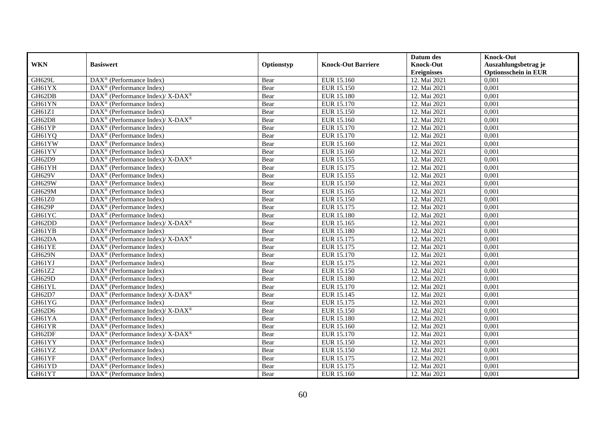|               |                                                                           |            |                           | Datum des          | <b>Knock-Out</b>            |
|---------------|---------------------------------------------------------------------------|------------|---------------------------|--------------------|-----------------------------|
| <b>WKN</b>    | <b>Basiswert</b>                                                          | Optionstyp | <b>Knock-Out Barriere</b> | <b>Knock-Out</b>   | Auszahlungsbetrag je        |
|               |                                                                           |            |                           | <b>Ereignisses</b> | <b>Optionsschein in EUR</b> |
| GH629L        | DAX <sup>®</sup> (Performance Index)                                      | Bear       | EUR 15.160                | 12. Mai 2021       | 0,001                       |
| GH61YX        | DAX <sup>®</sup> (Performance Index)                                      | Bear       | EUR 15.150                | 12. Mai 2021       | 0,001                       |
| GH62DB        | $DAX^{\circledast}$ (Performance Index)/ X-DAX <sup>®</sup>               | Bear       | <b>EUR 15.180</b>         | 12. Mai 2021       | 0,001                       |
| GH61YN        | $\text{DAX}^{\otimes}$ (Performance Index)                                | Bear       | EUR 15.170                | 12. Mai 2021       | 0,001                       |
| GH61Z1        | DAX <sup>®</sup> (Performance Index)                                      | Bear       | EUR 15.150                | 12. Mai 2021       | 0,001                       |
| GH62D8        | DAX <sup>®</sup> (Performance Index)/X-DAX <sup>®</sup>                   | Bear       | EUR 15.160                | 12. Mai 2021       | 0,001                       |
| GH61YP        | $DAX^{\circledR}$ (Performance Index)                                     | Bear       | EUR 15.170                | 12. Mai 2021       | 0,001                       |
| GH61YQ        | $\overline{\text{DAX}}^{\textcirc}$ (Performance Index)                   | Bear       | EUR 15.170                | 12. Mai 2021       | 0,001                       |
| GH61YW        | $\text{DAX}^{\circledast}$ (Performance Index)                            | Bear       | EUR 15.160                | 12. Mai 2021       | 0,001                       |
| GH61YV        | $DAX^{\circledR}$ (Performance Index)                                     | Bear       | EUR 15.160                | 12. Mai 2021       | 0,001                       |
| GH62D9        | DAX <sup>®</sup> (Performance Index)/ X-DAX <sup>®</sup>                  | Bear       | EUR 15.155                | 12. Mai 2021       | 0,001                       |
| GH61YH        | $\text{DAX}^{\otimes}$ (Performance Index)                                | Bear       | EUR 15.175                | 12. Mai 2021       | 0,001                       |
| <b>GH629V</b> | $\text{DAX}^{\otimes}$ (Performance Index)                                | Bear       | EUR 15.155                | 12. Mai 2021       | 0,001                       |
| <b>GH629W</b> | DAX <sup>®</sup> (Performance Index)                                      | Bear       | EUR 15.150                | 12. Mai 2021       | 0,001                       |
| <b>GH629M</b> | DAX <sup>®</sup> (Performance Index)                                      | Bear       | EUR 15.165                | 12. Mai 2021       | 0,001                       |
| GH61Z0        | DAX <sup>®</sup> (Performance Index)                                      | Bear       | EUR 15.150                | 12. Mai 2021       | 0,001                       |
| GH629P        | DAX <sup>®</sup> (Performance Index)                                      | Bear       | EUR 15.175                | 12. Mai 2021       | 0,001                       |
| GH61YC        | $\text{DAX}^{\otimes}$ (Performance Index)                                | Bear       | <b>EUR 15.180</b>         | 12. Mai 2021       | 0,001                       |
| GH62DD        | DAX <sup>®</sup> (Performance Index)/ X-DAX <sup>®</sup>                  | Bear       | EUR 15.165                | 12. Mai 2021       | 0,001                       |
| GH61YB        | $\text{DAX}^{\otimes}$ (Performance Index)                                | Bear       | EUR 15.180                | 12. Mai 2021       | 0,001                       |
| GH62DA        | DAX <sup>®</sup> (Performance Index)/ X-DAX <sup>®</sup>                  | Bear       | EUR 15.175                | 12. Mai 2021       | 0,001                       |
| GH61YE        | $DAX^{\circledR}$ (Performance Index)                                     | Bear       | EUR 15.175                | 12. Mai 2021       | 0,001                       |
| <b>GH629N</b> | $DAX^{\otimes}$ (Performance Index)                                       | Bear       | EUR 15.170                | 12. Mai 2021       | 0,001                       |
| GH61YJ        | DAX <sup>®</sup> (Performance Index)                                      | Bear       | EUR 15.175                | 12. Mai 2021       | 0,001                       |
| GH61Z2        | $DAX^{\circledR}$ (Performance Index)                                     | Bear       | EUR 15.150                | 12. Mai 2021       | 0,001                       |
| <b>GH629D</b> | $\text{DAX}^{\otimes}$ (Performance Index)                                | Bear       | <b>EUR 15.180</b>         | 12. Mai 2021       | 0,001                       |
| GH61YL        | DAX <sup>®</sup> (Performance Index)                                      | Bear       | EUR 15.170                | 12. Mai 2021       | 0,001                       |
| GH62D7        | DAX <sup>®</sup> (Performance Index)/X-DAX <sup>®</sup>                   | Bear       | EUR 15.145                | 12. Mai 2021       | 0,001                       |
| GH61YG        | $\text{DAX}^{\otimes}$ (Performance Index)                                | Bear       | EUR 15.175                | 12. Mai 2021       | 0,001                       |
| GH62D6        | $DAX^{\circledast}$ (Performance Index)/ X-DAX <sup>®</sup>               | Bear       | EUR 15.150                | 12. Mai 2021       | 0,001                       |
| GH61YA        | $DAX^{\otimes}$ (Performance Index)                                       | Bear       | <b>EUR 15.180</b>         | 12. Mai 2021       | 0,001                       |
| GH61YR        | DAX <sup>®</sup> (Performance Index)                                      | Bear       | EUR 15.160                | 12. Mai 2021       | 0,001                       |
| GH62DF        | $DAX^{\circledast}$ (Performance Index)/ $\overline{X-DAX^{\circledast}}$ | Bear       | EUR 15.170                | 12. Mai 2021       | 0,001                       |
| GH61YY        | DAX <sup>®</sup> (Performance Index)                                      | Bear       | EUR 15.150                | 12. Mai 2021       | 0,001                       |
| GH61YZ        | $\text{DAX}^{\otimes}$ (Performance Index)                                | Bear       | EUR 15.150                | 12. Mai 2021       | 0,001                       |
| GH61YF        | $\text{DAX}^{\otimes}$ (Performance Index)                                | Bear       | EUR 15.175                | 12. Mai 2021       | 0,001                       |
| GH61YD        | $DAX^{\circledast}$ (Performance Index)                                   | Bear       | EUR 15.175                | 12. Mai 2021       | 0,001                       |
| GH61YT        | $\text{DAX}^{\otimes}$ (Performance Index)                                | Bear       | EUR 15.160                | 12. Mai 2021       | 0,001                       |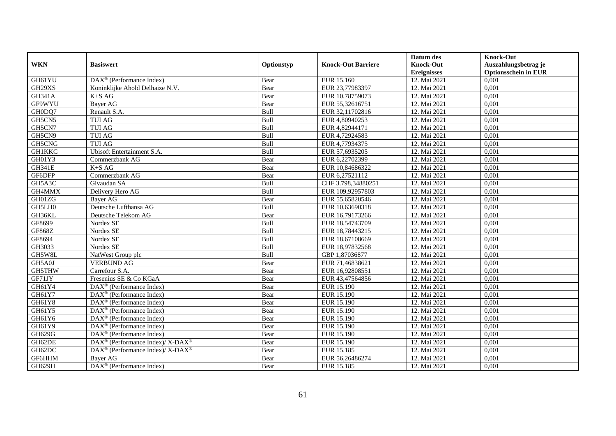|               |                                                             |            |                           | Datum des          | <b>Knock-Out</b>            |
|---------------|-------------------------------------------------------------|------------|---------------------------|--------------------|-----------------------------|
| <b>WKN</b>    | <b>Basiswert</b>                                            | Optionstyp | <b>Knock-Out Barriere</b> | <b>Knock-Out</b>   | Auszahlungsbetrag je        |
|               |                                                             |            |                           | <b>Ereignisses</b> | <b>Optionsschein in EUR</b> |
| GH61YU        | DAX <sup>®</sup> (Performance Index)                        | Bear       | EUR 15.160                | 12. Mai 2021       | 0,001                       |
| GH29XS        | Koninklijke Ahold Delhaize N.V.                             | Bear       | EUR 23,77983397           | 12. Mai 2021       | 0,001                       |
| <b>GH341A</b> | $K+SAG$                                                     | Bear       | EUR 10,78759073           | 12. Mai 2021       | 0,001                       |
| GF9WYU        | Bayer AG                                                    | Bear       | EUR 55,32616751           | 12. Mai 2021       | 0,001                       |
| GH0DQ7        | Renault S.A.                                                | Bull       | EUR 32,11702816           | 12. Mai 2021       | 0,001                       |
| GH5CN5        | <b>TUI AG</b>                                               | Bull       | EUR 4,80940253            | 12. Mai 2021       | 0,001                       |
| GH5CN7        | <b>TUI AG</b>                                               | Bull       | EUR 4,82944171            | 12. Mai 2021       | 0,001                       |
| GH5CN9        | TUI AG                                                      | Bull       | EUR 4,72924583            | 12. Mai 2021       | 0,001                       |
| GH5CNG        | <b>TUI AG</b>                                               | Bull       | EUR 4,77934375            | 12. Mai 2021       | 0,001                       |
| <b>GH1KKC</b> | Ubisoft Entertainment S.A.                                  | Bull       | EUR 57,6935205            | 12. Mai 2021       | 0,001                       |
| GH01Y3        | Commerzbank AG                                              | Bear       | EUR 6,22702399            | 12. Mai 2021       | 0,001                       |
| <b>GH341E</b> | $K+SAG$                                                     | Bear       | EUR 10,84686322           | 12. Mai 2021       | 0,001                       |
| GF6DFP        | Commerzbank AG                                              | Bear       | EUR 6,27521112            | 12. Mai 2021       | 0,001                       |
| GH5A3C        | Givaudan SA                                                 | Bull       | CHF 3.798,34880251        | 12. Mai 2021       | 0,001                       |
| GH4MMX        | Delivery Hero AG                                            | Bull       | EUR 109,92957803          | 12. Mai 2021       | 0,001                       |
| GH01ZG        | Bayer AG                                                    | Bear       | EUR 55,65820546           | 12. Mai 2021       | 0,001                       |
| GH5LH0        | Deutsche Lufthansa AG                                       | Bull       | EUR 10,63690318           | 12. Mai 2021       | 0,001                       |
| GH36KL        | Deutsche Telekom AG                                         | Bear       | EUR 16,79173266           | 12. Mai 2021       | 0,001                       |
| GF8699        | Nordex SE                                                   | Bull       | EUR 18,54743709           | 12. Mai 2021       | 0,001                       |
| GF868Z        | Nordex SE                                                   | Bull       | EUR 18,78443215           | 12. Mai 2021       | 0,001                       |
| GF8694        | Nordex SE                                                   | Bull       | EUR 18,67108669           | 12. Mai 2021       | 0,001                       |
| GH3033        | Nordex SE                                                   | Bull       | EUR 18,97832568           | 12. Mai 2021       | 0,001                       |
| GH5W8L        | NatWest Group plc                                           | Bull       | GBP 1,87036877            | 12. Mai 2021       | 0,001                       |
| GH5A0J        | <b>VERBUND AG</b>                                           | Bear       | EUR 71,46838621           | 12. Mai 2021       | 0,001                       |
| GH5THW        | Carrefour S.A.                                              | Bear       | EUR 16,92808551           | 12. Mai 2021       | 0,001                       |
| GF71JY        | Fresenius SE & Co KGaA                                      | Bear       | EUR 43,47564856           | 12. Mai 2021       | 0,001                       |
| GH61Y4        | $\text{DAX}^{\otimes}$ (Performance Index)                  | Bear       | EUR 15.190                | 12. Mai 2021       | 0,001                       |
| GH61Y7        | DAX <sup>®</sup> (Performance Index)                        | Bear       | EUR 15.190                | 12. Mai 2021       | 0,001                       |
| GH61Y8        | $DAX^{\circledR}$ (Performance Index)                       | Bear       | EUR 15.190                | 12. Mai 2021       | 0,001                       |
| GH61Y5        | $\text{DAX}^{\otimes}$ (Performance Index)                  | Bear       | EUR 15.190                | 12. Mai 2021       | 0,001                       |
| GH61Y6        | DAX <sup>®</sup> (Performance Index)                        | Bear       | EUR 15.190                | 12. Mai 2021       | 0,001                       |
| GH61Y9        | $\text{DAX}^{\otimes}$ (Performance Index)                  | Bear       | EUR 15.190                | 12. Mai 2021       | 0,001                       |
| GH629G        | $DAX^{\circledR}$ (Performance Index)                       | Bear       | EUR 15.190                | 12. Mai 2021       | 0,001                       |
| GH62DE        | $DAX^{\circledast}$ (Performance Index)/ X-DAX <sup>®</sup> | Bear       | EUR 15.190                | 12. Mai 2021       | 0,001                       |
| GH62DC        | DAX <sup>®</sup> (Performance Index)/ X-DAX <sup>®</sup>    | Bear       | EUR 15.185                | 12. Mai 2021       | 0,001                       |
| GF6HHM        | Bayer AG                                                    | Bear       | EUR 56,26486274           | 12. Mai 2021       | 0,001                       |
| GH629H        | DAX <sup>®</sup> (Performance Index)                        | Bear       | EUR 15.185                | 12. Mai 2021       | 0,001                       |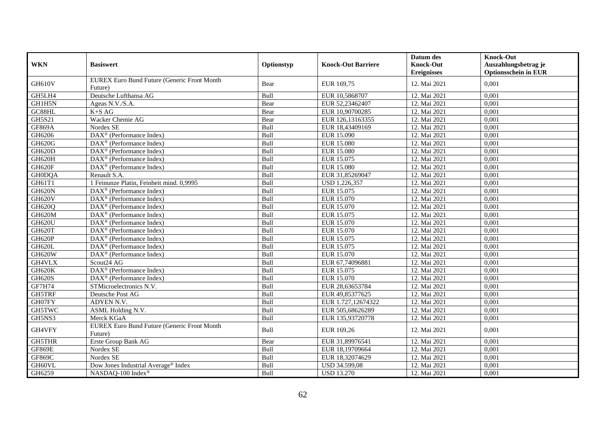|                         |                                                               |            |                           | Datum des          | <b>Knock-Out</b>            |
|-------------------------|---------------------------------------------------------------|------------|---------------------------|--------------------|-----------------------------|
| <b>WKN</b>              | <b>Basiswert</b>                                              | Optionstyp | <b>Knock-Out Barriere</b> | <b>Knock-Out</b>   | Auszahlungsbetrag je        |
|                         |                                                               |            |                           | <b>Ereignisses</b> | <b>Optionsschein in EUR</b> |
| <b>GH610V</b>           | EUREX Euro Bund Future (Generic Front Month<br>Future)        | Bear       | EUR 169,75                | 12. Mai 2021       | 0,001                       |
| GH5LH4                  | Deutsche Lufthansa AG                                         | Bull       | EUR 10,5868707            | 12. Mai 2021       | 0,001                       |
| GH1H5N                  | Ageas N.V./S.A.                                               | Bear       | EUR 52,23462407           | 12. Mai 2021       | 0,001                       |
| GC88HL                  | $K+SAG$                                                       | Bear       | EUR 10,90700285           | 12. Mai 2021       | 0,001                       |
| GH5S21                  | Wacker Chemie AG                                              | Bear       | EUR 126,13163355          | 12. Mai 2021       | 0,001                       |
| <b>GF869A</b>           | Nordex SE                                                     | Bull       | EUR 18,43409169           | 12. Mai 2021       | 0,001                       |
| GH6206                  | DAX <sup>®</sup> (Performance Index)                          | Bull       | EUR 15.090                | 12. Mai 2021       | 0,001                       |
| GH620G                  | DAX <sup>®</sup> (Performance Index)                          | Bull       | <b>EUR 15.080</b>         | 12. Mai 2021       | 0,001                       |
| <b>GH620D</b>           | DAX <sup>®</sup> (Performance Index)                          | Bull       | <b>EUR 15.080</b>         | 12. Mai 2021       | 0,001                       |
| GH620H                  | $\overline{\text{DAX}^{\otimes}}$ (Performance Index)         | Bull       | EUR 15.075                | 12. Mai 2021       | 0,001                       |
|                         | DAX <sup>®</sup> (Performance Index)                          | Bull       | <b>EUR 15.080</b>         | 12. Mai 2021       | 0,001                       |
| GH620F<br><b>GH0DQA</b> | Renault S.A.                                                  | Bull       |                           |                    |                             |
|                         |                                                               | Bull       | EUR 31,85269047           | 12. Mai 2021       | 0,001                       |
| GH61T1                  | 1 Feinunze Platin, Feinheit mind. 0,9995                      |            | USD 1.226,357             | 12. Mai 2021       | 0,001                       |
| <b>GH620N</b>           | DAX <sup>®</sup> (Performance Index)                          | Bull       | EUR 15.075                | 12. Mai 2021       | 0,001                       |
| <b>GH620V</b>           | DAX <sup>®</sup> (Performance Index)                          | Bull       | EUR 15.070                | 12. Mai 2021       | 0,001                       |
| GH620Q                  | DAX <sup>®</sup> (Performance Index)                          | Bull       | EUR 15.070                | 12. Mai 2021       | 0,001                       |
| GH620M                  | $DAX^{\circledR}$ (Performance Index)                         | Bull       | EUR 15.075                | 12. Mai 2021       | 0.001                       |
| <b>GH620U</b>           | $\overline{\text{DAX}}^{\textcirc}$ (Performance Index)       | Bull       | EUR 15.070                | 12. Mai 2021       | 0,001                       |
| GH620T                  | DAX <sup>®</sup> (Performance Index)                          | Bull       | EUR 15.070                | 12. Mai 2021       | 0,001                       |
| GH620P                  | DAX <sup>®</sup> (Performance Index)                          | Bull       | EUR 15.075                | 12. Mai 2021       | 0,001                       |
| GH620L                  | DAX <sup>®</sup> (Performance Index)                          | Bull       | EUR 15.075                | 12. Mai 2021       | 0,001                       |
| <b>GH620W</b>           | DAX <sup>®</sup> (Performance Index)                          | Bull       | EUR 15.070                | 12. Mai 2021       | 0,001                       |
| GH4VLX                  | Scout <sub>24</sub> AG                                        | Bull       | EUR 67,74096881           | 12. Mai 2021       | 0,001                       |
| GH620K                  | $DAX^{\otimes}$ (Performance Index)                           | Bull       | EUR 15.075                | 12. Mai 2021       | 0,001                       |
| <b>GH620S</b>           | DAX <sup>®</sup> (Performance Index)                          | Bull       | EUR 15.070                | 12. Mai 2021       | 0,001                       |
| <b>GF7H74</b>           | STMicroelectronics N.V.                                       | Bull       | EUR 28,63653784           | 12. Mai 2021       | 0,001                       |
| GH5TRF                  | Deutsche Post AG                                              | Bull       | EUR 49,85377625           | 12. Mai 2021       | 0,001                       |
| GH07FY                  | ADYEN N.V.                                                    | Bull       | EUR 1.727,12674322        | 12. Mai 2021       | 0,001                       |
| GH5TWC                  | ASML Holding N.V.                                             | Bull       | EUR 505,68626289          | 12. Mai 2021       | 0,001                       |
| GH5NS3                  | Merck KGaA                                                    | Bull       | EUR 135,93720778          | 12. Mai 2021       | 0,001                       |
| GH4VFY                  | <b>EUREX Euro Bund Future (Generic Front Month</b><br>Future) | Bull       | EUR 169,26                | 12. Mai 2021       | 0,001                       |
| <b>GH5THR</b>           | Erste Group Bank AG                                           | Bear       | EUR 31,89976541           | 12. Mai 2021       | 0,001                       |
| <b>GF869E</b>           | Nordex SE                                                     | Bull       | EUR 18,19709664           | 12. Mai 2021       | 0,001                       |
| GF869C                  | Nordex SE                                                     | Bull       | EUR 18,32074629           | 12. Mai 2021       | 0,001                       |
| GH60VL                  | Dow Jones Industrial Average® Index                           | Bull       | USD 34.599,08             | 12. Mai 2021       | 0,001                       |
| GH6259                  | NASDAQ-100 Index®                                             | Bull       | <b>USD 13.270</b>         | 12. Mai 2021       | 0,001                       |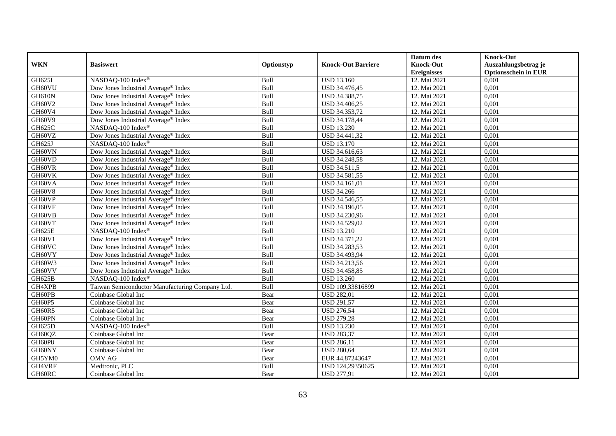|               |                                                 |            |                           | Datum des          | <b>Knock-Out</b>            |
|---------------|-------------------------------------------------|------------|---------------------------|--------------------|-----------------------------|
| <b>WKN</b>    | <b>Basiswert</b>                                | Optionstyp | <b>Knock-Out Barriere</b> | <b>Knock-Out</b>   | Auszahlungsbetrag je        |
|               |                                                 |            |                           | <b>Ereignisses</b> | <b>Optionsschein in EUR</b> |
| GH625L        | NASDAQ-100 Index®                               | Bull       | <b>USD 13.160</b>         | 12. Mai 2021       | 0,001                       |
| GH60VU        | Dow Jones Industrial Average® Index             | Bull       | USD 34.476,45             | 12. Mai 2021       | 0,001                       |
| <b>GH610N</b> | Dow Jones Industrial Average <sup>®</sup> Index | Bull       | USD 34.388,75             | 12. Mai 2021       | 0,001                       |
| GH60V2        | Dow Jones Industrial Average® Index             | Bull       | USD 34.406,25             | 12. Mai 2021       | 0,001                       |
| GH60V4        | Dow Jones Industrial Average® Index             | Bull       | USD 34.353,72             | 12. Mai 2021       | 0,001                       |
| GH60V9        | Dow Jones Industrial Average® Index             | Bull       | USD 34.178,44             | 12. Mai 2021       | 0,001                       |
| <b>GH625C</b> | NASDAQ-100 Index®                               | Bull       | <b>USD 13.230</b>         | 12. Mai 2021       | 0,001                       |
| GH60VZ        | Dow Jones Industrial Average <sup>®</sup> Index | Bull       | USD 34.441,32             | 12. Mai 2021       | 0,001                       |
| GH625J        | NASDAQ-100 Index®                               | Bull       | <b>USD 13.170</b>         | 12. Mai 2021       | 0,001                       |
| GH60VN        | Dow Jones Industrial Average <sup>®</sup> Index | Bull       | USD 34.616,63             | 12. Mai 2021       | 0,001                       |
| GH60VD        | Dow Jones Industrial Average® Index             | Bull       | USD 34.248,58             | 12. Mai 2021       | 0,001                       |
| GH60VR        | Dow Jones Industrial Average® Index             | Bull       | USD 34.511,5              | 12. Mai 2021       | 0,001                       |
| GH60VK        | Dow Jones Industrial Average <sup>®</sup> Index | Bull       | USD 34.581,55             | 12. Mai 2021       | 0,001                       |
| GH60VA        | Dow Jones Industrial Average® Index             | Bull       | USD 34.161,01             | 12. Mai 2021       | 0,001                       |
| GH60V8        | Dow Jones Industrial Average <sup>®</sup> Index | Bull       | <b>USD 34.266</b>         | 12. Mai 2021       | 0,001                       |
| GH60VP        | Dow Jones Industrial Average® Index             | Bull       | USD 34.546,55             | 12. Mai 2021       | 0,001                       |
| GH60VF        | Dow Jones Industrial Average® Index             | Bull       | USD 34.196,05             | 12. Mai 2021       | 0,001                       |
| GH60VB        | Dow Jones Industrial Average <sup>®</sup> Index | Bull       | USD 34.230,96             | 12. Mai 2021       | 0,001                       |
| GH60VT        | Dow Jones Industrial Average® Index             | Bull       | USD 34.529,02             | 12. Mai 2021       | 0,001                       |
| GH625E        | NASDAQ-100 Index®                               | Bull       | <b>USD 13.210</b>         | 12. Mai 2021       | 0,001                       |
| GH60V1        | Dow Jones Industrial Average <sup>®</sup> Index | Bull       | USD 34.371,22             | 12. Mai 2021       | 0,001                       |
| GH60VC        | Dow Jones Industrial Average <sup>®</sup> Index | Bull       | USD 34.283,53             | 12. Mai 2021       | 0,001                       |
| GH60VY        | Dow Jones Industrial Average® Index             | Bull       | USD 34.493,94             | 12. Mai 2021       | 0,001                       |
| GH60W3        | Dow Jones Industrial Average® Index             | Bull       | USD 34.213,56             | 12. Mai 2021       | 0,001                       |
| GH60VV        | Dow Jones Industrial Average <sup>®</sup> Index | Bull       | USD 34.458,85             | 12. Mai 2021       | 0,001                       |
| GH625B        | NASDAQ-100 Index®                               | Bull       | <b>USD 13.260</b>         | 12. Mai 2021       | 0,001                       |
| GH4XPB        | Taiwan Semiconductor Manufacturing Company Ltd. | Bull       | USD 109,33816899          | 12. Mai 2021       | 0,001                       |
| GH60PB        | Coinbase Global Inc                             | Bear       | <b>USD 282,01</b>         | 12. Mai 2021       | 0,001                       |
| GH60P5        | Coinbase Global Inc                             | Bear       | <b>USD 291,57</b>         | 12. Mai 2021       | 0,001                       |
| GH60R5        | Coinbase Global Inc                             | Bear       | <b>USD 276,54</b>         | 12. Mai 2021       | 0,001                       |
| GH60PN        | Coinbase Global Inc                             | Bear       | <b>USD 279,28</b>         | 12. Mai 2021       | 0,001                       |
| GH625D        | NASDAQ-100 Index®                               | Bull       | <b>USD 13.230</b>         | 12. Mai 2021       | 0,001                       |
| GH60QZ        | Coinbase Global Inc                             | Bear       | <b>USD 283,37</b>         | 12. Mai 2021       | 0,001                       |
| GH60P8        | Coinbase Global Inc                             | Bear       | <b>USD 286,11</b>         | 12. Mai 2021       | 0,001                       |
| GH60NY        | Coinbase Global Inc                             | Bear       | <b>USD 280,64</b>         | 12. Mai 2021       | 0,001                       |
| GH5YM0        | <b>OMV AG</b>                                   | Bear       | EUR 44,87243647           | 12. Mai 2021       | 0,001                       |
| GH4VRF        | Medtronic, PLC                                  | Bull       | USD 124,29350625          | 12. Mai 2021       | 0,001                       |
| GH60RC        | Coinbase Global Inc                             | Bear       | <b>USD 277,91</b>         | 12. Mai 2021       | 0,001                       |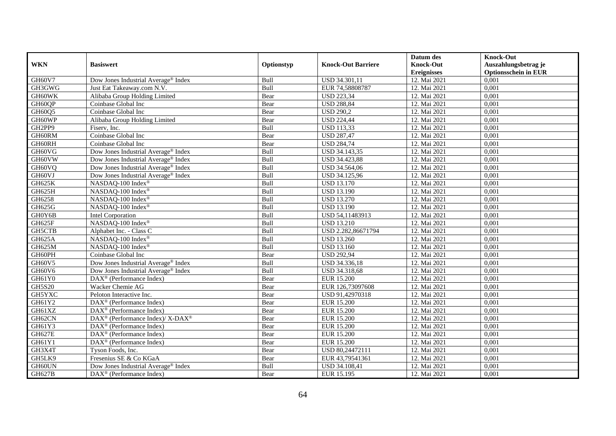|               |                                                          |            |                           | Datum des          | <b>Knock-Out</b>            |
|---------------|----------------------------------------------------------|------------|---------------------------|--------------------|-----------------------------|
| <b>WKN</b>    | <b>Basiswert</b>                                         | Optionstyp | <b>Knock-Out Barriere</b> | <b>Knock-Out</b>   | Auszahlungsbetrag je        |
|               |                                                          |            |                           | <b>Ereignisses</b> | <b>Optionsschein in EUR</b> |
| GH60V7        | Dow Jones Industrial Average® Index                      | Bull       | USD 34.301,11             | 12. Mai 2021       | 0,001                       |
| GH3GWG        | Just Eat Takeaway.com N.V.                               | Bull       | EUR 74,58808787           | 12. Mai 2021       | 0,001                       |
| GH60WK        | Alibaba Group Holding Limited                            | Bear       | <b>USD 223,34</b>         | 12. Mai 2021       | 0,001                       |
| GH60QP        | Coinbase Global Inc                                      | Bear       | <b>USD 288,84</b>         | 12. Mai 2021       | 0,001                       |
| GH60Q5        | Coinbase Global Inc                                      | Bear       | <b>USD 290,2</b>          | 12. Mai 2021       | 0,001                       |
| GH60WP        | Alibaba Group Holding Limited                            | Bear       | <b>USD 224,44</b>         | 12. Mai 2021       | 0,001                       |
| GH2PP9        | Fisery, Inc.                                             | Bull       | <b>USD 113,33</b>         | 12. Mai 2021       | 0,001                       |
| GH60RM        | Coinbase Global Inc                                      | Bear       | <b>USD 287,47</b>         | 12. Mai 2021       | 0,001                       |
| GH60RH        | Coinbase Global Inc                                      | Bear       | <b>USD 284,74</b>         | 12. Mai 2021       | 0,001                       |
| GH60VG        | Dow Jones Industrial Average <sup>®</sup> Index          | Bull       | USD 34.143,35             | 12. Mai 2021       | 0,001                       |
| GH60VW        | Dow Jones Industrial Average® Index                      | Bull       | USD 34.423,88             | 12. Mai 2021       | 0,001                       |
| GH60VQ        | Dow Jones Industrial Average <sup>®</sup> Index          | Bull       | USD 34.564,06             | 12. Mai 2021       | 0,001                       |
| GH60VJ        | Dow Jones Industrial Average® Index                      | Bull       | USD 34.125,96             | 12. Mai 2021       | 0,001                       |
| <b>GH625K</b> | NASDAQ-100 Index®                                        | Bull       | <b>USD 13.170</b>         | 12. Mai 2021       | 0,001                       |
| GH625H        | NASDAQ-100 Index®                                        | Bull       | <b>USD 13.190</b>         | 12. Mai 2021       | 0,001                       |
| GH6258        | NASDAQ-100 Index®                                        | Bull       | <b>USD 13.270</b>         | 12. Mai 2021       | 0,001                       |
| GH625G        | NASDAQ-100 Index®                                        | Bull       | <b>USD 13.190</b>         | 12. Mai 2021       | 0,001                       |
| GH0Y6B        | <b>Intel Corporation</b>                                 | Bull       | USD 54,11483913           | 12. Mai 2021       | 0,001                       |
| GH625F        | NASDAQ-100 Index®                                        | Bull       | <b>USD 13.210</b>         | 12. Mai 2021       | 0,001                       |
| GH5CTB        | Alphabet Inc. - Class C                                  | Bull       | USD 2.282,86671794        | 12. Mai 2021       | 0,001                       |
| GH625A        | NASDAQ-100 Index®                                        | Bull       | <b>USD 13.260</b>         | 12. Mai 2021       | 0,001                       |
| GH625M        | NASDAQ-100 Index®                                        | Bull       | <b>USD 13.160</b>         | 12. Mai 2021       | 0,001                       |
| GH60PH        | Coinbase Global Inc                                      | Bear       | <b>USD 292,94</b>         | 12. Mai 2021       | 0,001                       |
| GH60V5        | Dow Jones Industrial Average® Index                      | Bull       | USD 34.336,18             | 12. Mai 2021       | 0,001                       |
| GH60V6        | Dow Jones Industrial Average <sup>®</sup> Index          | Bull       | USD 34.318,68             | 12. Mai 2021       | 0,001                       |
| GH61Y0        | DAX <sup>®</sup> (Performance Index)                     | Bear       | <b>EUR 15.200</b>         | 12. Mai 2021       | 0,001                       |
| <b>GH5S20</b> | Wacker Chemie AG                                         | Bear       | EUR 126,73097608          | 12. Mai 2021       | 0,001                       |
| GH5YXC        | Peloton Interactive Inc.                                 | Bear       | USD 91,42970318           | 12. Mai 2021       | 0,001                       |
| GH61Y2        | DAX <sup>®</sup> (Performance Index)                     | Bear       | <b>EUR 15.200</b>         | 12. Mai 2021       | 0,001                       |
| GH61XZ        | $\text{DAX}^{\textcircled{}}$ (Performance Index)        | Bear       | <b>EUR 15.200</b>         | 12. Mai 2021       | 0,001                       |
| GH62CN        | DAX <sup>®</sup> (Performance Index)/ X-DAX <sup>®</sup> | Bear       | <b>EUR 15.200</b>         | 12. Mai 2021       | 0,001                       |
| GH61Y3        | $DAX^{\circledcirc}$ (Performance Index)                 | Bear       | <b>EUR 15.200</b>         | 12. Mai 2021       | 0,001                       |
| <b>GH627E</b> | $DAX^{\circledR}$ (Performance Index)                    | Bear       | <b>EUR 15.200</b>         | 12. Mai 2021       | 0,001                       |
| GH61Y1        | DAX <sup>®</sup> (Performance Index)                     | Bear       | EUR 15.200                | 12. Mai 2021       | 0,001                       |
| GH3X4T        | Tyson Foods, Inc.                                        | Bear       | USD 80,24472111           | 12. Mai 2021       | 0,001                       |
| GH5LK9        | Fresenius SE & Co KGaA                                   | Bear       | EUR 43,79541361           | 12. Mai 2021       | 0,001                       |
| GH60UN        | Dow Jones Industrial Average® Index                      | Bull       | USD 34.108,41             | 12. Mai 2021       | 0,001                       |
| GH627B        | DAX <sup>®</sup> (Performance Index)                     | Bear       | EUR 15.195                | 12. Mai 2021       | 0,001                       |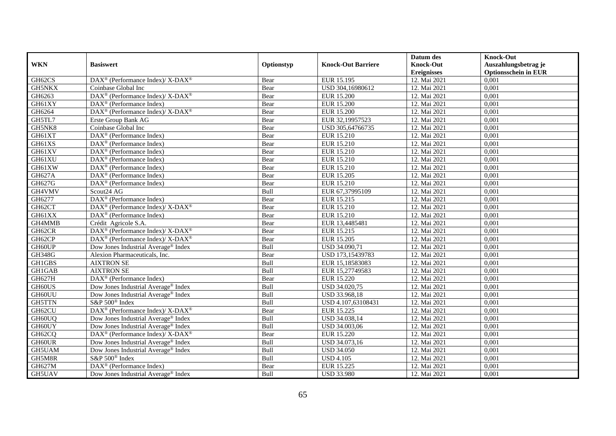|               |                                                                           |            |                           | Datum des          | <b>Knock-Out</b>            |
|---------------|---------------------------------------------------------------------------|------------|---------------------------|--------------------|-----------------------------|
| <b>WKN</b>    | <b>Basiswert</b>                                                          | Optionstyp | <b>Knock-Out Barriere</b> | <b>Knock-Out</b>   | Auszahlungsbetrag je        |
|               |                                                                           |            |                           | <b>Ereignisses</b> | <b>Optionsschein in EUR</b> |
| GH62CS        | DAX <sup>®</sup> (Performance Index)/ X-DAX <sup>®</sup>                  | Bear       | EUR 15.195                | 12. Mai 2021       | 0,001                       |
| GH5NKX        | Coinbase Global Inc                                                       | Bear       | USD 304,16980612          | 12. Mai 2021       | 0,001                       |
| GH6263        | DAX <sup>®</sup> (Performance Index)/ X-DAX <sup>®</sup>                  | Bear       | <b>EUR 15.200</b>         | 12. Mai 2021       | 0,001                       |
| GH61XY        | $\text{DAX}^{\otimes}$ (Performance Index)                                | Bear       | EUR 15.200                | 12. Mai 2021       | 0,001                       |
| GH6264        | $DAX^{\circledast}$ (Performance Index)/ $\overline{X-DAX^{\circledast}}$ | Bear       | <b>EUR 15.200</b>         | 12. Mai 2021       | 0,001                       |
| GH5TL7        | Erste Group Bank AG                                                       | Bear       | EUR 32,19957523           | 12. Mai 2021       | 0,001                       |
| GH5NK8        | Coinbase Global Inc                                                       | Bear       | USD 305,64766735          | 12. Mai 2021       | 0,001                       |
| GH61XT        | DAX <sup>®</sup> (Performance Index)                                      | Bear       | EUR 15.210                | 12. Mai 2021       | 0,001                       |
| GH61XS        | $\text{DAX}^{\otimes}$ (Performance Index)                                | Bear       | <b>EUR 15.210</b>         | 12. Mai 2021       | 0,001                       |
| GH61XV        | $\text{DAX}^{\otimes}$ (Performance Index)                                | Bear       | EUR 15.210                | 12. Mai 2021       | 0,001                       |
| GH61XU        | DAX <sup>®</sup> (Performance Index)                                      | Bear       | EUR 15.210                | 12. Mai 2021       | 0,001                       |
| GH61XW        | DAX <sup>®</sup> (Performance Index)                                      | Bear       | <b>EUR 15.210</b>         | 12. Mai 2021       | 0,001                       |
| <b>GH627A</b> | $\text{DAX}^{\otimes}$ (Performance Index)                                | Bear       | EUR 15.205                | 12. Mai 2021       | 0,001                       |
| GH627G        | $\text{DAX}^{\otimes}$ (Performance Index)                                | Bear       | EUR 15.210                | 12. Mai 2021       | 0,001                       |
| GH4VMV        | Scout24 AG                                                                | Bull       | EUR 67,37995109           | 12. Mai 2021       | 0,001                       |
| GH6277        | DAX <sup>®</sup> (Performance Index)                                      | Bear       | EUR 15.215                | 12. Mai 2021       | 0,001                       |
| GH62CT        | DAX <sup>®</sup> (Performance Index)/ X-DAX <sup>®</sup>                  | Bear       | EUR 15.210                | 12. Mai 2021       | 0,001                       |
| GH61XX        | $DAX^{\circledR}$ (Performance Index)                                     | Bear       | EUR 15.210                | 12. Mai 2021       | 0,001                       |
| GH4MMB        | Crédit Agricole S.A.                                                      | Bear       | EUR 13,4485481            | 12. Mai 2021       | 0,001                       |
| GH62CR        | DAX <sup>®</sup> (Performance Index)/ X-DAX <sup>®</sup>                  | Bear       | EUR 15.215                | 12. Mai 2021       | 0,001                       |
| GH62CP        | DAX <sup>®</sup> (Performance Index)/ X-DAX <sup>®</sup>                  | Bear       | EUR 15.205                | 12. Mai 2021       | 0,001                       |
| GH60UP        | Dow Jones Industrial Average® Index                                       | Bull       | USD 34.090,71             | 12. Mai 2021       | 0,001                       |
| GH348G        | Alexion Pharmaceuticals, Inc.                                             | Bear       | USD 173,15439783          | 12. Mai 2021       | 0,001                       |
| GH1GBS        | <b>AIXTRON SE</b>                                                         | Bull       | EUR 15,18583083           | 12. Mai 2021       | 0,001                       |
| GH1GAB        | <b>AIXTRON SE</b>                                                         | Bull       | EUR 15,27749583           | 12. Mai 2021       | 0,001                       |
| GH627H        | DAX <sup>®</sup> (Performance Index)                                      | Bear       | EUR 15.220                | 12. Mai 2021       | 0,001                       |
| GH60US        | Dow Jones Industrial Average <sup>®</sup> Index                           | Bull       | USD 34.020,75             | 12. Mai 2021       | 0,001                       |
| GH60UU        | Dow Jones Industrial Average <sup>®</sup> Index                           | Bull       | USD 33.968,18             | 12. Mai 2021       | 0,001                       |
| GH5TTN        | S&P 500 <sup>®</sup> Index                                                | Bull       | USD 4.107,63108431        | 12. Mai 2021       | 0,001                       |
| GH62CU        | DAX <sup>®</sup> (Performance Index)/ X-DAX <sup>®</sup>                  | Bear       | EUR 15.225                | 12. Mai 2021       | 0,001                       |
| GH60UQ        | Dow Jones Industrial Average® Index                                       | Bull       | USD 34.038,14             | 12. Mai 2021       | 0,001                       |
| GH60UY        | Dow Jones Industrial Average <sup>®</sup> Index                           | Bull       | USD 34.003,06             | 12. Mai 2021       | 0,001                       |
| GH62CQ        | DAX <sup>®</sup> (Performance Index)/ X-DAX <sup>®</sup>                  | Bear       | <b>EUR 15.220</b>         | 12. Mai 2021       | 0,001                       |
| GH60UR        | Dow Jones Industrial Average® Index                                       | Bull       | USD 34.073,16             | 12. Mai 2021       | 0,001                       |
| GH5UAM        | Dow Jones Industrial Average® Index                                       | Bull       | <b>USD 34.050</b>         | 12. Mai 2021       | 0,001                       |
| GH5M8R        | S&P 500 <sup>®</sup> Index                                                | Bull       | <b>USD 4.105</b>          | 12. Mai 2021       | 0,001                       |
| GH627M        | DAX <sup>®</sup> (Performance Index)                                      | Bear       | EUR 15.225                | 12. Mai 2021       | 0,001                       |
| GH5UAV        | Dow Jones Industrial Average® Index                                       | Bull       | <b>USD 33.980</b>         | 12. Mai 2021       | 0,001                       |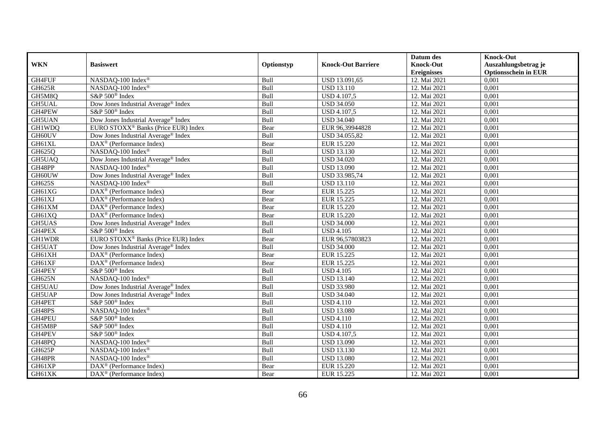|               |                                                       |             |                           | Datum des          | <b>Knock-Out</b>            |
|---------------|-------------------------------------------------------|-------------|---------------------------|--------------------|-----------------------------|
| <b>WKN</b>    | <b>Basiswert</b>                                      | Optionstyp  | <b>Knock-Out Barriere</b> | <b>Knock-Out</b>   | Auszahlungsbetrag je        |
|               |                                                       |             |                           | <b>Ereignisses</b> | <b>Optionsschein in EUR</b> |
| GH4FUF        | NASDAQ-100 Index®                                     | <b>Bull</b> | USD 13.091,65             | 12. Mai 2021       | 0,001                       |
| GH625R        | NASDAQ-100 Index®                                     | Bull        | <b>USD 13.110</b>         | 12. Mai 2021       | 0,001                       |
| GH5M8Q        | S&P 500 <sup>®</sup> Index                            | Bull        | <b>USD 4.107,5</b>        | 12. Mai 2021       | 0,001                       |
| GH5UAL        | Dow Jones Industrial Average <sup>®</sup> Index       | Bull        | <b>USD 34.050</b>         | 12. Mai 2021       | 0,001                       |
| GH4PEW        | S&P 500 <sup>®</sup> Index                            | Bull        | USD 4.107,5               | 12. Mai 2021       | 0,001                       |
| GH5UAN        | Dow Jones Industrial Average® Index                   | Bull        | <b>USD 34.040</b>         | 12. Mai 2021       | 0,001                       |
| <b>GH1WDQ</b> | EURO STOXX <sup>®</sup> Banks (Price EUR) Index       | Bear        | EUR 96,39944828           | 12. Mai 2021       | 0,001                       |
| GH60UV        | Dow Jones Industrial Average® Index                   | Bull        | USD 34.055,82             | 12. Mai 2021       | 0,001                       |
| GH61XL        | DAX <sup>®</sup> (Performance Index)                  | Bear        | EUR 15.220                | 12. Mai 2021       | 0,001                       |
| GH625Q        | NASDAQ-100 Index®                                     | Bull        | <b>USD 13.130</b>         | 12. Mai 2021       | 0,001                       |
| GH5UAQ        | Dow Jones Industrial Average® Index                   | Bull        | <b>USD 34.020</b>         | 12. Mai 2021       | 0,001                       |
| GH48PP        | NASDAQ-100 Index®                                     | Bull        | <b>USD 13.090</b>         | 12. Mai 2021       | 0,001                       |
| GH60UW        | Dow Jones Industrial Average® Index                   | Bull        | USD 33.985,74             | 12. Mai 2021       | 0,001                       |
| GH625S        | NASDAQ-100 Index®                                     | Bull        | <b>USD 13.110</b>         | 12. Mai 2021       | 0,001                       |
| GH61XG        | DAX <sup>®</sup> (Performance Index)                  | Bear        | EUR 15.225                | 12. Mai 2021       | 0,001                       |
| GH61XJ        | DAX <sup>®</sup> (Performance Index)                  | Bear        | EUR 15.225                | 12. Mai 2021       | 0,001                       |
| GH61XM        | DAX <sup>®</sup> (Performance Index)                  | Bear        | <b>EUR 15.220</b>         | 12. Mai 2021       | 0,001                       |
| GH61XQ        | DAX <sup>®</sup> (Performance Index)                  | Bear        | <b>EUR 15.220</b>         | 12. Mai 2021       | 0,001                       |
| GH5UAS        | Dow Jones Industrial Average <sup>®</sup> Index       | Bull        | <b>USD 34.000</b>         | 12. Mai 2021       | 0,001                       |
| GH4PEX        | S&P 500 <sup>®</sup> Index                            | Bull        | <b>USD 4.105</b>          | 12. Mai 2021       | 0,001                       |
| <b>GH1WDR</b> | EURO STOXX <sup>®</sup> Banks (Price EUR) Index       | Bear        | EUR 96,57803823           | 12. Mai 2021       | 0,001                       |
| GH5UAT        | Dow Jones Industrial Average® Index                   | <b>Bull</b> | <b>USD 34.000</b>         | 12. Mai 2021       | 0,001                       |
| GH61XH        | $\overline{\text{DAX}^{\otimes}}$ (Performance Index) | Bear        | EUR 15.225                | 12. Mai 2021       | 0,001                       |
| GH61XF        | DAX <sup>®</sup> (Performance Index)                  | Bear        | EUR 15.225                | 12. Mai 2021       | 0,001                       |
| GH4PEY        | S&P 500 <sup>®</sup> Index                            | Bull        | <b>USD 4.105</b>          | 12. Mai 2021       | 0,001                       |
| <b>GH625N</b> | NASDAQ-100 Index®                                     | Bull        | <b>USD 13.140</b>         | 12. Mai 2021       | 0,001                       |
| GH5UAU        | Dow Jones Industrial Average <sup>®</sup> Index       | Bull        | <b>USD 33.980</b>         | 12. Mai 2021       | 0,001                       |
| GH5UAP        | Dow Jones Industrial Average® Index                   | Bull        | <b>USD 34.040</b>         | 12. Mai 2021       | 0,001                       |
| GH4PET        | S&P 500 <sup>®</sup> Index                            | Bull        | <b>USD 4.110</b>          | 12. Mai 2021       | 0,001                       |
| GH48PS        | NASDAQ-100 Index®                                     | Bull        | <b>USD 13.080</b>         | 12. Mai 2021       | 0,001                       |
| GH4PEU        | S&P 500 <sup>®</sup> Index                            | Bull        | <b>USD 4.110</b>          | 12. Mai 2021       | 0,001                       |
| GH5M8P        | S&P 500 <sup>®</sup> Index                            | Bull        | <b>USD 4.110</b>          | 12. Mai 2021       | 0,001                       |
| GH4PEV        | S&P 500 <sup>®</sup> Index                            | Bull        | <b>USD 4.107,5</b>        | 12. Mai 2021       | 0,001                       |
| GH48PQ        | NASDAQ-100 Index®                                     | Bull        | <b>USD 13.090</b>         | 12. Mai 2021       | 0,001                       |
| GH625P        | NASDAQ-100 Index®                                     | Bull        | <b>USD 13.130</b>         | 12. Mai 2021       | 0,001                       |
| GH48PR        | NASDAQ-100 Index®                                     | Bull        | <b>USD 13.080</b>         | 12. Mai 2021       | 0,001                       |
| GH61XP        | DAX <sup>®</sup> (Performance Index)                  | Bear        | EUR 15.220                | 12. Mai 2021       | 0,001                       |
| GH61XK        | DAX <sup>®</sup> (Performance Index)                  | Bear        | EUR 15.225                | 12. Mai 2021       | 0,001                       |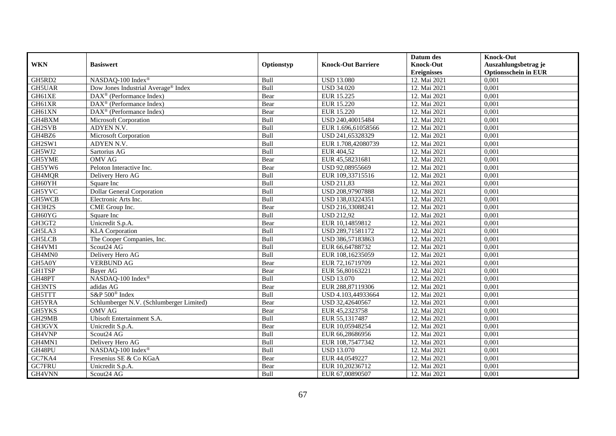|               |                                                 |             |                           | Datum des          | <b>Knock-Out</b>            |
|---------------|-------------------------------------------------|-------------|---------------------------|--------------------|-----------------------------|
| <b>WKN</b>    | <b>Basiswert</b>                                | Optionstyp  | <b>Knock-Out Barriere</b> | <b>Knock-Out</b>   | Auszahlungsbetrag je        |
|               |                                                 |             |                           | <b>Ereignisses</b> | <b>Optionsschein in EUR</b> |
| GH5RD2        | NASDAQ-100 Index®                               | Bull        | <b>USD 13.080</b>         | 12. Mai 2021       | 0,001                       |
| GH5UAR        | Dow Jones Industrial Average <sup>®</sup> Index | Bull        | <b>USD 34.020</b>         | 12. Mai 2021       | 0,001                       |
| GH61XE        | $DAX^{\circledR}$ (Performance Index)           | Bear        | EUR 15.225                | 12. Mai 2021       | 0,001                       |
| GH61XR        | DAX <sup>®</sup> (Performance Index)            | Bear        | EUR 15.220                | 12. Mai 2021       | 0,001                       |
| GH61XN        | $\text{DAX}^{\circledast}$ (Performance Index)  | Bear        | <b>EUR 15.220</b>         | 12. Mai 2021       | 0,001                       |
| GH4BXM        | Microsoft Corporation                           | Bull        | USD 240,40015484          | 12. Mai 2021       | 0,001                       |
| GH2SVB        | ADYEN N.V.                                      | <b>Bull</b> | EUR 1.696,61058566        | 12. Mai 2021       | 0,001                       |
| GH4BZ6        | Microsoft Corporation                           | Bull        | USD 241,65328329          | 12. Mai 2021       | 0,001                       |
| GH2SW1        | ADYEN N.V.                                      | Bull        | EUR 1.708,42080739        | 12. Mai 2021       | 0,001                       |
| GH5WJ2        | Sartorius AG                                    | Bull        | EUR 404,52                | 12. Mai 2021       | 0,001                       |
| GH5YME        | <b>OMV AG</b>                                   | Bear        | EUR 45,58231681           | 12. Mai 2021       | 0,001                       |
| GH5YW6        | Peloton Interactive Inc.                        | Bear        | USD 92,08955669           | 12. Mai 2021       | 0,001                       |
| GH4MQR        | Delivery Hero AG                                | <b>Bull</b> | EUR 109,33715516          | 12. Mai 2021       | 0,001                       |
| GH60YH        | Square Inc                                      | <b>Bull</b> | <b>USD 211,83</b>         | 12. Mai 2021       | 0.001                       |
| GH5YVC        | <b>Dollar General Corporation</b>               | Bull        | USD 208,97907888          | 12. Mai 2021       | 0,001                       |
| GH5WCB        | Electronic Arts Inc.                            | Bull        | USD 138,03224351          | 12. Mai 2021       | 0,001                       |
| GH3H2S        | CME Group Inc.                                  | Bear        | USD 216,33088241          | 12. Mai 2021       | 0,001                       |
| GH60YG        | Square Inc                                      | Bull        | <b>USD 212,92</b>         | 12. Mai 2021       | 0,001                       |
| GH3GT2        | Unicredit S.p.A.                                | Bear        | EUR 10,14859812           | 12. Mai 2021       | 0,001                       |
| GH5LA3        | <b>KLA</b> Corporation                          | Bull        | USD 289,71581172          | 12. Mai 2021       | 0,001                       |
| <b>GH5LCB</b> | The Cooper Companies, Inc.                      | Bull        | USD 386,57183863          | 12. Mai 2021       | 0,001                       |
| GH4VM1        | Scout <sub>24</sub> AG                          | Bull        | EUR 66.64788732           | 12. Mai 2021       | 0,001                       |
| GH4MN0        | Delivery Hero AG                                | Bull        | EUR 108,16235059          | 12. Mai 2021       | 0,001                       |
| GH5A0Y        | <b>VERBUND AG</b>                               | Bear        | EUR 72,16719709           | 12. Mai 2021       | 0,001                       |
| <b>GH1TSP</b> | <b>Baver AG</b>                                 | Bear        | EUR 56,80163221           | 12. Mai 2021       | 0,001                       |
| GH48PT        | NASDAQ-100 Index®                               | Bull        | <b>USD 13.070</b>         | 12. Mai 2021       | 0,001                       |
| GH3NTS        | adidas AG                                       | Bear        | EUR 288,87119306          | 12. Mai 2021       | 0,001                       |
| GH5TTT        | S&P 500 <sup>®</sup> Index                      | Bull        | USD 4.103,44933664        | 12. Mai 2021       | 0,001                       |
| GH5YRA        | Schlumberger N.V. (Schlumberger Limited)        | Bear        | USD 32,42640567           | 12. Mai 2021       | 0,001                       |
| GH5YKS        | <b>OMV AG</b>                                   | Bear        | EUR 45,2323758            | 12. Mai 2021       | 0,001                       |
| GH29MB        | Ubisoft Entertainment S.A.                      | Bull        | EUR 55,1317487            | 12. Mai 2021       | 0,001                       |
| GH3GVX        | Unicredit S.p.A.                                | Bear        | EUR 10,05948254           | 12. Mai 2021       | 0,001                       |
| GH4VNP        | Scout <sub>24</sub> AG                          | Bull        | EUR 66,28686956           | 12. Mai 2021       | 0,001                       |
| GH4MN1        | Delivery Hero AG                                | Bull        | EUR 108,75477342          | 12. Mai 2021       | 0,001                       |
| GH48PU        | NASDAQ-100 Index®                               | <b>Bull</b> | <b>USD 13.070</b>         | 12. Mai 2021       | 0,001                       |
| GC7KA4        | Fresenius SE & Co KGaA                          | Bear        | EUR 44,0549227            | 12. Mai 2021       | 0,001                       |
| GC7FRU        | Unicredit S.p.A.                                | Bear        | EUR 10,20236712           | 12. Mai 2021       | 0,001                       |
| GH4VNN        | Scout24 AG                                      | Bull        | EUR 67,00890507           | 12. Mai 2021       | 0,001                       |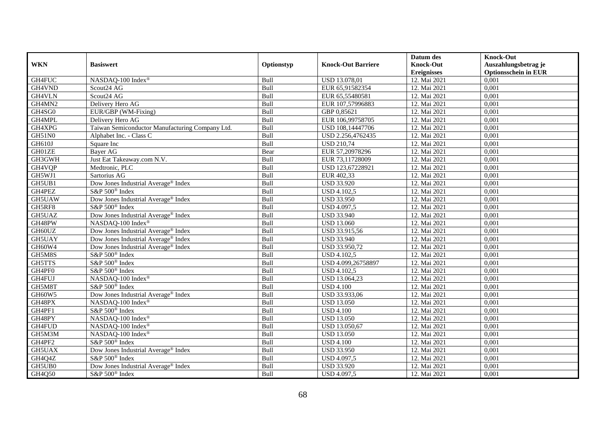|               |                                                 |            |                           | Datum des          | <b>Knock-Out</b>            |
|---------------|-------------------------------------------------|------------|---------------------------|--------------------|-----------------------------|
| <b>WKN</b>    | <b>Basiswert</b>                                | Optionstyp | <b>Knock-Out Barriere</b> | <b>Knock-Out</b>   | Auszahlungsbetrag je        |
|               |                                                 |            |                           | <b>Ereignisses</b> | <b>Optionsschein in EUR</b> |
| GH4FUC        | NASDAQ-100 Index®                               | Bull       | USD 13.078,01             | 12. Mai 2021       | 0,001                       |
| GH4VND        | Scout24 AG                                      | Bull       | EUR 65,91582354           | 12. Mai 2021       | 0,001                       |
| GH4VLN        | Scout <sub>24</sub> AG                          | Bull       | EUR 65,55480581           | 12. Mai 2021       | 0,001                       |
| GH4MN2        | Delivery Hero AG                                | Bull       | EUR 107,57996883          | 12. Mai 2021       | 0,001                       |
| $\rm GH4SG0$  | EUR/GBP (WM-Fixing)                             | Bull       | GBP 0,85621               | 12. Mai 2021       | 0,001                       |
| GH4MPL        | Delivery Hero AG                                | Bull       | EUR 106,99758705          | 12. Mai 2021       | 0,001                       |
| GH4XPG        | Taiwan Semiconductor Manufacturing Company Ltd. | Bull       | USD 108,14447706          | 12. Mai 2021       | 0,001                       |
| <b>GH51N0</b> | Alphabet Inc. - Class C                         | Bull       | USD 2.256,4762435         | 12. Mai 2021       | 0,001                       |
| GH610J        | Square Inc                                      | Bull       | <b>USD 210,74</b>         | 12. Mai 2021       | 0,001                       |
| GH01ZE        | <b>Bayer AG</b>                                 | Bear       | EUR 57,20978296           | 12. Mai 2021       | 0,001                       |
| GH3GWH        | Just Eat Takeaway.com N.V.                      | Bull       | EUR 73,11728009           | 12. Mai 2021       | 0,001                       |
| GH4VQP        | Medtronic, PLC                                  | Bull       | USD 123,67228921          | 12. Mai 2021       | 0,001                       |
| GH5WJ1        | Sartorius AG                                    | Bull       | EUR 402,33                | 12. Mai 2021       | 0,001                       |
| GH5UB1        | Dow Jones Industrial Average® Index             | Bull       | <b>USD 33.920</b>         | 12. Mai 2021       | 0,001                       |
| GH4PEZ        | S&P 500 <sup>®</sup> Index                      | Bull       | <b>USD 4.102,5</b>        | 12. Mai 2021       | 0,001                       |
| GH5UAW        | Dow Jones Industrial Average® Index             | Bull       | <b>USD 33.950</b>         | 12. Mai 2021       | 0,001                       |
| GH5RF8        | S&P 500 <sup>®</sup> Index                      | Bull       | USD 4.097,5               | 12. Mai 2021       | 0,001                       |
| GH5UAZ        | Dow Jones Industrial Average® Index             | Bull       | <b>USD 33.940</b>         | 12. Mai 2021       | 0,001                       |
| GH48PW        | NASDAQ-100 Index®                               | Bull       | <b>USD 13.060</b>         | 12. Mai 2021       | 0,001                       |
| GH60UZ        | Dow Jones Industrial Average® Index             | Bull       | USD 33.915,56             | 12. Mai 2021       | 0,001                       |
| GH5UAY        | Dow Jones Industrial Average <sup>®</sup> Index | Bull       | <b>USD 33.940</b>         | 12. Mai 2021       | 0,001                       |
| GH60W4        | Dow Jones Industrial Average <sup>®</sup> Index | Bull       | USD 33.950,72             | 12. Mai 2021       | 0,001                       |
| GH5M8S        | S&P 500 <sup>®</sup> Index                      | Bull       | <b>USD 4.102,5</b>        | 12. Mai 2021       | 0,001                       |
| <b>GH5TTS</b> | S&P 500 <sup>®</sup> Index                      | Bull       | USD 4.099,26758897        | 12. Mai 2021       | 0,001                       |
| GH4PF0        | S&P 500 <sup>®</sup> Index                      | Bull       | USD 4.102,5               | 12. Mai 2021       | 0,001                       |
| GH4FUJ        | NASDAQ-100 Index®                               | Bull       | USD 13.064,23             | 12. Mai 2021       | 0,001                       |
| GH5M8T        | S&P 500 <sup>®</sup> Index                      | Bull       | <b>USD 4.100</b>          | 12. Mai 2021       | 0,001                       |
| GH60W5        | Dow Jones Industrial Average® Index             | Bull       | USD 33.933,06             | 12. Mai 2021       | 0,001                       |
| GH48PX        | NASDAQ-100 Index®                               | Bull       | <b>USD 13.050</b>         | 12. Mai 2021       | 0,001                       |
| GH4PF1        | S&P 500 <sup>®</sup> Index                      | Bull       | <b>USD 4.100</b>          | 12. Mai 2021       | 0,001                       |
| GH48PY        | NASDAQ-100 Index®                               | Bull       | <b>USD 13.050</b>         | 12. Mai 2021       | 0,001                       |
| GH4FUD        | NASDAQ-100 Index®                               | Bull       | USD 13.050,67             | 12. Mai 2021       | 0,001                       |
| GH5M3M        | NASDAQ-100 Index®                               | Bull       | <b>USD 13.050</b>         | 12. Mai 2021       | 0,001                       |
| GH4PF2        | S&P 500 <sup>®</sup> Index                      | Bull       | <b>USD 4.100</b>          | 12. Mai 2021       | 0,001                       |
| GH5UAX        | Dow Jones Industrial Average® Index             | Bull       | <b>USD 33.950</b>         | 12. Mai 2021       | 0,001                       |
| GH4Q4Z        | S&P 500 <sup>®</sup> Index                      | Bull       | USD 4.097,5               | 12. Mai 2021       | 0,001                       |
| GH5UB0        | Dow Jones Industrial Average <sup>®</sup> Index | Bull       | <b>USD 33.920</b>         | 12. Mai 2021       | 0,001                       |
| GH4Q50        | S&P 500 <sup>®</sup> Index                      | Bull       | USD 4.097,5               | 12. Mai 2021       | 0,001                       |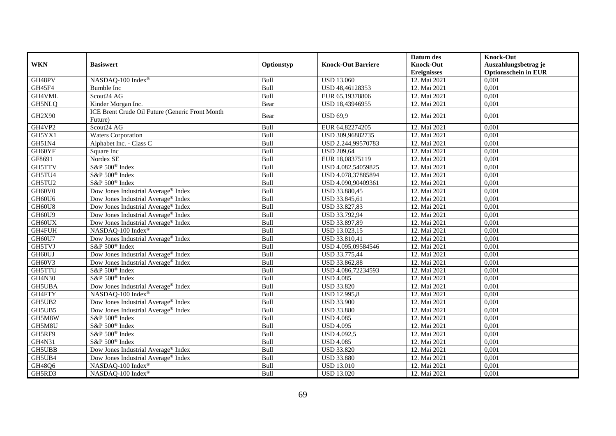|               |                                                            |            |                                 | Datum des          | <b>Knock-Out</b>            |
|---------------|------------------------------------------------------------|------------|---------------------------------|--------------------|-----------------------------|
| <b>WKN</b>    | <b>Basiswert</b>                                           | Optionstyp | <b>Knock-Out Barriere</b>       | <b>Knock-Out</b>   | Auszahlungsbetrag je        |
|               |                                                            |            |                                 | <b>Ereignisses</b> | <b>Optionsschein in EUR</b> |
| GH48PV        | NASDAQ-100 Index®                                          | Bull       | <b>USD 13.060</b>               | 12. Mai 2021       | 0,001                       |
| GH45F4        | Bumble Inc                                                 | Bull       | USD 48,46128353                 | 12. Mai 2021       | 0,001                       |
| GH4VML        | Scout24 AG                                                 | Bull       | EUR 65,19378806                 | 12. Mai 2021       | 0,001                       |
| GH5NLQ        | Kinder Morgan Inc.                                         | Bear       | USD 18,43946955                 | 12. Mai 2021       | 0,001                       |
| <b>GH2X90</b> | ICE Brent Crude Oil Future (Generic Front Month<br>Future) | Bear       | <b>USD 69.9</b>                 | 12. Mai 2021       | 0,001                       |
| GH4VP2        | Scout24 AG                                                 | Bull       | EUR 64,82274205                 | 12. Mai 2021       | 0,001                       |
| GH5YX1        | <b>Waters Corporation</b>                                  | Bull       | USD 309,96882735                | 12. Mai 2021       | 0,001                       |
| GH51N4        | Alphabet Inc. - Class C                                    | Bull       | USD 2.244,99570783              | 12. Mai 2021       | 0,001                       |
| GH60YF        | Square Inc                                                 | Bull       | <b>USD 209,64</b>               | 12. Mai 2021       | 0,001                       |
| GF8691        | Nordex SE                                                  | Bull       | EUR 18,08375119                 | 12. Mai 2021       | 0,001                       |
| GH5TTV        | S&P 500 <sup>®</sup> Index                                 | Bull       | USD 4.082,54059825              | 12. Mai 2021       | 0,001                       |
| GH5TU4        | S&P 500 <sup>®</sup> Index                                 | Bull       | USD 4.078,37885894              | 12. Mai 2021       | 0,001                       |
| GH5TU2        | S&P 500 <sup>®</sup> Index                                 | Bull       | USD 4.090,90409361              | 12. Mai 2021       | 0,001                       |
| GH60V0        | Dow Jones Industrial Average <sup>®</sup> Index            | Bull       | USD 33.880,45                   | 12. Mai 2021       | 0,001                       |
| GH60U6        | Dow Jones Industrial Average® Index                        | Bull       | USD 33.845,61                   | 12. Mai 2021       | 0,001                       |
| GH60U8        | Dow Jones Industrial Average <sup>®</sup> Index            | Bull       | USD 33.827,83                   | 12. Mai 2021       | 0,001                       |
| GH60U9        | Dow Jones Industrial Average <sup>®</sup> Index            | Bull       | USD 33.792,94                   | 12. Mai 2021       | 0,001                       |
| GH60UX        | Dow Jones Industrial Average® Index                        | Bull       | USD 33.897,89                   | 12. Mai 2021       | 0,001                       |
| GH4FUH        | NASDAQ-100 Index®                                          | Bull       | USD 13.023,15                   | 12. Mai 2021       | 0,001                       |
| GH60U7        | Dow Jones Industrial Average <sup>®</sup> Index            | Bull       | USD 33.810,41                   | 12. Mai 2021       | 0,001                       |
| GH5TVJ        | $S\&P 500^{\circledcirc}$ Index                            | Bull       | USD 4.095,09584546              | 12. Mai 2021       | 0,001                       |
| GH60UJ        | Dow Jones Industrial Average® Index                        | Bull       | USD 33.775,44                   | 12. Mai 2021       | 0,001                       |
| GH60V3        | Dow Jones Industrial Average® Index                        | Bull       | USD 33.862,88                   | 12. Mai 2021       | 0,001                       |
| GH5TTU        | S&P 500 <sup>®</sup> Index                                 | Bull       | USD 4.086,72234593              | 12. Mai 2021       | 0,001                       |
| <b>GH4N30</b> | S&P 500 <sup>®</sup> Index                                 | Bull       | <b>USD 4.085</b>                | 12. Mai 2021       | 0,001                       |
| GH5UBA        | Dow Jones Industrial Average <sup>®</sup> Index            | Bull       | <b>USD 33.820</b>               | 12. Mai 2021       | 0,001                       |
| GH4FTY        | NASDAQ-100 Index®                                          | Bull       | <b>USD 12.995,8</b>             | 12. Mai 2021       | 0,001                       |
| GH5UB2        | Dow Jones Industrial Average <sup>®</sup> Index            | Bull       | <b>USD 33.900</b>               | 12. Mai 2021       | 0,001                       |
| GH5UB5        | Dow Jones Industrial Average® Index                        | Bull       | <b>USD 33.880</b>               | 12. Mai 2021       | 0,001                       |
| GH5M8W        | S&P 500 <sup>®</sup> Index                                 | Bull       | <b>USD 4.085</b>                | 12. Mai 2021       | 0,001                       |
| GH5M8U        | S&P 500 <sup>®</sup> Index                                 | Bull       | <b>USD 4.095</b>                | 12. Mai 2021       | 0,001                       |
| GH5RF9        | S&P 500 <sup>®</sup> Index                                 | Bull       | $\overline{\text{USD 4.092,5}}$ | 12. Mai 2021       | $0,\overline{001}$          |
| GH4N31        | S&P 500 <sup>®</sup> Index                                 | Bull       | <b>USD 4.085</b>                | 12. Mai 2021       | 0,001                       |
| <b>GH5UBB</b> | Dow Jones Industrial Average® Index                        | Bull       | <b>USD 33.820</b>               | 12. Mai 2021       | 0,001                       |
| GH5UB4        | Dow Jones Industrial Average® Index                        | Bull       | <b>USD 33.880</b>               | 12. Mai 2021       | 0,001                       |
| GH48Q6        | NASDAQ-100 Index®                                          | Bull       | <b>USD 13.010</b>               | 12. Mai 2021       | 0,001                       |
| GH5RD3        | NASDAQ-100 Index®                                          | Bull       | <b>USD 13.020</b>               | 12. Mai 2021       | 0,001                       |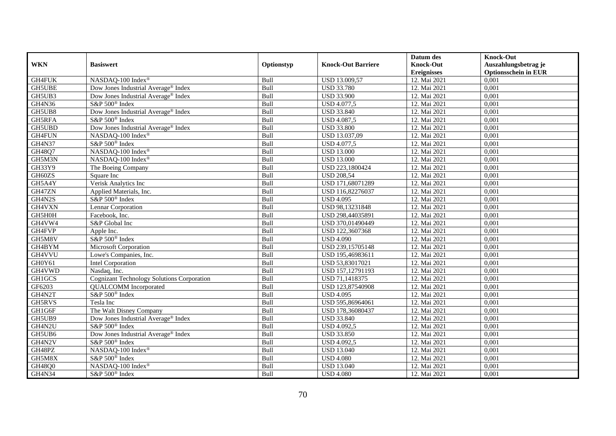|               |                                                   |             |                           | Datum des          | <b>Knock-Out</b>            |
|---------------|---------------------------------------------------|-------------|---------------------------|--------------------|-----------------------------|
| <b>WKN</b>    | <b>Basiswert</b>                                  | Optionstyp  | <b>Knock-Out Barriere</b> | <b>Knock-Out</b>   | Auszahlungsbetrag je        |
|               |                                                   |             |                           | <b>Ereignisses</b> | <b>Optionsschein in EUR</b> |
| GH4FUK        | NASDAQ-100 Index®                                 | <b>Bull</b> | USD 13.009,57             | 12. Mai 2021       | 0,001                       |
| <b>GH5UBE</b> | Dow Jones Industrial Average <sup>®</sup> Index   | Bull        | <b>USD 33.780</b>         | 12. Mai 2021       | 0,001                       |
| GH5UB3        | Dow Jones Industrial Average® Index               | Bull        | <b>USD 33.900</b>         | 12. Mai 2021       | 0,001                       |
| GH4N36        | S&P 500 <sup>®</sup> Index                        | Bull        | USD 4.077,5               | 12. Mai 2021       | 0,001                       |
| GH5UB8        | Dow Jones Industrial Average <sup>®</sup> Index   | Bull        | <b>USD 33.840</b>         | 12. Mai 2021       | 0,001                       |
| <b>GH5RFA</b> | S&P 500 <sup>®</sup> Index                        | Bull        | <b>USD 4.087,5</b>        | 12. Mai 2021       | 0,001                       |
| GH5UBD        | Dow Jones Industrial Average® Index               | Bull        | <b>USD 33.800</b>         | 12. Mai 2021       | 0,001                       |
| GH4FUN        | NASDAQ-100 Index®                                 | Bull        | USD 13.037,09             | 12. Mai 2021       | 0,001                       |
| GH4N37        | S&P 500 <sup>®</sup> Index                        | Bull        | USD 4.077,5               | 12. Mai 2021       | 0,001                       |
| GH48Q7        | NASDAQ-100 Index®                                 | Bull        | <b>USD 13.000</b>         | 12. Mai 2021       | 0,001                       |
| GH5M3N        | NASDAQ-100 Index®                                 | Bull        | <b>USD 13.000</b>         | 12. Mai 2021       | 0,001                       |
| GH33Y9        | The Boeing Company                                | Bull        | USD 223,1800424           | 12. Mai 2021       | 0,001                       |
| GH60ZS        | Square Inc                                        | Bull        | <b>USD 208,54</b>         | 12. Mai 2021       | 0,001                       |
| GH5A4Y        | Verisk Analytics Inc                              | Bull        | USD 171,68071289          | 12. Mai 2021       | 0,001                       |
| GH47ZN        | Applied Materials, Inc.                           | Bull        | USD 116,82276037          | 12. Mai 2021       | 0,001                       |
| GH4N2S        | S&P 500 <sup>®</sup> Index                        | Bull        | <b>USD 4.095</b>          | 12. Mai 2021       | 0,001                       |
| GH4VXN        | Lennar Corporation                                | Bull        | USD 98,13231848           | 12. Mai 2021       | 0,001                       |
| GH5H0H        | Facebook, Inc.                                    | Bull        | USD 298,44035891          | 12. Mai 2021       | 0,001                       |
| GH4VW4        | S&P Global Inc                                    | Bull        | USD 370,01490449          | 12. Mai 2021       | 0,001                       |
| GH4FVP        | Apple Inc.                                        | Bull        | USD 122,3607368           | 12. Mai 2021       | 0,001                       |
| GH5M8V        | S&P 500 <sup>®</sup> Index                        | Bull        | <b>USD 4.090</b>          | 12. Mai 2021       | 0,001                       |
| GH4BYM        | Microsoft Corporation                             | Bull        | USD 239,15705148          | 12. Mai 2021       | 0,001                       |
| GH4VVU        | Lowe's Companies, Inc.                            | Bull        | USD 195,46983611          | 12. Mai 2021       | 0,001                       |
| GH0Y61        | <b>Intel Corporation</b>                          | Bull        | USD 53,83017021           | 12. Mai 2021       | 0,001                       |
| GH4VWD        | Nasdaq, Inc.                                      | Bull        | USD 157,12791193          | 12. Mai 2021       | 0,001                       |
| GH1GCS        | <b>Cognizant Technology Solutions Corporation</b> | Bull        | USD 71,1418375            | 12. Mai 2021       | 0,001                       |
| GF6203        | <b>QUALCOMM</b> Incorporated                      | Bull        | USD 123,87540908          | 12. Mai 2021       | 0,001                       |
| GH4N2T        | S&P 500 <sup>®</sup> Index                        | Bull        | <b>USD 4.095</b>          | 12. Mai 2021       | 0,001                       |
| GH5RVS        | Tesla Inc                                         | Bull        | USD 595,86964061          | 12. Mai 2021       | 0,001                       |
| GH1G6F        | The Walt Disney Company                           | Bull        | USD 178,36080437          | 12. Mai 2021       | 0,001                       |
| GH5UB9        | Dow Jones Industrial Average <sup>®</sup> Index   | Bull        | <b>USD 33.840</b>         | 12. Mai 2021       | 0,001                       |
| GH4N2U        | S&P 500 <sup>®</sup> Index                        | Bull        | <b>USD 4.092,5</b>        | 12. Mai 2021       | 0,001                       |
| GH5UB6        | Dow Jones Industrial Average® Index               | Bull        | <b>USD 33.850</b>         | 12. Mai 2021       | 0,001                       |
| GH4N2V        | S&P 500 <sup>®</sup> Index                        | Bull        | <b>USD 4.092,5</b>        | 12. Mai 2021       | 0,001                       |
| GH48PZ        | NASDAQ-100 Index®                                 | Bull        | <b>USD 13.040</b>         | 12. Mai 2021       | 0,001                       |
| GH5M8X        | S&P 500 <sup>®</sup> Index                        | Bull        | <b>USD 4.080</b>          | 12. Mai 2021       | 0,001                       |
| GH48Q0        | NASDAQ-100 Index®                                 | Bull        | <b>USD 13.040</b>         | 12. Mai 2021       | 0,001                       |
| GH4N34        | S&P 500 <sup>®</sup> Index                        | <b>Bull</b> | <b>USD 4.080</b>          | 12. Mai 2021       | 0,001                       |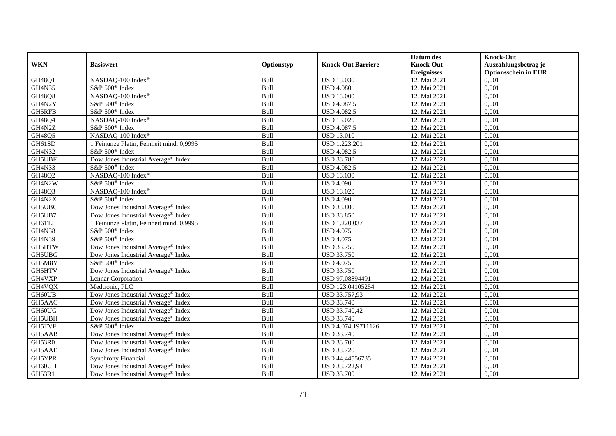|               |                                                 |             |                           | Datum des          | <b>Knock-Out</b>            |
|---------------|-------------------------------------------------|-------------|---------------------------|--------------------|-----------------------------|
| <b>WKN</b>    | <b>Basiswert</b>                                | Optionstyp  | <b>Knock-Out Barriere</b> | <b>Knock-Out</b>   | Auszahlungsbetrag je        |
|               |                                                 |             |                           | <b>Ereignisses</b> | <b>Optionsschein in EUR</b> |
| GH48Q1        | NASDAQ-100 Index®                               | <b>Bull</b> | <b>USD 13.030</b>         | 12. Mai 2021       | 0,001                       |
| GH4N35        | S&P 500 <sup>®</sup> Index                      | Bull        | <b>USD 4.080</b>          | 12. Mai 2021       | 0,001                       |
| GH48Q8        | NASDAQ-100 Index®                               | Bull        | <b>USD 13.000</b>         | 12. Mai 2021       | 0,001                       |
| GH4N2Y        | S&P 500 <sup>®</sup> Index                      | Bull        | <b>USD 4.087,5</b>        | 12. Mai 2021       | 0,001                       |
| GH5RFB        | S&P 500 <sup>®</sup> Index                      | Bull        | <b>USD 4.082,5</b>        | 12. Mai 2021       | 0,001                       |
| GH48Q4        | NASDAQ-100 Index®                               | Bull        | <b>USD</b> 13.020         | 12. Mai 2021       | 0,001                       |
| GH4N2Z        | S&P 500 <sup>®</sup> Index                      | Bull        | <b>USD 4.087,5</b>        | 12. Mai 2021       | 0,001                       |
| GH48Q5        | NASDAQ-100 Index®                               | Bull        | <b>USD 13.010</b>         | 12. Mai 2021       | 0,001                       |
| GH61SD        | 1 Feinunze Platin, Feinheit mind. 0,9995        | Bull        | USD 1.223,201             | 12. Mai 2021       | 0,001                       |
| GH4N32        | S&P 500 <sup>®</sup> Index                      | Bull        | <b>USD 4.082,5</b>        | 12. Mai 2021       | 0,001                       |
| GH5UBF        | Dow Jones Industrial Average® Index             | Bull        | <b>USD 33.780</b>         | 12. Mai 2021       | 0,001                       |
| GH4N33        | S&P 500 <sup>®</sup> Index                      | Bull        | <b>USD 4.082,5</b>        | 12. Mai 2021       | 0,001                       |
| GH48Q2        | NASDAQ-100 Index®                               | Bull        | <b>USD 13.030</b>         | 12. Mai 2021       | 0,001                       |
| GH4N2W        | S&P 500 <sup>®</sup> Index                      | Bull        | <b>USD 4.090</b>          | 12. Mai 2021       | 0,001                       |
| GH48Q3        | NASDAQ-100 Index®                               | Bull        | <b>USD 13.020</b>         | 12. Mai 2021       | 0,001                       |
| GH4N2X        | S&P 500 <sup>®</sup> Index                      | Bull        | <b>USD 4.090</b>          | 12. Mai 2021       | 0,001                       |
| GH5UBC        | Dow Jones Industrial Average® Index             | Bull        | <b>USD 33.800</b>         | 12. Mai 2021       | 0,001                       |
| GH5UB7        | Dow Jones Industrial Average <sup>®</sup> Index | Bull        | <b>USD 33.850</b>         | 12. Mai 2021       | 0,001                       |
| GH61TJ        | 1 Feinunze Platin, Feinheit mind. 0,9995        | Bull        | USD 1.220,037             | 12. Mai 2021       | 0,001                       |
| <b>GH4N38</b> | S&P 500 <sup>®</sup> Index                      | Bull        | <b>USD 4.075</b>          | 12. Mai 2021       | 0,001                       |
| <b>GH4N39</b> | S&P 500 <sup>®</sup> Index                      | Bull        | <b>USD 4.075</b>          | 12. Mai 2021       | 0,001                       |
| GH5HTW        | Dow Jones Industrial Average® Index             | Bull        | <b>USD 33.750</b>         | 12. Mai 2021       | 0,001                       |
| GH5UBG        | Dow Jones Industrial Average® Index             | Bull        | <b>USD 33.750</b>         | 12. Mai 2021       | 0,001                       |
| GH5M8Y        | S&P 500 <sup>®</sup> Index                      | Bull        | <b>USD 4.075</b>          | 12. Mai 2021       | 0,001                       |
| GH5HTV        | Dow Jones Industrial Average® Index             | Bull        | USD 33.750                | 12. Mai 2021       | 0,001                       |
| GH4VXP        | Lennar Corporation                              | Bull        | USD 97,08894491           | 12. Mai 2021       | 0,001                       |
| GH4VQX        | Medtronic, PLC                                  | Bull        | USD 123,04105254          | 12. Mai 2021       | 0,001                       |
| GH60UB        | Dow Jones Industrial Average® Index             | Bull        | USD 33.757,93             | 12. Mai 2021       | 0,001                       |
| GH5AAC        | Dow Jones Industrial Average® Index             | Bull        | <b>USD 33.740</b>         | 12. Mai 2021       | 0,001                       |
| GH60UG        | Dow Jones Industrial Average® Index             | Bull        | USD 33.740,42             | 12. Mai 2021       | 0,001                       |
| GH5UBH        | Dow Jones Industrial Average® Index             | Bull        | <b>USD 33.740</b>         | 12. Mai 2021       | 0,001                       |
| GH5TVF        | S&P 500 <sup>®</sup> Index                      | Bull        | USD 4.074,19711126        | 12. Mai 2021       | 0,001                       |
| GH5AAB        | Dow Jones Industrial Average® Index             | Bull        | <b>USD 33.740</b>         | 12. Mai 2021       | 0,001                       |
| GH53R0        | Dow Jones Industrial Average <sup>®</sup> Index | Bull        | <b>USD 33.700</b>         | 12. Mai 2021       | 0,001                       |
| GH5AAE        | Dow Jones Industrial Average® Index             | Bull        | <b>USD 33.720</b>         | 12. Mai 2021       | 0,001                       |
| GH5YPR        | <b>Synchrony Financial</b>                      | Bull        | USD 44,44556735           | 12. Mai 2021       | 0,001                       |
| GH60UH        | Dow Jones Industrial Average <sup>®</sup> Index | Bull        | USD 33.722,94             | 12. Mai 2021       | 0,001                       |
| GH53R1        | Dow Jones Industrial Average <sup>®</sup> Index | Bull        | <b>USD 33.700</b>         | 12. Mai 2021       | 0,001                       |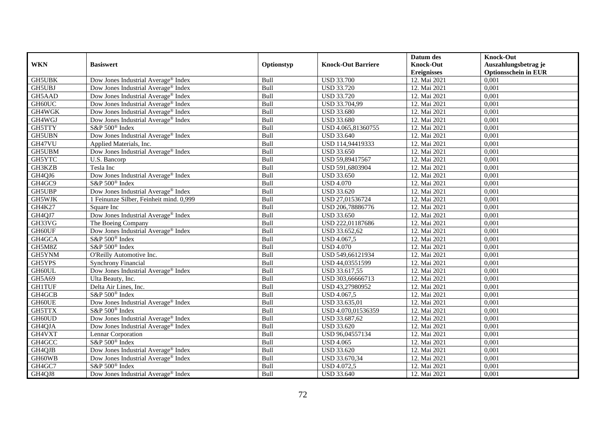|               |                                                 |            |                           | Datum des          | <b>Knock-Out</b>            |
|---------------|-------------------------------------------------|------------|---------------------------|--------------------|-----------------------------|
| <b>WKN</b>    | <b>Basiswert</b>                                | Optionstyp | <b>Knock-Out Barriere</b> | <b>Knock-Out</b>   | Auszahlungsbetrag je        |
|               |                                                 |            |                           | <b>Ereignisses</b> | <b>Optionsschein in EUR</b> |
| <b>GH5UBK</b> | Dow Jones Industrial Average® Index             | Bull       | <b>USD 33.700</b>         | 12. Mai 2021       | 0,001                       |
| <b>GH5UBJ</b> | Dow Jones Industrial Average® Index             | Bull       | <b>USD 33.720</b>         | 12. Mai 2021       | 0,001                       |
| GH5AAD        | Dow Jones Industrial Average® Index             | Bull       | <b>USD 33.720</b>         | 12. Mai 2021       | 0,001                       |
| GH60UC        | Dow Jones Industrial Average® Index             | Bull       | USD 33.704,99             | 12. Mai 2021       | 0,001                       |
| GH4WGK        | Dow Jones Industrial Average® Index             | Bull       | <b>USD 33.680</b>         | 12. Mai 2021       | 0,001                       |
| GH4WGJ        | Dow Jones Industrial Average® Index             | Bull       | <b>USD 33.680</b>         | 12. Mai 2021       | 0,001                       |
| GH5TTY        | S&P 500 <sup>®</sup> Index                      | Bull       | USD 4.065,81360755        | 12. Mai 2021       | 0,001                       |
| GH5UBN        | Dow Jones Industrial Average® Index             | Bull       | <b>USD 33.640</b>         | 12. Mai 2021       | 0,001                       |
| GH47VU        | Applied Materials, Inc.                         | Bull       | USD 114,94419333          | 12. Mai 2021       | 0,001                       |
| GH5UBM        | Dow Jones Industrial Average <sup>®</sup> Index | Bull       | <b>USD 33.650</b>         | 12. Mai 2021       | 0,001                       |
| GH5YTC        | U.S. Bancorp                                    | Bull       | USD 59,89417567           | 12. Mai 2021       | 0,001                       |
| GH3KZB        | Tesla Inc                                       | Bull       | USD 591,6803904           | 12. Mai 2021       | 0,001                       |
| GH4QJ6        | Dow Jones Industrial Average® Index             | Bull       | <b>USD 33.650</b>         | 12. Mai 2021       | 0,001                       |
| GH4GC9        | S&P 500 <sup>®</sup> Index                      | Bull       | <b>USD 4.070</b>          | 12. Mai 2021       | 0,001                       |
| GH5UBP        | Dow Jones Industrial Average <sup>®</sup> Index | Bull       | <b>USD 33.620</b>         | 12. Mai 2021       | 0,001                       |
| GH5WJK        | 1 Feinunze Silber, Feinheit mind. 0,999         | Bull       | USD 27,01536724           | 12. Mai 2021       | 0,001                       |
| GH4K27        | Square Inc                                      | Bull       | USD 206,78886776          | 12. Mai 2021       | 0,001                       |
| GH4QJ7        | Dow Jones Industrial Average® Index             | Bull       | <b>USD 33.650</b>         | 12. Mai 2021       | 0,001                       |
| GH33VG        | The Boeing Company                              | Bull       | USD 222,01187686          | 12. Mai 2021       | 0,001                       |
| GH60UF        | Dow Jones Industrial Average® Index             | Bull       | USD 33.652,62             | 12. Mai 2021       | 0,001                       |
| GH4GCA        | S&P 500 <sup>®</sup> Index                      | Bull       | <b>USD 4.067,5</b>        | 12. Mai 2021       | 0,001                       |
| GH5M8Z        | S&P 500 <sup>®</sup> Index                      | Bull       | <b>USD 4.070</b>          | 12. Mai 2021       | 0,001                       |
| GH5YNM        | O'Reilly Automotive Inc.                        | Bull       | USD 549,66121934          | 12. Mai 2021       | 0,001                       |
| GH5YPS        | <b>Synchrony Financial</b>                      | Bull       | USD 44,03551599           | 12. Mai 2021       | 0,001                       |
| GH60UL        | Dow Jones Industrial Average <sup>®</sup> Index | Bull       | USD 33.617,55             | 12. Mai 2021       | 0,001                       |
| GH5A69        | Ulta Beauty, Inc.                               | Bull       | USD 303,66666713          | 12. Mai 2021       | 0,001                       |
| <b>GH1TUF</b> | Delta Air Lines, Inc.                           | Bull       | USD 43,27980952           | 12. Mai 2021       | 0,001                       |
| GH4GCB        | S&P 500 <sup>®</sup> Index                      | Bull       | <b>USD 4.067,5</b>        | 12. Mai 2021       | 0,001                       |
| GH60UE        | Dow Jones Industrial Average <sup>®</sup> Index | Bull       | USD 33.635,01             | 12. Mai 2021       | 0,001                       |
| GH5TTX        | S&P 500® Index                                  | Bull       | USD 4.070,01536359        | 12. Mai 2021       | 0,001                       |
| GH60UD        | Dow Jones Industrial Average® Index             | Bull       | USD 33.687,62             | 12. Mai 2021       | 0,001                       |
| GH4QJA        | Dow Jones Industrial Average <sup>®</sup> Index | Bull       | <b>USD 33.620</b>         | 12. Mai 2021       | 0,001                       |
| GH4VXT        | Lennar Corporation                              | Bull       | USD 96,04557134           | 12. Mai 2021       | 0,001                       |
| GH4GCC        | S&P 500 <sup>®</sup> Index                      | Bull       | <b>USD 4.065</b>          | 12. Mai 2021       | 0,001                       |
| GH4QJB        | Dow Jones Industrial Average® Index             | Bull       | <b>USD 33.620</b>         | 12. Mai 2021       | 0,001                       |
| GH60WB        | Dow Jones Industrial Average® Index             | Bull       | USD 33.670,34             | 12. Mai 2021       | 0,001                       |
| GH4GC7        | S&P 500 <sup>®</sup> Index                      | Bull       | <b>USD 4.072,5</b>        | 12. Mai 2021       | 0,001                       |
| GH4QJ8        | Dow Jones Industrial Average® Index             | Bull       | <b>USD 33.640</b>         | 12. Mai 2021       | 0,001                       |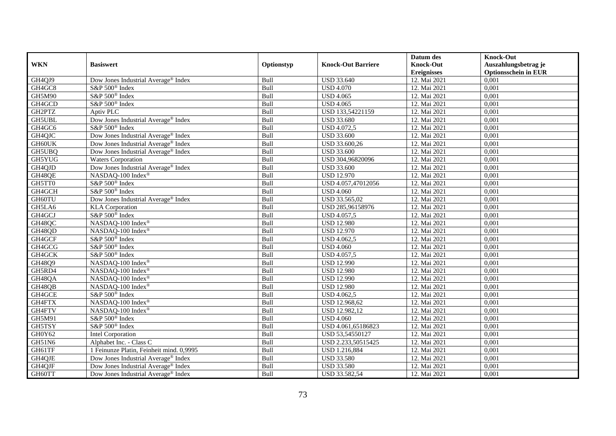|               |                                                 |             |                           | Datum des          | <b>Knock-Out</b>            |
|---------------|-------------------------------------------------|-------------|---------------------------|--------------------|-----------------------------|
| <b>WKN</b>    | <b>Basiswert</b>                                | Optionstyp  | <b>Knock-Out Barriere</b> | <b>Knock-Out</b>   | Auszahlungsbetrag je        |
|               |                                                 |             |                           | <b>Ereignisses</b> | <b>Optionsschein in EUR</b> |
| GH4QJ9        | Dow Jones Industrial Average® Index             | Bull        | <b>USD 33.640</b>         | 12. Mai 2021       | 0,001                       |
| GH4GC8        | S&P 500 <sup>®</sup> Index                      | Bull        | <b>USD 4.070</b>          | 12. Mai 2021       | 0,001                       |
| GH5M90        | S&P 500 <sup>®</sup> Index                      | Bull        | <b>USD 4.065</b>          | 12. Mai 2021       | 0,001                       |
| GH4GCD        | S&P 500 <sup>®</sup> Index                      | Bull        | <b>USD 4.065</b>          | 12. Mai 2021       | 0,001                       |
| GH2PTZ        | Aptiv PLC                                       | Bull        | USD 133,54221159          | 12. Mai 2021       | 0,001                       |
| <b>GH5UBL</b> | Dow Jones Industrial Average® Index             | Bull        | <b>USD 33.680</b>         | 12. Mai 2021       | 0,001                       |
| GH4GC6        | S&P 500 <sup>®</sup> Index                      | Bull        | <b>USD 4.072,5</b>        | 12. Mai 2021       | 0,001                       |
| GH4QJC        | Dow Jones Industrial Average <sup>®</sup> Index | Bull        | <b>USD 33.600</b>         | 12. Mai 2021       | 0,001                       |
| GH60UK        | Dow Jones Industrial Average <sup>®</sup> Index | Bull        | USD 33.600,26             | 12. Mai 2021       | 0,001                       |
| GH5UBQ        | Dow Jones Industrial Average <sup>®</sup> Index | Bull        | <b>USD 33.600</b>         | 12. Mai 2021       | 0,001                       |
| GH5YUG        | <b>Waters Corporation</b>                       | Bull        | USD 304,96820096          | 12. Mai 2021       | 0,001                       |
| GH4QJD        | Dow Jones Industrial Average® Index             | Bull        | <b>USD 33.600</b>         | 12. Mai 2021       | 0,001                       |
| GH48QE        | NASDAQ-100 Index®                               | Bull        | <b>USD 12.970</b>         | 12. Mai 2021       | 0,001                       |
| GH5TT0        | S&P 500 <sup>®</sup> Index                      | <b>Bull</b> | USD 4.057.47012056        | 12. Mai 2021       | 0,001                       |
| GH4GCH        | S&P 500 <sup>®</sup> Index                      | Bull        | <b>USD 4.060</b>          | 12. Mai 2021       | 0,001                       |
| GH60TU        | Dow Jones Industrial Average <sup>®</sup> Index | Bull        | USD 33.565,02             | 12. Mai 2021       | 0,001                       |
| GH5LA6        | <b>KLA</b> Corporation                          | Bull        | USD 285,96158976          | 12. Mai 2021       | 0,001                       |
| GH4GCJ        | S&P 500 <sup>®</sup> Index                      | Bull        | USD 4.057,5               | 12. Mai 2021       | 0,001                       |
| GH48QC        | NASDAQ-100 Index®                               | Bull        | <b>USD 12.980</b>         | 12. Mai 2021       | 0,001                       |
| GH48QD        | NASDAQ-100 Index®                               | Bull        | <b>USD 12.970</b>         | 12. Mai 2021       | 0,001                       |
| GH4GCF        | S&P 500 <sup>®</sup> Index                      | Bull        | <b>USD 4.062,5</b>        | 12. Mai 2021       | 0,001                       |
| GH4GCG        | S&P 500 <sup>®</sup> Index                      | Bull        | <b>USD 4.060</b>          | 12. Mai 2021       | 0,001                       |
| GH4GCK        | S&P 500 <sup>®</sup> Index                      | Bull        | <b>USD 4.057,5</b>        | 12. Mai 2021       | 0,001                       |
| GH48Q9        | NASDAQ-100 Index®                               | Bull        | <b>USD 12.990</b>         | 12. Mai 2021       | 0,001                       |
| GH5RD4        | NASDAQ-100 Index®                               | Bull        | <b>USD 12.980</b>         | 12. Mai 2021       | 0,001                       |
| GH48QA        | NASDAQ-100 Index®                               | Bull        | <b>USD 12.990</b>         | 12. Mai 2021       | 0,001                       |
| GH48QB        | NASDAQ-100 Index®                               | Bull        | <b>USD 12.980</b>         | 12. Mai 2021       | 0,001                       |
| GH4GCE        | S&P 500 <sup>®</sup> Index                      | Bull        | <b>USD 4.062,5</b>        | 12. Mai 2021       | 0,001                       |
| GH4FTX        | NASDAQ-100 Index®                               | Bull        | USD 12.968,62             | 12. Mai 2021       | 0,001                       |
| GH4FTV        | NASDAQ-100 Index®                               | <b>Bull</b> | USD 12.982,12             | 12. Mai 2021       | 0,001                       |
| GH5M91        | S&P 500 <sup>®</sup> Index                      | Bull        | <b>USD 4.060</b>          | 12. Mai 2021       | 0,001                       |
| GH5TSY        | S&P 500 <sup>®</sup> Index                      | Bull        | USD 4.061,65186823        | 12. Mai 2021       | 0,001                       |
| GH0Y62        | <b>Intel Corporation</b>                        | Bull        | USD 53,54550127           | 12. Mai 2021       | 0,001                       |
| GH51N6        | Alphabet Inc. - Class C                         | Bull        | USD 2.233,50515425        | 12. Mai 2021       | 0,001                       |
| GH61TF        | 1 Feinunze Platin, Feinheit mind. 0,9995        | Bull        | USD 1.216,884             | 12. Mai 2021       | 0,001                       |
| GH4QJE        | Dow Jones Industrial Average <sup>®</sup> Index | Bull        | <b>USD 33.580</b>         | 12. Mai 2021       | 0,001                       |
| GH4QJF        | Dow Jones Industrial Average® Index             | Bull        | <b>USD 33.580</b>         | 12. Mai 2021       | 0,001                       |
| GH60TT        | Dow Jones Industrial Average® Index             | <b>Bull</b> | USD 33.582,54             | 12. Mai 2021       | 0,001                       |